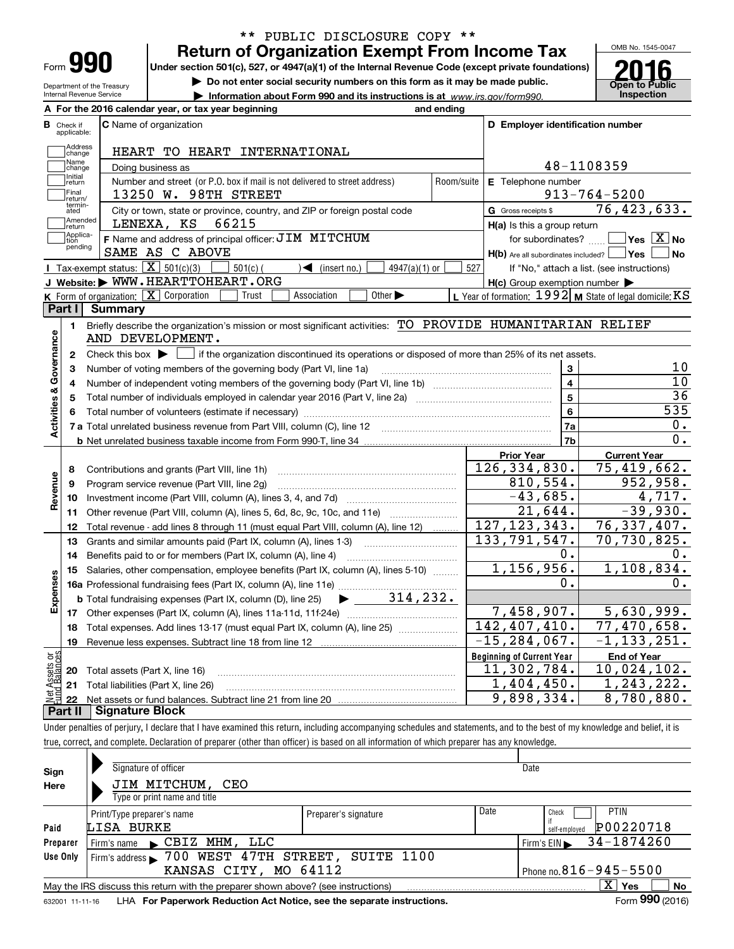| -orm |  |
|------|--|

# **Return of Organization Exempt From Income Tax** \*\* PUBLIC DISCLOSURE COPY \*\*

**Under section 501(c), 527, or 4947(a)(1) of the Internal Revenue Code (except private foundations)**

**| Do not enter social security numbers on this form as it may be made public.**

**| Information about Form 990 and its instructions is at www.irs.gov/form990.** | Inspection



Department of the Treasury Internal Revenue Service

|                         |                                  | A For the 2016 calendar year, or tax year beginning                                                                                     | and ending |                                                     |                                                           |
|-------------------------|----------------------------------|-----------------------------------------------------------------------------------------------------------------------------------------|------------|-----------------------------------------------------|-----------------------------------------------------------|
|                         | <b>B</b> Check if<br>applicable: | <b>C</b> Name of organization                                                                                                           |            | D Employer identification number                    |                                                           |
|                         | Address<br>change                | HEART TO HEART INTERNATIONAL                                                                                                            |            |                                                     |                                                           |
|                         | Name<br>change                   | Doing business as                                                                                                                       |            |                                                     | 48-1108359                                                |
|                         | Initial<br>return                | Number and street (or P.O. box if mail is not delivered to street address)                                                              | Room/suite | E Telephone number                                  |                                                           |
|                         | Final<br>return/                 | 13250 W. 98TH STREET                                                                                                                    |            |                                                     | $913 - 764 - 5200$                                        |
|                         | termin-<br>ated                  | City or town, state or province, country, and ZIP or foreign postal code                                                                |            | G Gross receipts \$                                 | 76,423,633.                                               |
|                         | Amended<br>return                | 66215<br>LENEXA, KS                                                                                                                     |            | H(a) Is this a group return                         |                                                           |
|                         | Applica-<br>tion                 | F Name and address of principal officer: JIM MITCHUM                                                                                    |            | for subordinates?                                   | $\overline{\ }$ Yes $\overline{\rm X}$ No                 |
|                         | pending                          | SAME AS C ABOVE                                                                                                                         |            | $H(b)$ Are all subordinates included? $\Box$ Yes    | No                                                        |
|                         |                                  | Tax-exempt status: $\boxed{\mathbf{X}}$ 501(c)(3)<br>4947(a)(1) or<br>$501(c)$ (<br>$\blacktriangleleft$ (insert no.)                   | 527        |                                                     | If "No," attach a list. (see instructions)                |
|                         |                                  | J Website: WWW.HEARTTOHEART.ORG                                                                                                         |            | $H(c)$ Group exemption number $\blacktriangleright$ |                                                           |
|                         |                                  | K Form of organization: X Corporation<br>Other $\blacktriangleright$<br>Association<br>Trust                                            |            |                                                     | L Year of formation: $1992$ M State of legal domicile: KS |
|                         | Part I                           | <b>Summary</b>                                                                                                                          |            |                                                     |                                                           |
|                         | 1.                               | Briefly describe the organization's mission or most significant activities: TO PROVIDE HUMANITARIAN RELIEF                              |            |                                                     |                                                           |
|                         |                                  | AND DEVELOPMENT.                                                                                                                        |            |                                                     |                                                           |
|                         | 2                                | Check this box $\blacktriangleright$<br>if the organization discontinued its operations or disposed of more than 25% of its net assets. |            |                                                     |                                                           |
| Governance              | з                                | Number of voting members of the governing body (Part VI, line 1a)                                                                       |            | $\overline{\mathbf{3}}$                             | 10                                                        |
|                         | 4                                |                                                                                                                                         |            | 4                                                   | 10                                                        |
|                         | 5                                |                                                                                                                                         |            | $\overline{5}$                                      | $\overline{36}$                                           |
|                         | 6                                |                                                                                                                                         |            | 6                                                   | $\overline{535}$                                          |
| <b>Activities &amp;</b> |                                  |                                                                                                                                         |            | 7a                                                  | 0.                                                        |
|                         |                                  |                                                                                                                                         |            | 7b                                                  | 0.                                                        |
|                         |                                  |                                                                                                                                         |            | <b>Prior Year</b>                                   | <b>Current Year</b>                                       |
|                         | 8                                | Contributions and grants (Part VIII, line 1h)                                                                                           |            | 126, 334, 830.                                      | 75,419,662.                                               |
| Revenue                 | 9                                | Program service revenue (Part VIII, line 2g)                                                                                            |            | 810,554.                                            | 952,958.                                                  |
|                         | 10                               |                                                                                                                                         |            | $-43,685.$                                          | 4,717.                                                    |
|                         | 11                               | Other revenue (Part VIII, column (A), lines 5, 6d, 8c, 9c, 10c, and 11e)                                                                |            | 21,644.                                             | $-39,930.$                                                |
|                         | 12                               | Total revenue - add lines 8 through 11 (must equal Part VIII, column (A), line 12)                                                      |            | 127, 123, 343.                                      | 76,337,407.                                               |
|                         | 13                               | Grants and similar amounts paid (Part IX, column (A), lines 1-3)                                                                        |            | 133,791,547.                                        | 70,730,825.                                               |
|                         | 14                               | Benefits paid to or for members (Part IX, column (A), line 4)                                                                           |            | 0.                                                  | 0.                                                        |
|                         | 15                               | Salaries, other compensation, employee benefits (Part IX, column (A), lines 5-10)                                                       |            | 1, 156, 956.                                        | 1,108,834.                                                |
|                         |                                  |                                                                                                                                         |            | 0.                                                  | 0.                                                        |
| Expenses                |                                  | <b>b</b> Total fundraising expenses (Part IX, column (D), line 25) $\rightarrow$ 314, 232.                                              |            |                                                     |                                                           |
|                         | 17                               |                                                                                                                                         |            | 7,458,907.                                          | 5,630,999.                                                |
|                         | 18                               | Total expenses. Add lines 13-17 (must equal Part IX, column (A), line 25)                                                               |            | 142, 407, 410.                                      | 77,470,658.                                               |
|                         |                                  | 19 Revenue less expenses. Subtract line 18 from line 12                                                                                 |            | $-15, 284, 067.$                                    | $-1, 133, 251.$                                           |
|                         |                                  |                                                                                                                                         |            | <b>Beginning of Current Year</b>                    | <b>End of Year</b>                                        |
| Assets or<br>1Balances  | 20                               | Total assets (Part X, line 16)                                                                                                          |            | 11,302,784.                                         | $\overline{10}$ , 024, 102.                               |
|                         | 21                               | Total liabilities (Part X, line 26)                                                                                                     |            | 1,404,450.                                          | 1, 243, 222.                                              |
|                         | 22                               |                                                                                                                                         |            | 9,898,334.                                          | 8,780,880.                                                |
|                         | Part II                          | <b>Signature Block</b>                                                                                                                  |            |                                                     |                                                           |

true, correct, and complete. Declaration of preparer (other than officer) is based on all information of which preparer has any knowledge.

Checkif self-employed 632001 11-11-16 **PaidPreparerUse Only SignHereYes No** X LHA **For Paperwork Reduction Act Notice, see the separate instructions. Form 990 (2016)** Signature of officer Date Date According to the United States of Oate Date Date Date Date Type or print name and title Print/Type preparer's name Print/Type preparer's name **Date**  PTINFirm's name  $\qquadblacktriangleright$  CBIZ MHM, LLC  $\qquad$  Firm's EIN  $\blacktriangleright$  34–1874260 Firm's name CB12 MHM, LLC<br>Firm's address 700 WEST 47TH STREET, SUITE 1100 Phone no.  $816 - 945 - 5500$ May the IRS discuss this return with the preparer shown above? (see instructions) Form 990 (2016)  $\mathcal{L}^{\text{max}}$  $\blacktriangleright$  $\blacktriangleright$ JIM MITCHUM, CEO LISA BURKE P00220718 KANSAS CITY, MO 64112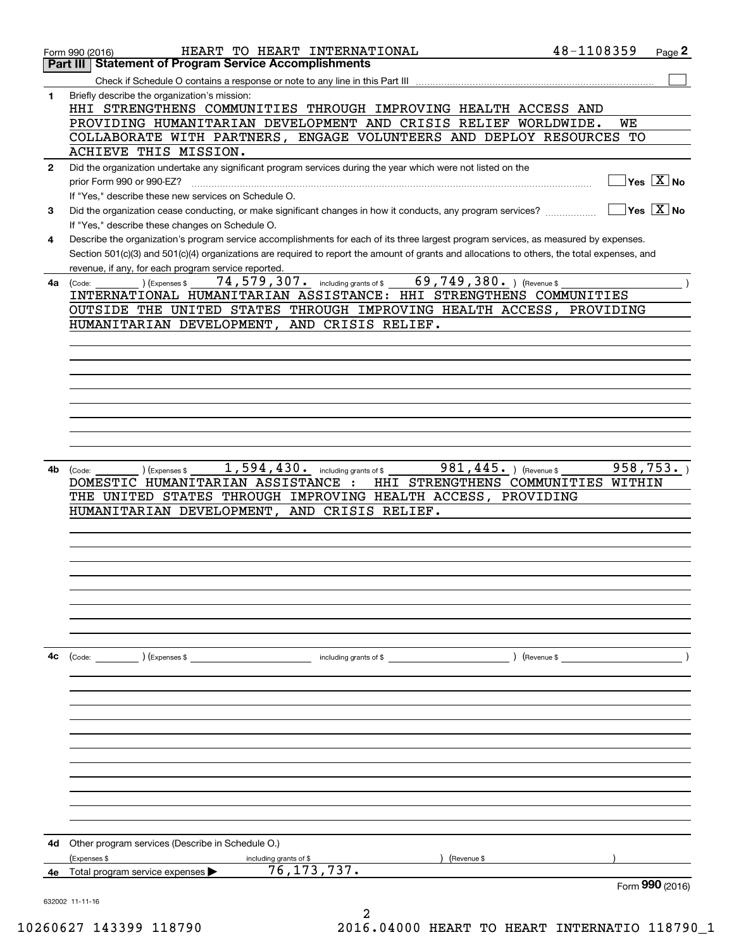|              | HEART TO HEART INTERNATIONAL<br>Form 990 (2016)                                                                                              | 48-1108359 |    | Page 2                                 |
|--------------|----------------------------------------------------------------------------------------------------------------------------------------------|------------|----|----------------------------------------|
|              | <b>Statement of Program Service Accomplishments</b><br>Part III                                                                              |            |    |                                        |
|              |                                                                                                                                              |            |    |                                        |
| 1            | Briefly describe the organization's mission:<br>HHI STRENGTHENS COMMUNITIES THROUGH IMPROVING HEALTH ACCESS AND                              |            |    |                                        |
|              | PROVIDING HUMANITARIAN DEVELOPMENT AND CRISIS RELIEF WORLDWIDE.                                                                              |            | WE |                                        |
|              | COLLABORATE WITH PARTNERS, ENGAGE VOLUNTEERS AND DEPLOY RESOURCES<br>ACHIEVE THIS MISSION.                                                   |            | TО |                                        |
| $\mathbf{2}$ | Did the organization undertake any significant program services during the year which were not listed on the                                 |            |    |                                        |
|              | prior Form 990 or 990-EZ?                                                                                                                    |            |    | $\sqrt{}$ Yes $\sqrt{}$ X $\sqrt{}$ No |
|              | If "Yes," describe these new services on Schedule O.                                                                                         |            |    |                                        |
| 3            | Did the organization cease conducting, or make significant changes in how it conducts, any program services?                                 |            |    | $\sqrt{}$ Yes $\sqrt{}$ X $\sqrt{}$ No |
|              | If "Yes," describe these changes on Schedule O.                                                                                              |            |    |                                        |
| 4            | Describe the organization's program service accomplishments for each of its three largest program services, as measured by expenses.         |            |    |                                        |
|              | Section 501(c)(3) and 501(c)(4) organizations are required to report the amount of grants and allocations to others, the total expenses, and |            |    |                                        |
|              | revenue, if any, for each program service reported.                                                                                          |            |    |                                        |
|              | 74, 579, 307. including grants of \$69, 749, 380. ) (Revenue \$<br>(Expenses \$<br>$4a$ (Code:                                               |            |    |                                        |
|              | INTERNATIONAL HUMANITARIAN ASSISTANCE: HHI STRENGTHENS COMMUNITIES                                                                           |            |    |                                        |
|              | OUTSIDE THE UNITED STATES THROUGH IMPROVING HEALTH ACCESS, PROVIDING                                                                         |            |    |                                        |
|              | HUMANITARIAN DEVELOPMENT, AND CRISIS RELIEF.                                                                                                 |            |    |                                        |
|              |                                                                                                                                              |            |    |                                        |
|              |                                                                                                                                              |            |    |                                        |
|              |                                                                                                                                              |            |    |                                        |
|              |                                                                                                                                              |            |    |                                        |
|              |                                                                                                                                              |            |    |                                        |
|              |                                                                                                                                              |            |    |                                        |
|              |                                                                                                                                              |            |    |                                        |
|              |                                                                                                                                              |            |    |                                        |
| 4b           | 1,594,430. including grants of \$<br>981, 445. $ $ (Revenue \$<br>(Expenses \$<br>(Code:                                                     |            |    | 958, 753.                              |
|              | HHI STRENGTHENS COMMUNITIES WITHIN<br>DOMESTIC HUMANITARIAN ASSISTANCE :                                                                     |            |    |                                        |
|              | THE UNITED STATES THROUGH IMPROVING HEALTH ACCESS, PROVIDING                                                                                 |            |    |                                        |
|              | HUMANITARIAN DEVELOPMENT, AND CRISIS RELIEF.                                                                                                 |            |    |                                        |
|              |                                                                                                                                              |            |    |                                        |
|              |                                                                                                                                              |            |    |                                        |
|              |                                                                                                                                              |            |    |                                        |
|              |                                                                                                                                              |            |    |                                        |
|              |                                                                                                                                              |            |    |                                        |
|              |                                                                                                                                              |            |    |                                        |
|              |                                                                                                                                              |            |    |                                        |
|              |                                                                                                                                              |            |    |                                        |
| 4с           | (Code: ) (Expenses \$                                                                                                                        |            |    |                                        |
|              |                                                                                                                                              |            |    |                                        |
|              |                                                                                                                                              |            |    |                                        |
|              |                                                                                                                                              |            |    |                                        |
|              |                                                                                                                                              |            |    |                                        |
|              |                                                                                                                                              |            |    |                                        |
|              |                                                                                                                                              |            |    |                                        |
|              |                                                                                                                                              |            |    |                                        |
|              |                                                                                                                                              |            |    |                                        |
|              |                                                                                                                                              |            |    |                                        |
|              |                                                                                                                                              |            |    |                                        |
|              |                                                                                                                                              |            |    |                                        |
| 4d           | Other program services (Describe in Schedule O.)                                                                                             |            |    |                                        |
|              | (Expenses \$<br>(Revenue \$<br>including grants of \$                                                                                        |            |    |                                        |
| 4е           | 76, 173, 737.<br>Total program service expenses                                                                                              |            |    |                                        |
|              |                                                                                                                                              |            |    | Form 990 (2016)                        |
|              | 632002 11-11-16                                                                                                                              |            |    |                                        |

10260627 143399 118790 2016.04000 HEART TO HEART INTERNATIO 118790\_1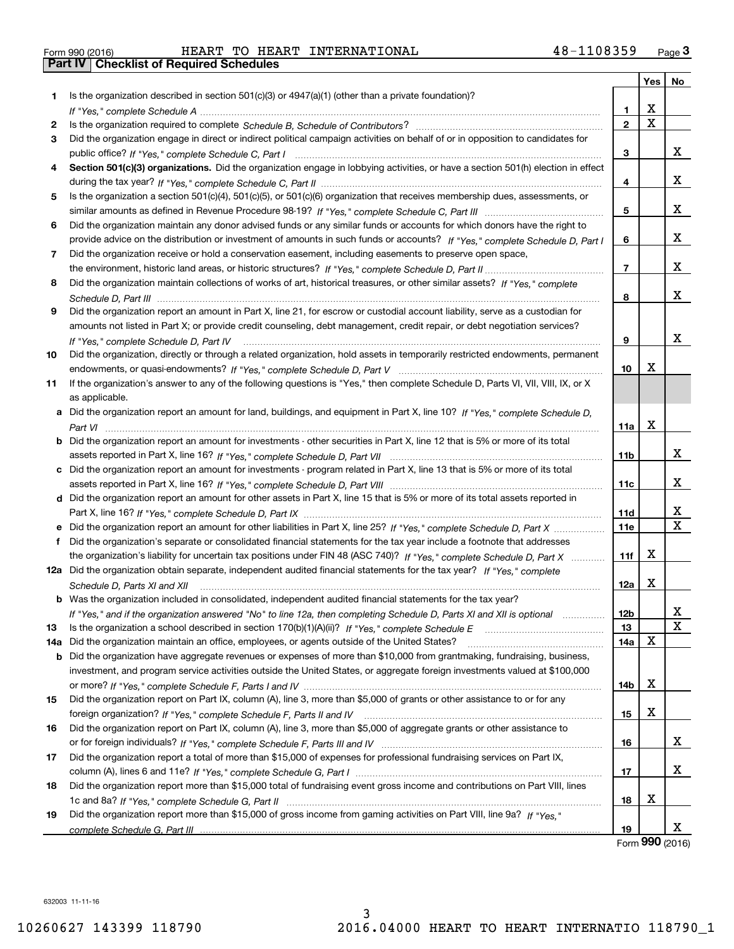| Form 990 (2016) |  |  |
|-----------------|--|--|

Form 990 (2016) Page **3Part IV Checklist of Required Schedules** HEART TO HEART INTERNATIONAL 48-1108359

| Is the organization described in section $501(c)(3)$ or $4947(a)(1)$ (other than a private foundation)?<br>1<br>х<br>1.<br>$\overline{\mathbf{x}}$<br>$\mathbf{2}$<br>2<br>Did the organization engage in direct or indirect political campaign activities on behalf of or in opposition to candidates for<br>3<br>x<br>3<br>Section 501(c)(3) organizations. Did the organization engage in lobbying activities, or have a section 501(h) election in effect<br>4<br>x<br>4<br>Is the organization a section 501(c)(4), 501(c)(5), or 501(c)(6) organization that receives membership dues, assessments, or<br>5<br>х<br>5<br>Did the organization maintain any donor advised funds or any similar funds or accounts for which donors have the right to<br>6<br>х<br>provide advice on the distribution or investment of amounts in such funds or accounts? If "Yes," complete Schedule D, Part I<br>6<br>Did the organization receive or hold a conservation easement, including easements to preserve open space,<br>7<br>x<br>$\overline{7}$<br>Did the organization maintain collections of works of art, historical treasures, or other similar assets? If "Yes," complete<br>8<br>х<br>8<br>Did the organization report an amount in Part X, line 21, for escrow or custodial account liability, serve as a custodian for<br>9<br>amounts not listed in Part X; or provide credit counseling, debt management, credit repair, or debt negotiation services?<br>x<br>9<br>If "Yes," complete Schedule D, Part IV<br>Did the organization, directly or through a related organization, hold assets in temporarily restricted endowments, permanent<br>10<br>х<br>10<br>If the organization's answer to any of the following questions is "Yes," then complete Schedule D, Parts VI, VIII, VIII, IX, or X<br>11<br>as applicable.<br>a Did the organization report an amount for land, buildings, and equipment in Part X, line 10? If "Yes," complete Schedule D,<br>х<br>11a<br><b>b</b> Did the organization report an amount for investments - other securities in Part X, line 12 that is 5% or more of its total<br>x<br>11b<br>c Did the organization report an amount for investments - program related in Part X, line 13 that is 5% or more of its total<br>х<br>11c<br>d Did the organization report an amount for other assets in Part X, line 15 that is 5% or more of its total assets reported in<br>x<br>11d<br>$\mathbf X$<br>e Did the organization report an amount for other liabilities in Part X, line 25? If "Yes," complete Schedule D, Part X<br><b>11e</b><br>f Did the organization's separate or consolidated financial statements for the tax year include a footnote that addresses<br>х<br>the organization's liability for uncertain tax positions under FIN 48 (ASC 740)? If "Yes," complete Schedule D, Part X<br>11f<br>12a Did the organization obtain separate, independent audited financial statements for the tax year? If "Yes," complete<br>x<br>12a<br>Schedule D, Parts XI and XII<br><b>b</b> Was the organization included in consolidated, independent audited financial statements for the tax year?<br>12 <sub>b</sub><br>X,<br>If "Yes," and if the organization answered "No" to line 12a, then completing Schedule D, Parts XI and XII is optional<br>$\mathbf X$<br>13<br>13<br>X<br>Did the organization maintain an office, employees, or agents outside of the United States?<br>14a<br>14a<br><b>b</b> Did the organization have aggregate revenues or expenses of more than \$10,000 from grantmaking, fundraising, business,<br>investment, and program service activities outside the United States, or aggregate foreign investments valued at \$100,000<br>х<br>14b<br>Did the organization report on Part IX, column (A), line 3, more than \$5,000 of grants or other assistance to or for any<br>15<br>х<br>15<br>Did the organization report on Part IX, column (A), line 3, more than \$5,000 of aggregate grants or other assistance to<br>16<br>x<br>16<br>Did the organization report a total of more than \$15,000 of expenses for professional fundraising services on Part IX,<br>17<br>x<br>17<br>Did the organization report more than \$15,000 total of fundraising event gross income and contributions on Part VIII, lines<br>18<br>х<br>18<br>Did the organization report more than \$15,000 of gross income from gaming activities on Part VIII, line 9a? If "Yes."<br>19<br>x<br>19 |  | Yes | No |
|--------------------------------------------------------------------------------------------------------------------------------------------------------------------------------------------------------------------------------------------------------------------------------------------------------------------------------------------------------------------------------------------------------------------------------------------------------------------------------------------------------------------------------------------------------------------------------------------------------------------------------------------------------------------------------------------------------------------------------------------------------------------------------------------------------------------------------------------------------------------------------------------------------------------------------------------------------------------------------------------------------------------------------------------------------------------------------------------------------------------------------------------------------------------------------------------------------------------------------------------------------------------------------------------------------------------------------------------------------------------------------------------------------------------------------------------------------------------------------------------------------------------------------------------------------------------------------------------------------------------------------------------------------------------------------------------------------------------------------------------------------------------------------------------------------------------------------------------------------------------------------------------------------------------------------------------------------------------------------------------------------------------------------------------------------------------------------------------------------------------------------------------------------------------------------------------------------------------------------------------------------------------------------------------------------------------------------------------------------------------------------------------------------------------------------------------------------------------------------------------------------------------------------------------------------------------------------------------------------------------------------------------------------------------------------------------------------------------------------------------------------------------------------------------------------------------------------------------------------------------------------------------------------------------------------------------------------------------------------------------------------------------------------------------------------------------------------------------------------------------------------------------------------------------------------------------------------------------------------------------------------------------------------------------------------------------------------------------------------------------------------------------------------------------------------------------------------------------------------------------------------------------------------------------------------------------------------------------------------------------------------------------------------------------------------------------------------------------------------------------------------------------------------------------------------------------------------------------------------------------------------------------------------------------------------------------------------------------------------------------------------------------------------------------------------------------------------------------------------------------------------------------------------------------------------------------------------------------------------------------------------------------------------------------------------------------------------------------------------------------------------------------------------------------------------------------------------------------------|--|-----|----|
|                                                                                                                                                                                                                                                                                                                                                                                                                                                                                                                                                                                                                                                                                                                                                                                                                                                                                                                                                                                                                                                                                                                                                                                                                                                                                                                                                                                                                                                                                                                                                                                                                                                                                                                                                                                                                                                                                                                                                                                                                                                                                                                                                                                                                                                                                                                                                                                                                                                                                                                                                                                                                                                                                                                                                                                                                                                                                                                                                                                                                                                                                                                                                                                                                                                                                                                                                                                                                                                                                                                                                                                                                                                                                                                                                                                                                                                                                                                                                                                                                                                                                                                                                                                                                                                                                                                                                                                                                                                                          |  |     |    |
|                                                                                                                                                                                                                                                                                                                                                                                                                                                                                                                                                                                                                                                                                                                                                                                                                                                                                                                                                                                                                                                                                                                                                                                                                                                                                                                                                                                                                                                                                                                                                                                                                                                                                                                                                                                                                                                                                                                                                                                                                                                                                                                                                                                                                                                                                                                                                                                                                                                                                                                                                                                                                                                                                                                                                                                                                                                                                                                                                                                                                                                                                                                                                                                                                                                                                                                                                                                                                                                                                                                                                                                                                                                                                                                                                                                                                                                                                                                                                                                                                                                                                                                                                                                                                                                                                                                                                                                                                                                                          |  |     |    |
|                                                                                                                                                                                                                                                                                                                                                                                                                                                                                                                                                                                                                                                                                                                                                                                                                                                                                                                                                                                                                                                                                                                                                                                                                                                                                                                                                                                                                                                                                                                                                                                                                                                                                                                                                                                                                                                                                                                                                                                                                                                                                                                                                                                                                                                                                                                                                                                                                                                                                                                                                                                                                                                                                                                                                                                                                                                                                                                                                                                                                                                                                                                                                                                                                                                                                                                                                                                                                                                                                                                                                                                                                                                                                                                                                                                                                                                                                                                                                                                                                                                                                                                                                                                                                                                                                                                                                                                                                                                                          |  |     |    |
|                                                                                                                                                                                                                                                                                                                                                                                                                                                                                                                                                                                                                                                                                                                                                                                                                                                                                                                                                                                                                                                                                                                                                                                                                                                                                                                                                                                                                                                                                                                                                                                                                                                                                                                                                                                                                                                                                                                                                                                                                                                                                                                                                                                                                                                                                                                                                                                                                                                                                                                                                                                                                                                                                                                                                                                                                                                                                                                                                                                                                                                                                                                                                                                                                                                                                                                                                                                                                                                                                                                                                                                                                                                                                                                                                                                                                                                                                                                                                                                                                                                                                                                                                                                                                                                                                                                                                                                                                                                                          |  |     |    |
|                                                                                                                                                                                                                                                                                                                                                                                                                                                                                                                                                                                                                                                                                                                                                                                                                                                                                                                                                                                                                                                                                                                                                                                                                                                                                                                                                                                                                                                                                                                                                                                                                                                                                                                                                                                                                                                                                                                                                                                                                                                                                                                                                                                                                                                                                                                                                                                                                                                                                                                                                                                                                                                                                                                                                                                                                                                                                                                                                                                                                                                                                                                                                                                                                                                                                                                                                                                                                                                                                                                                                                                                                                                                                                                                                                                                                                                                                                                                                                                                                                                                                                                                                                                                                                                                                                                                                                                                                                                                          |  |     |    |
|                                                                                                                                                                                                                                                                                                                                                                                                                                                                                                                                                                                                                                                                                                                                                                                                                                                                                                                                                                                                                                                                                                                                                                                                                                                                                                                                                                                                                                                                                                                                                                                                                                                                                                                                                                                                                                                                                                                                                                                                                                                                                                                                                                                                                                                                                                                                                                                                                                                                                                                                                                                                                                                                                                                                                                                                                                                                                                                                                                                                                                                                                                                                                                                                                                                                                                                                                                                                                                                                                                                                                                                                                                                                                                                                                                                                                                                                                                                                                                                                                                                                                                                                                                                                                                                                                                                                                                                                                                                                          |  |     |    |
|                                                                                                                                                                                                                                                                                                                                                                                                                                                                                                                                                                                                                                                                                                                                                                                                                                                                                                                                                                                                                                                                                                                                                                                                                                                                                                                                                                                                                                                                                                                                                                                                                                                                                                                                                                                                                                                                                                                                                                                                                                                                                                                                                                                                                                                                                                                                                                                                                                                                                                                                                                                                                                                                                                                                                                                                                                                                                                                                                                                                                                                                                                                                                                                                                                                                                                                                                                                                                                                                                                                                                                                                                                                                                                                                                                                                                                                                                                                                                                                                                                                                                                                                                                                                                                                                                                                                                                                                                                                                          |  |     |    |
|                                                                                                                                                                                                                                                                                                                                                                                                                                                                                                                                                                                                                                                                                                                                                                                                                                                                                                                                                                                                                                                                                                                                                                                                                                                                                                                                                                                                                                                                                                                                                                                                                                                                                                                                                                                                                                                                                                                                                                                                                                                                                                                                                                                                                                                                                                                                                                                                                                                                                                                                                                                                                                                                                                                                                                                                                                                                                                                                                                                                                                                                                                                                                                                                                                                                                                                                                                                                                                                                                                                                                                                                                                                                                                                                                                                                                                                                                                                                                                                                                                                                                                                                                                                                                                                                                                                                                                                                                                                                          |  |     |    |
|                                                                                                                                                                                                                                                                                                                                                                                                                                                                                                                                                                                                                                                                                                                                                                                                                                                                                                                                                                                                                                                                                                                                                                                                                                                                                                                                                                                                                                                                                                                                                                                                                                                                                                                                                                                                                                                                                                                                                                                                                                                                                                                                                                                                                                                                                                                                                                                                                                                                                                                                                                                                                                                                                                                                                                                                                                                                                                                                                                                                                                                                                                                                                                                                                                                                                                                                                                                                                                                                                                                                                                                                                                                                                                                                                                                                                                                                                                                                                                                                                                                                                                                                                                                                                                                                                                                                                                                                                                                                          |  |     |    |
|                                                                                                                                                                                                                                                                                                                                                                                                                                                                                                                                                                                                                                                                                                                                                                                                                                                                                                                                                                                                                                                                                                                                                                                                                                                                                                                                                                                                                                                                                                                                                                                                                                                                                                                                                                                                                                                                                                                                                                                                                                                                                                                                                                                                                                                                                                                                                                                                                                                                                                                                                                                                                                                                                                                                                                                                                                                                                                                                                                                                                                                                                                                                                                                                                                                                                                                                                                                                                                                                                                                                                                                                                                                                                                                                                                                                                                                                                                                                                                                                                                                                                                                                                                                                                                                                                                                                                                                                                                                                          |  |     |    |
|                                                                                                                                                                                                                                                                                                                                                                                                                                                                                                                                                                                                                                                                                                                                                                                                                                                                                                                                                                                                                                                                                                                                                                                                                                                                                                                                                                                                                                                                                                                                                                                                                                                                                                                                                                                                                                                                                                                                                                                                                                                                                                                                                                                                                                                                                                                                                                                                                                                                                                                                                                                                                                                                                                                                                                                                                                                                                                                                                                                                                                                                                                                                                                                                                                                                                                                                                                                                                                                                                                                                                                                                                                                                                                                                                                                                                                                                                                                                                                                                                                                                                                                                                                                                                                                                                                                                                                                                                                                                          |  |     |    |
|                                                                                                                                                                                                                                                                                                                                                                                                                                                                                                                                                                                                                                                                                                                                                                                                                                                                                                                                                                                                                                                                                                                                                                                                                                                                                                                                                                                                                                                                                                                                                                                                                                                                                                                                                                                                                                                                                                                                                                                                                                                                                                                                                                                                                                                                                                                                                                                                                                                                                                                                                                                                                                                                                                                                                                                                                                                                                                                                                                                                                                                                                                                                                                                                                                                                                                                                                                                                                                                                                                                                                                                                                                                                                                                                                                                                                                                                                                                                                                                                                                                                                                                                                                                                                                                                                                                                                                                                                                                                          |  |     |    |
|                                                                                                                                                                                                                                                                                                                                                                                                                                                                                                                                                                                                                                                                                                                                                                                                                                                                                                                                                                                                                                                                                                                                                                                                                                                                                                                                                                                                                                                                                                                                                                                                                                                                                                                                                                                                                                                                                                                                                                                                                                                                                                                                                                                                                                                                                                                                                                                                                                                                                                                                                                                                                                                                                                                                                                                                                                                                                                                                                                                                                                                                                                                                                                                                                                                                                                                                                                                                                                                                                                                                                                                                                                                                                                                                                                                                                                                                                                                                                                                                                                                                                                                                                                                                                                                                                                                                                                                                                                                                          |  |     |    |
|                                                                                                                                                                                                                                                                                                                                                                                                                                                                                                                                                                                                                                                                                                                                                                                                                                                                                                                                                                                                                                                                                                                                                                                                                                                                                                                                                                                                                                                                                                                                                                                                                                                                                                                                                                                                                                                                                                                                                                                                                                                                                                                                                                                                                                                                                                                                                                                                                                                                                                                                                                                                                                                                                                                                                                                                                                                                                                                                                                                                                                                                                                                                                                                                                                                                                                                                                                                                                                                                                                                                                                                                                                                                                                                                                                                                                                                                                                                                                                                                                                                                                                                                                                                                                                                                                                                                                                                                                                                                          |  |     |    |
|                                                                                                                                                                                                                                                                                                                                                                                                                                                                                                                                                                                                                                                                                                                                                                                                                                                                                                                                                                                                                                                                                                                                                                                                                                                                                                                                                                                                                                                                                                                                                                                                                                                                                                                                                                                                                                                                                                                                                                                                                                                                                                                                                                                                                                                                                                                                                                                                                                                                                                                                                                                                                                                                                                                                                                                                                                                                                                                                                                                                                                                                                                                                                                                                                                                                                                                                                                                                                                                                                                                                                                                                                                                                                                                                                                                                                                                                                                                                                                                                                                                                                                                                                                                                                                                                                                                                                                                                                                                                          |  |     |    |
|                                                                                                                                                                                                                                                                                                                                                                                                                                                                                                                                                                                                                                                                                                                                                                                                                                                                                                                                                                                                                                                                                                                                                                                                                                                                                                                                                                                                                                                                                                                                                                                                                                                                                                                                                                                                                                                                                                                                                                                                                                                                                                                                                                                                                                                                                                                                                                                                                                                                                                                                                                                                                                                                                                                                                                                                                                                                                                                                                                                                                                                                                                                                                                                                                                                                                                                                                                                                                                                                                                                                                                                                                                                                                                                                                                                                                                                                                                                                                                                                                                                                                                                                                                                                                                                                                                                                                                                                                                                                          |  |     |    |
|                                                                                                                                                                                                                                                                                                                                                                                                                                                                                                                                                                                                                                                                                                                                                                                                                                                                                                                                                                                                                                                                                                                                                                                                                                                                                                                                                                                                                                                                                                                                                                                                                                                                                                                                                                                                                                                                                                                                                                                                                                                                                                                                                                                                                                                                                                                                                                                                                                                                                                                                                                                                                                                                                                                                                                                                                                                                                                                                                                                                                                                                                                                                                                                                                                                                                                                                                                                                                                                                                                                                                                                                                                                                                                                                                                                                                                                                                                                                                                                                                                                                                                                                                                                                                                                                                                                                                                                                                                                                          |  |     |    |
|                                                                                                                                                                                                                                                                                                                                                                                                                                                                                                                                                                                                                                                                                                                                                                                                                                                                                                                                                                                                                                                                                                                                                                                                                                                                                                                                                                                                                                                                                                                                                                                                                                                                                                                                                                                                                                                                                                                                                                                                                                                                                                                                                                                                                                                                                                                                                                                                                                                                                                                                                                                                                                                                                                                                                                                                                                                                                                                                                                                                                                                                                                                                                                                                                                                                                                                                                                                                                                                                                                                                                                                                                                                                                                                                                                                                                                                                                                                                                                                                                                                                                                                                                                                                                                                                                                                                                                                                                                                                          |  |     |    |
|                                                                                                                                                                                                                                                                                                                                                                                                                                                                                                                                                                                                                                                                                                                                                                                                                                                                                                                                                                                                                                                                                                                                                                                                                                                                                                                                                                                                                                                                                                                                                                                                                                                                                                                                                                                                                                                                                                                                                                                                                                                                                                                                                                                                                                                                                                                                                                                                                                                                                                                                                                                                                                                                                                                                                                                                                                                                                                                                                                                                                                                                                                                                                                                                                                                                                                                                                                                                                                                                                                                                                                                                                                                                                                                                                                                                                                                                                                                                                                                                                                                                                                                                                                                                                                                                                                                                                                                                                                                                          |  |     |    |
|                                                                                                                                                                                                                                                                                                                                                                                                                                                                                                                                                                                                                                                                                                                                                                                                                                                                                                                                                                                                                                                                                                                                                                                                                                                                                                                                                                                                                                                                                                                                                                                                                                                                                                                                                                                                                                                                                                                                                                                                                                                                                                                                                                                                                                                                                                                                                                                                                                                                                                                                                                                                                                                                                                                                                                                                                                                                                                                                                                                                                                                                                                                                                                                                                                                                                                                                                                                                                                                                                                                                                                                                                                                                                                                                                                                                                                                                                                                                                                                                                                                                                                                                                                                                                                                                                                                                                                                                                                                                          |  |     |    |
|                                                                                                                                                                                                                                                                                                                                                                                                                                                                                                                                                                                                                                                                                                                                                                                                                                                                                                                                                                                                                                                                                                                                                                                                                                                                                                                                                                                                                                                                                                                                                                                                                                                                                                                                                                                                                                                                                                                                                                                                                                                                                                                                                                                                                                                                                                                                                                                                                                                                                                                                                                                                                                                                                                                                                                                                                                                                                                                                                                                                                                                                                                                                                                                                                                                                                                                                                                                                                                                                                                                                                                                                                                                                                                                                                                                                                                                                                                                                                                                                                                                                                                                                                                                                                                                                                                                                                                                                                                                                          |  |     |    |
|                                                                                                                                                                                                                                                                                                                                                                                                                                                                                                                                                                                                                                                                                                                                                                                                                                                                                                                                                                                                                                                                                                                                                                                                                                                                                                                                                                                                                                                                                                                                                                                                                                                                                                                                                                                                                                                                                                                                                                                                                                                                                                                                                                                                                                                                                                                                                                                                                                                                                                                                                                                                                                                                                                                                                                                                                                                                                                                                                                                                                                                                                                                                                                                                                                                                                                                                                                                                                                                                                                                                                                                                                                                                                                                                                                                                                                                                                                                                                                                                                                                                                                                                                                                                                                                                                                                                                                                                                                                                          |  |     |    |
|                                                                                                                                                                                                                                                                                                                                                                                                                                                                                                                                                                                                                                                                                                                                                                                                                                                                                                                                                                                                                                                                                                                                                                                                                                                                                                                                                                                                                                                                                                                                                                                                                                                                                                                                                                                                                                                                                                                                                                                                                                                                                                                                                                                                                                                                                                                                                                                                                                                                                                                                                                                                                                                                                                                                                                                                                                                                                                                                                                                                                                                                                                                                                                                                                                                                                                                                                                                                                                                                                                                                                                                                                                                                                                                                                                                                                                                                                                                                                                                                                                                                                                                                                                                                                                                                                                                                                                                                                                                                          |  |     |    |
|                                                                                                                                                                                                                                                                                                                                                                                                                                                                                                                                                                                                                                                                                                                                                                                                                                                                                                                                                                                                                                                                                                                                                                                                                                                                                                                                                                                                                                                                                                                                                                                                                                                                                                                                                                                                                                                                                                                                                                                                                                                                                                                                                                                                                                                                                                                                                                                                                                                                                                                                                                                                                                                                                                                                                                                                                                                                                                                                                                                                                                                                                                                                                                                                                                                                                                                                                                                                                                                                                                                                                                                                                                                                                                                                                                                                                                                                                                                                                                                                                                                                                                                                                                                                                                                                                                                                                                                                                                                                          |  |     |    |
|                                                                                                                                                                                                                                                                                                                                                                                                                                                                                                                                                                                                                                                                                                                                                                                                                                                                                                                                                                                                                                                                                                                                                                                                                                                                                                                                                                                                                                                                                                                                                                                                                                                                                                                                                                                                                                                                                                                                                                                                                                                                                                                                                                                                                                                                                                                                                                                                                                                                                                                                                                                                                                                                                                                                                                                                                                                                                                                                                                                                                                                                                                                                                                                                                                                                                                                                                                                                                                                                                                                                                                                                                                                                                                                                                                                                                                                                                                                                                                                                                                                                                                                                                                                                                                                                                                                                                                                                                                                                          |  |     |    |
|                                                                                                                                                                                                                                                                                                                                                                                                                                                                                                                                                                                                                                                                                                                                                                                                                                                                                                                                                                                                                                                                                                                                                                                                                                                                                                                                                                                                                                                                                                                                                                                                                                                                                                                                                                                                                                                                                                                                                                                                                                                                                                                                                                                                                                                                                                                                                                                                                                                                                                                                                                                                                                                                                                                                                                                                                                                                                                                                                                                                                                                                                                                                                                                                                                                                                                                                                                                                                                                                                                                                                                                                                                                                                                                                                                                                                                                                                                                                                                                                                                                                                                                                                                                                                                                                                                                                                                                                                                                                          |  |     |    |
|                                                                                                                                                                                                                                                                                                                                                                                                                                                                                                                                                                                                                                                                                                                                                                                                                                                                                                                                                                                                                                                                                                                                                                                                                                                                                                                                                                                                                                                                                                                                                                                                                                                                                                                                                                                                                                                                                                                                                                                                                                                                                                                                                                                                                                                                                                                                                                                                                                                                                                                                                                                                                                                                                                                                                                                                                                                                                                                                                                                                                                                                                                                                                                                                                                                                                                                                                                                                                                                                                                                                                                                                                                                                                                                                                                                                                                                                                                                                                                                                                                                                                                                                                                                                                                                                                                                                                                                                                                                                          |  |     |    |
|                                                                                                                                                                                                                                                                                                                                                                                                                                                                                                                                                                                                                                                                                                                                                                                                                                                                                                                                                                                                                                                                                                                                                                                                                                                                                                                                                                                                                                                                                                                                                                                                                                                                                                                                                                                                                                                                                                                                                                                                                                                                                                                                                                                                                                                                                                                                                                                                                                                                                                                                                                                                                                                                                                                                                                                                                                                                                                                                                                                                                                                                                                                                                                                                                                                                                                                                                                                                                                                                                                                                                                                                                                                                                                                                                                                                                                                                                                                                                                                                                                                                                                                                                                                                                                                                                                                                                                                                                                                                          |  |     |    |
|                                                                                                                                                                                                                                                                                                                                                                                                                                                                                                                                                                                                                                                                                                                                                                                                                                                                                                                                                                                                                                                                                                                                                                                                                                                                                                                                                                                                                                                                                                                                                                                                                                                                                                                                                                                                                                                                                                                                                                                                                                                                                                                                                                                                                                                                                                                                                                                                                                                                                                                                                                                                                                                                                                                                                                                                                                                                                                                                                                                                                                                                                                                                                                                                                                                                                                                                                                                                                                                                                                                                                                                                                                                                                                                                                                                                                                                                                                                                                                                                                                                                                                                                                                                                                                                                                                                                                                                                                                                                          |  |     |    |
|                                                                                                                                                                                                                                                                                                                                                                                                                                                                                                                                                                                                                                                                                                                                                                                                                                                                                                                                                                                                                                                                                                                                                                                                                                                                                                                                                                                                                                                                                                                                                                                                                                                                                                                                                                                                                                                                                                                                                                                                                                                                                                                                                                                                                                                                                                                                                                                                                                                                                                                                                                                                                                                                                                                                                                                                                                                                                                                                                                                                                                                                                                                                                                                                                                                                                                                                                                                                                                                                                                                                                                                                                                                                                                                                                                                                                                                                                                                                                                                                                                                                                                                                                                                                                                                                                                                                                                                                                                                                          |  |     |    |
|                                                                                                                                                                                                                                                                                                                                                                                                                                                                                                                                                                                                                                                                                                                                                                                                                                                                                                                                                                                                                                                                                                                                                                                                                                                                                                                                                                                                                                                                                                                                                                                                                                                                                                                                                                                                                                                                                                                                                                                                                                                                                                                                                                                                                                                                                                                                                                                                                                                                                                                                                                                                                                                                                                                                                                                                                                                                                                                                                                                                                                                                                                                                                                                                                                                                                                                                                                                                                                                                                                                                                                                                                                                                                                                                                                                                                                                                                                                                                                                                                                                                                                                                                                                                                                                                                                                                                                                                                                                                          |  |     |    |
|                                                                                                                                                                                                                                                                                                                                                                                                                                                                                                                                                                                                                                                                                                                                                                                                                                                                                                                                                                                                                                                                                                                                                                                                                                                                                                                                                                                                                                                                                                                                                                                                                                                                                                                                                                                                                                                                                                                                                                                                                                                                                                                                                                                                                                                                                                                                                                                                                                                                                                                                                                                                                                                                                                                                                                                                                                                                                                                                                                                                                                                                                                                                                                                                                                                                                                                                                                                                                                                                                                                                                                                                                                                                                                                                                                                                                                                                                                                                                                                                                                                                                                                                                                                                                                                                                                                                                                                                                                                                          |  |     |    |
|                                                                                                                                                                                                                                                                                                                                                                                                                                                                                                                                                                                                                                                                                                                                                                                                                                                                                                                                                                                                                                                                                                                                                                                                                                                                                                                                                                                                                                                                                                                                                                                                                                                                                                                                                                                                                                                                                                                                                                                                                                                                                                                                                                                                                                                                                                                                                                                                                                                                                                                                                                                                                                                                                                                                                                                                                                                                                                                                                                                                                                                                                                                                                                                                                                                                                                                                                                                                                                                                                                                                                                                                                                                                                                                                                                                                                                                                                                                                                                                                                                                                                                                                                                                                                                                                                                                                                                                                                                                                          |  |     |    |
|                                                                                                                                                                                                                                                                                                                                                                                                                                                                                                                                                                                                                                                                                                                                                                                                                                                                                                                                                                                                                                                                                                                                                                                                                                                                                                                                                                                                                                                                                                                                                                                                                                                                                                                                                                                                                                                                                                                                                                                                                                                                                                                                                                                                                                                                                                                                                                                                                                                                                                                                                                                                                                                                                                                                                                                                                                                                                                                                                                                                                                                                                                                                                                                                                                                                                                                                                                                                                                                                                                                                                                                                                                                                                                                                                                                                                                                                                                                                                                                                                                                                                                                                                                                                                                                                                                                                                                                                                                                                          |  |     |    |
|                                                                                                                                                                                                                                                                                                                                                                                                                                                                                                                                                                                                                                                                                                                                                                                                                                                                                                                                                                                                                                                                                                                                                                                                                                                                                                                                                                                                                                                                                                                                                                                                                                                                                                                                                                                                                                                                                                                                                                                                                                                                                                                                                                                                                                                                                                                                                                                                                                                                                                                                                                                                                                                                                                                                                                                                                                                                                                                                                                                                                                                                                                                                                                                                                                                                                                                                                                                                                                                                                                                                                                                                                                                                                                                                                                                                                                                                                                                                                                                                                                                                                                                                                                                                                                                                                                                                                                                                                                                                          |  |     |    |
|                                                                                                                                                                                                                                                                                                                                                                                                                                                                                                                                                                                                                                                                                                                                                                                                                                                                                                                                                                                                                                                                                                                                                                                                                                                                                                                                                                                                                                                                                                                                                                                                                                                                                                                                                                                                                                                                                                                                                                                                                                                                                                                                                                                                                                                                                                                                                                                                                                                                                                                                                                                                                                                                                                                                                                                                                                                                                                                                                                                                                                                                                                                                                                                                                                                                                                                                                                                                                                                                                                                                                                                                                                                                                                                                                                                                                                                                                                                                                                                                                                                                                                                                                                                                                                                                                                                                                                                                                                                                          |  |     |    |
|                                                                                                                                                                                                                                                                                                                                                                                                                                                                                                                                                                                                                                                                                                                                                                                                                                                                                                                                                                                                                                                                                                                                                                                                                                                                                                                                                                                                                                                                                                                                                                                                                                                                                                                                                                                                                                                                                                                                                                                                                                                                                                                                                                                                                                                                                                                                                                                                                                                                                                                                                                                                                                                                                                                                                                                                                                                                                                                                                                                                                                                                                                                                                                                                                                                                                                                                                                                                                                                                                                                                                                                                                                                                                                                                                                                                                                                                                                                                                                                                                                                                                                                                                                                                                                                                                                                                                                                                                                                                          |  |     |    |
|                                                                                                                                                                                                                                                                                                                                                                                                                                                                                                                                                                                                                                                                                                                                                                                                                                                                                                                                                                                                                                                                                                                                                                                                                                                                                                                                                                                                                                                                                                                                                                                                                                                                                                                                                                                                                                                                                                                                                                                                                                                                                                                                                                                                                                                                                                                                                                                                                                                                                                                                                                                                                                                                                                                                                                                                                                                                                                                                                                                                                                                                                                                                                                                                                                                                                                                                                                                                                                                                                                                                                                                                                                                                                                                                                                                                                                                                                                                                                                                                                                                                                                                                                                                                                                                                                                                                                                                                                                                                          |  |     |    |
|                                                                                                                                                                                                                                                                                                                                                                                                                                                                                                                                                                                                                                                                                                                                                                                                                                                                                                                                                                                                                                                                                                                                                                                                                                                                                                                                                                                                                                                                                                                                                                                                                                                                                                                                                                                                                                                                                                                                                                                                                                                                                                                                                                                                                                                                                                                                                                                                                                                                                                                                                                                                                                                                                                                                                                                                                                                                                                                                                                                                                                                                                                                                                                                                                                                                                                                                                                                                                                                                                                                                                                                                                                                                                                                                                                                                                                                                                                                                                                                                                                                                                                                                                                                                                                                                                                                                                                                                                                                                          |  |     |    |
|                                                                                                                                                                                                                                                                                                                                                                                                                                                                                                                                                                                                                                                                                                                                                                                                                                                                                                                                                                                                                                                                                                                                                                                                                                                                                                                                                                                                                                                                                                                                                                                                                                                                                                                                                                                                                                                                                                                                                                                                                                                                                                                                                                                                                                                                                                                                                                                                                                                                                                                                                                                                                                                                                                                                                                                                                                                                                                                                                                                                                                                                                                                                                                                                                                                                                                                                                                                                                                                                                                                                                                                                                                                                                                                                                                                                                                                                                                                                                                                                                                                                                                                                                                                                                                                                                                                                                                                                                                                                          |  |     |    |
|                                                                                                                                                                                                                                                                                                                                                                                                                                                                                                                                                                                                                                                                                                                                                                                                                                                                                                                                                                                                                                                                                                                                                                                                                                                                                                                                                                                                                                                                                                                                                                                                                                                                                                                                                                                                                                                                                                                                                                                                                                                                                                                                                                                                                                                                                                                                                                                                                                                                                                                                                                                                                                                                                                                                                                                                                                                                                                                                                                                                                                                                                                                                                                                                                                                                                                                                                                                                                                                                                                                                                                                                                                                                                                                                                                                                                                                                                                                                                                                                                                                                                                                                                                                                                                                                                                                                                                                                                                                                          |  |     |    |
|                                                                                                                                                                                                                                                                                                                                                                                                                                                                                                                                                                                                                                                                                                                                                                                                                                                                                                                                                                                                                                                                                                                                                                                                                                                                                                                                                                                                                                                                                                                                                                                                                                                                                                                                                                                                                                                                                                                                                                                                                                                                                                                                                                                                                                                                                                                                                                                                                                                                                                                                                                                                                                                                                                                                                                                                                                                                                                                                                                                                                                                                                                                                                                                                                                                                                                                                                                                                                                                                                                                                                                                                                                                                                                                                                                                                                                                                                                                                                                                                                                                                                                                                                                                                                                                                                                                                                                                                                                                                          |  |     |    |
|                                                                                                                                                                                                                                                                                                                                                                                                                                                                                                                                                                                                                                                                                                                                                                                                                                                                                                                                                                                                                                                                                                                                                                                                                                                                                                                                                                                                                                                                                                                                                                                                                                                                                                                                                                                                                                                                                                                                                                                                                                                                                                                                                                                                                                                                                                                                                                                                                                                                                                                                                                                                                                                                                                                                                                                                                                                                                                                                                                                                                                                                                                                                                                                                                                                                                                                                                                                                                                                                                                                                                                                                                                                                                                                                                                                                                                                                                                                                                                                                                                                                                                                                                                                                                                                                                                                                                                                                                                                                          |  |     |    |
|                                                                                                                                                                                                                                                                                                                                                                                                                                                                                                                                                                                                                                                                                                                                                                                                                                                                                                                                                                                                                                                                                                                                                                                                                                                                                                                                                                                                                                                                                                                                                                                                                                                                                                                                                                                                                                                                                                                                                                                                                                                                                                                                                                                                                                                                                                                                                                                                                                                                                                                                                                                                                                                                                                                                                                                                                                                                                                                                                                                                                                                                                                                                                                                                                                                                                                                                                                                                                                                                                                                                                                                                                                                                                                                                                                                                                                                                                                                                                                                                                                                                                                                                                                                                                                                                                                                                                                                                                                                                          |  |     |    |
|                                                                                                                                                                                                                                                                                                                                                                                                                                                                                                                                                                                                                                                                                                                                                                                                                                                                                                                                                                                                                                                                                                                                                                                                                                                                                                                                                                                                                                                                                                                                                                                                                                                                                                                                                                                                                                                                                                                                                                                                                                                                                                                                                                                                                                                                                                                                                                                                                                                                                                                                                                                                                                                                                                                                                                                                                                                                                                                                                                                                                                                                                                                                                                                                                                                                                                                                                                                                                                                                                                                                                                                                                                                                                                                                                                                                                                                                                                                                                                                                                                                                                                                                                                                                                                                                                                                                                                                                                                                                          |  |     |    |
|                                                                                                                                                                                                                                                                                                                                                                                                                                                                                                                                                                                                                                                                                                                                                                                                                                                                                                                                                                                                                                                                                                                                                                                                                                                                                                                                                                                                                                                                                                                                                                                                                                                                                                                                                                                                                                                                                                                                                                                                                                                                                                                                                                                                                                                                                                                                                                                                                                                                                                                                                                                                                                                                                                                                                                                                                                                                                                                                                                                                                                                                                                                                                                                                                                                                                                                                                                                                                                                                                                                                                                                                                                                                                                                                                                                                                                                                                                                                                                                                                                                                                                                                                                                                                                                                                                                                                                                                                                                                          |  |     |    |
|                                                                                                                                                                                                                                                                                                                                                                                                                                                                                                                                                                                                                                                                                                                                                                                                                                                                                                                                                                                                                                                                                                                                                                                                                                                                                                                                                                                                                                                                                                                                                                                                                                                                                                                                                                                                                                                                                                                                                                                                                                                                                                                                                                                                                                                                                                                                                                                                                                                                                                                                                                                                                                                                                                                                                                                                                                                                                                                                                                                                                                                                                                                                                                                                                                                                                                                                                                                                                                                                                                                                                                                                                                                                                                                                                                                                                                                                                                                                                                                                                                                                                                                                                                                                                                                                                                                                                                                                                                                                          |  |     |    |
|                                                                                                                                                                                                                                                                                                                                                                                                                                                                                                                                                                                                                                                                                                                                                                                                                                                                                                                                                                                                                                                                                                                                                                                                                                                                                                                                                                                                                                                                                                                                                                                                                                                                                                                                                                                                                                                                                                                                                                                                                                                                                                                                                                                                                                                                                                                                                                                                                                                                                                                                                                                                                                                                                                                                                                                                                                                                                                                                                                                                                                                                                                                                                                                                                                                                                                                                                                                                                                                                                                                                                                                                                                                                                                                                                                                                                                                                                                                                                                                                                                                                                                                                                                                                                                                                                                                                                                                                                                                                          |  |     |    |
|                                                                                                                                                                                                                                                                                                                                                                                                                                                                                                                                                                                                                                                                                                                                                                                                                                                                                                                                                                                                                                                                                                                                                                                                                                                                                                                                                                                                                                                                                                                                                                                                                                                                                                                                                                                                                                                                                                                                                                                                                                                                                                                                                                                                                                                                                                                                                                                                                                                                                                                                                                                                                                                                                                                                                                                                                                                                                                                                                                                                                                                                                                                                                                                                                                                                                                                                                                                                                                                                                                                                                                                                                                                                                                                                                                                                                                                                                                                                                                                                                                                                                                                                                                                                                                                                                                                                                                                                                                                                          |  |     |    |
|                                                                                                                                                                                                                                                                                                                                                                                                                                                                                                                                                                                                                                                                                                                                                                                                                                                                                                                                                                                                                                                                                                                                                                                                                                                                                                                                                                                                                                                                                                                                                                                                                                                                                                                                                                                                                                                                                                                                                                                                                                                                                                                                                                                                                                                                                                                                                                                                                                                                                                                                                                                                                                                                                                                                                                                                                                                                                                                                                                                                                                                                                                                                                                                                                                                                                                                                                                                                                                                                                                                                                                                                                                                                                                                                                                                                                                                                                                                                                                                                                                                                                                                                                                                                                                                                                                                                                                                                                                                                          |  |     |    |
|                                                                                                                                                                                                                                                                                                                                                                                                                                                                                                                                                                                                                                                                                                                                                                                                                                                                                                                                                                                                                                                                                                                                                                                                                                                                                                                                                                                                                                                                                                                                                                                                                                                                                                                                                                                                                                                                                                                                                                                                                                                                                                                                                                                                                                                                                                                                                                                                                                                                                                                                                                                                                                                                                                                                                                                                                                                                                                                                                                                                                                                                                                                                                                                                                                                                                                                                                                                                                                                                                                                                                                                                                                                                                                                                                                                                                                                                                                                                                                                                                                                                                                                                                                                                                                                                                                                                                                                                                                                                          |  |     |    |

Form (2016) **990**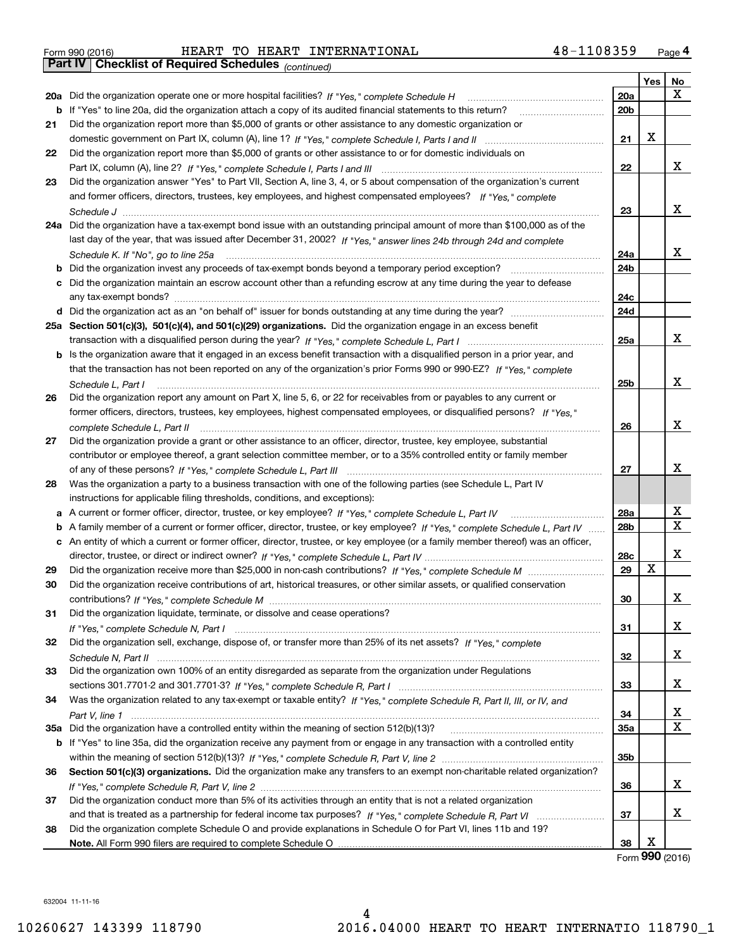|  | Form 990 (2016) |
|--|-----------------|

Form 990 (2016) HEART TO HEART INTERNATIONAL 4 8-1108359 <sub>Page</sub> 4<br>**Part IV | Checklist of Required Schedules** <sub>(continued)</sub>

*(continued)*

|     |                                                                                                                                                                                                                                                     |                 | Yes   No |        |
|-----|-----------------------------------------------------------------------------------------------------------------------------------------------------------------------------------------------------------------------------------------------------|-----------------|----------|--------|
| 20a | Did the organization operate one or more hospital facilities? If "Yes," complete Schedule H                                                                                                                                                         | 20a             |          | X      |
|     | <b>b</b> If "Yes" to line 20a, did the organization attach a copy of its audited financial statements to this return?                                                                                                                               | 20 <sub>b</sub> |          |        |
| 21  | Did the organization report more than \$5,000 of grants or other assistance to any domestic organization or                                                                                                                                         |                 |          |        |
|     |                                                                                                                                                                                                                                                     | 21              | х        |        |
| 22  | Did the organization report more than \$5,000 of grants or other assistance to or for domestic individuals on                                                                                                                                       |                 |          |        |
|     |                                                                                                                                                                                                                                                     | 22              |          | x      |
| 23  | Did the organization answer "Yes" to Part VII, Section A, line 3, 4, or 5 about compensation of the organization's current                                                                                                                          |                 |          |        |
|     | and former officers, directors, trustees, key employees, and highest compensated employees? If "Yes," complete                                                                                                                                      |                 |          |        |
|     |                                                                                                                                                                                                                                                     | 23              |          | x      |
|     | 24a Did the organization have a tax-exempt bond issue with an outstanding principal amount of more than \$100,000 as of the                                                                                                                         |                 |          |        |
|     | last day of the year, that was issued after December 31, 2002? If "Yes," answer lines 24b through 24d and complete                                                                                                                                  |                 |          |        |
|     | Schedule K. If "No", go to line 25a                                                                                                                                                                                                                 | 24a             |          | x      |
| b   | Did the organization invest any proceeds of tax-exempt bonds beyond a temporary period exception?                                                                                                                                                   | 24b             |          |        |
| с   | Did the organization maintain an escrow account other than a refunding escrow at any time during the year to defease                                                                                                                                |                 |          |        |
|     | any tax-exempt bonds?                                                                                                                                                                                                                               | 24c             |          |        |
|     |                                                                                                                                                                                                                                                     | 24d             |          |        |
|     | 25a Section 501(c)(3), 501(c)(4), and 501(c)(29) organizations. Did the organization engage in an excess benefit                                                                                                                                    |                 |          |        |
|     |                                                                                                                                                                                                                                                     | 25a             |          | х      |
|     |                                                                                                                                                                                                                                                     |                 |          |        |
| b   | Is the organization aware that it engaged in an excess benefit transaction with a disqualified person in a prior year, and<br>that the transaction has not been reported on any of the organization's prior Forms 990 or 990-EZ? If "Yes," complete |                 |          |        |
|     |                                                                                                                                                                                                                                                     | 25b             |          | x      |
|     | Schedule L, Part I                                                                                                                                                                                                                                  |                 |          |        |
| 26  | Did the organization report any amount on Part X, line 5, 6, or 22 for receivables from or payables to any current or<br>former officers, directors, trustees, key employees, highest compensated employees, or disqualified persons? If "Yes."     |                 |          |        |
|     |                                                                                                                                                                                                                                                     | 26              |          | x      |
|     | complete Schedule L, Part II manufactured and complete Schedule L, Part II manufactured and complete Schedule L,                                                                                                                                    |                 |          |        |
| 27  | Did the organization provide a grant or other assistance to an officer, director, trustee, key employee, substantial<br>contributor or employee thereof, a grant selection committee member, or to a 35% controlled entity or family member         |                 |          |        |
|     |                                                                                                                                                                                                                                                     |                 |          | x      |
|     |                                                                                                                                                                                                                                                     | 27              |          |        |
| 28  | Was the organization a party to a business transaction with one of the following parties (see Schedule L, Part IV                                                                                                                                   |                 |          |        |
|     | instructions for applicable filing thresholds, conditions, and exceptions):                                                                                                                                                                         |                 |          | х      |
| а   | A current or former officer, director, trustee, or key employee? If "Yes," complete Schedule L, Part IV                                                                                                                                             | 28a             |          | X      |
| b   | A family member of a current or former officer, director, trustee, or key employee? If "Yes," complete Schedule L, Part IV                                                                                                                          | 28b             |          |        |
|     | c An entity of which a current or former officer, director, trustee, or key employee (or a family member thereof) was an officer,                                                                                                                   |                 |          | x      |
|     |                                                                                                                                                                                                                                                     | 28c             | х        |        |
| 29  |                                                                                                                                                                                                                                                     | 29              |          |        |
| 30  | Did the organization receive contributions of art, historical treasures, or other similar assets, or qualified conservation                                                                                                                         |                 |          | х      |
|     |                                                                                                                                                                                                                                                     | 30              |          |        |
| 31  | Did the organization liquidate, terminate, or dissolve and cease operations?                                                                                                                                                                        |                 |          | х      |
|     | Did the organization sell, exchange, dispose of, or transfer more than 25% of its net assets? If "Yes," complete                                                                                                                                    | 31              |          |        |
| 32  |                                                                                                                                                                                                                                                     |                 |          | х      |
|     |                                                                                                                                                                                                                                                     | 32              |          |        |
| 33  | Did the organization own 100% of an entity disregarded as separate from the organization under Regulations                                                                                                                                          |                 |          | х      |
|     |                                                                                                                                                                                                                                                     | 33              |          |        |
| 34  | Was the organization related to any tax-exempt or taxable entity? If "Yes," complete Schedule R, Part II, III, or IV, and                                                                                                                           |                 |          |        |
|     |                                                                                                                                                                                                                                                     | 34              |          | x<br>х |
|     |                                                                                                                                                                                                                                                     | <b>35a</b>      |          |        |
|     | b If "Yes" to line 35a, did the organization receive any payment from or engage in any transaction with a controlled entity                                                                                                                         |                 |          |        |
|     |                                                                                                                                                                                                                                                     | 35b             |          |        |
| 36  | Section 501(c)(3) organizations. Did the organization make any transfers to an exempt non-charitable related organization?                                                                                                                          |                 |          |        |
|     |                                                                                                                                                                                                                                                     | 36              |          | x      |
| 37  | Did the organization conduct more than 5% of its activities through an entity that is not a related organization                                                                                                                                    |                 |          | х      |
|     |                                                                                                                                                                                                                                                     | 37              |          |        |
| 38  | Did the organization complete Schedule O and provide explanations in Schedule O for Part VI, lines 11b and 19?                                                                                                                                      |                 | х        |        |
|     |                                                                                                                                                                                                                                                     | 38              |          |        |

Form (2016) **990**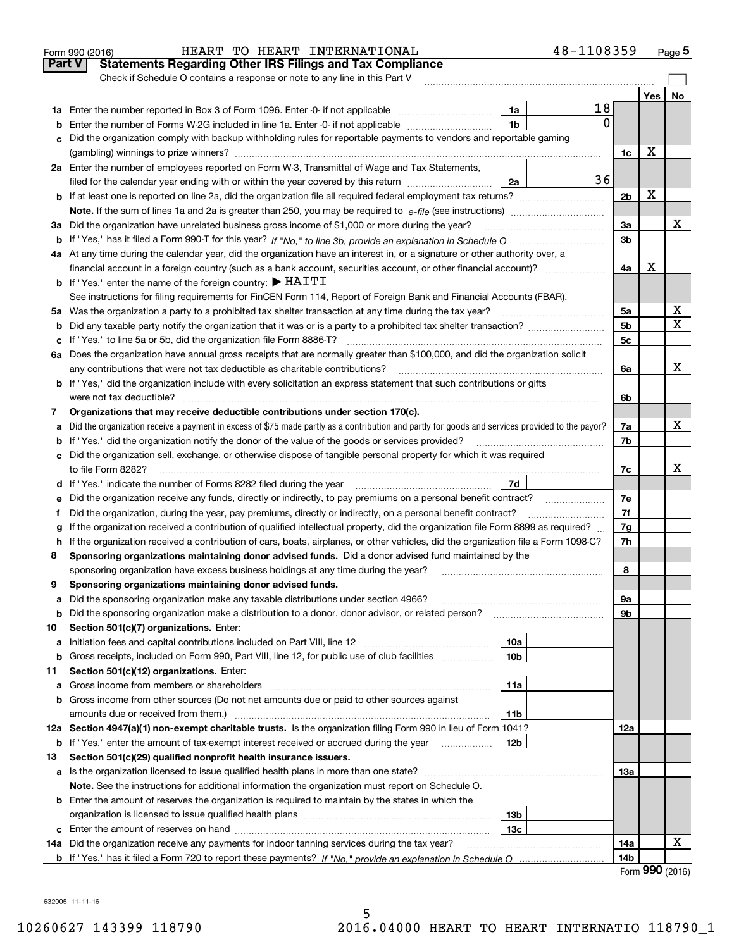|               | 48-1108359<br>HEART TO HEART INTERNATIONAL<br>Form 990 (2016)                                                                                                                                                                        |                            |     | Page $5$                 |
|---------------|--------------------------------------------------------------------------------------------------------------------------------------------------------------------------------------------------------------------------------------|----------------------------|-----|--------------------------|
| <b>Part V</b> | <b>Statements Regarding Other IRS Filings and Tax Compliance</b>                                                                                                                                                                     |                            |     |                          |
|               | Check if Schedule O contains a response or note to any line in this Part V                                                                                                                                                           |                            |     |                          |
|               |                                                                                                                                                                                                                                      |                            | Yes | No                       |
|               | 18<br>1a                                                                                                                                                                                                                             |                            |     |                          |
| b             | $\mathbf{0}$<br>1b<br>Enter the number of Forms W-2G included in line 1a. Enter -0- if not applicable                                                                                                                                |                            |     |                          |
| с             | Did the organization comply with backup withholding rules for reportable payments to vendors and reportable gaming                                                                                                                   |                            |     |                          |
|               |                                                                                                                                                                                                                                      | 1c                         | х   |                          |
|               | 2a Enter the number of employees reported on Form W-3, Transmittal of Wage and Tax Statements,                                                                                                                                       |                            |     |                          |
|               | 36<br>filed for the calendar year ending with or within the year covered by this return<br>2a                                                                                                                                        |                            |     |                          |
|               |                                                                                                                                                                                                                                      | 2 <sub>b</sub>             | х   |                          |
|               |                                                                                                                                                                                                                                      |                            |     |                          |
| За            | Did the organization have unrelated business gross income of \$1,000 or more during the year?                                                                                                                                        | 3a                         |     | х                        |
|               |                                                                                                                                                                                                                                      | 3b                         |     |                          |
|               | 4a At any time during the calendar year, did the organization have an interest in, or a signature or other authority over, a                                                                                                         |                            |     |                          |
|               | financial account in a foreign country (such as a bank account, securities account, or other financial account)?                                                                                                                     | 4a                         | х   |                          |
|               | <b>b</b> If "Yes," enter the name of the foreign country: $\blacktriangleright$ HAITI                                                                                                                                                |                            |     |                          |
|               | See instructions for filing requirements for FinCEN Form 114, Report of Foreign Bank and Financial Accounts (FBAR).                                                                                                                  |                            |     |                          |
|               | 5a Was the organization a party to a prohibited tax shelter transaction at any time during the tax year?                                                                                                                             | 5a                         |     | x                        |
| b             |                                                                                                                                                                                                                                      | 5 <sub>b</sub>             |     | X                        |
| с             | If "Yes," to line 5a or 5b, did the organization file Form 8886-T?                                                                                                                                                                   | 5с                         |     |                          |
|               | 6a Does the organization have annual gross receipts that are normally greater than \$100,000, and did the organization solicit                                                                                                       |                            |     |                          |
|               | any contributions that were not tax deductible as charitable contributions?                                                                                                                                                          | 6a                         |     | x                        |
|               | <b>b</b> If "Yes," did the organization include with every solicitation an express statement that such contributions or gifts                                                                                                        |                            |     |                          |
|               | were not tax deductible?                                                                                                                                                                                                             | 6b                         |     |                          |
| 7             | Organizations that may receive deductible contributions under section 170(c).                                                                                                                                                        |                            |     |                          |
| a             | Did the organization receive a payment in excess of \$75 made partly as a contribution and partly for goods and services provided to the payor?                                                                                      | 7a                         |     | х                        |
| b             | If "Yes," did the organization notify the donor of the value of the goods or services provided?                                                                                                                                      | 7b                         |     |                          |
|               | c Did the organization sell, exchange, or otherwise dispose of tangible personal property for which it was required                                                                                                                  |                            |     |                          |
|               |                                                                                                                                                                                                                                      | 7c                         |     | x                        |
|               | 7d<br>d If "Yes," indicate the number of Forms 8282 filed during the year [11] [11] No. 2010 [12] Henry Marian Marian Marian Marian Marian Marian Marian Marian Marian Marian Marian Marian Marian Marian Marian Marian Marian Maria |                            |     |                          |
|               |                                                                                                                                                                                                                                      | 7e                         |     |                          |
| е<br>f        | Did the organization, during the year, pay premiums, directly or indirectly, on a personal benefit contract?                                                                                                                         | 7f                         |     |                          |
|               | If the organization received a contribution of qualified intellectual property, did the organization file Form 8899 as required?                                                                                                     | 7g                         |     |                          |
| g<br>h.       | If the organization received a contribution of cars, boats, airplanes, or other vehicles, did the organization file a Form 1098-C?                                                                                                   | 7h                         |     |                          |
| 8             | Sponsoring organizations maintaining donor advised funds. Did a donor advised fund maintained by the                                                                                                                                 |                            |     |                          |
|               |                                                                                                                                                                                                                                      | 8                          |     |                          |
|               | sponsoring organization have excess business holdings at any time during the year?<br>Sponsoring organizations maintaining donor advised funds.                                                                                      |                            |     |                          |
|               | Did the sponsoring organization make any taxable distributions under section 4966?                                                                                                                                                   | 9а                         |     |                          |
| а             |                                                                                                                                                                                                                                      | 9b                         |     |                          |
| b<br>10       | Did the sponsoring organization make a distribution to a donor, donor advisor, or related person?<br>Section 501(c)(7) organizations. Enter:                                                                                         |                            |     |                          |
| а             | 10a<br>Initiation fees and capital contributions included on Part VIII, line 12                                                                                                                                                      |                            |     |                          |
| b             | 10 <sub>b</sub><br>Gross receipts, included on Form 990, Part VIII, line 12, for public use of club facilities                                                                                                                       |                            |     |                          |
| 11            | Section 501(c)(12) organizations. Enter:                                                                                                                                                                                             |                            |     |                          |
| а             | 11a<br>Gross income from members or shareholders                                                                                                                                                                                     |                            |     |                          |
| b             | Gross income from other sources (Do not net amounts due or paid to other sources against                                                                                                                                             |                            |     |                          |
|               | amounts due or received from them.)<br>11b                                                                                                                                                                                           |                            |     |                          |
|               | 12a Section 4947(a)(1) non-exempt charitable trusts. Is the organization filing Form 990 in lieu of Form 1041?                                                                                                                       | 12a                        |     |                          |
|               |                                                                                                                                                                                                                                      |                            |     |                          |
| b<br>13       | If "Yes," enter the amount of tax-exempt interest received or accrued during the year <i>manuming</i><br>12b                                                                                                                         |                            |     |                          |
|               | Section 501(c)(29) qualified nonprofit health insurance issuers.                                                                                                                                                                     |                            |     |                          |
|               | a Is the organization licensed to issue qualified health plans in more than one state?                                                                                                                                               | 13а                        |     |                          |
|               | Note. See the instructions for additional information the organization must report on Schedule O.                                                                                                                                    |                            |     |                          |
|               | <b>b</b> Enter the amount of reserves the organization is required to maintain by the states in which the                                                                                                                            |                            |     |                          |
|               | 13 <sub>b</sub>                                                                                                                                                                                                                      |                            |     |                          |
|               | 13с                                                                                                                                                                                                                                  |                            |     | х                        |
|               | 14a Did the organization receive any payments for indoor tanning services during the tax year?                                                                                                                                       | 14a                        |     |                          |
|               |                                                                                                                                                                                                                                      | 14 <sub>b</sub><br>$F = 1$ |     | $\mathbf{QQ} \mathbf{Q}$ |

5

Form (2016) **990**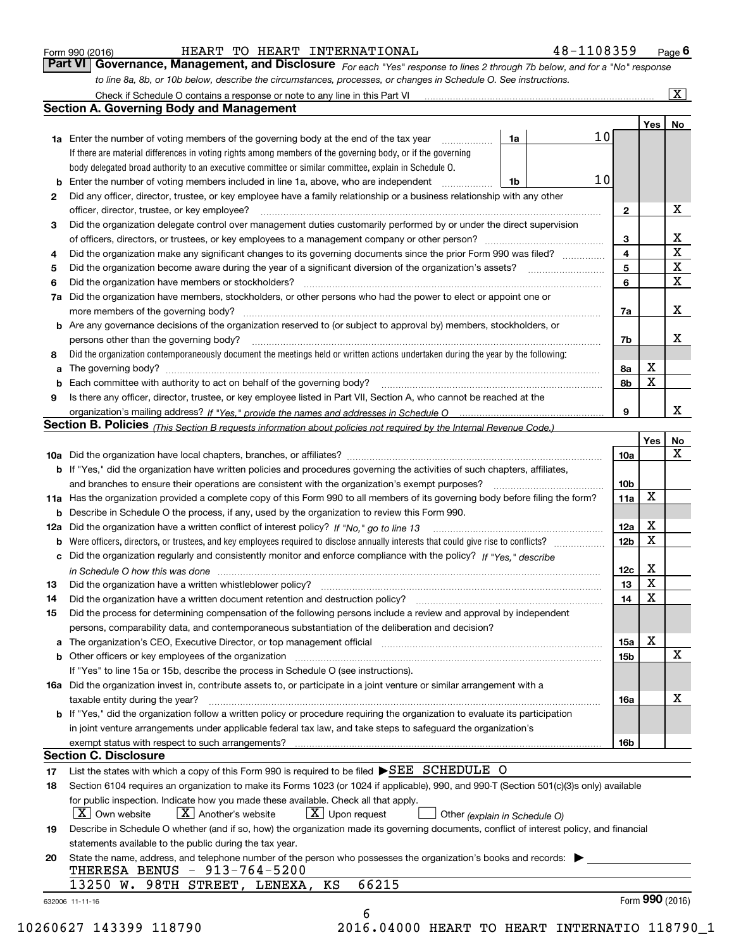| Form 990 (2016) |  |  |
|-----------------|--|--|
|                 |  |  |

HEART TO HEART INTERNATIONAL 48-1108359

*For each "Yes" response to lines 2 through 7b below, and for a "No" response to line 8a, 8b, or 10b below, describe the circumstances, processes, or changes in Schedule O. See instructions.* Form 990 (2016) **Form 990 (2016)** HEART TO HEART INTERNATIONAL 48-1108359 Page 6<br>**Part VI Governance, Management, and Disclosure** For each "Yes" response to lines 2 through 7b below, and for a "No" response

|    |                                                                                                                                                                            |    |    |                 | Yes   No        |             |
|----|----------------------------------------------------------------------------------------------------------------------------------------------------------------------------|----|----|-----------------|-----------------|-------------|
|    | <b>1a</b> Enter the number of voting members of the governing body at the end of the tax year <i>manumum</i>                                                               | 1a | 10 |                 |                 |             |
|    | If there are material differences in voting rights among members of the governing body, or if the governing                                                                |    |    |                 |                 |             |
|    | body delegated broad authority to an executive committee or similar committee, explain in Schedule O.                                                                      |    |    |                 |                 |             |
|    |                                                                                                                                                                            | 1b | 10 |                 |                 |             |
| 2  | Did any officer, director, trustee, or key employee have a family relationship or a business relationship with any other                                                   |    |    |                 |                 |             |
|    | officer, director, trustee, or key employee?                                                                                                                               |    |    | $\overline{2}$  |                 | X           |
| 3  | Did the organization delegate control over management duties customarily performed by or under the direct supervision                                                      |    |    |                 |                 |             |
|    |                                                                                                                                                                            |    |    | 3               |                 | X           |
| 4  | Did the organization make any significant changes to its governing documents since the prior Form 990 was filed?                                                           |    |    | 4               |                 | $\mathbf X$ |
| 5  |                                                                                                                                                                            |    |    | 5               |                 | $\mathbf X$ |
| 6  |                                                                                                                                                                            |    |    | 6               |                 | X           |
|    | 7a Did the organization have members, stockholders, or other persons who had the power to elect or appoint one or                                                          |    |    |                 |                 |             |
|    |                                                                                                                                                                            |    |    | 7a              |                 | X           |
|    | <b>b</b> Are any governance decisions of the organization reserved to (or subject to approval by) members, stockholders, or                                                |    |    |                 |                 |             |
|    | persons other than the governing body?                                                                                                                                     |    |    | 7b              |                 | Х           |
| 8  | Did the organization contemporaneously document the meetings held or written actions undertaken during the year by the following:                                          |    |    |                 |                 |             |
| a  |                                                                                                                                                                            |    |    | 8a              | X               |             |
|    |                                                                                                                                                                            |    |    | 8b              | $\mathbf X$     |             |
| 9  | Is there any officer, director, trustee, or key employee listed in Part VII, Section A, who cannot be reached at the                                                       |    |    |                 |                 |             |
|    |                                                                                                                                                                            |    |    | 9               |                 | X           |
|    | Section B. Policies <sub>(This</sub> Section B requests information about policies not required by the Internal Revenue Code.)                                             |    |    |                 |                 |             |
|    |                                                                                                                                                                            |    |    |                 | Yes             | <b>No</b>   |
|    |                                                                                                                                                                            |    |    | 10a             |                 | X           |
|    | <b>b</b> If "Yes," did the organization have written policies and procedures governing the activities of such chapters, affiliates,                                        |    |    |                 |                 |             |
|    |                                                                                                                                                                            |    |    | 10 <sub>b</sub> |                 |             |
|    | 11a Has the organization provided a complete copy of this Form 990 to all members of its governing body before filing the form?                                            |    |    | 11a             | X               |             |
|    | <b>b</b> Describe in Schedule O the process, if any, used by the organization to review this Form 990.                                                                     |    |    |                 |                 |             |
|    | 12a Did the organization have a written conflict of interest policy? If "No," go to line 13                                                                                |    |    | 12a             | X               |             |
| b  |                                                                                                                                                                            |    |    | 12 <sub>b</sub> | X               |             |
|    | c Did the organization regularly and consistently monitor and enforce compliance with the policy? If "Yes," describe                                                       |    |    |                 |                 |             |
|    | in Schedule O how this was done measured and contained a state of the state of the state of the state of the s                                                             |    |    | 12c             | X               |             |
| 13 |                                                                                                                                                                            |    |    | 13              | $\mathbf X$     |             |
| 14 | Did the organization have a written document retention and destruction policy? manufactured and the organization have a written document retention and destruction policy? |    |    | 14              | $\mathbf X$     |             |
| 15 | Did the process for determining compensation of the following persons include a review and approval by independent                                                         |    |    |                 |                 |             |
|    | persons, comparability data, and contemporaneous substantiation of the deliberation and decision?                                                                          |    |    |                 |                 |             |
|    |                                                                                                                                                                            |    |    | 15a             | X               |             |
|    | <b>b</b> Other officers or key employees of the organization                                                                                                               |    |    | 15 <sub>b</sub> |                 | X           |
|    | If "Yes" to line 15a or 15b, describe the process in Schedule O (see instructions).                                                                                        |    |    |                 |                 |             |
|    | 16a Did the organization invest in, contribute assets to, or participate in a joint venture or similar arrangement with a                                                  |    |    |                 |                 |             |
|    | taxable entity during the year?                                                                                                                                            |    |    | 16a             |                 | х           |
|    | b If "Yes," did the organization follow a written policy or procedure requiring the organization to evaluate its participation                                             |    |    |                 |                 |             |
|    | in joint venture arrangements under applicable federal tax law, and take steps to safeguard the organization's                                                             |    |    |                 |                 |             |
|    | exempt status with respect to such arrangements?                                                                                                                           |    |    | <b>16b</b>      |                 |             |
|    | <b>Section C. Disclosure</b>                                                                                                                                               |    |    |                 |                 |             |
| 17 | List the states with which a copy of this Form 990 is required to be filed SEE SCHEDULE O                                                                                  |    |    |                 |                 |             |
| 18 | Section 6104 requires an organization to make its Forms 1023 (or 1024 if applicable), 990, and 990-T (Section 501(c)(3)s only) available                                   |    |    |                 |                 |             |
|    | for public inspection. Indicate how you made these available. Check all that apply.                                                                                        |    |    |                 |                 |             |
|    | $X$ Upon request<br>$ X $ Own website<br>$X$ Another's website<br>Other (explain in Schedule O)                                                                            |    |    |                 |                 |             |
| 19 | Describe in Schedule O whether (and if so, how) the organization made its governing documents, conflict of interest policy, and financial                                  |    |    |                 |                 |             |
|    | statements available to the public during the tax year.                                                                                                                    |    |    |                 |                 |             |
| 20 | State the name, address, and telephone number of the person who possesses the organization's books and records:                                                            |    |    |                 |                 |             |
|    | THERESA BENUS - 913-764-5200                                                                                                                                               |    |    |                 |                 |             |
|    | 66215<br>13250 W. 98TH STREET, LENEXA, KS                                                                                                                                  |    |    |                 |                 |             |
|    |                                                                                                                                                                            |    |    |                 | Form 990 (2016) |             |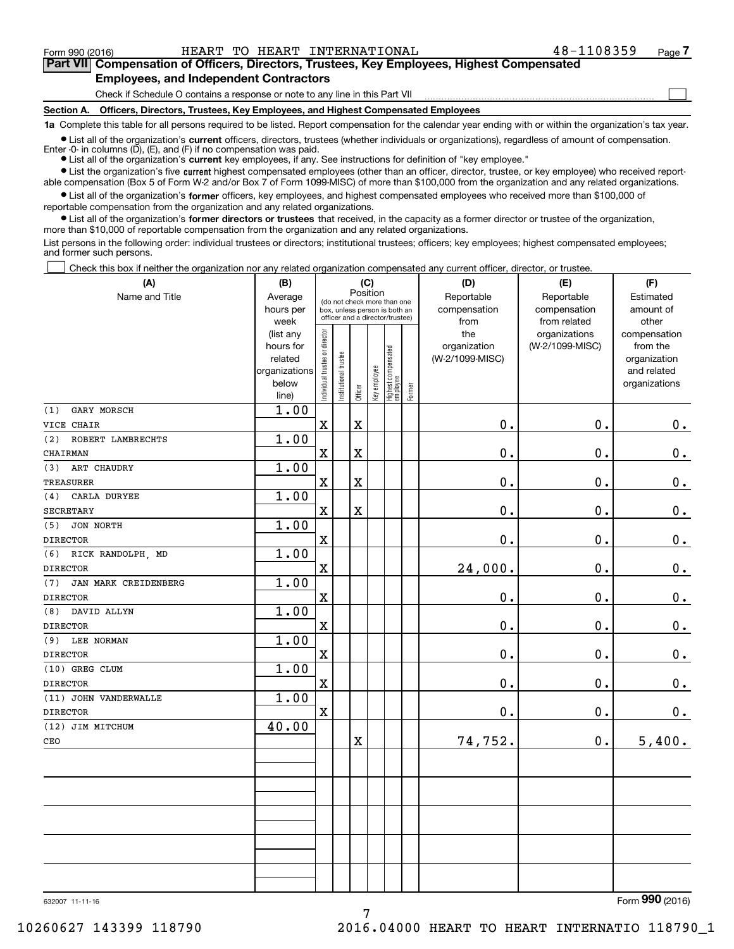**(A)**

Form 990 (2016) HEART TO HEART INTERNATIONAL 48-1108359 Page

 $\mathcal{L}^{\text{max}}$ 

# **7Part VII Compensation of Officers, Directors, Trustees, Key Employees, Highest Compensated Employees, and Independent Contractors**

Check if Schedule O contains a response or note to any line in this Part VII

**Section A. Officers, Directors, Trustees, Key Employees, and Highest Compensated Employees**

**1a**  Complete this table for all persons required to be listed. Report compensation for the calendar year ending with or within the organization's tax year.

**•** List all of the organization's current officers, directors, trustees (whether individuals or organizations), regardless of amount of compensation.

● List all of the organization's **current** key employees, if any. See instructions for definition of "key employee." Enter -0- in columns  $(D)$ ,  $(E)$ , and  $(F)$  if no compensation was paid.

**•** List the organization's five current highest compensated employees (other than an officer, director, trustee, or key employee) who received reportable compensation (Box 5 of Form W-2 and/or Box 7 of Form 1099-MISC) of more than \$100,000 from the organization and any related organizations.

 $\bullet$  List all of the organization's **former** officers, key employees, and highest compensated employees who received more than \$100,000 of reportable compensation from the organization and any related organizations.

**•** List all of the organization's former directors or trustees that received, in the capacity as a former director or trustee of the organization, more than \$10,000 of reportable compensation from the organization and any related organizations.

List persons in the following order: individual trustees or directors; institutional trustees; officers; key employees; highest compensated employees; and former such persons.

Check this box if neither the organization nor any related organization compensated any current officer, director, or trustee.  $\mathcal{L}^{\text{max}}$ 

| (A)                         | (B)                  |                                |                       | (C)                     |              |                                                                  |        | (D)                        | (E)                        | (F)                    |
|-----------------------------|----------------------|--------------------------------|-----------------------|-------------------------|--------------|------------------------------------------------------------------|--------|----------------------------|----------------------------|------------------------|
| Name and Title              | Average<br>hours per |                                |                       | Position                |              | (do not check more than one                                      |        | Reportable<br>compensation | Reportable<br>compensation | Estimated<br>amount of |
|                             | week                 |                                |                       |                         |              | box, unless person is both an<br>officer and a director/trustee) |        | from                       | from related               | other                  |
|                             | (list any            |                                |                       |                         |              |                                                                  |        | the                        | organizations              | compensation           |
|                             | hours for            |                                |                       |                         |              |                                                                  |        | organization               | (W-2/1099-MISC)            | from the               |
|                             | related              |                                |                       |                         |              |                                                                  |        | (W-2/1099-MISC)            |                            | organization           |
|                             | organizations        |                                |                       |                         |              |                                                                  |        |                            |                            | and related            |
|                             | below                | Individual trustee or director | Institutional trustee | Officer                 | Key employee | Highest compensated<br>  employee                                | Former |                            |                            | organizations          |
| GARY MORSCH                 | line)<br>1.00        |                                |                       |                         |              |                                                                  |        |                            |                            |                        |
| (1)                         |                      | $\mathbf X$                    |                       | $\rm X$                 |              |                                                                  |        | 0.                         | 0.                         |                        |
| VICE CHAIR                  |                      |                                |                       |                         |              |                                                                  |        |                            |                            | $0_{.}$                |
| ROBERT LAMBRECHTS<br>(2)    | 1.00                 |                                |                       |                         |              |                                                                  |        |                            |                            |                        |
| CHAIRMAN                    |                      | $\mathbf X$                    |                       | $\overline{\mathbf{X}}$ |              |                                                                  |        | 0.                         | 0.                         | 0.                     |
| ART CHAUDRY<br>(3)          | 1.00                 |                                |                       |                         |              |                                                                  |        |                            |                            |                        |
| <b>TREASURER</b>            |                      | $\mathbf X$                    |                       | $\overline{\textbf{X}}$ |              |                                                                  |        | 0.                         | 0.                         | $\mathbf 0$ .          |
| CARLA DURYEE<br>(4)         | 1.00                 |                                |                       |                         |              |                                                                  |        |                            |                            |                        |
| SECRETARY                   |                      | $\mathbf x$                    |                       | $\overline{\textbf{X}}$ |              |                                                                  |        | 0.                         | 0.                         | 0.                     |
| JON NORTH<br>(5)            | 1.00                 |                                |                       |                         |              |                                                                  |        |                            |                            |                        |
| <b>DIRECTOR</b>             |                      | X                              |                       |                         |              |                                                                  |        | 0.                         | 0.                         | $\mathbf 0$ .          |
| (6)<br>RICK RANDOLPH, MD    | 1.00                 |                                |                       |                         |              |                                                                  |        |                            |                            |                        |
| <b>DIRECTOR</b>             |                      | $\mathbf X$                    |                       |                         |              |                                                                  |        | 24,000.                    | 0.                         | $\mathbf 0$ .          |
| JAN MARK CREIDENBERG<br>(7) | 1.00                 |                                |                       |                         |              |                                                                  |        |                            |                            |                        |
| <b>DIRECTOR</b>             |                      | $\mathbf X$                    |                       |                         |              |                                                                  |        | $\mathbf 0$ .              | 0.                         | $\mathbf 0$ .          |
| DAVID ALLYN<br>(8)          | 1.00                 |                                |                       |                         |              |                                                                  |        |                            |                            |                        |
| <b>DIRECTOR</b>             |                      | $\mathbf X$                    |                       |                         |              |                                                                  |        | 0.                         | 0.                         | $\mathbf 0$ .          |
| (9)<br>LEE NORMAN           | 1.00                 |                                |                       |                         |              |                                                                  |        |                            |                            |                        |
| <b>DIRECTOR</b>             |                      | $\mathbf X$                    |                       |                         |              |                                                                  |        | 0.                         | 0.                         | $\mathbf 0$ .          |
| (10) GREG CLUM              | 1.00                 |                                |                       |                         |              |                                                                  |        |                            |                            |                        |
| <b>DIRECTOR</b>             |                      | $\mathbf X$                    |                       |                         |              |                                                                  |        | $\mathbf 0$ .              | 0.                         | $\mathbf 0$ .          |
| (11) JOHN VANDERWALLE       | 1.00                 |                                |                       |                         |              |                                                                  |        |                            |                            |                        |
| <b>DIRECTOR</b>             |                      | X                              |                       |                         |              |                                                                  |        | 0.                         | 0.                         | 0.                     |
| (12) JIM MITCHUM            | 40.00                |                                |                       |                         |              |                                                                  |        |                            |                            |                        |
| CEO                         |                      |                                |                       | $\rm X$                 |              |                                                                  |        | 74,752.                    | 0.                         | 5,400.                 |
|                             |                      |                                |                       |                         |              |                                                                  |        |                            |                            |                        |
|                             |                      |                                |                       |                         |              |                                                                  |        |                            |                            |                        |
|                             |                      |                                |                       |                         |              |                                                                  |        |                            |                            |                        |
|                             |                      |                                |                       |                         |              |                                                                  |        |                            |                            |                        |
|                             |                      |                                |                       |                         |              |                                                                  |        |                            |                            |                        |
|                             |                      |                                |                       |                         |              |                                                                  |        |                            |                            |                        |
|                             |                      |                                |                       |                         |              |                                                                  |        |                            |                            |                        |
|                             |                      |                                |                       |                         |              |                                                                  |        |                            |                            |                        |
|                             |                      |                                |                       |                         |              |                                                                  |        |                            |                            |                        |
|                             |                      |                                |                       |                         |              |                                                                  |        |                            |                            | $\Omega$               |
|                             |                      |                                |                       |                         |              |                                                                  |        |                            |                            |                        |

632007 11-11-16

Form (2016) **990**

10260627 143399 118790 2016.04000 HEART TO HEART INTERNATIO 118790\_1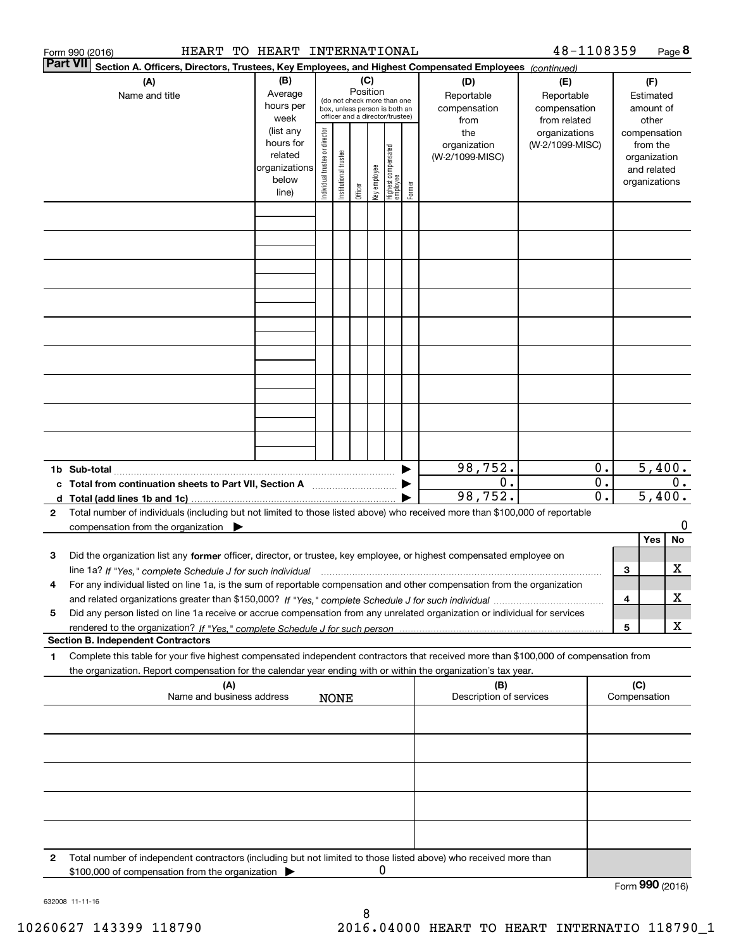|              | HEART<br>Form 990 (2016)                                                                                                                                                                                                                                                    | TO HEART INTERNATIONAL |                                |                                                              |         |              |                                  |            |                         | 48-1108359      |       |                 |               | Page 8 |
|--------------|-----------------------------------------------------------------------------------------------------------------------------------------------------------------------------------------------------------------------------------------------------------------------------|------------------------|--------------------------------|--------------------------------------------------------------|---------|--------------|----------------------------------|------------|-------------------------|-----------------|-------|-----------------|---------------|--------|
|              | <b>Part VII</b><br>Section A. Officers, Directors, Trustees, Key Employees, and Highest Compensated Employees (continued)                                                                                                                                                   |                        |                                |                                                              |         |              |                                  |            |                         |                 |       |                 |               |        |
|              | (A)                                                                                                                                                                                                                                                                         | (B)                    |                                | (C)                                                          |         |              |                                  |            | (D)                     | (E)             |       |                 | (F)           |        |
|              | Name and title                                                                                                                                                                                                                                                              | Average                | Position                       |                                                              |         |              |                                  | Reportable | Reportable              |                 |       | Estimated       |               |        |
|              |                                                                                                                                                                                                                                                                             | hours per              |                                | (do not check more than one<br>box, unless person is both an |         |              |                                  |            | compensation            | compensation    |       |                 | amount of     |        |
|              |                                                                                                                                                                                                                                                                             | week                   |                                |                                                              |         |              | officer and a director/trustee)  |            | from                    | from related    |       |                 | other         |        |
|              |                                                                                                                                                                                                                                                                             | (list any              |                                |                                                              |         |              |                                  |            | the                     | organizations   |       |                 | compensation  |        |
|              |                                                                                                                                                                                                                                                                             | hours for              |                                |                                                              |         |              |                                  |            | organization            | (W-2/1099-MISC) |       |                 | from the      |        |
|              | related<br>organizations                                                                                                                                                                                                                                                    |                        |                                |                                                              |         |              |                                  |            | (W-2/1099-MISC)         |                 |       |                 | organization  |        |
|              |                                                                                                                                                                                                                                                                             | below                  |                                |                                                              |         |              |                                  |            |                         |                 |       |                 | and related   |        |
|              |                                                                                                                                                                                                                                                                             | line)                  | Individual trustee or director | Institutional trustee                                        | Officer | Key employee | Highest compensated<br> employee | Former     |                         |                 |       |                 | organizations |        |
|              |                                                                                                                                                                                                                                                                             |                        |                                |                                                              |         |              |                                  |            |                         |                 |       |                 |               |        |
|              |                                                                                                                                                                                                                                                                             |                        |                                |                                                              |         |              |                                  |            |                         |                 |       |                 |               |        |
|              |                                                                                                                                                                                                                                                                             |                        |                                |                                                              |         |              |                                  |            |                         |                 |       |                 |               |        |
|              |                                                                                                                                                                                                                                                                             |                        |                                |                                                              |         |              |                                  |            |                         |                 |       |                 |               |        |
|              |                                                                                                                                                                                                                                                                             |                        |                                |                                                              |         |              |                                  |            |                         |                 |       |                 |               |        |
|              |                                                                                                                                                                                                                                                                             |                        |                                |                                                              |         |              |                                  |            |                         |                 |       |                 |               |        |
|              |                                                                                                                                                                                                                                                                             |                        |                                |                                                              |         |              |                                  |            |                         |                 |       |                 |               |        |
|              |                                                                                                                                                                                                                                                                             |                        |                                |                                                              |         |              |                                  |            |                         |                 |       |                 |               |        |
|              |                                                                                                                                                                                                                                                                             |                        |                                |                                                              |         |              |                                  |            |                         |                 |       |                 |               |        |
|              |                                                                                                                                                                                                                                                                             |                        |                                |                                                              |         |              |                                  |            |                         |                 |       |                 |               |        |
|              |                                                                                                                                                                                                                                                                             |                        |                                |                                                              |         |              |                                  |            |                         |                 |       |                 |               |        |
|              |                                                                                                                                                                                                                                                                             |                        |                                |                                                              |         |              |                                  |            |                         |                 |       |                 |               |        |
|              |                                                                                                                                                                                                                                                                             |                        |                                |                                                              |         |              |                                  |            |                         |                 |       |                 |               |        |
|              |                                                                                                                                                                                                                                                                             |                        |                                |                                                              |         |              |                                  |            |                         |                 |       |                 |               |        |
|              |                                                                                                                                                                                                                                                                             |                        |                                |                                                              |         |              |                                  |            |                         |                 |       |                 |               |        |
|              |                                                                                                                                                                                                                                                                             |                        |                                |                                                              |         |              |                                  |            |                         |                 |       |                 |               |        |
|              |                                                                                                                                                                                                                                                                             |                        |                                |                                                              |         |              |                                  |            |                         |                 |       |                 |               |        |
|              |                                                                                                                                                                                                                                                                             |                        |                                |                                                              |         |              |                                  |            |                         |                 |       |                 |               |        |
|              |                                                                                                                                                                                                                                                                             |                        |                                |                                                              |         |              |                                  |            | 98,752.                 |                 | 0.    |                 | 5,400.        |        |
|              |                                                                                                                                                                                                                                                                             |                        |                                |                                                              |         |              |                                  |            | 0.                      |                 | $0$ . |                 |               | $0$ .  |
|              | c Total from continuation sheets to Part VII, Section A <b>manual</b> Testion Section 3                                                                                                                                                                                     |                        |                                |                                                              |         |              |                                  |            | 98,752.                 |                 | 0.    |                 | 5,400.        |        |
| $\mathbf{2}$ | Total number of individuals (including but not limited to those listed above) who received more than \$100,000 of reportable                                                                                                                                                |                        |                                |                                                              |         |              |                                  |            |                         |                 |       |                 |               |        |
|              | compensation from the organization                                                                                                                                                                                                                                          |                        |                                |                                                              |         |              |                                  |            |                         |                 |       |                 |               | 0      |
|              |                                                                                                                                                                                                                                                                             |                        |                                |                                                              |         |              |                                  |            |                         |                 |       |                 | Yes           | No     |
| 3            | Did the organization list any former officer, director, or trustee, key employee, or highest compensated employee on                                                                                                                                                        |                        |                                |                                                              |         |              |                                  |            |                         |                 |       |                 |               |        |
|              |                                                                                                                                                                                                                                                                             |                        |                                |                                                              |         |              |                                  |            |                         |                 |       | 3               |               | х      |
|              | line 1a? If "Yes," complete Schedule J for such individual manufactured contained and the 1a? If "Yes," complete Schedule J for such individual<br>For any individual listed on line 1a, is the sum of reportable compensation and other compensation from the organization |                        |                                |                                                              |         |              |                                  |            |                         |                 |       |                 |               |        |
|              |                                                                                                                                                                                                                                                                             |                        |                                |                                                              |         |              |                                  |            |                         |                 |       | 4               |               | х      |
| 5            | Did any person listed on line 1a receive or accrue compensation from any unrelated organization or individual for services                                                                                                                                                  |                        |                                |                                                              |         |              |                                  |            |                         |                 |       |                 |               |        |
|              |                                                                                                                                                                                                                                                                             |                        |                                |                                                              |         |              |                                  |            |                         |                 |       | 5               |               | х      |
|              | <b>Section B. Independent Contractors</b>                                                                                                                                                                                                                                   |                        |                                |                                                              |         |              |                                  |            |                         |                 |       |                 |               |        |
| 1            | Complete this table for your five highest compensated independent contractors that received more than \$100,000 of compensation from                                                                                                                                        |                        |                                |                                                              |         |              |                                  |            |                         |                 |       |                 |               |        |
|              | the organization. Report compensation for the calendar year ending with or within the organization's tax year.                                                                                                                                                              |                        |                                |                                                              |         |              |                                  |            |                         |                 |       |                 |               |        |
|              | (A)                                                                                                                                                                                                                                                                         |                        |                                |                                                              |         |              |                                  |            | (B)                     |                 |       | (C)             |               |        |
|              | Name and business address                                                                                                                                                                                                                                                   |                        |                                | <b>NONE</b>                                                  |         |              |                                  |            | Description of services |                 |       | Compensation    |               |        |
|              |                                                                                                                                                                                                                                                                             |                        |                                |                                                              |         |              |                                  |            |                         |                 |       |                 |               |        |
|              |                                                                                                                                                                                                                                                                             |                        |                                |                                                              |         |              |                                  |            |                         |                 |       |                 |               |        |
|              |                                                                                                                                                                                                                                                                             |                        |                                |                                                              |         |              |                                  |            |                         |                 |       |                 |               |        |
|              |                                                                                                                                                                                                                                                                             |                        |                                |                                                              |         |              |                                  |            |                         |                 |       |                 |               |        |
|              |                                                                                                                                                                                                                                                                             |                        |                                |                                                              |         |              |                                  |            |                         |                 |       |                 |               |        |
|              |                                                                                                                                                                                                                                                                             |                        |                                |                                                              |         |              |                                  |            |                         |                 |       |                 |               |        |
|              |                                                                                                                                                                                                                                                                             |                        |                                |                                                              |         |              |                                  |            |                         |                 |       |                 |               |        |
|              |                                                                                                                                                                                                                                                                             |                        |                                |                                                              |         |              |                                  |            |                         |                 |       |                 |               |        |
|              |                                                                                                                                                                                                                                                                             |                        |                                |                                                              |         |              |                                  |            |                         |                 |       |                 |               |        |
|              |                                                                                                                                                                                                                                                                             |                        |                                |                                                              |         |              |                                  |            |                         |                 |       |                 |               |        |
| 2            | Total number of independent contractors (including but not limited to those listed above) who received more than                                                                                                                                                            |                        |                                |                                                              |         |              |                                  |            |                         |                 |       |                 |               |        |
|              | \$100,000 of compensation from the organization                                                                                                                                                                                                                             |                        |                                |                                                              |         | 0            |                                  |            |                         |                 |       |                 |               |        |
|              |                                                                                                                                                                                                                                                                             |                        |                                |                                                              |         |              |                                  |            |                         |                 |       | Form 990 (2016) |               |        |

632008 11-11-16

8 10260627 143399 118790 2016.04000 HEART TO HEART INTERNATIO 118790\_1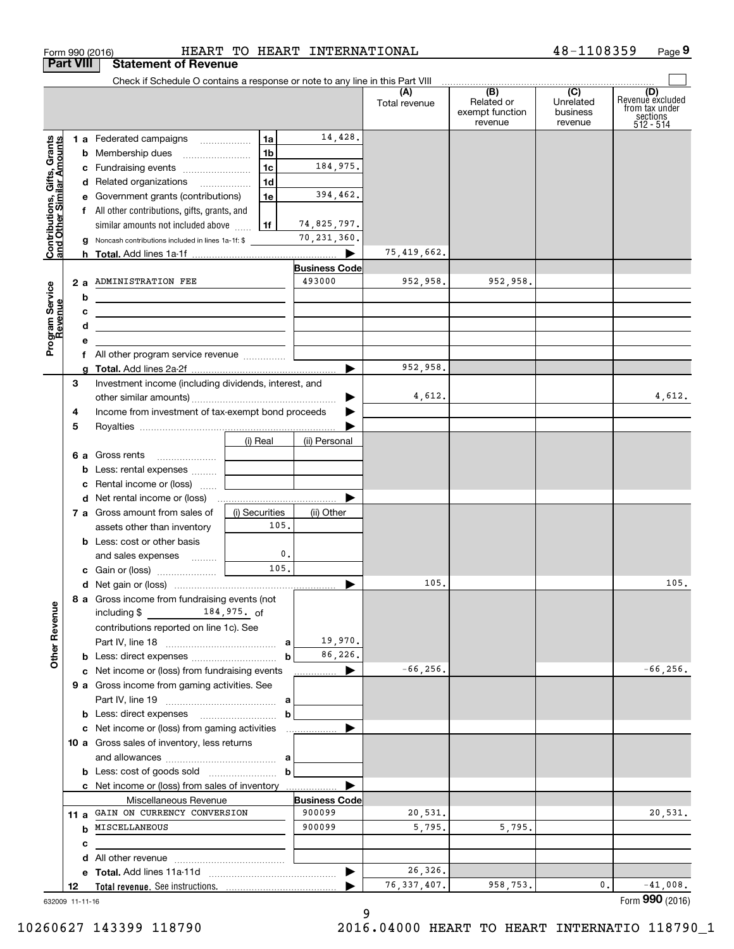| <b>Part VIII</b>                                          |   | <b>Statement of Revenue</b>                                                   |                |                |                      |                      |                                      |                                         |                                           |
|-----------------------------------------------------------|---|-------------------------------------------------------------------------------|----------------|----------------|----------------------|----------------------|--------------------------------------|-----------------------------------------|-------------------------------------------|
|                                                           |   | Check if Schedule O contains a response or note to any line in this Part VIII |                |                |                      | (A)<br>Total revenue | (B)<br>Related or<br>exempt function | $\overline{C}$<br>Unrelated<br>business | (D)<br>Revenue excluded<br>from tax under |
|                                                           |   |                                                                               |                |                |                      |                      | revenue                              | revenue                                 | sections<br>512 - 514                     |
|                                                           |   | 1 a Federated campaigns                                                       |                | 1a             | 14,428.              |                      |                                      |                                         |                                           |
|                                                           |   | <b>b</b> Membership dues                                                      |                | 1 <sub>b</sub> |                      |                      |                                      |                                         |                                           |
|                                                           |   | c Fundraising events                                                          |                | 1c             | 184,975.             |                      |                                      |                                         |                                           |
|                                                           |   | d Related organizations                                                       |                | 1 <sub>d</sub> |                      |                      |                                      |                                         |                                           |
|                                                           |   | e Government grants (contributions)                                           |                | 1e             | 394,462.             |                      |                                      |                                         |                                           |
|                                                           |   | f All other contributions, gifts, grants, and                                 |                |                |                      |                      |                                      |                                         |                                           |
| Contributions, Gifts, Grants<br>and Other Similar Amounts |   | similar amounts not included above                                            |                | 1f             | 74,825,797.          |                      |                                      |                                         |                                           |
|                                                           |   | Noncash contributions included in lines 1a-1f: \$                             |                |                | 70,231,360.          |                      |                                      |                                         |                                           |
|                                                           |   |                                                                               |                |                |                      | 75,419,662.          |                                      |                                         |                                           |
|                                                           |   |                                                                               |                |                | <b>Business Code</b> |                      |                                      |                                         |                                           |
|                                                           |   | 2 a ADMINISTRATION FEE                                                        |                |                | 493000               | 952,958.             | 952,958.                             |                                         |                                           |
|                                                           | b | <u> 1989 - Johann Barbara, martxa alemaniar a</u>                             |                |                |                      |                      |                                      |                                         |                                           |
| Program Service<br>Revenue                                | с |                                                                               |                |                |                      |                      |                                      |                                         |                                           |
|                                                           | d | <u> 1989 - Johann Barn, amerikansk politiker (d. 1989)</u>                    |                |                |                      |                      |                                      |                                         |                                           |
|                                                           | е |                                                                               |                |                |                      |                      |                                      |                                         |                                           |
|                                                           |   | f All other program service revenue                                           |                |                |                      |                      |                                      |                                         |                                           |
|                                                           | a |                                                                               |                |                |                      | 952,958.             |                                      |                                         |                                           |
| З                                                         |   | Investment income (including dividends, interest, and                         |                |                |                      |                      |                                      |                                         |                                           |
|                                                           |   |                                                                               |                |                |                      | 4,612.               |                                      |                                         | 4,612.                                    |
| 4                                                         |   | Income from investment of tax-exempt bond proceeds                            |                |                |                      |                      |                                      |                                         |                                           |
| 5                                                         |   |                                                                               |                |                |                      |                      |                                      |                                         |                                           |
|                                                           |   |                                                                               | (i) Real       |                | (ii) Personal        |                      |                                      |                                         |                                           |
|                                                           |   | 6 a Gross rents                                                               |                |                |                      |                      |                                      |                                         |                                           |
|                                                           | b | Less: rental expenses                                                         |                |                |                      |                      |                                      |                                         |                                           |
|                                                           | c | Rental income or (loss)                                                       |                |                |                      |                      |                                      |                                         |                                           |
|                                                           |   |                                                                               |                |                |                      |                      |                                      |                                         |                                           |
|                                                           |   | 7 a Gross amount from sales of                                                | (i) Securities |                | (ii) Other           |                      |                                      |                                         |                                           |
|                                                           |   | assets other than inventory                                                   |                | 105.           |                      |                      |                                      |                                         |                                           |
|                                                           |   | <b>b</b> Less: cost or other basis                                            |                |                |                      |                      |                                      |                                         |                                           |
|                                                           |   | and sales expenses                                                            |                | 0.             |                      |                      |                                      |                                         |                                           |
|                                                           |   |                                                                               |                | 105.           |                      |                      |                                      |                                         |                                           |
|                                                           |   |                                                                               |                |                |                      | 105.                 |                                      |                                         | 105.                                      |
|                                                           |   | 8 a Gross income from fundraising events (not                                 |                |                |                      |                      |                                      |                                         |                                           |
|                                                           |   | 184,975. of<br>including \$                                                   |                |                |                      |                      |                                      |                                         |                                           |
|                                                           |   | contributions reported on line 1c). See                                       |                |                |                      |                      |                                      |                                         |                                           |
|                                                           |   |                                                                               |                |                | 19,970.              |                      |                                      |                                         |                                           |
| <b>Other Revenue</b>                                      |   |                                                                               |                | $\mathbf b$    | 86,226.              |                      |                                      |                                         |                                           |
|                                                           |   | c Net income or (loss) from fundraising events                                |                |                | ▶<br>.               | $-66, 256.$          |                                      |                                         | $-66, 256.$                               |
|                                                           |   | 9 a Gross income from gaming activities. See                                  |                |                |                      |                      |                                      |                                         |                                           |
|                                                           |   |                                                                               |                |                |                      |                      |                                      |                                         |                                           |
|                                                           |   | <b>b</b> Less: direct expenses <b>manually contained</b>                      |                | b              |                      |                      |                                      |                                         |                                           |
|                                                           |   | c Net income or (loss) from gaming activities                                 |                |                | .                    |                      |                                      |                                         |                                           |
|                                                           |   | 10 a Gross sales of inventory, less returns                                   |                |                |                      |                      |                                      |                                         |                                           |
|                                                           |   |                                                                               |                |                |                      |                      |                                      |                                         |                                           |
|                                                           |   |                                                                               |                | b              |                      |                      |                                      |                                         |                                           |
|                                                           |   | c Net income or (loss) from sales of inventory                                |                |                |                      |                      |                                      |                                         |                                           |
|                                                           |   | Miscellaneous Revenue                                                         |                |                | <b>Business Code</b> |                      |                                      |                                         |                                           |
|                                                           |   | 11 a GAIN ON CURRENCY CONVERSION                                              |                |                | 900099               | 20,531.              |                                      |                                         | 20,531.                                   |
|                                                           |   | <b>b</b> MISCELLANEOUS                                                        |                |                | 900099               | 5,795.               | 5,795.                               |                                         |                                           |
|                                                           | с |                                                                               |                |                |                      |                      |                                      |                                         |                                           |
|                                                           | d |                                                                               |                |                |                      |                      |                                      |                                         |                                           |
|                                                           |   |                                                                               |                |                |                      | 26,326.              |                                      |                                         |                                           |
| 12                                                        |   |                                                                               |                |                |                      | 76, 337, 407.        | 958,753.                             | 0.                                      | $-41,008.$                                |
|                                                           |   | 632009 11-11-16                                                               |                |                |                      |                      |                                      |                                         | Form 990 (2016)                           |

Form 990 (2016) HEART TO HEART INTERNATIONAL 4 8-1108359 Page

**9**

48-1108359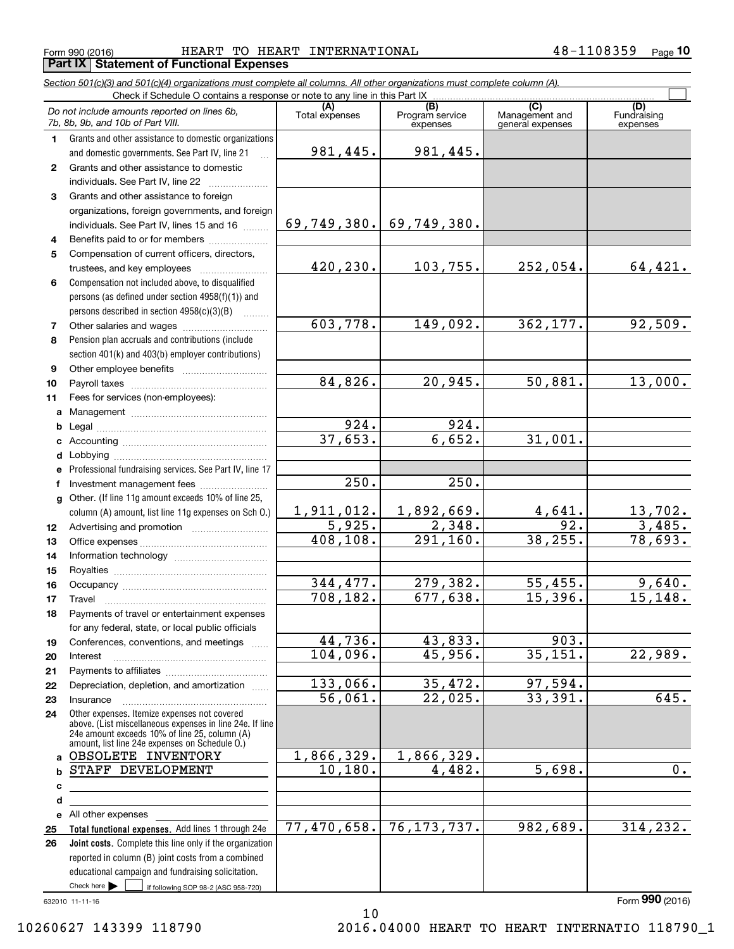Form 990 (2016) HEART TO HEART INTERNATIONAL 4 8-1108359 <sub>Page</sub> **Part IX Statement of Functional Expenses**

*Section 501(c)(3) and 501(c)(4) organizations must complete all columns. All other organizations must complete column (A).*

|              | Do not include amounts reported on lines 6b,<br>7b, 8b, 9b, and 10b of Part VIII.                                                                                                                           | (A)<br>Total expenses | (B)<br>Program service<br>expenses | (C)<br>Management and<br>general expenses | (D)<br>Fundraising<br>expenses |
|--------------|-------------------------------------------------------------------------------------------------------------------------------------------------------------------------------------------------------------|-----------------------|------------------------------------|-------------------------------------------|--------------------------------|
| 1.           | Grants and other assistance to domestic organizations                                                                                                                                                       |                       |                                    |                                           |                                |
|              | and domestic governments. See Part IV, line 21                                                                                                                                                              | 981,445.              | 981, 445.                          |                                           |                                |
| $\mathbf{2}$ | Grants and other assistance to domestic                                                                                                                                                                     |                       |                                    |                                           |                                |
|              | individuals. See Part IV, line 22                                                                                                                                                                           |                       |                                    |                                           |                                |
| 3            | Grants and other assistance to foreign                                                                                                                                                                      |                       |                                    |                                           |                                |
|              | organizations, foreign governments, and foreign                                                                                                                                                             |                       |                                    |                                           |                                |
|              | individuals. See Part IV, lines 15 and 16                                                                                                                                                                   | 69, 749, 380.         | 69,749,380.                        |                                           |                                |
| 4            | Benefits paid to or for members                                                                                                                                                                             |                       |                                    |                                           |                                |
| 5            | Compensation of current officers, directors,                                                                                                                                                                |                       |                                    |                                           |                                |
|              |                                                                                                                                                                                                             | 420,230.              | 103,755.                           | 252,054.                                  | 64,421.                        |
| 6            | Compensation not included above, to disqualified                                                                                                                                                            |                       |                                    |                                           |                                |
|              | persons (as defined under section 4958(f)(1)) and                                                                                                                                                           |                       |                                    |                                           |                                |
|              | persons described in section 4958(c)(3)(B)                                                                                                                                                                  |                       |                                    |                                           |                                |
| 7            |                                                                                                                                                                                                             | 603,778.              | 149,092.                           | 362,177.                                  | 92,509.                        |
| 8            | Pension plan accruals and contributions (include                                                                                                                                                            |                       |                                    |                                           |                                |
|              | section 401(k) and 403(b) employer contributions)                                                                                                                                                           |                       |                                    |                                           |                                |
| 9            |                                                                                                                                                                                                             | 84,826.               | 20,945.                            | 50,881.                                   | 13,000.                        |
| 10           |                                                                                                                                                                                                             |                       |                                    |                                           |                                |
| 11           | Fees for services (non-employees):                                                                                                                                                                          |                       |                                    |                                           |                                |
|              |                                                                                                                                                                                                             | $\overline{924}$ .    | 924.                               |                                           |                                |
|              |                                                                                                                                                                                                             | 37,653.               | 6,652.                             | 31,001.                                   |                                |
|              |                                                                                                                                                                                                             |                       |                                    |                                           |                                |
|              | e Professional fundraising services. See Part IV, line 17                                                                                                                                                   |                       |                                    |                                           |                                |
| f            | Investment management fees                                                                                                                                                                                  | 250.                  | 250.                               |                                           |                                |
|              | g Other. (If line 11g amount exceeds 10% of line 25,                                                                                                                                                        |                       |                                    |                                           |                                |
|              | column (A) amount, list line 11g expenses on Sch O.)                                                                                                                                                        | 1,911,012.            | 1,892,669.                         | 4,641.                                    |                                |
| 12           |                                                                                                                                                                                                             | 5,925.                | 2,348.                             | 92.                                       | $\frac{13,702}{3,485}$ .       |
| 13           |                                                                                                                                                                                                             | 408,108.              | 291, 160.                          | 38,255.                                   | 78,693.                        |
| 14           |                                                                                                                                                                                                             |                       |                                    |                                           |                                |
| 15           |                                                                                                                                                                                                             |                       |                                    |                                           |                                |
| 16           |                                                                                                                                                                                                             | 344,477.              | 279,382.                           | 55,455.                                   | 9,640.                         |
| 17           |                                                                                                                                                                                                             | 708,182.              | 677,638.                           | 15,396.                                   | 15, 148.                       |
| 18           | Payments of travel or entertainment expenses                                                                                                                                                                |                       |                                    |                                           |                                |
|              | for any federal, state, or local public officials                                                                                                                                                           |                       |                                    |                                           |                                |
| 19           | Conferences, conventions, and meetings                                                                                                                                                                      | 44,736.               | 43,833.                            | 903.                                      |                                |
| 20           | Interest                                                                                                                                                                                                    | 104,096.              | 45,956.                            | 35,151.                                   | 22,989.                        |
| 21           |                                                                                                                                                                                                             |                       |                                    |                                           |                                |
| 22           | Depreciation, depletion, and amortization                                                                                                                                                                   | 133,066.              | 35,472.                            | 97,594.                                   |                                |
| 23           | Insurance                                                                                                                                                                                                   | 56,061.               | 22,025.                            | 33,391.                                   | 645.                           |
| 24           | Other expenses. Itemize expenses not covered<br>above. (List miscellaneous expenses in line 24e. If line<br>24e amount exceeds 10% of line 25, column (A)<br>amount, list line 24e expenses on Schedule O.) |                       |                                    |                                           |                                |
|              | a OBSOLETE INVENTORY                                                                                                                                                                                        | 1,866,329.            | 1,866,329.                         |                                           |                                |
| b            | STAFF DEVELOPMENT                                                                                                                                                                                           | 10, 180.              | 4,482.                             | 5,698.                                    | 0.                             |
| с            |                                                                                                                                                                                                             |                       |                                    |                                           |                                |
| d            |                                                                                                                                                                                                             |                       |                                    |                                           |                                |
|              | e All other expenses                                                                                                                                                                                        |                       |                                    |                                           |                                |
| 25           | Total functional expenses. Add lines 1 through 24e                                                                                                                                                          | 77,470,658.           | 76, 173, 737.                      | 982,689.                                  | 314, 232.                      |
| 26           | Joint costs. Complete this line only if the organization                                                                                                                                                    |                       |                                    |                                           |                                |
|              | reported in column (B) joint costs from a combined                                                                                                                                                          |                       |                                    |                                           |                                |
|              | educational campaign and fundraising solicitation.                                                                                                                                                          |                       |                                    |                                           |                                |
|              | Check here $\blacktriangleright$<br>if following SOP 98-2 (ASC 958-720)                                                                                                                                     |                       |                                    |                                           |                                |

632010 11-11-16

Form (2016) **990**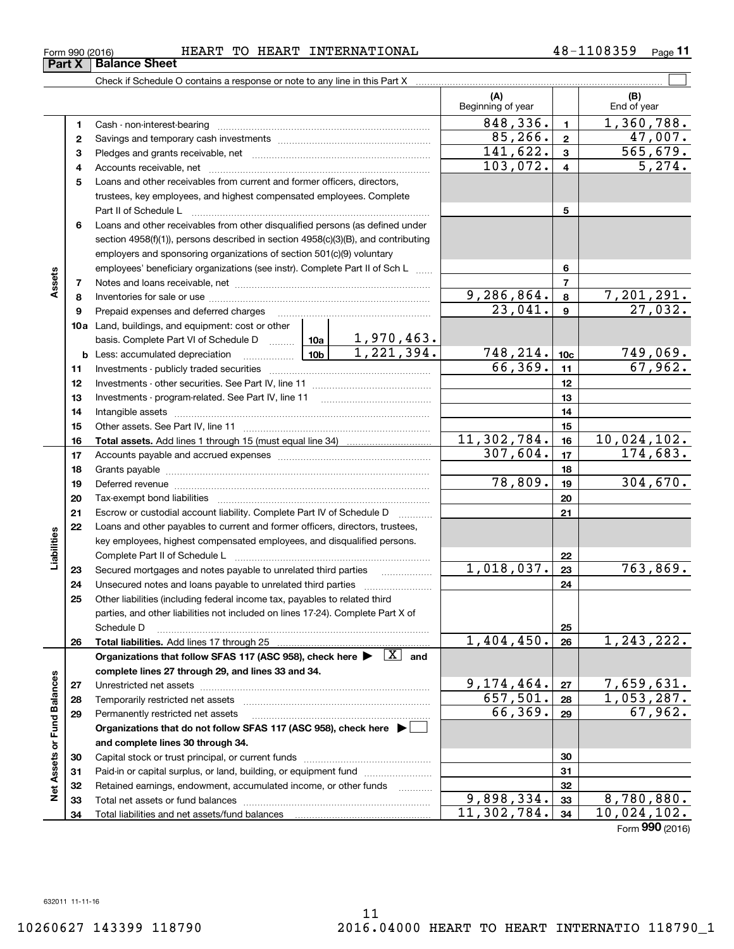|                    | 5  | Loans and other receivables from current and former officers, directors,                                                                                                                                                                            |             |            |                              |                 |                              |
|--------------------|----|-----------------------------------------------------------------------------------------------------------------------------------------------------------------------------------------------------------------------------------------------------|-------------|------------|------------------------------|-----------------|------------------------------|
|                    |    | trustees, key employees, and highest compensated employees. Complete                                                                                                                                                                                |             |            |                              |                 |                              |
|                    |    | Part II of Schedule L                                                                                                                                                                                                                               |             |            |                              | 5               |                              |
|                    | 6  | Loans and other receivables from other disqualified persons (as defined under                                                                                                                                                                       |             |            |                              |                 |                              |
|                    |    | section $4958(f)(1)$ , persons described in section $4958(c)(3)(B)$ , and contributing                                                                                                                                                              |             |            |                              |                 |                              |
|                    |    | employers and sponsoring organizations of section 501(c)(9) voluntary                                                                                                                                                                               |             |            |                              |                 |                              |
|                    |    | employees' beneficiary organizations (see instr). Complete Part II of Sch L                                                                                                                                                                         |             |            |                              | 6               |                              |
| Assets             | 7  |                                                                                                                                                                                                                                                     |             |            |                              | $\overline{7}$  |                              |
|                    | 8  |                                                                                                                                                                                                                                                     |             |            |                              | 8               |                              |
|                    | 9  | Prepaid expenses and deferred charges                                                                                                                                                                                                               |             |            | $\frac{9,286,864.}{23,041.}$ | 9               | $\frac{7,201,291.}{27,032.}$ |
|                    |    | 10a Land, buildings, and equipment: cost or other                                                                                                                                                                                                   |             |            |                              |                 |                              |
|                    |    |                                                                                                                                                                                                                                                     |             |            |                              |                 |                              |
|                    |    | basis. Complete Part VI of Schedule D $\begin{array}{ c c c c c }\n\hline\n1,970,463. \\ \hline\n\text{Less: accumulated depreciation} & \text{10b} & \text{1,221,394.}\n\end{array}$<br>$\frac{10b}{2}$<br><b>b</b> Less: accumulated depreciation |             |            |                              | 10 <sub>c</sub> |                              |
|                    | 11 | Investments - publicly traded securities                                                                                                                                                                                                            |             |            | $\frac{748,214.}{66,369.}$   | 11              | $\frac{749,069.67}{67,962.}$ |
|                    | 12 |                                                                                                                                                                                                                                                     |             |            |                              | 12              |                              |
|                    | 13 | Investments - program-related. See Part IV, line 11                                                                                                                                                                                                 |             |            |                              | 13              |                              |
|                    | 14 |                                                                                                                                                                                                                                                     |             |            | 14                           |                 |                              |
|                    | 15 |                                                                                                                                                                                                                                                     |             |            |                              | 15              |                              |
|                    | 16 |                                                                                                                                                                                                                                                     |             |            | 11,302,784.                  | 16              | <u>10,024,102.</u>           |
|                    | 17 |                                                                                                                                                                                                                                                     | 307,604.    | 17         | 174,683.                     |                 |                              |
|                    | 18 |                                                                                                                                                                                                                                                     |             | 18         |                              |                 |                              |
|                    | 19 | Deferred revenue                                                                                                                                                                                                                                    |             |            | 78,809.                      | 19              | 304,670.                     |
|                    | 20 | Tax-exempt bond liabilities                                                                                                                                                                                                                         |             |            |                              | 20              |                              |
|                    | 21 | Escrow or custodial account liability. Complete Part IV of Schedule D                                                                                                                                                                               |             |            | 21                           |                 |                              |
|                    | 22 | Loans and other payables to current and former officers, directors, trustees,                                                                                                                                                                       |             |            |                              |                 |                              |
|                    |    | key employees, highest compensated employees, and disqualified persons.                                                                                                                                                                             |             |            |                              |                 |                              |
| Liabilities        |    | Complete Part II of Schedule L                                                                                                                                                                                                                      |             |            | 22                           |                 |                              |
|                    | 23 | Secured mortgages and notes payable to unrelated third parties                                                                                                                                                                                      |             |            | 1,018,037.                   | 23              | 763,869.                     |
|                    | 24 | Unsecured notes and loans payable to unrelated third parties                                                                                                                                                                                        |             |            |                              | 24              |                              |
|                    | 25 | Other liabilities (including federal income tax, payables to related third                                                                                                                                                                          |             |            |                              |                 |                              |
|                    |    | parties, and other liabilities not included on lines 17-24). Complete Part X of                                                                                                                                                                     |             |            |                              |                 |                              |
|                    |    | Schedule D                                                                                                                                                                                                                                          |             |            |                              | 25              |                              |
|                    | 26 |                                                                                                                                                                                                                                                     |             |            | 1,404,450.                   | 26              | 1, 243, 222.                 |
|                    |    | Organizations that follow SFAS 117 (ASC 958), check here $\blacktriangleright \begin{array}{c} \boxed{X} \\ \end{array}$ and                                                                                                                        |             |            |                              |                 |                              |
|                    |    | complete lines 27 through 29, and lines 33 and 34.                                                                                                                                                                                                  |             |            |                              |                 |                              |
|                    | 27 | Unrestricted net assets                                                                                                                                                                                                                             |             |            | 9, 174, 464.                 | 27              | 7,659,631.                   |
| Balances           | 28 | Temporarily restricted net assets                                                                                                                                                                                                                   |             |            | 657,501.                     | 28              | 1,053,287.                   |
|                    | 29 | Permanently restricted net assets                                                                                                                                                                                                                   |             |            | 66,369.                      | 29              | 67,962.                      |
|                    |    | Organizations that do not follow SFAS 117 (ASC 958), check here $\blacktriangleright$                                                                                                                                                               |             |            |                              |                 |                              |
|                    |    | and complete lines 30 through 34.                                                                                                                                                                                                                   |             |            |                              |                 |                              |
|                    | 30 |                                                                                                                                                                                                                                                     |             |            |                              | 30              |                              |
|                    | 31 | Paid-in or capital surplus, or land, building, or equipment fund                                                                                                                                                                                    |             |            |                              | 31              |                              |
| Net Assets or Fund | 32 | Retained earnings, endowment, accumulated income, or other funds                                                                                                                                                                                    |             | .          |                              | 32              |                              |
|                    | 33 | Total net assets or fund balances                                                                                                                                                                                                                   |             | 9,898,334. | 33                           | 8,780,880.      |                              |
|                    | 34 | Total liabilities and net assets/fund balances                                                                                                                                                                                                      | 11,302,784. | 34         | 10,024,102.                  |                 |                              |
|                    |    |                                                                                                                                                                                                                                                     |             |            |                              |                 | Form 990 (2016)              |

Form 990 (2016) HEART TO HEART INTERNATIONAL 4 8-1108359 <sub>Page</sub>

**1**Cash - non-interest-bearing ~~~~~~~~~~~~~~~~~~~~~~~~~ **2**Savings and temporary cash investments ~~~~~~~~~~~~~~~~~~ **3** Pledges and grants receivable, net  $\ldots$  **multimes contained and grants receivable**, net **multimes contained and grants receivable**, net **multimes contained and grants receivable** 

Accounts receivable, net ~~~~~~~~~~~~~~~~~~~~~~~~~~

Check if Schedule O contains a response or note to any line in this Part X

**11**

 $\mathcal{L}^{\text{max}}$ 

**(A) (B)**

Beginning of year | | End of year

 $848,336.$  1, 1, 360, 788.

 $85,266.$  2 47,007.

 $103,072. | 4 | 5,274.$  $141,622.$  3 565,679.

**Part X** | Balance Sheet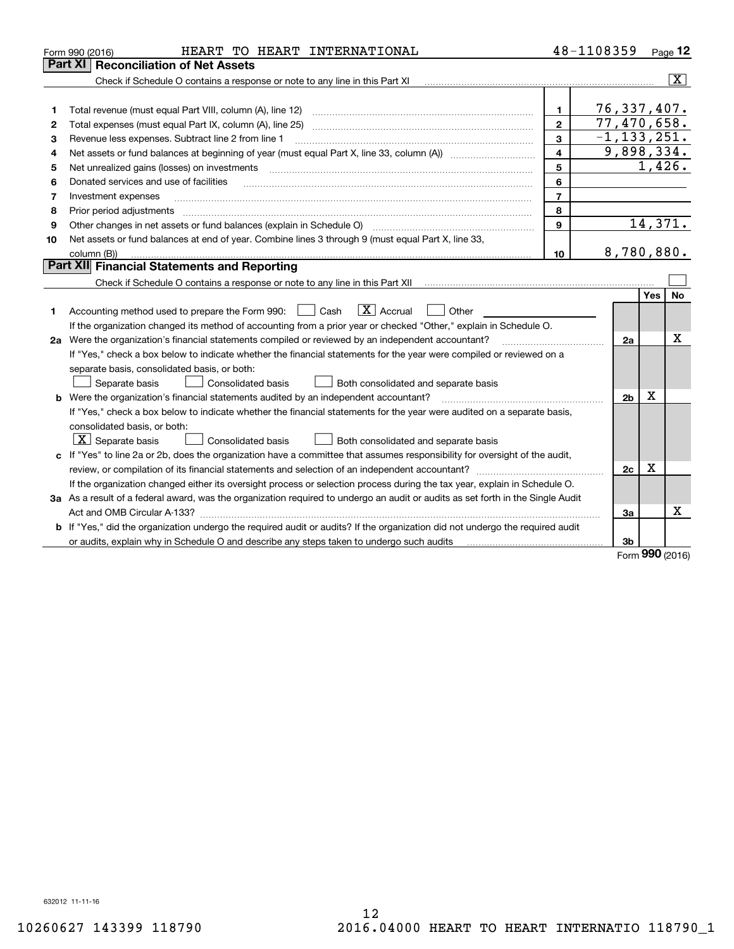|    | HEART TO HEART INTERNATIONAL<br>Form 990 (2016)                                                                                 |                         | 48-1108359     |              | Page 12                 |
|----|---------------------------------------------------------------------------------------------------------------------------------|-------------------------|----------------|--------------|-------------------------|
|    | Part XI<br><b>Reconciliation of Net Assets</b>                                                                                  |                         |                |              |                         |
|    | Check if Schedule O contains a response or note to any line in this Part XI                                                     |                         |                |              | $\overline{\mathbf{X}}$ |
|    |                                                                                                                                 |                         |                |              |                         |
| 1  |                                                                                                                                 | 1.                      | 76, 337, 407.  |              |                         |
| 2  | Total expenses (must equal Part IX, column (A), line 25)                                                                        | $\mathbf{2}$            | 77,470,658.    |              |                         |
| з  | Revenue less expenses. Subtract line 2 from line 1                                                                              | $-1, 133, 251.$         |                |              |                         |
| 4  |                                                                                                                                 | $\overline{\mathbf{4}}$ | 9,898,334.     |              |                         |
| 5  | Net unrealized gains (losses) on investments                                                                                    | 5                       |                |              | 1,426.                  |
| 6  | Donated services and use of facilities                                                                                          | 6                       |                |              |                         |
| 7  | Investment expenses                                                                                                             | $\overline{7}$          |                |              |                         |
| 8  | Prior period adjustments                                                                                                        | 8                       |                |              |                         |
| 9  | Other changes in net assets or fund balances (explain in Schedule O)                                                            | $\mathbf{9}$            |                |              | 14,371.                 |
| 10 | Net assets or fund balances at end of year. Combine lines 3 through 9 (must equal Part X, line 33,                              |                         |                |              |                         |
|    | column (B))                                                                                                                     | 10                      | 8,780,880.     |              |                         |
|    | Part XII Financial Statements and Reporting                                                                                     |                         |                |              |                         |
|    |                                                                                                                                 |                         |                |              |                         |
|    |                                                                                                                                 |                         |                | Yes          | No.                     |
| 1  | $\boxed{\mathbf{X}}$ Accrual<br>Accounting method used to prepare the Form 990: <u>[</u> Cash<br>Other                          |                         |                |              |                         |
|    | If the organization changed its method of accounting from a prior year or checked "Other," explain in Schedule O.               |                         |                |              |                         |
|    | 2a Were the organization's financial statements compiled or reviewed by an independent accountant?                              |                         | 2a             |              | x                       |
|    | If "Yes," check a box below to indicate whether the financial statements for the year were compiled or reviewed on a            |                         |                |              |                         |
|    | separate basis, consolidated basis, or both:                                                                                    |                         |                |              |                         |
|    | Separate basis<br>Consolidated basis<br>Both consolidated and separate basis                                                    |                         |                |              |                         |
|    | <b>b</b> Were the organization's financial statements audited by an independent accountant?                                     |                         | 2 <sub>b</sub> | х            |                         |
|    | If "Yes," check a box below to indicate whether the financial statements for the year were audited on a separate basis,         |                         |                |              |                         |
|    | consolidated basis, or both:                                                                                                    |                         |                |              |                         |
|    | $ \mathbf{X} $ Separate basis<br><b>Consolidated basis</b><br>Both consolidated and separate basis                              |                         |                |              |                         |
|    | c If "Yes" to line 2a or 2b, does the organization have a committee that assumes responsibility for oversight of the audit,     |                         |                |              |                         |
|    |                                                                                                                                 |                         | 2c             | X            |                         |
|    | If the organization changed either its oversight process or selection process during the tax year, explain in Schedule O.       |                         |                |              |                         |
|    | 3a As a result of a federal award, was the organization required to undergo an audit or audits as set forth in the Single Audit |                         |                |              |                         |
|    | Act and OMB Circular A-133?                                                                                                     |                         | За             |              | x                       |
|    | b If "Yes," did the organization undergo the required audit or audits? If the organization did not undergo the required audit   |                         |                |              |                         |
|    | or audits, explain why in Schedule O and describe any steps taken to undergo such audits                                        |                         | 3b             | $\mathbf{a}$ |                         |

Form (2016) **990**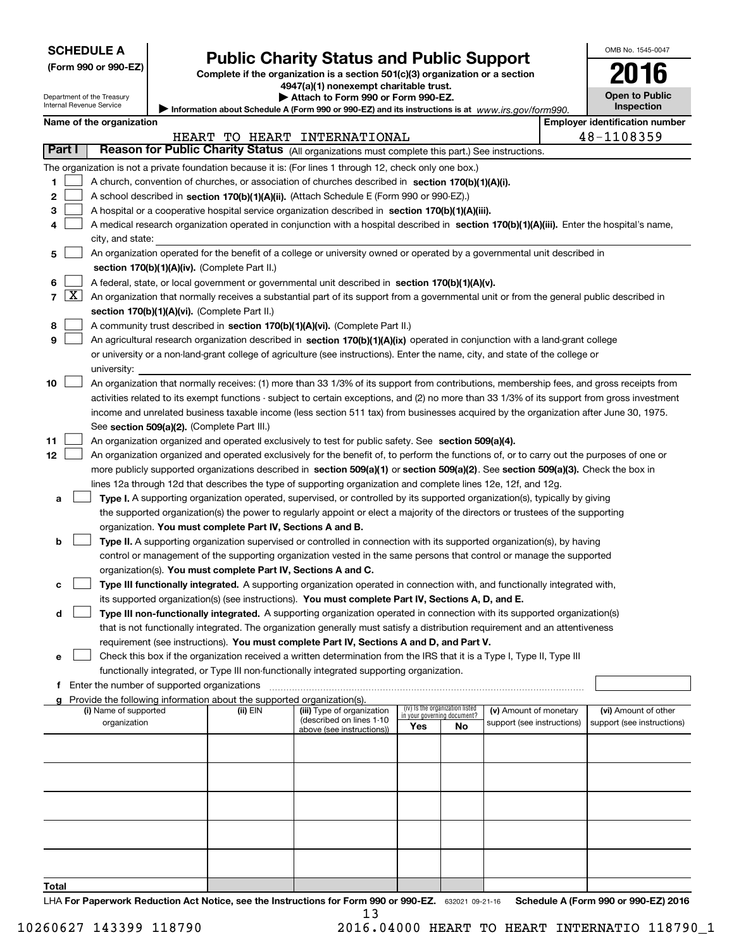| <b>SCHEDULE A</b> |  |
|-------------------|--|
|-------------------|--|

Department of the Treasury Internal Revenue Service

| (Form 990 or 990-EZ) |  |  |  |  |
|----------------------|--|--|--|--|
|----------------------|--|--|--|--|

# **Public Charity Status and Public Support**

**Complete if the organization is a section 501(c)(3) organization or a section 4947(a)(1) nonexempt charitable trust.**

**| Attach to Form 990 or Form 990-EZ.** 

Information about Schedule A (Form 990 or 990-EZ) and its instructions is at *www.irs.gov/form990.* 

|         | OMB No. 1545-0047                   |
|---------|-------------------------------------|
|         | 2016                                |
| orm990. | <b>Open to Public</b><br>Inspection |
|         | Emplover identification number      |

 $\mathbf{I}$ 

| Name of the organization |
|--------------------------|
|                          |

|                |                     |                                                                                                                                                                                                                          |                                               | HEART TO HEART INTERNATIONAL                          |                                                                |    |                            |  | 48-1108359                 |  |  |
|----------------|---------------------|--------------------------------------------------------------------------------------------------------------------------------------------------------------------------------------------------------------------------|-----------------------------------------------|-------------------------------------------------------|----------------------------------------------------------------|----|----------------------------|--|----------------------------|--|--|
|                | Part I              | Reason for Public Charity Status (All organizations must complete this part.) See instructions.                                                                                                                          |                                               |                                                       |                                                                |    |                            |  |                            |  |  |
|                |                     | The organization is not a private foundation because it is: (For lines 1 through 12, check only one box.)                                                                                                                |                                               |                                                       |                                                                |    |                            |  |                            |  |  |
| 1.             |                     | A church, convention of churches, or association of churches described in section 170(b)(1)(A)(i).                                                                                                                       |                                               |                                                       |                                                                |    |                            |  |                            |  |  |
| 2              |                     | A school described in section 170(b)(1)(A)(ii). (Attach Schedule E (Form 990 or 990-EZ).)                                                                                                                                |                                               |                                                       |                                                                |    |                            |  |                            |  |  |
| 3              |                     | A hospital or a cooperative hospital service organization described in section 170(b)(1)(A)(iii).                                                                                                                        |                                               |                                                       |                                                                |    |                            |  |                            |  |  |
| 4              |                     | A medical research organization operated in conjunction with a hospital described in section 170(b)(1)(A)(iii). Enter the hospital's name,                                                                               |                                               |                                                       |                                                                |    |                            |  |                            |  |  |
|                |                     | city, and state:                                                                                                                                                                                                         |                                               |                                                       |                                                                |    |                            |  |                            |  |  |
| 5              |                     | An organization operated for the benefit of a college or university owned or operated by a governmental unit described in                                                                                                |                                               |                                                       |                                                                |    |                            |  |                            |  |  |
|                |                     |                                                                                                                                                                                                                          | section 170(b)(1)(A)(iv). (Complete Part II.) |                                                       |                                                                |    |                            |  |                            |  |  |
| 6              |                     | A federal, state, or local government or governmental unit described in section $170(b)(1)(A)(v)$ .                                                                                                                      |                                               |                                                       |                                                                |    |                            |  |                            |  |  |
| $\overline{7}$ | $\lfloor x \rfloor$ | An organization that normally receives a substantial part of its support from a governmental unit or from the general public described in                                                                                |                                               |                                                       |                                                                |    |                            |  |                            |  |  |
|                |                     | section 170(b)(1)(A)(vi). (Complete Part II.)                                                                                                                                                                            |                                               |                                                       |                                                                |    |                            |  |                            |  |  |
| 8              |                     | A community trust described in section 170(b)(1)(A)(vi). (Complete Part II.)                                                                                                                                             |                                               |                                                       |                                                                |    |                            |  |                            |  |  |
| 9              |                     | An agricultural research organization described in section 170(b)(1)(A)(ix) operated in conjunction with a land-grant college                                                                                            |                                               |                                                       |                                                                |    |                            |  |                            |  |  |
|                |                     | or university or a non-land-grant college of agriculture (see instructions). Enter the name, city, and state of the college or                                                                                           |                                               |                                                       |                                                                |    |                            |  |                            |  |  |
|                |                     | university:                                                                                                                                                                                                              |                                               |                                                       |                                                                |    |                            |  |                            |  |  |
| 10             |                     | An organization that normally receives: (1) more than 33 1/3% of its support from contributions, membership fees, and gross receipts from                                                                                |                                               |                                                       |                                                                |    |                            |  |                            |  |  |
|                |                     | activities related to its exempt functions - subject to certain exceptions, and (2) no more than 33 1/3% of its support from gross investment                                                                            |                                               |                                                       |                                                                |    |                            |  |                            |  |  |
|                |                     | income and unrelated business taxable income (less section 511 tax) from businesses acquired by the organization after June 30, 1975.                                                                                    |                                               |                                                       |                                                                |    |                            |  |                            |  |  |
|                |                     | See section 509(a)(2). (Complete Part III.)                                                                                                                                                                              |                                               |                                                       |                                                                |    |                            |  |                            |  |  |
| 11             |                     | An organization organized and operated exclusively to test for public safety. See section 509(a)(4).                                                                                                                     |                                               |                                                       |                                                                |    |                            |  |                            |  |  |
| 12             |                     | An organization organized and operated exclusively for the benefit of, to perform the functions of, or to carry out the purposes of one or                                                                               |                                               |                                                       |                                                                |    |                            |  |                            |  |  |
|                |                     | more publicly supported organizations described in section 509(a)(1) or section 509(a)(2). See section 509(a)(3). Check the box in                                                                                       |                                               |                                                       |                                                                |    |                            |  |                            |  |  |
|                |                     | lines 12a through 12d that describes the type of supporting organization and complete lines 12e, 12f, and 12g.                                                                                                           |                                               |                                                       |                                                                |    |                            |  |                            |  |  |
| а              |                     | Type I. A supporting organization operated, supervised, or controlled by its supported organization(s), typically by giving                                                                                              |                                               |                                                       |                                                                |    |                            |  |                            |  |  |
|                |                     | the supported organization(s) the power to regularly appoint or elect a majority of the directors or trustees of the supporting                                                                                          |                                               |                                                       |                                                                |    |                            |  |                            |  |  |
|                |                     | organization. You must complete Part IV, Sections A and B.                                                                                                                                                               |                                               |                                                       |                                                                |    |                            |  |                            |  |  |
| b              |                     | Type II. A supporting organization supervised or controlled in connection with its supported organization(s), by having                                                                                                  |                                               |                                                       |                                                                |    |                            |  |                            |  |  |
|                |                     | control or management of the supporting organization vested in the same persons that control or manage the supported                                                                                                     |                                               |                                                       |                                                                |    |                            |  |                            |  |  |
|                |                     | organization(s). You must complete Part IV, Sections A and C.                                                                                                                                                            |                                               |                                                       |                                                                |    |                            |  |                            |  |  |
| с              |                     | Type III functionally integrated. A supporting organization operated in connection with, and functionally integrated with,                                                                                               |                                               |                                                       |                                                                |    |                            |  |                            |  |  |
|                |                     | its supported organization(s) (see instructions). You must complete Part IV, Sections A, D, and E.                                                                                                                       |                                               |                                                       |                                                                |    |                            |  |                            |  |  |
| d              |                     | Type III non-functionally integrated. A supporting organization operated in connection with its supported organization(s)                                                                                                |                                               |                                                       |                                                                |    |                            |  |                            |  |  |
|                |                     | that is not functionally integrated. The organization generally must satisfy a distribution requirement and an attentiveness<br>requirement (see instructions). You must complete Part IV, Sections A and D, and Part V. |                                               |                                                       |                                                                |    |                            |  |                            |  |  |
| е              |                     | Check this box if the organization received a written determination from the IRS that it is a Type I, Type II, Type III                                                                                                  |                                               |                                                       |                                                                |    |                            |  |                            |  |  |
|                |                     | functionally integrated, or Type III non-functionally integrated supporting organization.                                                                                                                                |                                               |                                                       |                                                                |    |                            |  |                            |  |  |
| f              |                     | Enter the number of supported organizations                                                                                                                                                                              |                                               |                                                       |                                                                |    |                            |  |                            |  |  |
| a              |                     | Provide the following information about the supported organization(s).                                                                                                                                                   |                                               |                                                       |                                                                |    |                            |  |                            |  |  |
|                |                     | (i) Name of supported                                                                                                                                                                                                    | (ii) EIN                                      | (iii) Type of organization                            | (iv) Is the organization listed<br>in your governing document? |    | (v) Amount of monetary     |  | (vi) Amount of other       |  |  |
|                |                     | organization                                                                                                                                                                                                             |                                               | (described on lines 1-10<br>above (see instructions)) | Yes                                                            | No | support (see instructions) |  | support (see instructions) |  |  |
|                |                     |                                                                                                                                                                                                                          |                                               |                                                       |                                                                |    |                            |  |                            |  |  |
|                |                     |                                                                                                                                                                                                                          |                                               |                                                       |                                                                |    |                            |  |                            |  |  |
|                |                     |                                                                                                                                                                                                                          |                                               |                                                       |                                                                |    |                            |  |                            |  |  |
|                |                     |                                                                                                                                                                                                                          |                                               |                                                       |                                                                |    |                            |  |                            |  |  |
|                |                     |                                                                                                                                                                                                                          |                                               |                                                       |                                                                |    |                            |  |                            |  |  |
|                |                     |                                                                                                                                                                                                                          |                                               |                                                       |                                                                |    |                            |  |                            |  |  |
|                |                     |                                                                                                                                                                                                                          |                                               |                                                       |                                                                |    |                            |  |                            |  |  |
|                |                     |                                                                                                                                                                                                                          |                                               |                                                       |                                                                |    |                            |  |                            |  |  |
|                |                     |                                                                                                                                                                                                                          |                                               |                                                       |                                                                |    |                            |  |                            |  |  |
|                |                     |                                                                                                                                                                                                                          |                                               |                                                       |                                                                |    |                            |  |                            |  |  |
| Total          |                     |                                                                                                                                                                                                                          |                                               |                                                       |                                                                |    |                            |  |                            |  |  |

LHA For Paperwork Reduction Act Notice, see the Instructions for Form 990 or 990-EZ. 632021 09-21-16 Schedule A (Form 990 or 990-EZ) 2016 13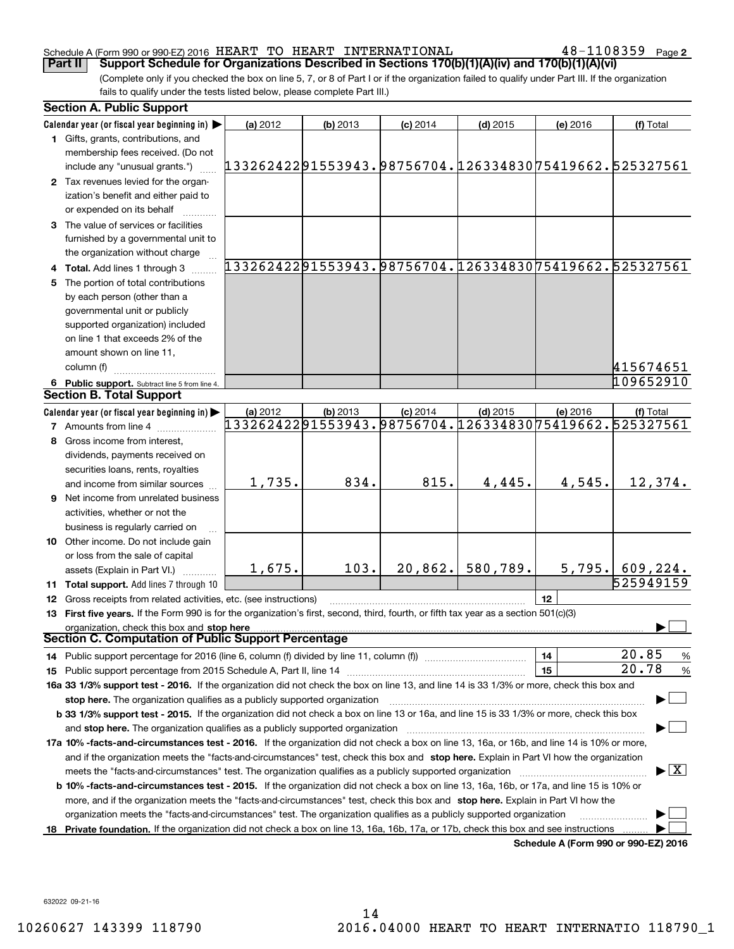## Schedule A (Form 990 or 990-EZ) 2016  $\rm{HEART}$   $\rm{TO}$   $\rm{HEART}$   $\rm{INTERNATIONAL}$   $\rm{48-1108359}$   $\rm{Page}$

**2**

(Complete only if you checked the box on line 5, 7, or 8 of Part I or if the organization failed to qualify under Part III. If the organization fails to qualify under the tests listed below, please complete Part III.) **Part II** | Support Schedule for Organizations Described in Sections 170(b)(1)(A)(iv) and 170(b)(1)(A)(vi)

| <b>Section A. Public Support</b>                                                                                                                                                                                                                           |                                                        |            |            |                                                        |          |                                                        |
|------------------------------------------------------------------------------------------------------------------------------------------------------------------------------------------------------------------------------------------------------------|--------------------------------------------------------|------------|------------|--------------------------------------------------------|----------|--------------------------------------------------------|
| Calendar year (or fiscal year beginning in)                                                                                                                                                                                                                | (a) 2012                                               | (b) 2013   | $(c)$ 2014 | $(d)$ 2015                                             | (e) 2016 | (f) Total                                              |
| 1 Gifts, grants, contributions, and                                                                                                                                                                                                                        |                                                        |            |            |                                                        |          |                                                        |
| membership fees received. (Do not<br>include any "unusual grants.")                                                                                                                                                                                        | 13326242291553943.98756704.12633483075419662.525327561 |            |            |                                                        |          |                                                        |
| 2 Tax revenues levied for the organ-                                                                                                                                                                                                                       |                                                        |            |            |                                                        |          |                                                        |
| ization's benefit and either paid to                                                                                                                                                                                                                       |                                                        |            |            |                                                        |          |                                                        |
| or expended on its behalf                                                                                                                                                                                                                                  |                                                        |            |            |                                                        |          |                                                        |
| 3 The value of services or facilities                                                                                                                                                                                                                      |                                                        |            |            |                                                        |          |                                                        |
| furnished by a governmental unit to                                                                                                                                                                                                                        |                                                        |            |            |                                                        |          |                                                        |
| the organization without charge                                                                                                                                                                                                                            |                                                        |            |            |                                                        |          |                                                        |
| 4 Total. Add lines 1 through 3                                                                                                                                                                                                                             |                                                        |            |            |                                                        |          | 13326242291553943.98756704.12633483075419662.525327561 |
| 5 The portion of total contributions                                                                                                                                                                                                                       |                                                        |            |            |                                                        |          |                                                        |
| by each person (other than a                                                                                                                                                                                                                               |                                                        |            |            |                                                        |          |                                                        |
| governmental unit or publicly                                                                                                                                                                                                                              |                                                        |            |            |                                                        |          |                                                        |
| supported organization) included                                                                                                                                                                                                                           |                                                        |            |            |                                                        |          |                                                        |
| on line 1 that exceeds 2% of the                                                                                                                                                                                                                           |                                                        |            |            |                                                        |          |                                                        |
| amount shown on line 11,                                                                                                                                                                                                                                   |                                                        |            |            |                                                        |          |                                                        |
| column (f)                                                                                                                                                                                                                                                 |                                                        |            |            |                                                        |          | 415674651                                              |
| 6 Public support. Subtract line 5 from line 4.                                                                                                                                                                                                             |                                                        |            |            |                                                        |          | 109652910                                              |
| <b>Section B. Total Support</b>                                                                                                                                                                                                                            |                                                        |            |            |                                                        |          |                                                        |
| Calendar year (or fiscal year beginning in)                                                                                                                                                                                                                | (a) 2012                                               | $(b)$ 2013 | $(c)$ 2014 | $(d)$ 2015                                             | (e) 2016 | (f) Total                                              |
| <b>7</b> Amounts from line 4                                                                                                                                                                                                                               |                                                        |            |            | 13326242291553943.98756704.12633483075419662.525327561 |          |                                                        |
| 8 Gross income from interest.                                                                                                                                                                                                                              |                                                        |            |            |                                                        |          |                                                        |
| dividends, payments received on                                                                                                                                                                                                                            |                                                        |            |            |                                                        |          |                                                        |
| securities loans, rents, royalties                                                                                                                                                                                                                         |                                                        |            |            |                                                        |          |                                                        |
| and income from similar sources                                                                                                                                                                                                                            | 1,735.                                                 | 834.       | 815.       | 4,445.                                                 | 4,545.   | 12,374.                                                |
| <b>9</b> Net income from unrelated business                                                                                                                                                                                                                |                                                        |            |            |                                                        |          |                                                        |
| activities, whether or not the                                                                                                                                                                                                                             |                                                        |            |            |                                                        |          |                                                        |
| business is regularly carried on                                                                                                                                                                                                                           |                                                        |            |            |                                                        |          |                                                        |
| 10 Other income. Do not include gain                                                                                                                                                                                                                       |                                                        |            |            |                                                        |          |                                                        |
| or loss from the sale of capital                                                                                                                                                                                                                           |                                                        |            |            |                                                        |          |                                                        |
| assets (Explain in Part VI.) <b>Constant</b>                                                                                                                                                                                                               | 1,675.                                                 | 103.       | 20,862.    | 580,789.                                               | 5,795.   | 609, 224.                                              |
| 11 Total support. Add lines 7 through 10                                                                                                                                                                                                                   |                                                        |            |            |                                                        |          | 525949159                                              |
| 12 Gross receipts from related activities, etc. (see instructions)                                                                                                                                                                                         |                                                        |            |            |                                                        | 12       |                                                        |
| 13 First five years. If the Form 990 is for the organization's first, second, third, fourth, or fifth tax year as a section 501(c)(3)                                                                                                                      |                                                        |            |            |                                                        |          |                                                        |
| organization, check this box and stop here                                                                                                                                                                                                                 |                                                        |            |            |                                                        |          |                                                        |
| Section C. Computation of Public Support Percentage                                                                                                                                                                                                        |                                                        |            |            |                                                        |          |                                                        |
| 14 Public support percentage for 2016 (line 6, column (f) divided by line 11, column (f) <i>manumeronoming</i>                                                                                                                                             |                                                        |            |            |                                                        | 14       | 20.85<br>$\frac{9}{6}$                                 |
|                                                                                                                                                                                                                                                            |                                                        |            |            |                                                        | 15       | 20.78<br>$\frac{9}{6}$                                 |
| 16a 33 1/3% support test - 2016. If the organization did not check the box on line 13, and line 14 is 33 1/3% or more, check this box and                                                                                                                  |                                                        |            |            |                                                        |          |                                                        |
| stop here. The organization qualifies as a publicly supported organization                                                                                                                                                                                 |                                                        |            |            |                                                        |          |                                                        |
| b 33 1/3% support test - 2015. If the organization did not check a box on line 13 or 16a, and line 15 is 33 1/3% or more, check this box                                                                                                                   |                                                        |            |            |                                                        |          |                                                        |
| and stop here. The organization qualifies as a publicly supported organization                                                                                                                                                                             |                                                        |            |            |                                                        |          |                                                        |
| 17a 10% -facts-and-circumstances test - 2016. If the organization did not check a box on line 13, 16a, or 16b, and line 14 is 10% or more,                                                                                                                 |                                                        |            |            |                                                        |          |                                                        |
| and if the organization meets the "facts-and-circumstances" test, check this box and stop here. Explain in Part VI how the organization                                                                                                                    |                                                        |            |            |                                                        |          | $\blacktriangleright$ $\boxed{\text{X}}$               |
| meets the "facts-and-circumstances" test. The organization qualifies as a publicly supported organization <i>marroummumumumum</i>                                                                                                                          |                                                        |            |            |                                                        |          |                                                        |
| <b>b 10% -facts-and-circumstances test - 2015.</b> If the organization did not check a box on line 13, 16a, 16b, or 17a, and line 15 is 10% or                                                                                                             |                                                        |            |            |                                                        |          |                                                        |
| more, and if the organization meets the "facts-and-circumstances" test, check this box and stop here. Explain in Part VI how the<br>organization meets the "facts-and-circumstances" test. The organization qualifies as a publicly supported organization |                                                        |            |            |                                                        |          |                                                        |
| 18 Private foundation. If the organization did not check a box on line 13, 16a, 16b, 17a, or 17b, check this box and see instructions                                                                                                                      |                                                        |            |            |                                                        |          |                                                        |
|                                                                                                                                                                                                                                                            |                                                        |            |            |                                                        |          | Schedule A (Form 990 or 990-EZ) 2016                   |

**Schedule A (Form 990 or 990-EZ) 2016**

632022 09-21-16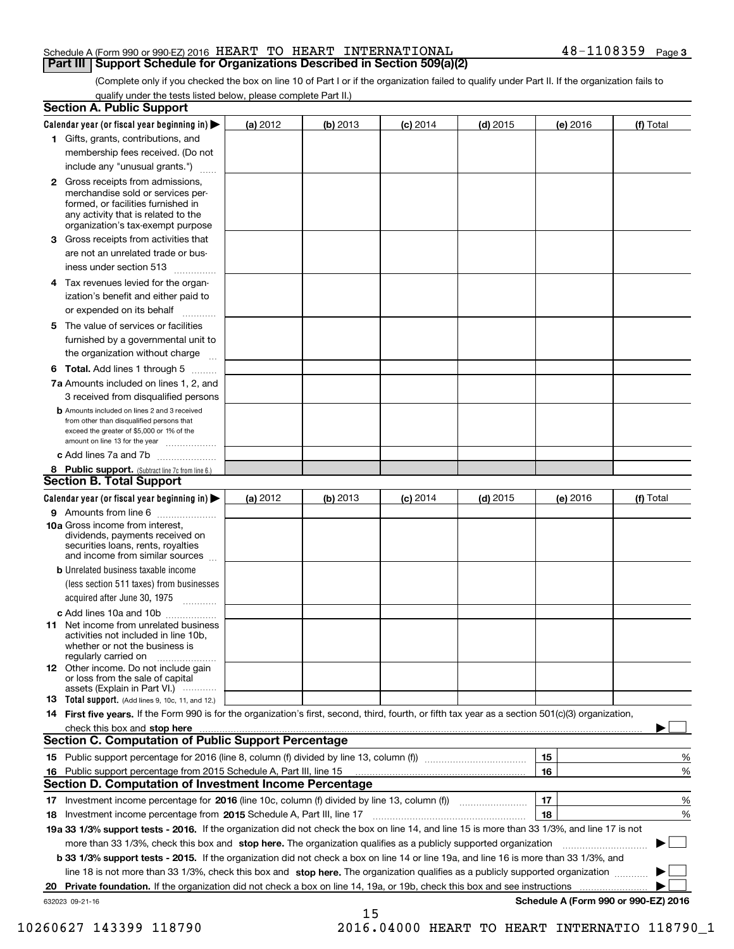## Schedule A (Form 990 or 990-EZ) 2016  $\rm{HEART}$   $\rm{TO}$   $\rm{HEART}$   $\rm{INTERNATIONAL}$   $\rm{48-1108359}$   $\rm{Page}$ **Part III Support Schedule for Organizations Described in Section 509(a)(2)**

(Complete only if you checked the box on line 10 of Part I or if the organization failed to qualify under Part II. If the organization fails to qualify under the tests listed below, please complete Part II.)

|    | <b>Section A. Public Support</b>                                                                                                                                                         |            |            |            |            |          |                                      |
|----|------------------------------------------------------------------------------------------------------------------------------------------------------------------------------------------|------------|------------|------------|------------|----------|--------------------------------------|
|    | Calendar year (or fiscal year beginning in) $\blacktriangleright$                                                                                                                        | (a) 2012   | $(b)$ 2013 | $(c)$ 2014 | $(d)$ 2015 | (e) 2016 | (f) Total                            |
|    | 1 Gifts, grants, contributions, and                                                                                                                                                      |            |            |            |            |          |                                      |
|    | membership fees received. (Do not                                                                                                                                                        |            |            |            |            |          |                                      |
|    | include any "unusual grants.")                                                                                                                                                           |            |            |            |            |          |                                      |
|    | 2 Gross receipts from admissions,<br>merchandise sold or services per-<br>formed, or facilities furnished in<br>any activity that is related to the<br>organization's tax-exempt purpose |            |            |            |            |          |                                      |
|    | 3 Gross receipts from activities that                                                                                                                                                    |            |            |            |            |          |                                      |
|    | are not an unrelated trade or bus-                                                                                                                                                       |            |            |            |            |          |                                      |
|    | iness under section 513                                                                                                                                                                  |            |            |            |            |          |                                      |
|    | 4 Tax revenues levied for the organ-                                                                                                                                                     |            |            |            |            |          |                                      |
|    | ization's benefit and either paid to                                                                                                                                                     |            |            |            |            |          |                                      |
|    | or expended on its behalf<br>.                                                                                                                                                           |            |            |            |            |          |                                      |
|    | 5 The value of services or facilities                                                                                                                                                    |            |            |            |            |          |                                      |
|    | furnished by a governmental unit to                                                                                                                                                      |            |            |            |            |          |                                      |
|    | the organization without charge                                                                                                                                                          |            |            |            |            |          |                                      |
|    | <b>6 Total.</b> Add lines 1 through 5                                                                                                                                                    |            |            |            |            |          |                                      |
|    | 7a Amounts included on lines 1, 2, and                                                                                                                                                   |            |            |            |            |          |                                      |
|    | 3 received from disqualified persons                                                                                                                                                     |            |            |            |            |          |                                      |
|    | <b>b</b> Amounts included on lines 2 and 3 received<br>from other than disqualified persons that<br>exceed the greater of \$5,000 or 1% of the<br>amount on line 13 for the year         |            |            |            |            |          |                                      |
|    | c Add lines 7a and 7b                                                                                                                                                                    |            |            |            |            |          |                                      |
|    | 8 Public support. (Subtract line 7c from line 6.)                                                                                                                                        |            |            |            |            |          |                                      |
|    | <b>Section B. Total Support</b>                                                                                                                                                          |            |            |            |            |          |                                      |
|    | Calendar year (or fiscal year beginning in) $\blacktriangleright$                                                                                                                        | (a) $2012$ | (b) 2013   | $(c)$ 2014 | $(d)$ 2015 | (e) 2016 | (f) Total                            |
|    | 9 Amounts from line 6                                                                                                                                                                    |            |            |            |            |          |                                      |
|    | 10a Gross income from interest,<br>dividends, payments received on<br>securities loans, rents, royalties<br>and income from similar sources                                              |            |            |            |            |          |                                      |
|    | <b>b</b> Unrelated business taxable income                                                                                                                                               |            |            |            |            |          |                                      |
|    | (less section 511 taxes) from businesses                                                                                                                                                 |            |            |            |            |          |                                      |
|    | acquired after June 30, 1975                                                                                                                                                             |            |            |            |            |          |                                      |
|    | c Add lines 10a and 10b                                                                                                                                                                  |            |            |            |            |          |                                      |
|    | 11 Net income from unrelated business<br>activities not included in line 10b,<br>whether or not the business is<br>regularly carried on                                                  |            |            |            |            |          |                                      |
|    | 12 Other income. Do not include gain<br>or loss from the sale of capital<br>assets (Explain in Part VI.)                                                                                 |            |            |            |            |          |                                      |
|    | <b>13</b> Total support. (Add lines 9, 10c, 11, and 12.)                                                                                                                                 |            |            |            |            |          |                                      |
|    | 14 First five years. If the Form 990 is for the organization's first, second, third, fourth, or fifth tax year as a section 501(c)(3) organization,                                      |            |            |            |            |          |                                      |
|    | check this box and stop here with the continuum control to the state of the state of the state of the state of                                                                           |            |            |            |            |          |                                      |
|    | <b>Section C. Computation of Public Support Percentage</b>                                                                                                                               |            |            |            |            |          |                                      |
|    |                                                                                                                                                                                          |            |            |            |            | 15       | %                                    |
|    | 16 Public support percentage from 2015 Schedule A, Part III, line 15                                                                                                                     |            |            |            |            | 16       | %                                    |
|    | <b>Section D. Computation of Investment Income Percentage</b>                                                                                                                            |            |            |            |            |          |                                      |
|    | 17 Investment income percentage for 2016 (line 10c, column (f) divided by line 13, column (f))                                                                                           |            |            |            |            | 17       | %                                    |
|    | <b>18</b> Investment income percentage from <b>2015</b> Schedule A, Part III, line 17                                                                                                    |            |            |            |            | 18       | %                                    |
|    | 19a 33 1/3% support tests - 2016. If the organization did not check the box on line 14, and line 15 is more than 33 1/3%, and line 17 is not                                             |            |            |            |            |          |                                      |
|    | more than 33 1/3%, check this box and stop here. The organization qualifies as a publicly supported organization                                                                         |            |            |            |            |          | ▶                                    |
|    | b 33 1/3% support tests - 2015. If the organization did not check a box on line 14 or line 19a, and line 16 is more than 33 1/3%, and                                                    |            |            |            |            |          |                                      |
|    | line 18 is not more than 33 1/3%, check this box and stop here. The organization qualifies as a publicly supported organization                                                          |            |            |            |            |          |                                      |
| 20 |                                                                                                                                                                                          |            |            |            |            |          |                                      |
|    | 632023 09-21-16                                                                                                                                                                          |            |            |            |            |          | Schedule A (Form 990 or 990-EZ) 2016 |
|    |                                                                                                                                                                                          |            | 15         |            |            |          |                                      |

10260627 143399 118790 2016.04000 HEART TO HEART INTERNATIO 118790\_1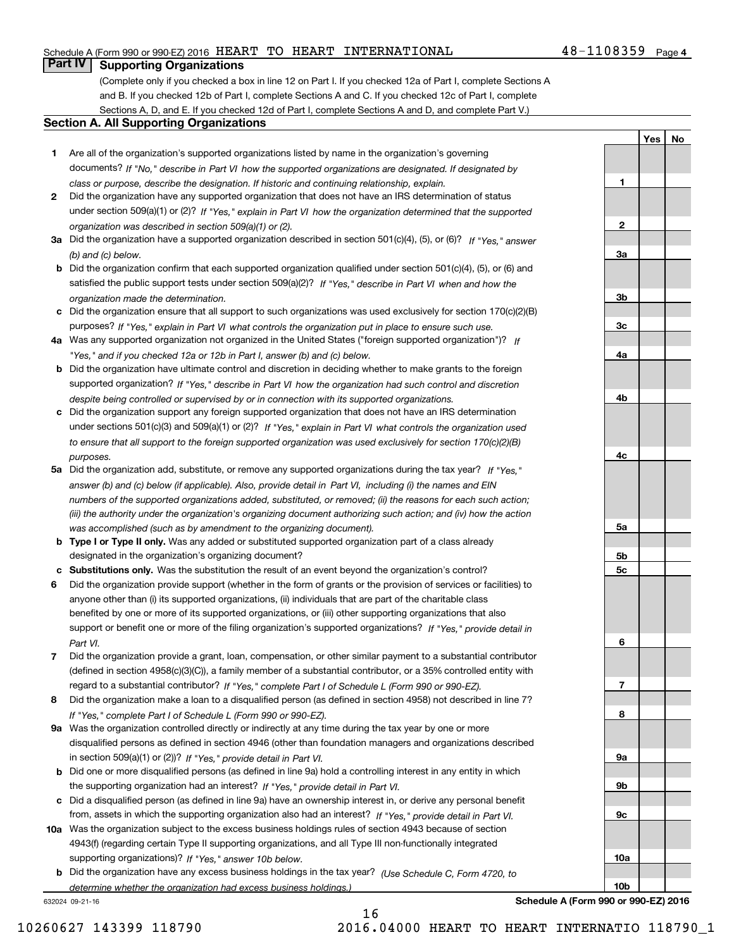# Schedule A (Form 990 or 990-EZ) 2016  $\rm{HEART}$   $\rm{TO}$   $\rm{HEART}$   $\rm{INTERNATIONAL}$   $\rm{48-1108359}$   $\rm{Page}$

# **Part IV Supporting Organizations**

(Complete only if you checked a box in line 12 on Part I. If you checked 12a of Part I, complete Sections A and B. If you checked 12b of Part I, complete Sections A and C. If you checked 12c of Part I, complete Sections A, D, and E. If you checked 12d of Part I, complete Sections A and D, and complete Part V.)

## **Section A. All Supporting Organizations**

- **1** Are all of the organization's supported organizations listed by name in the organization's governing documents? If "No," describe in Part VI how the supported organizations are designated. If designated by *class or purpose, describe the designation. If historic and continuing relationship, explain.*
- **2** Did the organization have any supported organization that does not have an IRS determination of status under section 509(a)(1) or (2)? If "Yes," explain in Part VI how the organization determined that the supported *organization was described in section 509(a)(1) or (2).*
- **3a** Did the organization have a supported organization described in section 501(c)(4), (5), or (6)? If "Yes," answer *(b) and (c) below.*
- **b** Did the organization confirm that each supported organization qualified under section 501(c)(4), (5), or (6) and satisfied the public support tests under section 509(a)(2)? If "Yes," describe in Part VI when and how the *organization made the determination.*
- **c**Did the organization ensure that all support to such organizations was used exclusively for section 170(c)(2)(B) purposes? If "Yes," explain in Part VI what controls the organization put in place to ensure such use.
- **4a***If* Was any supported organization not organized in the United States ("foreign supported organization")? *"Yes," and if you checked 12a or 12b in Part I, answer (b) and (c) below.*
- **b** Did the organization have ultimate control and discretion in deciding whether to make grants to the foreign supported organization? If "Yes," describe in Part VI how the organization had such control and discretion *despite being controlled or supervised by or in connection with its supported organizations.*
- **c** Did the organization support any foreign supported organization that does not have an IRS determination under sections 501(c)(3) and 509(a)(1) or (2)? If "Yes," explain in Part VI what controls the organization used *to ensure that all support to the foreign supported organization was used exclusively for section 170(c)(2)(B) purposes.*
- **5a** Did the organization add, substitute, or remove any supported organizations during the tax year? If "Yes," answer (b) and (c) below (if applicable). Also, provide detail in Part VI, including (i) the names and EIN *numbers of the supported organizations added, substituted, or removed; (ii) the reasons for each such action; (iii) the authority under the organization's organizing document authorizing such action; and (iv) how the action was accomplished (such as by amendment to the organizing document).*
- **b** Type I or Type II only. Was any added or substituted supported organization part of a class already designated in the organization's organizing document?
- **cSubstitutions only.**  Was the substitution the result of an event beyond the organization's control?
- **6** Did the organization provide support (whether in the form of grants or the provision of services or facilities) to *If "Yes," provide detail in* support or benefit one or more of the filing organization's supported organizations? anyone other than (i) its supported organizations, (ii) individuals that are part of the charitable class benefited by one or more of its supported organizations, or (iii) other supporting organizations that also *Part VI.*
- **7**Did the organization provide a grant, loan, compensation, or other similar payment to a substantial contributor *If "Yes," complete Part I of Schedule L (Form 990 or 990-EZ).* regard to a substantial contributor? (defined in section 4958(c)(3)(C)), a family member of a substantial contributor, or a 35% controlled entity with
- **8** Did the organization make a loan to a disqualified person (as defined in section 4958) not described in line 7? *If "Yes," complete Part I of Schedule L (Form 990 or 990-EZ).*
- **9a** Was the organization controlled directly or indirectly at any time during the tax year by one or more in section 509(a)(1) or (2))? If "Yes," *provide detail in Part VI.* disqualified persons as defined in section 4946 (other than foundation managers and organizations described
- **b** Did one or more disqualified persons (as defined in line 9a) hold a controlling interest in any entity in which the supporting organization had an interest? If "Yes," provide detail in Part VI.
- **c**Did a disqualified person (as defined in line 9a) have an ownership interest in, or derive any personal benefit from, assets in which the supporting organization also had an interest? If "Yes," provide detail in Part VI.
- **10a** Was the organization subject to the excess business holdings rules of section 4943 because of section supporting organizations)? If "Yes," answer 10b below. 4943(f) (regarding certain Type II supporting organizations, and all Type III non-functionally integrated
- **b** Did the organization have any excess business holdings in the tax year? (Use Schedule C, Form 4720, to *determine whether the organization had excess business holdings.)*

632024 09-21-16



**Schedule A (Form 990 or 990-EZ) 2016**

**YesNo**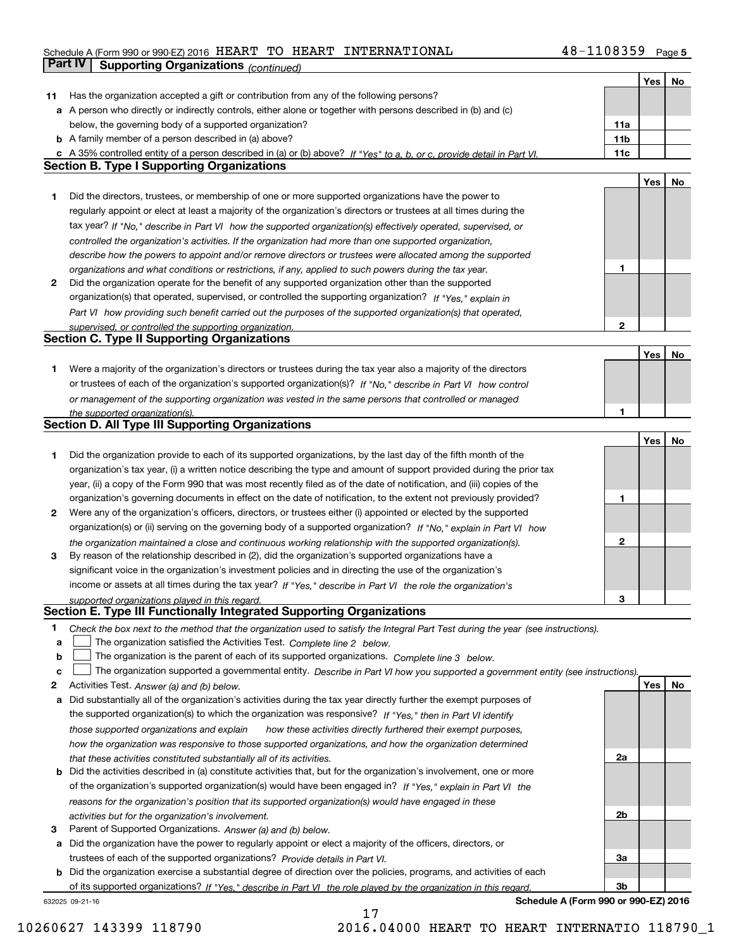# **5** Schedule A (Form 990 or 990-EZ) 2016 Page HEART TO HEART INTERNATIONAL 48-1108359 **Part IV Supporting Organizations** *(continued)*

|    |                                                                                                                                                                                                                                  |                   | Yes | No |
|----|----------------------------------------------------------------------------------------------------------------------------------------------------------------------------------------------------------------------------------|-------------------|-----|----|
| 11 | Has the organization accepted a gift or contribution from any of the following persons?                                                                                                                                          |                   |     |    |
|    | a A person who directly or indirectly controls, either alone or together with persons described in (b) and (c)                                                                                                                   |                   |     |    |
|    | below, the governing body of a supported organization?                                                                                                                                                                           | 11a               |     |    |
|    | <b>b</b> A family member of a person described in (a) above?                                                                                                                                                                     | 11 <sub>b</sub>   |     |    |
|    | c A 35% controlled entity of a person described in (a) or (b) above? If "Yes" to a, b, or c, provide detail in Part VI.                                                                                                          | 11c               |     |    |
|    | <b>Section B. Type I Supporting Organizations</b>                                                                                                                                                                                |                   |     |    |
|    |                                                                                                                                                                                                                                  |                   | Yes | No |
| 1  | Did the directors, trustees, or membership of one or more supported organizations have the power to                                                                                                                              |                   |     |    |
|    | regularly appoint or elect at least a majority of the organization's directors or trustees at all times during the                                                                                                               |                   |     |    |
|    | tax year? If "No," describe in Part VI how the supported organization(s) effectively operated, supervised, or                                                                                                                    |                   |     |    |
|    | controlled the organization's activities. If the organization had more than one supported organization,                                                                                                                          |                   |     |    |
|    | describe how the powers to appoint and/or remove directors or trustees were allocated among the supported                                                                                                                        |                   |     |    |
|    | organizations and what conditions or restrictions, if any, applied to such powers during the tax year.                                                                                                                           | 1                 |     |    |
| 2  | Did the organization operate for the benefit of any supported organization other than the supported                                                                                                                              |                   |     |    |
|    | organization(s) that operated, supervised, or controlled the supporting organization? If "Yes," explain in                                                                                                                       |                   |     |    |
|    | Part VI how providing such benefit carried out the purposes of the supported organization(s) that operated.                                                                                                                      |                   |     |    |
|    | supervised, or controlled the supporting organization.<br><b>Section C. Type II Supporting Organizations</b>                                                                                                                     | 2                 |     |    |
|    |                                                                                                                                                                                                                                  |                   | Yes |    |
| 1. | Were a majority of the organization's directors or trustees during the tax year also a majority of the directors                                                                                                                 |                   |     | No |
|    | or trustees of each of the organization's supported organization(s)? If "No," describe in Part VI how control                                                                                                                    |                   |     |    |
|    | or management of the supporting organization was vested in the same persons that controlled or managed                                                                                                                           |                   |     |    |
|    | the supported organization(s).                                                                                                                                                                                                   | 1                 |     |    |
|    | Section D. All Type III Supporting Organizations                                                                                                                                                                                 |                   |     |    |
|    |                                                                                                                                                                                                                                  |                   | Yes | No |
| 1  | Did the organization provide to each of its supported organizations, by the last day of the fifth month of the                                                                                                                   |                   |     |    |
|    | organization's tax year, (i) a written notice describing the type and amount of support provided during the prior tax                                                                                                            |                   |     |    |
|    | year, (ii) a copy of the Form 990 that was most recently filed as of the date of notification, and (iii) copies of the                                                                                                           |                   |     |    |
|    | organization's governing documents in effect on the date of notification, to the extent not previously provided?                                                                                                                 | 1                 |     |    |
| 2  | Were any of the organization's officers, directors, or trustees either (i) appointed or elected by the supported                                                                                                                 |                   |     |    |
|    | organization(s) or (ii) serving on the governing body of a supported organization? If "No," explain in Part VI how                                                                                                               |                   |     |    |
|    | the organization maintained a close and continuous working relationship with the supported organization(s).                                                                                                                      | 2                 |     |    |
| 3  | By reason of the relationship described in (2), did the organization's supported organizations have a                                                                                                                            |                   |     |    |
|    | significant voice in the organization's investment policies and in directing the use of the organization's                                                                                                                       |                   |     |    |
|    | income or assets at all times during the tax year? If "Yes," describe in Part VI the role the organization's                                                                                                                     |                   |     |    |
|    | supported organizations played in this regard.                                                                                                                                                                                   | 3                 |     |    |
|    | Section E. Type III Functionally Integrated Supporting Organizations                                                                                                                                                             |                   |     |    |
| 1  | Check the box next to the method that the organization used to satisfy the Integral Part Test during the year (see instructions).                                                                                                |                   |     |    |
| а  | The organization satisfied the Activities Test. Complete line 2 below.                                                                                                                                                           |                   |     |    |
| b  | The organization is the parent of each of its supported organizations. Complete line 3 below.                                                                                                                                    |                   |     |    |
| с  | The organization supported a governmental entity. Describe in Part VI how you supported a government entity (see instructions).                                                                                                  |                   |     |    |
| 2  | Activities Test. Answer (a) and (b) below.                                                                                                                                                                                       |                   | Yes | No |
| а  | Did substantially all of the organization's activities during the tax year directly further the exempt purposes of<br>the supported organization(s) to which the organization was responsive? If "Yes," then in Part VI identify |                   |     |    |
|    |                                                                                                                                                                                                                                  |                   |     |    |
|    | those supported organizations and explain<br>how these activities directly furthered their exempt purposes,                                                                                                                      |                   |     |    |
|    | how the organization was responsive to those supported organizations, and how the organization determined                                                                                                                        | 2a                |     |    |
| b  | that these activities constituted substantially all of its activities.<br>Did the activities described in (a) constitute activities that, but for the organization's involvement, one or more                                    |                   |     |    |
|    | of the organization's supported organization(s) would have been engaged in? If "Yes," explain in Part VI the                                                                                                                     |                   |     |    |
|    | reasons for the organization's position that its supported organization(s) would have engaged in these                                                                                                                           |                   |     |    |
|    | activities but for the organization's involvement.                                                                                                                                                                               | 2b                |     |    |
| З  | Parent of Supported Organizations. Answer (a) and (b) below.                                                                                                                                                                     |                   |     |    |
| а  | Did the organization have the power to regularly appoint or elect a majority of the officers, directors, or                                                                                                                      |                   |     |    |
|    | trustees of each of the supported organizations? Provide details in Part VI.                                                                                                                                                     | За                |     |    |
|    | <b>b</b> Did the organization exercise a substantial degree of direction over the policies, programs, and activities of each                                                                                                     |                   |     |    |
|    | of its supported organizations? If "Yes," describe in Part VI the role played by the organization in this regard.                                                                                                                | 3b                |     |    |
|    | <b>Cohodulo</b>                                                                                                                                                                                                                  | $000 \approx 000$ |     |    |

17

632025 09-21-16

**Schedule A (Form 990 or 990-EZ) 2016**

10260627 143399 118790 2016.04000 HEART TO HEART INTERNATIO 118790\_1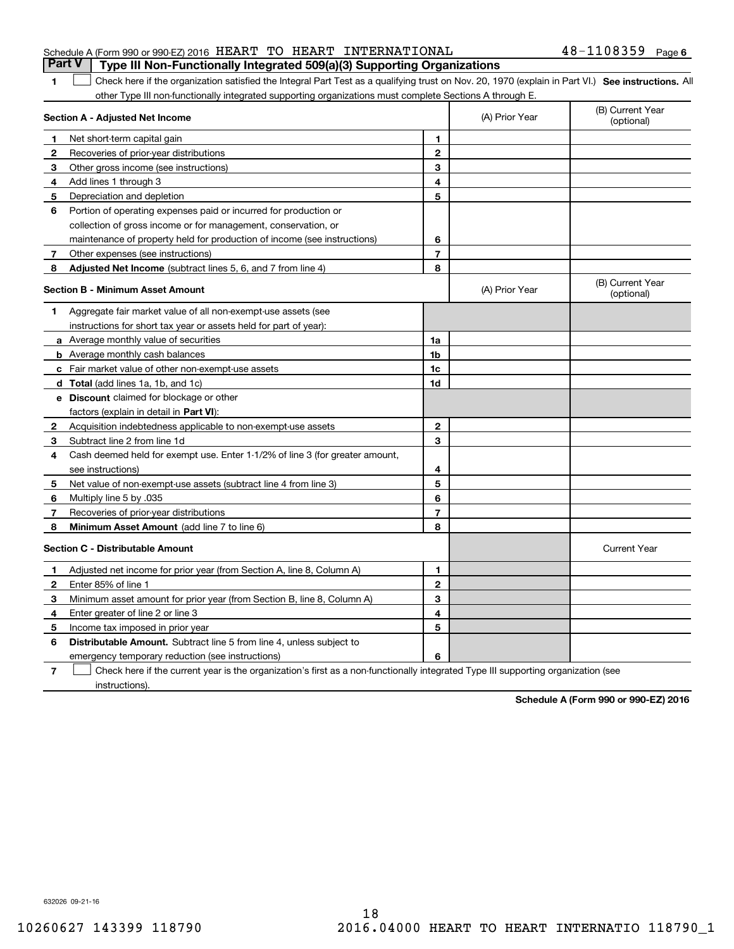|  |  | Part V   Type III Non-Functionally Integrated 509(a)(3) Supporting Organizations |                       |  |
|--|--|----------------------------------------------------------------------------------|-----------------------|--|
|  |  | Schedule A (Form 990 or 990-EZ) 2016 HEART TO HEART INTERNATIONAL                | $48 - 1108359$ Page 6 |  |

# 1 Check here if the organization satisfied the Integral Part Test as a qualifying trust on Nov. 20, 1970 (explain in Part VI.) See instructions. All other Type III non-functionally integrated supporting organizations must complete Sections A through E.

|              | Section A - Adjusted Net Income                                                                                                   |                | (A) Prior Year | (B) Current Year<br>(optional) |
|--------------|-----------------------------------------------------------------------------------------------------------------------------------|----------------|----------------|--------------------------------|
| 1            | Net short-term capital gain                                                                                                       | 1.             |                |                                |
| $\mathbf{2}$ | Recoveries of prior-year distributions                                                                                            | $\mathbf{2}$   |                |                                |
| 3            | Other gross income (see instructions)                                                                                             | 3              |                |                                |
| 4            | Add lines 1 through 3                                                                                                             | 4              |                |                                |
| 5            | Depreciation and depletion                                                                                                        | 5              |                |                                |
| 6            | Portion of operating expenses paid or incurred for production or                                                                  |                |                |                                |
|              | collection of gross income or for management, conservation, or                                                                    |                |                |                                |
|              | maintenance of property held for production of income (see instructions)                                                          | 6              |                |                                |
| 7            | Other expenses (see instructions)                                                                                                 | $\overline{7}$ |                |                                |
| 8            | Adjusted Net Income (subtract lines 5, 6, and 7 from line 4)                                                                      | 8              |                |                                |
|              | <b>Section B - Minimum Asset Amount</b>                                                                                           |                | (A) Prior Year | (B) Current Year<br>(optional) |
| 1            | Aggregate fair market value of all non-exempt-use assets (see                                                                     |                |                |                                |
|              | instructions for short tax year or assets held for part of year):                                                                 |                |                |                                |
|              | a Average monthly value of securities                                                                                             | 1a             |                |                                |
|              | <b>b</b> Average monthly cash balances                                                                                            | 1b             |                |                                |
|              | <b>c</b> Fair market value of other non-exempt-use assets                                                                         | 1c             |                |                                |
|              | d Total (add lines 1a, 1b, and 1c)                                                                                                | 1d             |                |                                |
|              | <b>e</b> Discount claimed for blockage or other                                                                                   |                |                |                                |
|              | factors (explain in detail in Part VI):                                                                                           |                |                |                                |
| 2            | Acquisition indebtedness applicable to non-exempt-use assets                                                                      | $\mathbf{2}$   |                |                                |
| 3            | Subtract line 2 from line 1d                                                                                                      | 3              |                |                                |
| 4            | Cash deemed held for exempt use. Enter 1-1/2% of line 3 (for greater amount,                                                      |                |                |                                |
|              | see instructions)                                                                                                                 | 4              |                |                                |
| 5            | Net value of non-exempt-use assets (subtract line 4 from line 3)                                                                  | 5              |                |                                |
| 6            | Multiply line 5 by .035                                                                                                           | 6              |                |                                |
| 7            | Recoveries of prior-year distributions                                                                                            | $\overline{7}$ |                |                                |
| 8            | Minimum Asset Amount (add line 7 to line 6)                                                                                       | 8              |                |                                |
|              | <b>Section C - Distributable Amount</b>                                                                                           |                |                | <b>Current Year</b>            |
| 1            | Adjusted net income for prior year (from Section A, line 8, Column A)                                                             | 1              |                |                                |
| 2            | Enter 85% of line 1                                                                                                               | $\overline{2}$ |                |                                |
| 3            | Minimum asset amount for prior year (from Section B, line 8, Column A)                                                            | 3              |                |                                |
| 4            | Enter greater of line 2 or line 3                                                                                                 | 4              |                |                                |
| 5            | Income tax imposed in prior year                                                                                                  | 5              |                |                                |
| 6            | <b>Distributable Amount.</b> Subtract line 5 from line 4, unless subject to                                                       |                |                |                                |
|              | emergency temporary reduction (see instructions)                                                                                  | 6              |                |                                |
| 7            | Check here if the current year is the organization's first as a non-functionally integrated Type III supporting organization (see |                |                |                                |

instructions).

**1**

**Schedule A (Form 990 or 990-EZ) 2016**

632026 09-21-16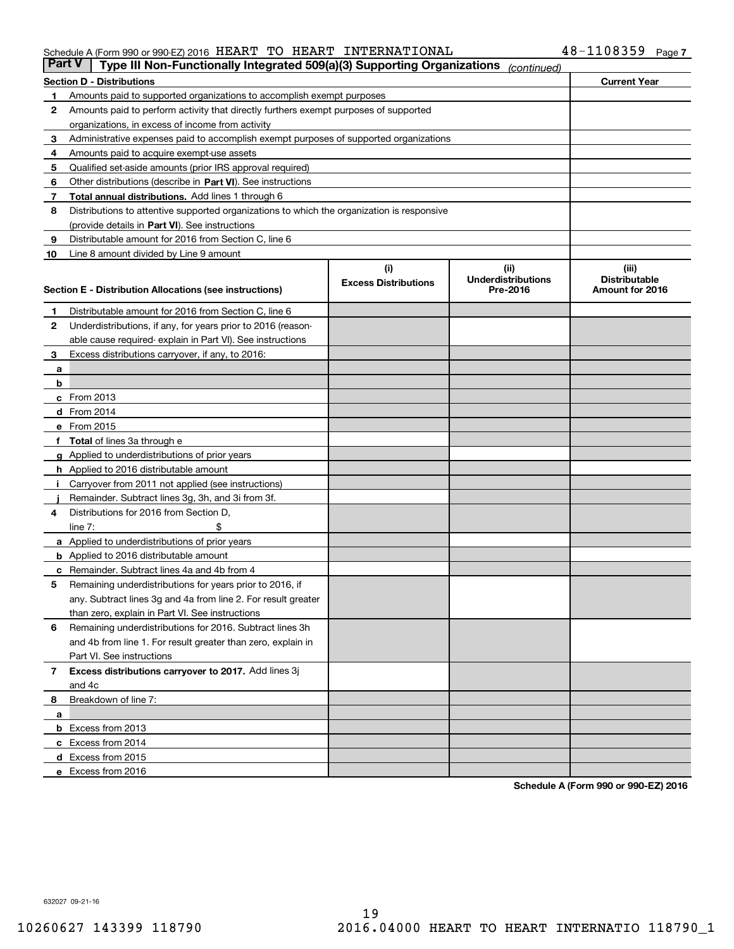### Schedule A (Form 990 or 990-EZ) 2016  $\rm{HEART}$   $\rm{TO}$   $\rm{HEART}$   $\rm{INTERNATIONAL}$   $\rm{48-1108359}$   $\rm{Page}$

| <b>Part V</b> | Type III Non-Functionally Integrated 509(a)(3) Supporting Organizations                    |                             | (continued)               |                      |
|---------------|--------------------------------------------------------------------------------------------|-----------------------------|---------------------------|----------------------|
|               | <b>Section D - Distributions</b>                                                           |                             |                           | <b>Current Year</b>  |
| 1             | Amounts paid to supported organizations to accomplish exempt purposes                      |                             |                           |                      |
| 2             | Amounts paid to perform activity that directly furthers exempt purposes of supported       |                             |                           |                      |
|               | organizations, in excess of income from activity                                           |                             |                           |                      |
| з             | Administrative expenses paid to accomplish exempt purposes of supported organizations      |                             |                           |                      |
| 4             | Amounts paid to acquire exempt-use assets                                                  |                             |                           |                      |
| 5             | Qualified set-aside amounts (prior IRS approval required)                                  |                             |                           |                      |
| 6             | Other distributions (describe in Part VI). See instructions                                |                             |                           |                      |
| 7             | <b>Total annual distributions.</b> Add lines 1 through 6                                   |                             |                           |                      |
| 8             | Distributions to attentive supported organizations to which the organization is responsive |                             |                           |                      |
|               | (provide details in Part VI). See instructions                                             |                             |                           |                      |
| 9             | Distributable amount for 2016 from Section C, line 6                                       |                             |                           |                      |
| 10            | Line 8 amount divided by Line 9 amount                                                     |                             |                           |                      |
|               |                                                                                            | (i)                         | (iii)                     | (iii)                |
|               |                                                                                            | <b>Excess Distributions</b> | <b>Underdistributions</b> | <b>Distributable</b> |
|               | Section E - Distribution Allocations (see instructions)                                    |                             | Pre-2016                  | Amount for 2016      |
| 1             | Distributable amount for 2016 from Section C, line 6                                       |                             |                           |                      |
| 2             | Underdistributions, if any, for years prior to 2016 (reason-                               |                             |                           |                      |
|               | able cause required-explain in Part VI). See instructions                                  |                             |                           |                      |
| 3             | Excess distributions carryover, if any, to 2016:                                           |                             |                           |                      |
| а             |                                                                                            |                             |                           |                      |
| b             |                                                                                            |                             |                           |                      |
|               | c From 2013                                                                                |                             |                           |                      |
|               | d From 2014                                                                                |                             |                           |                      |
|               | e From 2015                                                                                |                             |                           |                      |
|               | Total of lines 3a through e                                                                |                             |                           |                      |
|               | <b>g</b> Applied to underdistributions of prior years                                      |                             |                           |                      |
|               | h Applied to 2016 distributable amount                                                     |                             |                           |                      |
|               | Carryover from 2011 not applied (see instructions)                                         |                             |                           |                      |
|               | Remainder. Subtract lines 3g, 3h, and 3i from 3f.                                          |                             |                           |                      |
| 4             | Distributions for 2016 from Section D,                                                     |                             |                           |                      |
|               | line $7:$                                                                                  |                             |                           |                      |
|               | a Applied to underdistributions of prior years                                             |                             |                           |                      |
|               | <b>b</b> Applied to 2016 distributable amount                                              |                             |                           |                      |
|               | Remainder. Subtract lines 4a and 4b from 4                                                 |                             |                           |                      |
| с<br>5        | Remaining underdistributions for years prior to 2016, if                                   |                             |                           |                      |
|               | any. Subtract lines 3g and 4a from line 2. For result greater                              |                             |                           |                      |
|               | than zero, explain in Part VI. See instructions                                            |                             |                           |                      |
| 6             | Remaining underdistributions for 2016. Subtract lines 3h                                   |                             |                           |                      |
|               | and 4b from line 1. For result greater than zero, explain in                               |                             |                           |                      |
|               | Part VI. See instructions                                                                  |                             |                           |                      |
|               |                                                                                            |                             |                           |                      |
| 7             | Excess distributions carryover to 2017. Add lines 3j<br>and 4c                             |                             |                           |                      |
|               |                                                                                            |                             |                           |                      |
| 8             | Breakdown of line 7:                                                                       |                             |                           |                      |
| а             |                                                                                            |                             |                           |                      |
|               | <b>b</b> Excess from 2013                                                                  |                             |                           |                      |
|               | c Excess from 2014                                                                         |                             |                           |                      |
|               | <b>d</b> Excess from 2015<br>e Excess from 2016                                            |                             |                           |                      |
|               |                                                                                            |                             |                           |                      |

**Schedule A (Form 990 or 990-EZ) 2016**

632027 09-21-16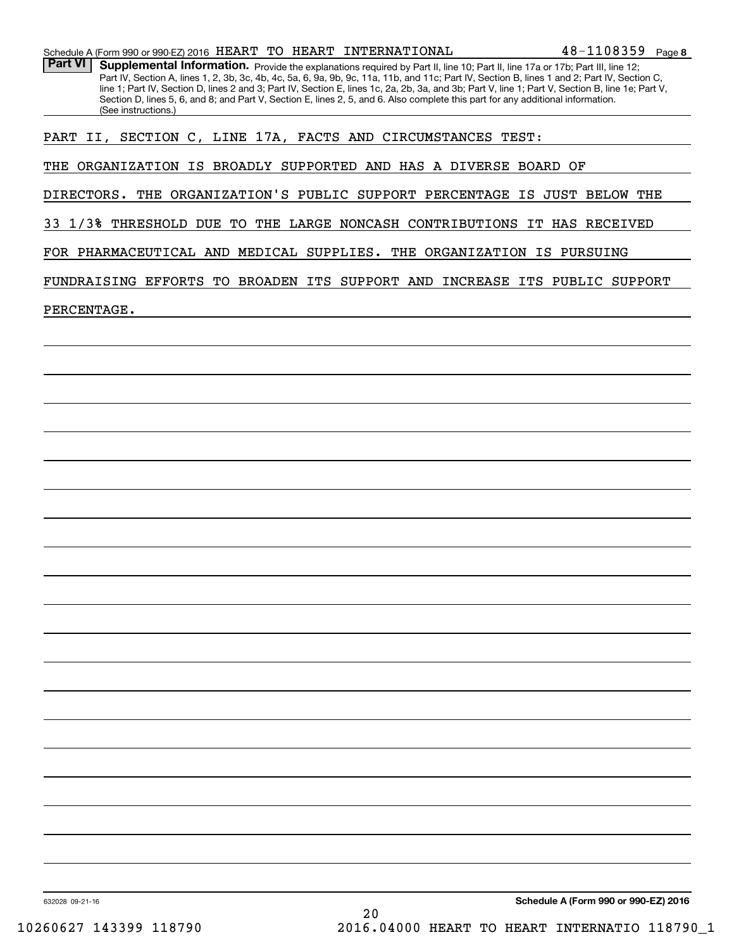|  |  |  |  |  | Schedule A (Form 990 or 990-EZ) 2016 $\,$ HEART TO HEART INTERNATIONAL | $48 - 1108359$ Page 8 |  |
|--|--|--|--|--|------------------------------------------------------------------------|-----------------------|--|
|--|--|--|--|--|------------------------------------------------------------------------|-----------------------|--|

Part VI | Supplemental Information. Provide the explanations required by Part II, line 10; Part II, line 17a or 17b; Part III, line 12; Part IV, Section A, lines 1, 2, 3b, 3c, 4b, 4c, 5a, 6, 9a, 9b, 9c, 11a, 11b, and 11c; Part IV, Section B, lines 1 and 2; Part IV, Section C, line 1; Part IV, Section D, lines 2 and 3; Part IV, Section E, lines 1c, 2a, 2b, 3a, and 3b; Part V, line 1; Part V, Section B, line 1e; Part V, Section D, lines 5, 6, and 8; and Part V, Section E, lines 2, 5, and 6. Also complete this part for any additional information. (See instructions.)

PART II, SECTION C, LINE 17A, FACTS AND CIRCUMSTANCES TEST:

THE ORGANIZATION IS BROADLY SUPPORTED AND HAS A DIVERSE BOARD OF

DIRECTORS. THE ORGANIZATION'S PUBLIC SUPPORT PERCENTAGE IS JUST BELOW THE

33 1/3% THRESHOLD DUE TO THE LARGE NONCASH CONTRIBUTIONS IT HAS RECEIVED

FOR PHARMACEUTICAL AND MEDICAL SUPPLIES. THE ORGANIZATION IS PURSUING

FUNDRAISING EFFORTS TO BROADEN ITS SUPPORT AND INCREASE ITS PUBLIC SUPPORT

PERCENTAGE.

**Schedule A (Form 990 or 990-EZ) 2016**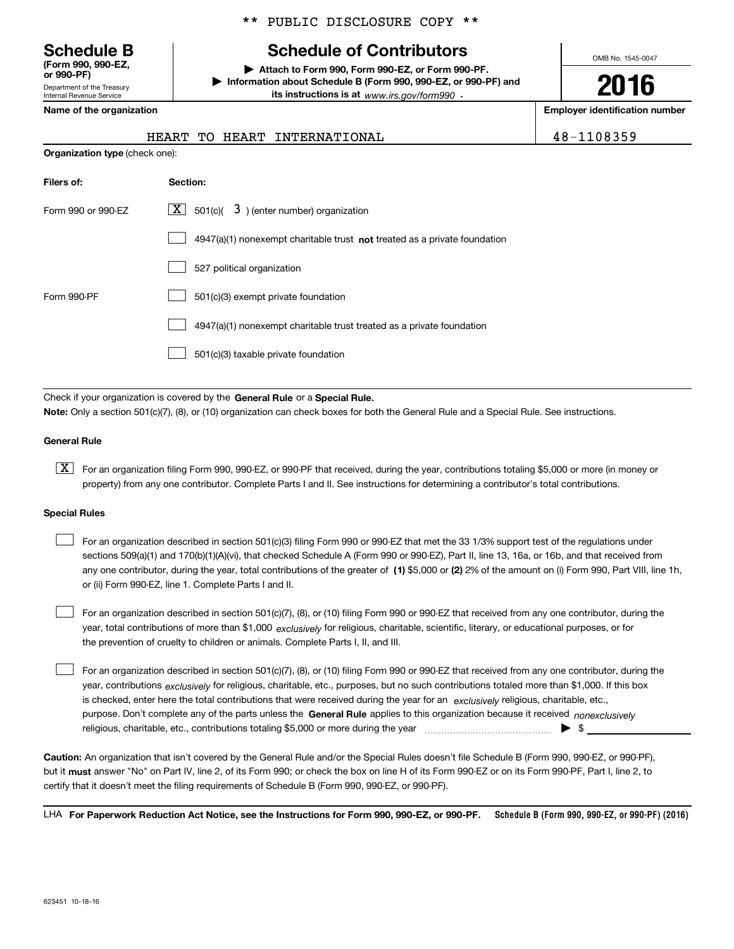Department of the Treasury **(Form 990, 990-EZ, or 990-PF)**

Internal Revenue Service

# \*\* PUBLIC DISCLOSURE COPY \*\*

# **Schedule B Schedule of Contributors**

**| Attach to Form 990, Form 990-EZ, or Form 990-PF. | Information about Schedule B (Form 990, 990-EZ, or 990-PF) and its instructions is at** www.irs.gov/form990  $\cdot$ 

OMB No. 1545-0047

**Name of the organization Employer identification number**

| 48-1108359<br>HEART TO HEART INTERNATIONAL |  |
|--------------------------------------------|--|
|--------------------------------------------|--|

| <b>Organization type (check one):</b> |                                                                             |  |  |  |  |
|---------------------------------------|-----------------------------------------------------------------------------|--|--|--|--|
| Filers of:                            | Section:                                                                    |  |  |  |  |
| Form 990 or 990-EZ                    | $ \mathbf{X} $ 501(c)( 3) (enter number) organization                       |  |  |  |  |
|                                       | $4947(a)(1)$ nonexempt charitable trust not treated as a private foundation |  |  |  |  |
|                                       | 527 political organization                                                  |  |  |  |  |
| Form 990-PF                           | 501(c)(3) exempt private foundation                                         |  |  |  |  |
|                                       | 4947(a)(1) nonexempt charitable trust treated as a private foundation       |  |  |  |  |
|                                       | 501(c)(3) taxable private foundation                                        |  |  |  |  |

Check if your organization is covered by the **General Rule** or a **Special Rule. Note:**  Only a section 501(c)(7), (8), or (10) organization can check boxes for both the General Rule and a Special Rule. See instructions.

## **General Rule**

 $\boxed{\textbf{X}}$  For an organization filing Form 990, 990-EZ, or 990-PF that received, during the year, contributions totaling \$5,000 or more (in money or property) from any one contributor. Complete Parts I and II. See instructions for determining a contributor's total contributions.

### **Special Rules**

 $\mathcal{L}^{\text{max}}$ 

any one contributor, during the year, total contributions of the greater of  $\,$  (1) \$5,000 or (2) 2% of the amount on (i) Form 990, Part VIII, line 1h, For an organization described in section 501(c)(3) filing Form 990 or 990-EZ that met the 33 1/3% support test of the regulations under sections 509(a)(1) and 170(b)(1)(A)(vi), that checked Schedule A (Form 990 or 990-EZ), Part II, line 13, 16a, or 16b, and that received from or (ii) Form 990-EZ, line 1. Complete Parts I and II.  $\mathcal{L}^{\text{max}}$ 

year, total contributions of more than \$1,000 *exclusively* for religious, charitable, scientific, literary, or educational purposes, or for For an organization described in section 501(c)(7), (8), or (10) filing Form 990 or 990-EZ that received from any one contributor, during the the prevention of cruelty to children or animals. Complete Parts I, II, and III.  $\mathcal{L}^{\text{max}}$ 

purpose. Don't complete any of the parts unless the **General Rule** applies to this organization because it received *nonexclusively* year, contributions <sub>exclusively</sub> for religious, charitable, etc., purposes, but no such contributions totaled more than \$1,000. If this box is checked, enter here the total contributions that were received during the year for an  $\;$ exclusively religious, charitable, etc., For an organization described in section 501(c)(7), (8), or (10) filing Form 990 or 990-EZ that received from any one contributor, during the religious, charitable, etc., contributions totaling \$5,000 or more during the year  $\Box$ — $\Box$   $\Box$ 

**Caution:**  An organization that isn't covered by the General Rule and/or the Special Rules doesn't file Schedule B (Form 990, 990-EZ, or 990-PF),  **must** but it answer "No" on Part IV, line 2, of its Form 990; or check the box on line H of its Form 990-EZ or on its Form 990-PF, Part I, line 2, to certify that it doesn't meet the filing requirements of Schedule B (Form 990, 990-EZ, or 990-PF).

**Schedule B (Form 990, 990-EZ, or 990-PF) (2016) For Paperwork Reduction Act Notice, see the Instructions for Form 990, 990-EZ, or 990-PF.** LHA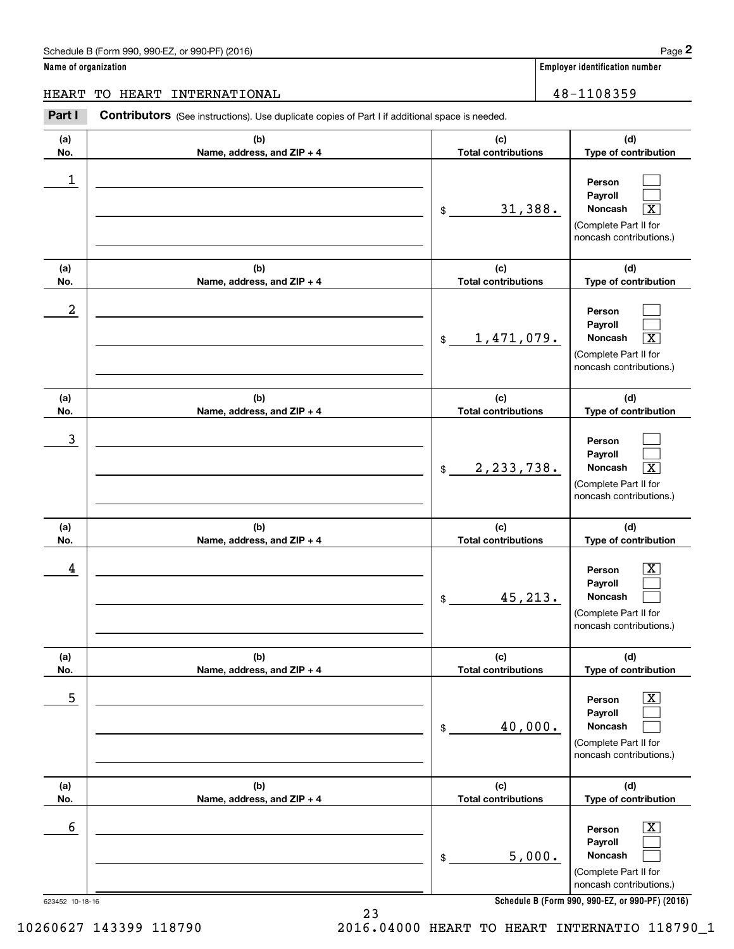# Schedule B (Form 990, 990-EZ, or 990-PF) (2016) **Page 2** Page 2

**Name of organization Employer identification number**

**(d) Type of contribution**

# HEART TO HEART INTERNATIONAL 16 and 18-1108359

**(a) No.(b) Name, address, and ZIP + 4 (c) Total contributions** Chedule B (Form 990, 990-EZ, or 990-PF) (2016)<br> **2 ame of organization**<br> **28 Employer identification number**<br> **28 Employer identification number**<br> **28 AB - 1108359**<br> **28 AB - 1108359**<br> **28 AB - 1108359** 1

| 1                |                                   | 31,388.<br>\$                     | Person<br>Payroll<br>$\overline{\text{X}}$<br>Noncash<br>(Complete Part II for<br>noncash contributions.)   |
|------------------|-----------------------------------|-----------------------------------|-------------------------------------------------------------------------------------------------------------|
| (a)<br>No.       | (b)<br>Name, address, and ZIP + 4 | (c)<br><b>Total contributions</b> | (d)<br>Type of contribution                                                                                 |
| $\boldsymbol{2}$ |                                   | 1,471,079.<br>$\mathfrak{S}$      | Person<br>Payroll<br>$\overline{\text{X}}$<br>Noncash<br>(Complete Part II for<br>noncash contributions.)   |
| (a)<br>No.       | (b)<br>Name, address, and ZIP + 4 | (c)<br><b>Total contributions</b> | (d)<br>Type of contribution                                                                                 |
| 3                |                                   | 2, 233, 738.<br>$\mathfrak{S}$    | Person<br>Payroll<br>$\overline{\mathbf{x}}$<br>Noncash<br>(Complete Part II for<br>noncash contributions.) |
| (a)<br>No.       | (b)<br>Name, address, and ZIP + 4 | (c)<br><b>Total contributions</b> | (d)<br>Type of contribution                                                                                 |
| 4                |                                   | 45,213.<br>\$                     | X.<br>Person<br>Payroll<br>Noncash<br>(Complete Part II for<br>noncash contributions.)                      |
| (a)<br>No.       | (b)<br>Name, address, and ZIP + 4 | (c)<br><b>Total contributions</b> | (d)<br>Type of contribution                                                                                 |
| 5                |                                   | 40,000.<br>\$                     | $\overline{\text{X}}$<br>Person<br>Payroll<br>Noncash<br>(Complete Part II for<br>noncash contributions.)   |
| (a)<br>No.       | (b)<br>Name, address, and ZIP + 4 | (c)<br><b>Total contributions</b> | (d)<br>Type of contribution                                                                                 |
| 6                |                                   | 5,000.<br>\$                      | $\overline{\mathbf{X}}$<br>Person<br>Payroll<br>Noncash<br>(Complete Part II for<br>noncash contributions.) |
| 623452 10-18-16  |                                   |                                   | Schedule B (Form 990, 990-EZ, or 990-PF) (2016)                                                             |

**Schedule B (Form 990, 990-EZ, or 990-PF) (2016)**

10260627 143399 118790 2016.04000 HEART TO HEART INTERNATIO 118790\_1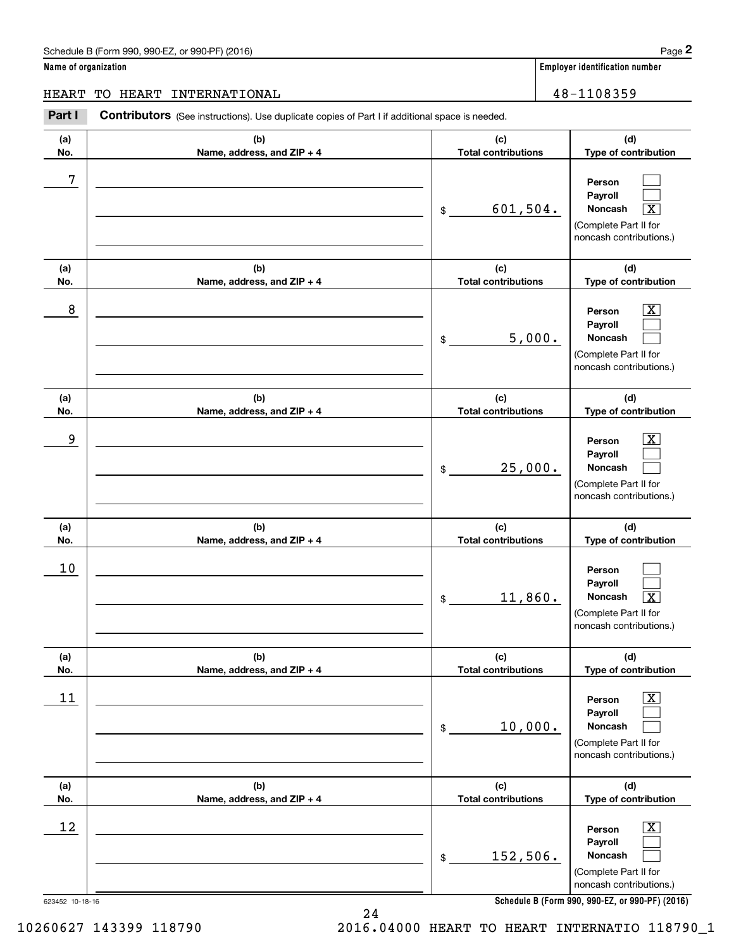# Schedule B (Form 990, 990-EZ, or 990-PF) (2016) **Page 2**

**Name of organization Employer identification number**

**(d)**

 $\mathcal{L}^{\text{max}}$  $\mathcal{L}^{\text{max}}$  $\boxed{\text{X}}$ 

**(d)**

**Person PayrollNoncash**

**(a) No.(b) Name, address, and ZIP + 4 (c) Total contributions Type of contribution (a)No.(b)Name, address, and ZIP + 4 (c) Total contributions Type of contribution Contributors** (See instructions). Use duplicate copies of Part I if additional space is needed. \$(Complete Part II for noncash contributions.) Employer identification Page 2<br> **2** ame of organization<br>
IEART TO HEART INTERNATIONAL **ERART INTERNATIONAL** 48-1108359 7  $601,504.$ 8 X HEART TO HEART INTERNATIONAL 48-1108359

| $\bf 8$     |                                   | 5,000.<br>$\$\$                                 | $\overline{\texttt{X}}$<br>Person<br>Payroll<br>Noncash<br>(Complete Part II for<br>noncash contributions.)        |
|-------------|-----------------------------------|-------------------------------------------------|--------------------------------------------------------------------------------------------------------------------|
| (a)<br>No.  | (b)<br>Name, address, and ZIP + 4 | (c)<br><b>Total contributions</b>               | (d)<br>Type of contribution                                                                                        |
| $\mathsf 9$ |                                   | 25,000.<br>\$                                   | $\overline{\textbf{X}}$<br>Person<br>Payroll<br><b>Noncash</b><br>(Complete Part II for<br>noncash contributions.) |
| (a)<br>No.  | (b)<br>Name, address, and ZIP + 4 | (c)<br><b>Total contributions</b>               | (d)<br>Type of contribution                                                                                        |
| 10          |                                   | 11,860.<br>$$\mathbb{S}$$                       | Person<br>Payroll<br>$\overline{\mathbf{X}}$<br>Noncash<br>(Complete Part II for<br>noncash contributions.)        |
| (a)<br>No.  | (b)<br>Name, address, and ZIP + 4 | (c)<br><b>Total contributions</b>               | (d)<br>Type of contribution                                                                                        |
| 11          |                                   | 10,000.<br>$$\mathbb{S}$$                       | $\overline{\texttt{X}}$<br>Person<br>Payroll<br>Noncash<br>(Complete Part II for<br>noncash contributions.)        |
| (a)         | (b)                               | (c)                                             | (d)                                                                                                                |
| No.<br>12   | Name, address, and ZIP + 4        | <b>Total contributions</b><br>152,506.<br>$\$\$ | Type of contribution<br>x.<br>Person<br>Payroll<br><b>Noncash</b><br>(Complete Part II for                         |

**Schedule B (Form 990, 990-EZ, or 990-PF) (2016)**

noncash contributions.)

623452 10-18-16

10260627 143399 118790 2016.04000 HEART TO HEART INTERNATIO 118790\_1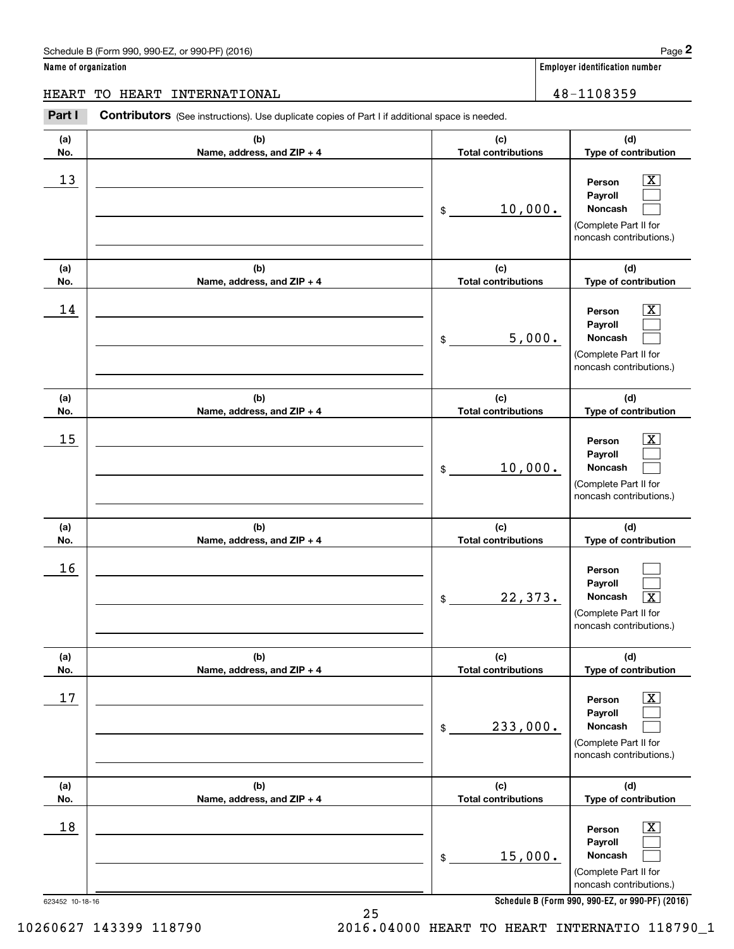**Name of organization Employer identification number**

HEART TO HEART INTERNATIONAL 48-1108359

### **(a)No.(b)Name, address, and ZIP + 4 (c)Total contributions (d)Type of contribution PersonPayrollNoncash (a)No.(b)Name, address, and ZIP + 4 (c)Total contributions (d)Type of contribution PersonPayrollNoncash (a)No.(b)Name, address, and ZIP + 4 (c)Total contributions (d)Type of contribution PersonPayrollNoncash (a) No.(b) Name, address, and ZIP + 4 (c) Total contributions (d) Type of contribution PersonPayrollNoncash (a) No.(b) Name, address, and ZIP + 4 (c) Total contributions (d) Type of contribution PersonPayrollNoncash (a) No.(b)Name, address, and ZIP + 4 (c) Total contributions (d)Type of contribution PersonPayrollNoncash Contributors** (See instructions). Use duplicate copies of Part I if additional space is needed. \$(Complete Part II for noncash contributions.) \$(Complete Part II for noncash contributions.) \$(Complete Part II for noncash contributions.) \$(Complete Part II for noncash contributions.) \$(Complete Part II for noncash contributions.) \$(Complete Part II for noncash contributions.) Employer identification Page 2<br> **2** ame of organization<br>
IEART TO HEART INTERNATIONAL **ERART INTERNATIONAL** 48-1108359  $|X|$  $\mathcal{L}^{\text{max}}$  $\mathcal{L}^{\text{max}}$  $\boxed{\text{X}}$  $\mathcal{L}^{\text{max}}$  $\mathcal{L}^{\text{max}}$  $|X|$  $\mathcal{L}^{\text{max}}$  $\mathcal{L}^{\text{max}}$  $\mathcal{L}^{\text{max}}$  $\mathcal{L}^{\text{max}}$  $\lceil \text{X} \rceil$  $\boxed{\text{X}}$  $\mathcal{L}^{\text{max}}$  $\mathcal{L}^{\text{max}}$  $\boxed{\text{X}}$  $\mathcal{L}^{\text{max}}$  $\mathcal{L}^{\text{max}}$  $13$  Person X 10,000.  $14$  Person X 5,000.  $15$  Person X 10,000. 16  $22,373.$  $17$  | Person  $\overline{\text{X}}$ 233,000.  $18$  Person  $\overline{\text{X}}$ 15,000.

**Schedule B (Form 990, 990-EZ, or 990-PF) (2016)**

623452 10-18-16

10260627 143399 118790 2016.04000 HEART TO HEART INTERNATIO 118790\_1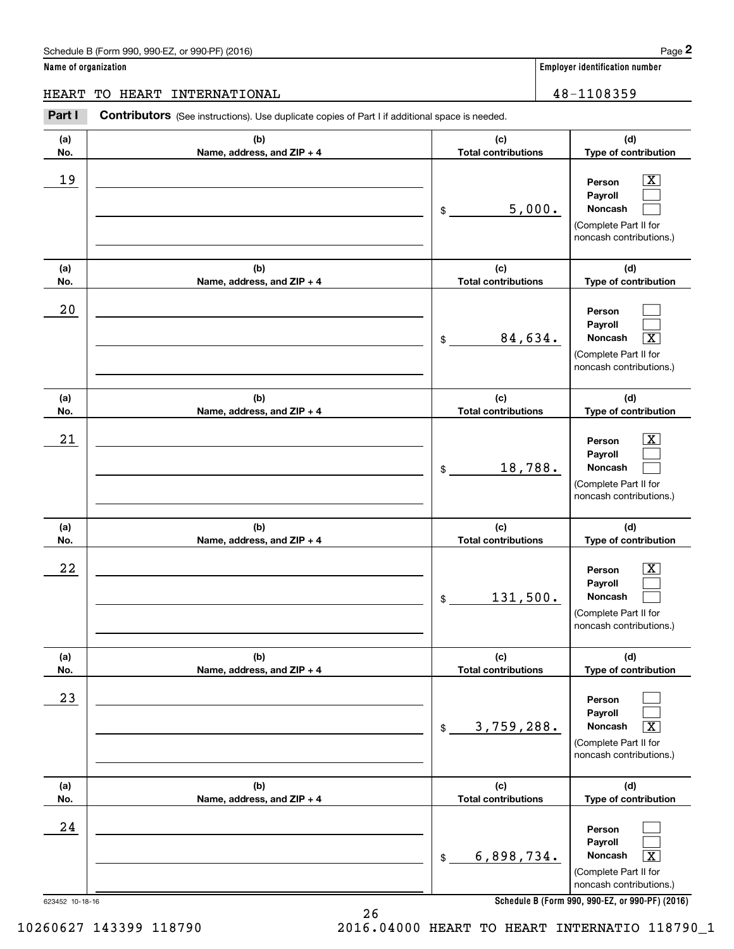**Name of organization Employer identification number (a)No.(b)Name, address, and ZIP + 4 (c)Total contributions (d)Type of contribution PersonPayrollNoncash (a)No.(b)Name, address, and ZIP + 4 (c)Total contributions (d)Type of contribution PersonPayrollNoncash (a)No.(b)Name, address, and ZIP + 4 (c)Total contributions (d)Type of contribution PersonPayrollNoncash (a) No.(b) Name, address, and ZIP + 4 (c) Total contributions (d) Type of contribution PersonPayrollNoncash (a) No.(b) Name, address, and ZIP + 4 (c) Total contributions (d) Type of contribution PersonPayrollNoncash (a) No.(b)Name, address, and ZIP + 4 (c) Total contributions (d)Type of contribution PersonPayroll**Schedule B (Form 990, 990-EZ, or 990-PF) (2016) **Page 2** Page 2 and the state of the state of the state of the state of the state of the state of the state of the state of the state of the state of the state of the state o **Contributors** (See instructions). Use duplicate copies of Part I if additional space is needed. \$(Complete Part II for noncash contributions.) \$(Complete Part II for noncash contributions.) \$(Complete Part II for noncash contributions.) \$(Complete Part II for noncash contributions.) \$(Complete Part II for noncash contributions.) Employer identification Page 2<br> **2** ame of organization<br>
IEART TO HEART INTERNATIONAL **ERART INTERNATIONAL** 48-1108359 19 X 5,000. 20 84,634. X  $21$  Person X 18,788.  $22$  | Person  $\overline{\text{X}}$ 131,500. 23 3,759,288. X 24 HEART TO HEART INTERNATIONAL 48-1108359

**Schedule B (Form 990, 990-EZ, or 990-PF) (2016)**

**Noncash**

(Complete Part II for noncash contributions.)

 $|X|$  $\mathcal{L}^{\text{max}}$  $\mathcal{L}^{\text{max}}$ 

 $\mathcal{L}^{\text{max}}$  $\mathcal{L}^{\text{max}}$  $\overline{\mathbf{X}}$ 

 $|X|$  $\mathcal{L}^{\text{max}}$  $\mathcal{L}^{\text{max}}$ 

 $\boxed{\text{X}}$  $\mathcal{L}^{\text{max}}$  $\mathcal{L}^{\text{max}}$ 

 $\mathcal{L}^{\text{max}}$  $\mathcal{L}^{\text{max}}$  $\sqrt{X}$ 

 $\mathcal{L}^{\text{max}}$  $\mathcal{L}^{\text{max}}$  $\mathbf{X}$ 

623452 10-18-16

10260627 143399 118790 2016.04000 HEART TO HEART INTERNATIO 118790\_1

6,898,734. X

 $$$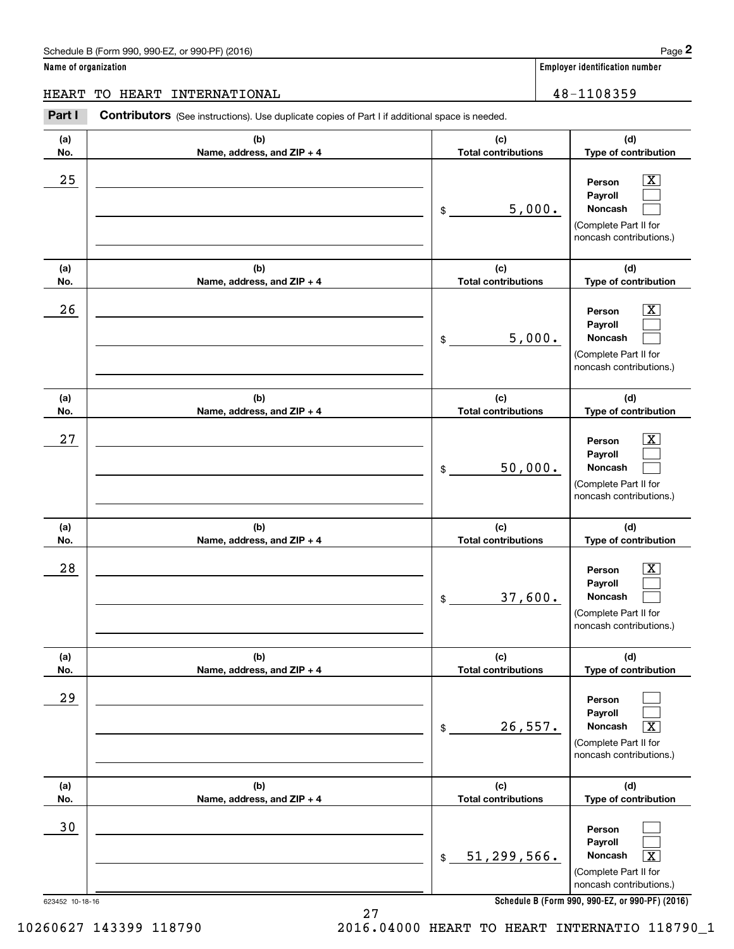# Schedule B (Form 990, 990-EZ, or 990-PF) (2016) **Page 2**

**Name of organization Employer identification number**

**(d) Type of contribution**

> $\boxed{\text{X}}$ Г

**Person Payroll**

# HEART TO HEART INTERNATIONAL 18-1108359

**(a) No.(b) Name, address, and ZIP + 4 (c) Total contributions Contributors** (See instructions). Use duplicate copies of Part I if additional space is needed. \$Employer identification Page 2<br> **2** ame of organization<br>
IEART TO HEART INTERNATIONAL **ERART INTERNATIONAL** 48-1108359  $25$  | Person  $\overline{\text{X}}$ 5,000.

|            |                                   | 5,000.<br>\$                      | Noncash                                          |
|------------|-----------------------------------|-----------------------------------|--------------------------------------------------|
|            |                                   |                                   | (Complete Part II for                            |
|            |                                   |                                   | noncash contributions.)                          |
|            |                                   |                                   |                                                  |
| (a)        | (b)                               | (c)                               | (d)                                              |
| No.        | Name, address, and ZIP + 4        | <b>Total contributions</b>        | Type of contribution                             |
| 26         |                                   |                                   | X.<br>Person                                     |
|            |                                   |                                   | Payroll                                          |
|            |                                   | 5,000.<br>$\mathfrak{S}$          | Noncash                                          |
|            |                                   |                                   | (Complete Part II for                            |
|            |                                   |                                   | noncash contributions.)                          |
| (a)        | (b)                               | (c)                               | (d)                                              |
| No.        | Name, address, and ZIP + 4        | <b>Total contributions</b>        | Type of contribution                             |
|            |                                   |                                   |                                                  |
| 27         |                                   |                                   | X<br>Person                                      |
|            |                                   |                                   | Payroll                                          |
|            |                                   | 50,000.<br>$$\mathbb{S}$$         | Noncash                                          |
|            |                                   |                                   | (Complete Part II for<br>noncash contributions.) |
|            |                                   |                                   |                                                  |
| (a)        | (b)                               | (c)                               | (d)                                              |
| No.        | Name, address, and ZIP + 4        | <b>Total contributions</b>        | Type of contribution                             |
|            |                                   |                                   |                                                  |
|            |                                   |                                   |                                                  |
| 28         |                                   |                                   | Person                                           |
|            |                                   |                                   | Payroll<br>Noncash                               |
|            |                                   | 37,600.<br>$\mathfrak{S}$         |                                                  |
|            |                                   |                                   | (Complete Part II for<br>noncash contributions.) |
|            |                                   |                                   |                                                  |
| (a)        | (b)                               | (c)                               | (d)                                              |
| No.        | Name, address, and ZIP + 4        | <b>Total contributions</b>        | Type of contribution                             |
| 29         |                                   |                                   | Person                                           |
|            |                                   |                                   | Payroll                                          |
|            |                                   | 26,557.<br>$\mathfrak{S}$         | $\overline{\mathbf{X}}$<br>Noncash               |
|            |                                   |                                   | (Complete Part II for                            |
|            |                                   |                                   | noncash contributions.)                          |
|            |                                   |                                   |                                                  |
| (a)<br>No. | (b)<br>Name, address, and ZIP + 4 | (c)<br><b>Total contributions</b> | (d)<br>Type of contribution                      |
|            |                                   |                                   |                                                  |
| $30$       |                                   |                                   | Person                                           |
|            |                                   |                                   | Payroll                                          |
|            |                                   | 51, 299, 566.<br>$\frac{1}{2}$    | $\boxed{\text{X}}$<br>Noncash                    |
|            |                                   |                                   | (Complete Part II for<br>noncash contributions.) |

**Schedule B (Form 990, 990-EZ, or 990-PF) (2016)**

27

10260627 143399 118790 2016.04000 HEART TO HEART INTERNATIO 118790\_1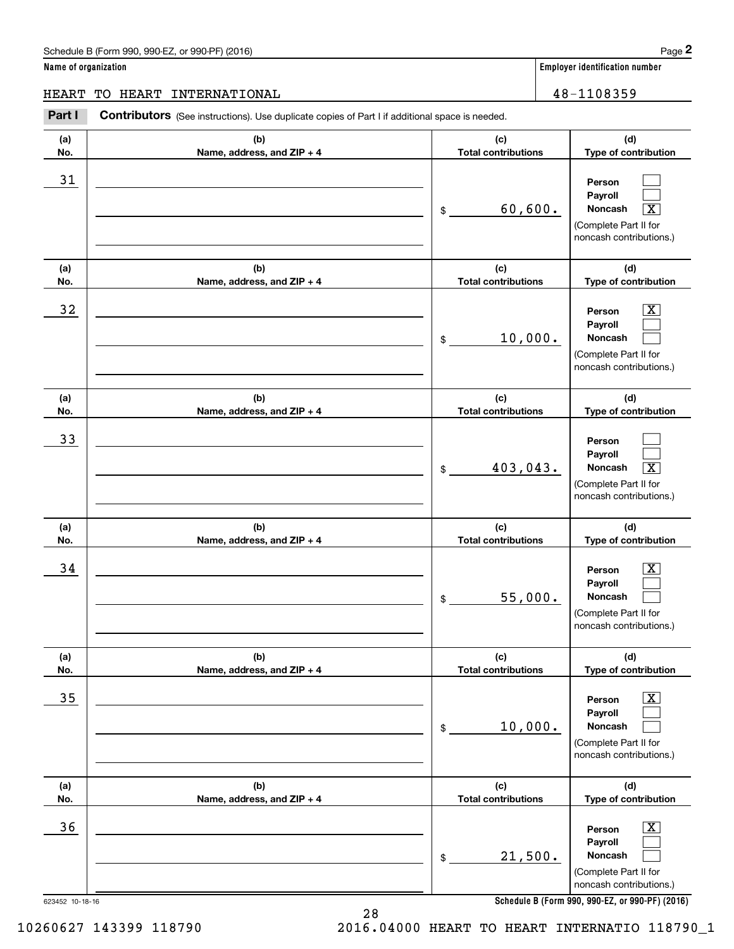**Name of organization Employer identification number (a)No.(b)Name, address, and ZIP + 4 (c)Total contributions (d)Type of contribution PersonPayrollNoncash (a)No.(b)Name, address, and ZIP + 4 (c)Total contributions (d)Type of contribution PersonPayrollNoncash (a)No.(b)Name, address, and ZIP + 4 (c)Total contributions (d)Type of contribution PersonPayrollNoncash (a) No.(b) Name, address, and ZIP + 4 (c) Total contributions (d) Type of contribution PersonPayrollNoncash (a) No.(b) Name, address, and ZIP + 4 (c) Total contributions (d) Type of contribution PersonPayrollNoncash (a) No.(b)Name, address, and ZIP + 4 (c) Total contributions (d)Type of contribution PersonPayrollNoncash Contributors** (See instructions). Use duplicate copies of Part I if additional space is needed. \$(Complete Part II for noncash contributions.) \$(Complete Part II for noncash contributions.) \$(Complete Part II for noncash contributions.) \$(Complete Part II for noncash contributions.) \$(Complete Part II for noncash contributions.) \$Employer identification Page 2<br> **2** ame of organization<br>
IEART TO HEART INTERNATIONAL **ERART INTERNATIONAL** 48-1108359 31 60,600. X  $32$  | Person  $\overline{\text{X}}$ 10,000. 33 403,043. X  $34$  | Person  $\overline{\text{X}}$ 55,000.  $35$  | Person  $\overline{\text{X}}$ 10,000.  $36$  Person X 21,500. HEART TO HEART INTERNATIONAL 48-1108359

**Schedule B (Form 990, 990-EZ, or 990-PF) (2016)**

(Complete Part II for noncash contributions.)

 $\mathcal{L}^{\text{max}}$  $\mathcal{L}^{\text{max}}$  $\boxed{\text{X}}$ 

 $\boxed{\text{X}}$  $\mathcal{L}^{\text{max}}$  $\mathcal{L}^{\text{max}}$ 

 $\mathcal{L}^{\text{max}}$  $\mathcal{L}^{\text{max}}$  $\boxed{\text{X}}$ 

 $\boxed{\text{X}}$  $\mathcal{L}^{\text{max}}$  $\mathcal{L}^{\text{max}}$ 

 $\boxed{\text{X}}$  $\mathcal{L}^{\text{max}}$  $\mathcal{L}^{\text{max}}$ 

 $\boxed{\text{X}}$  $\mathcal{L}^{\text{max}}$  $\mathcal{L}^{\text{max}}$ 

10260627 143399 118790 2016.04000 HEART TO HEART INTERNATIO 118790\_1

623452 10-18-16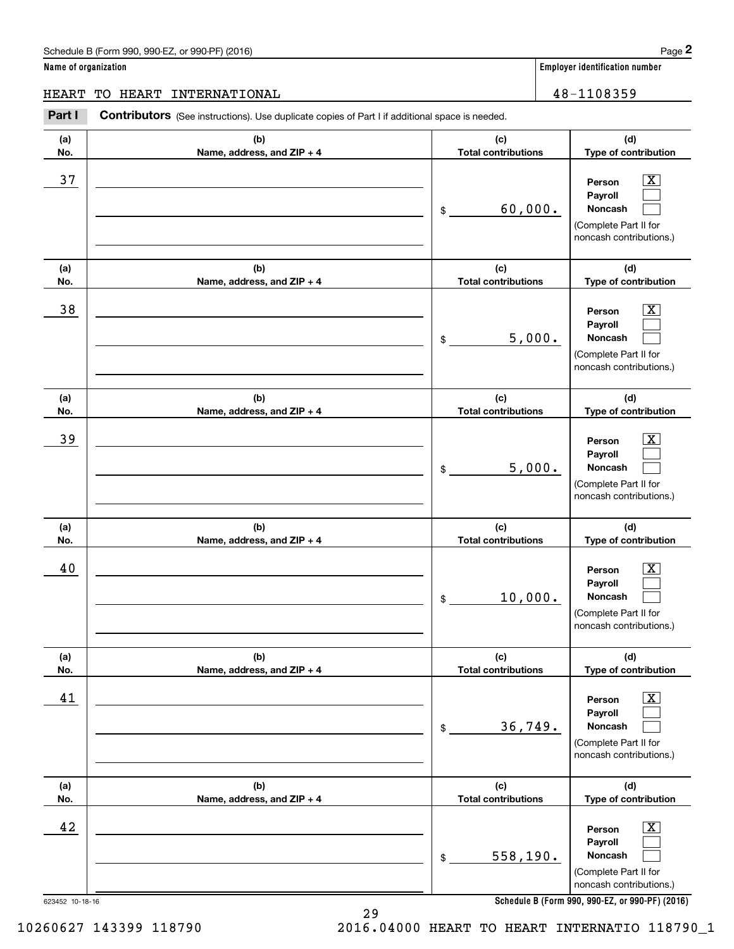# Schedule B (Form 990, 990-EZ, or 990-PF) (2016) **Page 2** Page 2

**Name of organization Employer identification number**

**(d) Type of contribution**

# HEART TO HEART INTERNATIONAL 16 and 18-1108359

**(a) No.(b) Name, address, and ZIP + 4 (c) Total contributions Contributors** (See instructions). Use duplicate copies of Part I if additional space is needed. Employer identification Page 2<br> **2** ame of organization<br>
IEART TO HEART INTERNATIONAL **ERART INTERNATIONAL** 48-1108359

| 37                    |                                   | 60,000.<br>\$                     | $\boxed{\text{X}}$<br>Person<br>Payroll<br>Noncash<br>(Complete Part II for<br>noncash contributions.)                                                    |
|-----------------------|-----------------------------------|-----------------------------------|-----------------------------------------------------------------------------------------------------------------------------------------------------------|
| (a)<br>No.            | (b)<br>Name, address, and ZIP + 4 | (c)<br><b>Total contributions</b> | (d)<br>Type of contribution                                                                                                                               |
| 38                    |                                   | 5,000.<br>\$                      | $\boxed{\text{X}}$<br>Person<br>Payroll<br>Noncash<br>(Complete Part II for<br>noncash contributions.)                                                    |
| (a)<br>No.            | (b)<br>Name, address, and ZIP + 4 | (c)<br><b>Total contributions</b> | (d)<br>Type of contribution                                                                                                                               |
| 39                    |                                   | 5,000.<br>\$                      | $\mathbf{X}$<br>Person<br>Payroll<br>Noncash<br>(Complete Part II for<br>noncash contributions.)                                                          |
| (a)<br>No.            | (b)<br>Name, address, and ZIP + 4 | (c)<br><b>Total contributions</b> | (d)<br>Type of contribution                                                                                                                               |
| 40                    |                                   | 10,000.<br>\$                     | $\mathbf{X}$<br>Person<br>Payroll<br>Noncash<br>(Complete Part II for<br>noncash contributions.)                                                          |
| (a)<br>No.            | (b)<br>Name, address, and ZIP + 4 | (c)<br><b>Total contributions</b> | (d)<br>Type of contribution                                                                                                                               |
| 41                    |                                   | 36,749.<br>\$                     | $\boxed{\text{X}}$<br>Person<br>Payroll<br>Noncash<br>(Complete Part II for<br>noncash contributions.)                                                    |
| (a)<br>No.            | (b)<br>Name, address, and ZIP + 4 | (c)<br><b>Total contributions</b> | (d)<br>Type of contribution                                                                                                                               |
| 42<br>623452 10-18-16 |                                   | 558, 190.<br>\$                   | $\boxed{\text{X}}$<br>Person<br>Payroll<br>Noncash<br>(Complete Part II for<br>noncash contributions.)<br>Schedule B (Form 990, 990-EZ, or 990-PF) (2016) |

**Schedule B (Form 990, 990-EZ, or 990-PF) (2016)**

10260627 143399 118790 2016.04000 HEART TO HEART INTERNATIO 118790\_1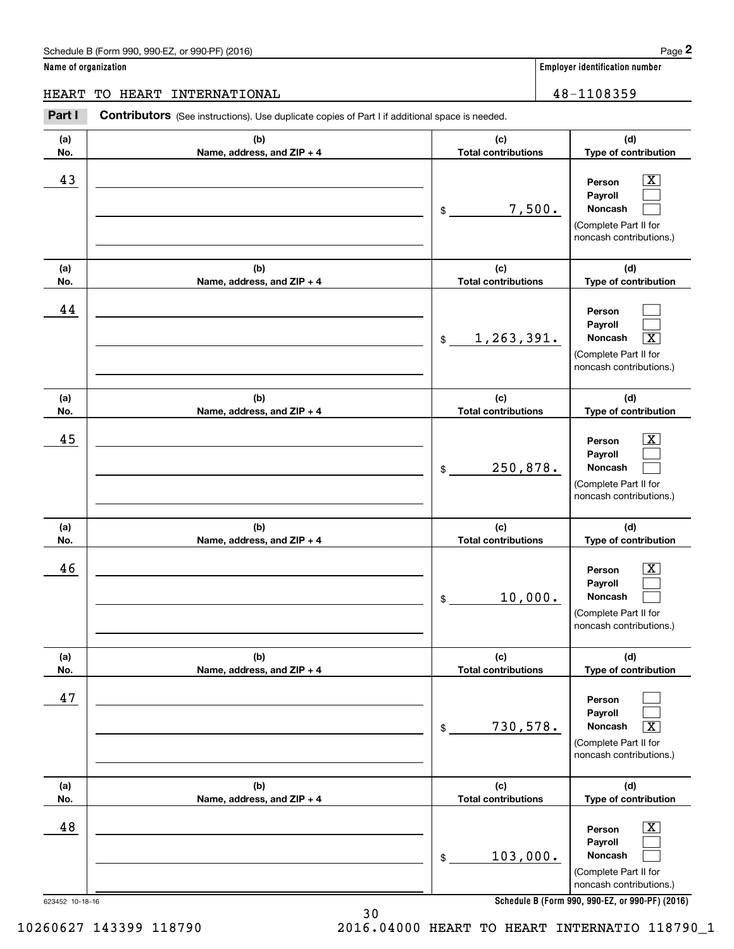**(d)**

 $\boxed{\text{X}}$  $\mathcal{L}^{\text{max}}$  $\mathcal{L}^{\text{max}}$ 

 $\mathcal{L}^{\text{max}}$  $\mathcal{L}^{\text{max}}$  $\sqrt{X}$ 

 $\boxed{\text{X}}$  $\mathcal{L}^{\text{max}}$  $\mathcal{L}^{\text{max}}$ 

 $\boxed{\text{X}}$  $\mathcal{L}^{\text{max}}$ 

**(d)**

**(d)**

**(d)**

**Name of organization Employer identification number (a)No.(b)Name, address, and ZIP + 4 (c)Total contributions Type of contribution PersonPayrollNoncash (a)No.(b)Name, address, and ZIP + 4 (c)Total contributions Type of contribution PersonPayrollNoncash (a)No.(b)Name, address, and ZIP + 4 (c)Total contributions Type of contribution PersonPayrollNoncash (a) No.(b) Name, address, and ZIP + 4 (c) Total contributions Type of contribution PersonPayroll**Schedule B (Form 990, 990-EZ, or 990-PF) (2016) **Page 2** Contributors (See instructions). Use duplicate copies of Part I if additional space is needed. \$(Complete Part II for noncash contributions.) \$(Complete Part II for noncash contributions.) \$(Complete Part II for noncash contributions.) \$Employer identification Page 2<br> **2** ame of organization<br>
IEART TO HEART INTERNATIONAL **ERART INTERNATIONAL** 48-1108359 43 Person X 7,500. 44 <u>1,263,391.</u> 45 X 250,878. 46 X 10,000. HEART TO HEART INTERNATIONAL 48-1108359

|     |                              | 10,000.<br>\$              | Noncash<br>(Complete Part II for<br>noncash contributions.)                                                   |
|-----|------------------------------|----------------------------|---------------------------------------------------------------------------------------------------------------|
| (a) | (b)                          | (c)                        | (d)                                                                                                           |
| No. | Name, address, and $ZIP + 4$ | <b>Total contributions</b> | Type of contribution                                                                                          |
| 47  |                              | 730,578.<br>\$             | Person<br><b>Payroll</b><br>$\boxed{\text{X}}$<br>Noncash<br>(Complete Part II for<br>noncash contributions.) |
| (a) | (b)                          | (c)                        | (d)                                                                                                           |
| No. | Name, address, and ZIP + 4   | <b>Total contributions</b> | Type of contribution                                                                                          |
| 48  |                              | 103,000.<br>\$             | $\overline{\texttt{x}}$<br>Person<br>Payroll<br>Noncash<br>(Complete Part II for<br>noncash contributions.)   |

**Schedule B (Form 990, 990-EZ, or 990-PF) (2016)**

623452 10-18-16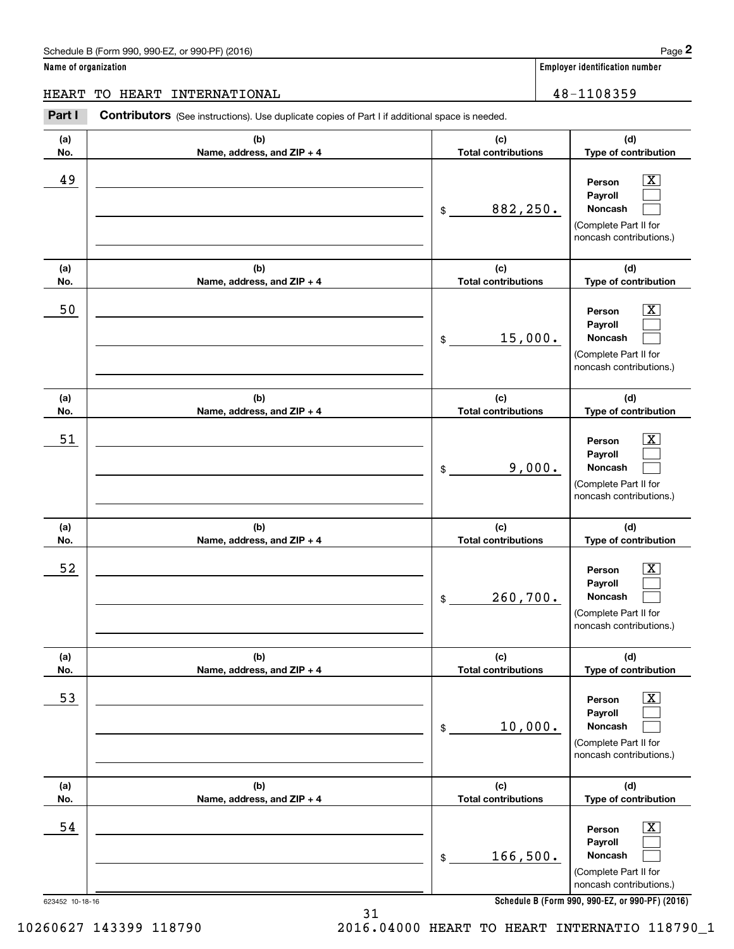**Name of organization Employer identification number**

**(d)**

 $|X|$  $\mathcal{L}^{\text{max}}$  $\mathcal{L}^{\text{max}}$ 

 $\boxed{\text{X}}$  $\mathcal{L}^{\text{max}}$  $\mathcal{L}^{\text{max}}$ 

 $|X|$  $\mathcal{L}^{\text{max}}$  $\mathcal{L}^{\text{max}}$ 

 $\boxed{\text{X}}$  $\mathcal{L}^{\text{max}}$  $\mathcal{L}^{\text{max}}$ 

 $\boxed{\text{X}}$  $\mathcal{L}^{\text{max}}$  $\mathcal{L}^{\text{max}}$ 

 $\boxed{\text{X}}$  $\mathcal{L}^{\text{max}}$  $\mathcal{L}^{\text{max}}$ 

**(d)**

**(d)**

**(d)**

**(d)**

**(d)**

HEART TO HEART INTERNATIONAL 48-1108359

### 623452 10-18-16 **(a)No.(b)Name, address, and ZIP + 4 (c)Total contributions Type of contribution PersonPayrollNoncash (a)No.(b)Name, address, and ZIP + 4 (c)Total contributions Type of contribution PersonPayrollNoncash (a)No.(b)Name, address, and ZIP + 4 (c)Total contributions Type of contribution PersonPayrollNoncash (a) No.(b) Name, address, and ZIP + 4 (c) Total contributions Type of contribution PersonPayrollNoncash (a) No.(b) Name, address, and ZIP + 4 (c) Total contributions Type of contribution PersonPayrollNoncash (a) No.(b)Name, address, and ZIP + 4 (c) Total contributions Type of contribution PersonPayrollNoncash Contributors** (See instructions). Use duplicate copies of Part I if additional space is needed. \$(Complete Part II for noncash contributions.) \$(Complete Part II for noncash contributions.) \$(Complete Part II for noncash contributions.) \$(Complete Part II for noncash contributions.) \$(Complete Part II for noncash contributions.) \$(Complete Part II for noncash contributions.) Employer identification Page 2<br> **2** ame of organization<br>
IEART TO HEART INTERNATIONAL **ERART INTERNATIONAL** 48-1108359 49 X 882,250. 50 Person X 15,000. 51 X 9,000. 52 | Person X 260,700. 53 | Person X 10,000. 54 X 166,500.

31

**Schedule B (Form 990, 990-EZ, or 990-PF) (2016)**

10260627 143399 118790 2016.04000 HEART TO HEART INTERNATIO 118790\_1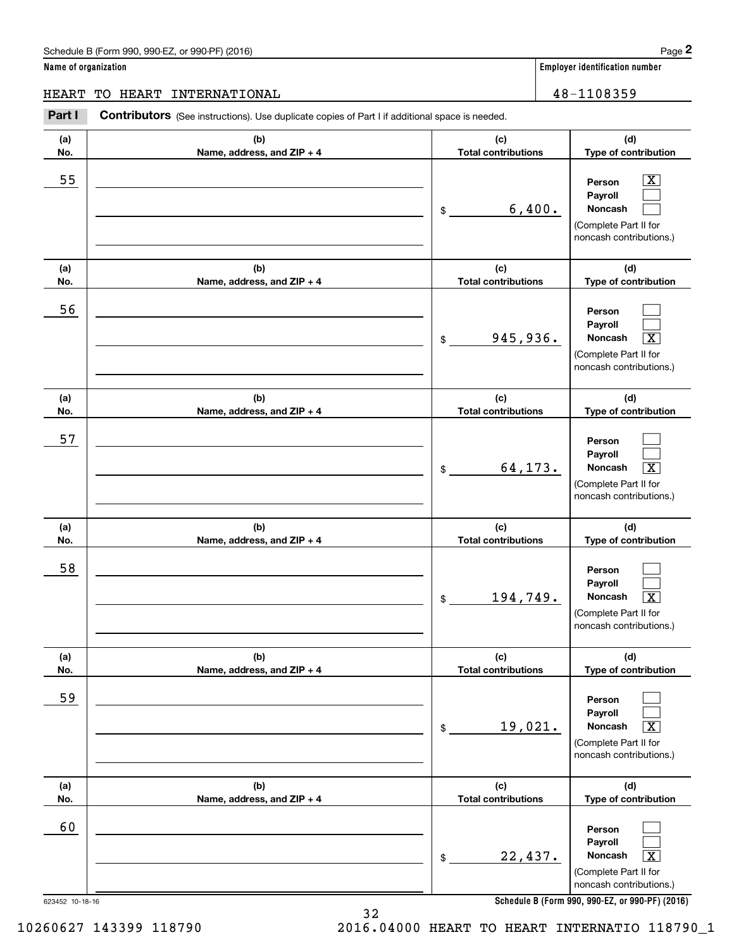**Name of organization Employer identification number**

### 623452 10-18-16 **(a)No.(b)Name, address, and ZIP + 4 (c)Total contributions (d)Type of contribution PersonPayrollNoncash (a)No.(b)Name, address, and ZIP + 4 (c)Total contributions (d)Type of contribution PersonPayrollNoncash (a)No.(b)Name, address, and ZIP + 4 (c)Total contributions (d)Type of contribution PersonPayrollNoncash (a) No.(b) Name, address, and ZIP + 4 (c) Total contributions (d) Type of contribution PersonPayrollNoncash (a) No.(b) Name, address, and ZIP + 4 (c) Total contributions (d) Type of contribution PersonPayrollNoncash (a) No.(b)Name, address, and ZIP + 4 (c) Total contributions (d)Type of contribution PersonPayrollNoncash Contributors** (See instructions). Use duplicate copies of Part I if additional space is needed. \$(Complete Part II for noncash contributions.) \$(Complete Part II for noncash contributions.) \$(Complete Part II for noncash contributions.) \$(Complete Part II for noncash contributions.) \$(Complete Part II for noncash contributions.) \$(Complete Part II for noncash contributions.) Employer identification Page 2<br> **2** ame of organization<br>
IEART TO HEART INTERNATIONAL **ERART INTERNATIONAL** 48-1108359  $|X|$  $\mathcal{L}^{\text{max}}$  $\mathcal{L}^{\text{max}}$  $\mathcal{L}^{\text{max}}$  $\mathcal{L}^{\text{max}}$  $\overline{\mathbf{X}}$  $\mathcal{L}^{\text{max}}$  $\mathcal{L}^{\text{max}}$  $\boxed{\text{X}}$  $\mathcal{L}^{\text{max}}$  $\mathcal{L}^{\text{max}}$  $\lceil \text{X} \rceil$  $\mathcal{L}^{\text{max}}$  $\mathcal{L}^{\text{max}}$  $\sqrt{X}$  $\mathcal{L}^{\text{max}}$  $\mathcal{L}^{\text{max}}$  $\mathbf{X}$ 55 | Person X 6,400. 56 945,936. X 57 64,173. 58 194,749. X 59  $19,021.$ 60  $22,437.$

**Schedule B (Form 990, 990-EZ, or 990-PF) (2016)**

32

10260627 143399 118790 2016.04000 HEART TO HEART INTERNATIO 118790\_1

HEART TO HEART INTERNATIONAL 48-1108359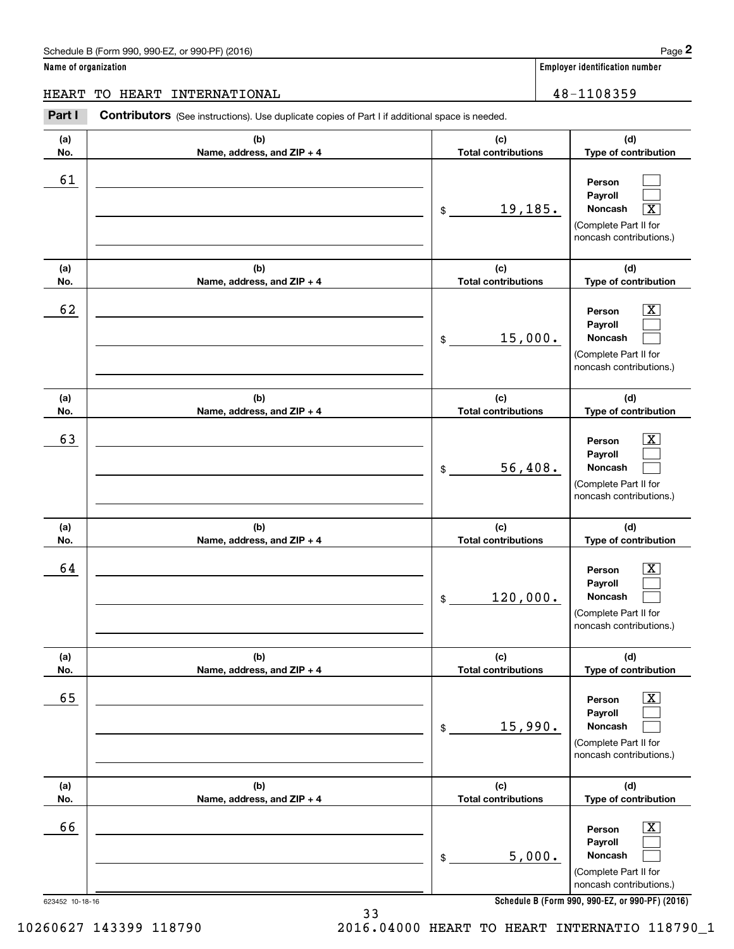**Name of organization Employer identification number (a)No.(b)Name, address, and ZIP + 4 (c)Total contributions (d)Type of contribution PersonPayrollNoncash (a)No.(b)Name, address, and ZIP + 4 (c)Total contributions (d)Type of contribution PersonPayrollNoncash (a)No.(b)Name, address, and ZIP + 4 (c)Total contributions (d)Type of contribution PersonPayrollNoncash (a) No.(b) Name, address, and ZIP + 4 (c) Total contributions (d) Type of contribution PersonPayrollNoncash (a) No.(b) Name, address, and ZIP + 4 (c) Total contributions (d) Type of contribution PersonPayrollNoncash (a) No.(b)Name, address, and ZIP + 4 (c) Total contributions (d)Type of contribution PersonPayrollNoncash Contributors** (See instructions). Use duplicate copies of Part I if additional space is needed. \$(Complete Part II for noncash contributions.) \$(Complete Part II for noncash contributions.) \$(Complete Part II for noncash contributions.) \$(Complete Part II for noncash contributions.) \$(Complete Part II for noncash contributions.) \$(Complete Part II for noncash contributions.) Employer identification Page 2<br> **2** ame of organization<br>
IEART TO HEART INTERNATIONAL **ERART INTERNATIONAL** 48-1108359  $\mathcal{L}^{\text{max}}$  $\mathcal{L}^{\text{max}}$  $\boxed{\text{X}}$  $\boxed{\text{X}}$  $\mathcal{L}^{\text{max}}$  $\mathcal{L}^{\text{max}}$  $|X|$  $\mathcal{L}^{\text{max}}$  $\mathcal{L}^{\text{max}}$  $\boxed{\text{X}}$  $\mathcal{L}^{\text{max}}$  $\mathcal{L}^{\text{max}}$  $\boxed{\text{X}}$  $\mathcal{L}^{\text{max}}$  $\mathcal{L}^{\text{max}}$  $\boxed{\text{X}}$  $\mathcal{L}^{\text{max}}$  $\mathcal{L}^{\text{max}}$ 61 <u>19,185.</u> 62 X 15,000. 63 | Person X 56,408. 64 X 120,000. 65 X 15,990. 66 X 5,000. HEART TO HEART INTERNATIONAL 48-1108359

**Schedule B (Form 990, 990-EZ, or 990-PF) (2016)**

623452 10-18-16

10260627 143399 118790 2016.04000 HEART TO HEART INTERNATIO 118790\_1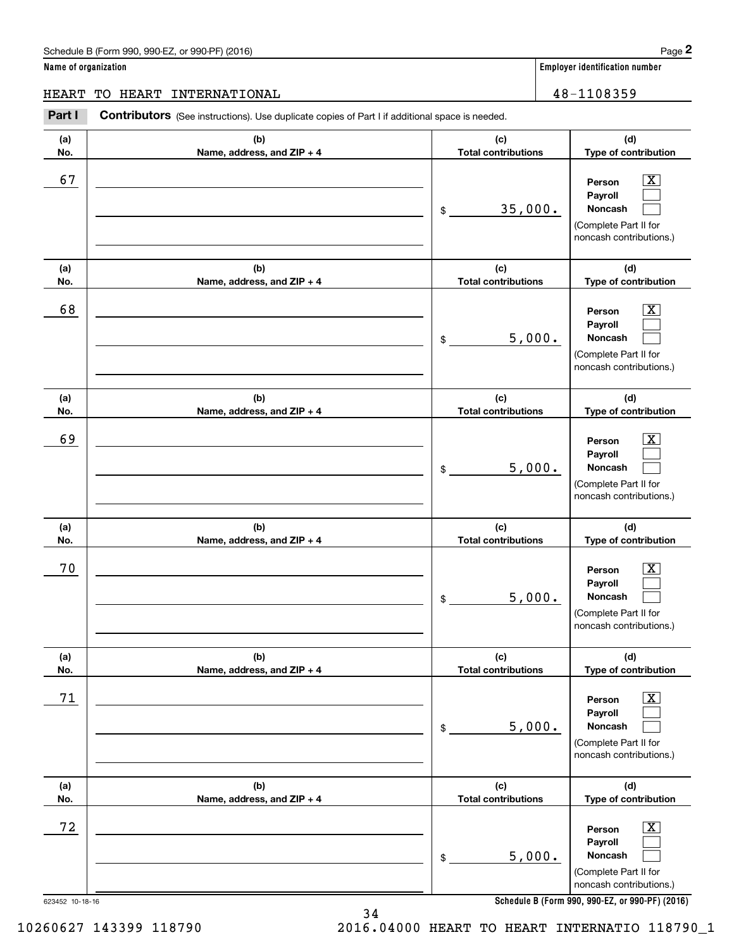**Name of organization Employer identification number (a)No.(b)Name, address, and ZIP + 4 (c)Total contributions (d)Type of contribution PersonPayrollNoncash (a)No.(b)Name, address, and ZIP + 4 (c)Total contributions (d)Type of contribution PersonPayrollNoncash (a)No.(b)Name, address, and ZIP + 4 (c)Total contributions (d)Type of contribution PersonPayrollNoncash (a) No.(b) Name, address, and ZIP + 4 (c) Total contributions Type of contribution PersonPayrollNoncash (a) No.(b) Name, address, and ZIP + 4 (c) Total contributions Type of contribution PersonPayrollNoncash** Schedule B (Form 990, 990-EZ, or 990-PF) (2016) **Page 2** Page 2 and the state of the state of the state of the state of the state of the state of the state of the state of the state of the state of the state of the state o Contributors (See instructions). Use duplicate copies of Part I if additional space is needed. \$(Complete Part II for noncash contributions.) \$(Complete Part II for noncash contributions.) \$(Complete Part II for noncash contributions.) \$(Complete Part II for noncash contributions.) \$(Complete Part II for Employer identification Page 2<br> **2** ame of organization<br>
IEART TO HEART INTERNATIONAL **ERART INTERNATIONAL** 48-1108359 67 X 35,000. 68 X 5,000. 69 X 5,000. 70 X 5,000. 71 X 5,000. HEART TO HEART INTERNATIONAL 48-1108359

|            |                                     |                                   | noncash contributions.)                                                                                     |
|------------|-------------------------------------|-----------------------------------|-------------------------------------------------------------------------------------------------------------|
| (a)<br>No. | (b)<br>Name, address, and $ZIP + 4$ | (c)<br><b>Total contributions</b> | (d)<br><b>Type of contribution</b>                                                                          |
| 72         |                                     | 5,000.<br>\$.                     | $\overline{\textbf{X}}$<br>Person<br>Payroll<br>Noncash<br>(Complete Part II for<br>noncash contributions.) |

**Schedule B (Form 990, 990-EZ, or 990-PF) (2016)**

**(d)**

**(d)**

 $|X|$  $\mathcal{L}^{\text{max}}$  $\mathcal{L}^{\text{max}}$ 

 $\boxed{\text{X}}$  $\mathcal{L}^{\text{max}}$  $\mathcal{L}^{\text{max}}$ 

 $|X|$  $\mathcal{L}^{\text{max}}$  $\mathcal{L}^{\text{max}}$ 

 $\boxed{\text{X}}$  $\mathcal{L}^{\text{max}}$  $\mathcal{L}^{\text{max}}$ 

 $\boxed{\text{X}}$  $\mathcal{L}^{\text{max}}$  $\mathcal{L}^{\text{max}}$ 

34 10260627 143399 118790 2016.04000 HEART TO HEART INTERNATIO 118790\_1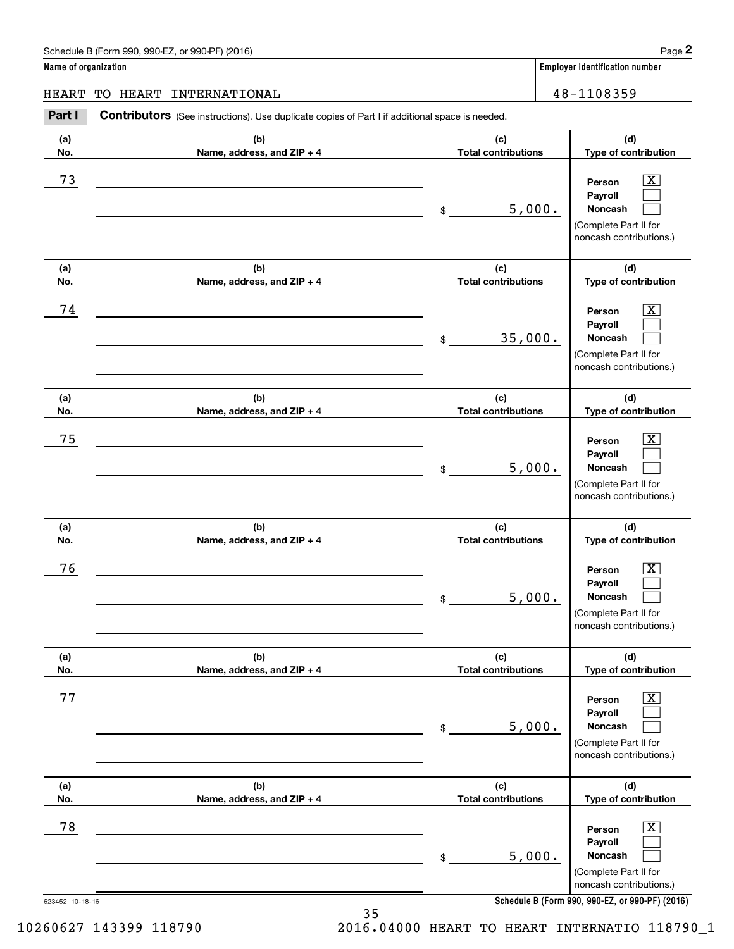# Schedule B (Form 990, 990-EZ, or 990-PF) (2016) **Page 2** Page 2

**Name of organization Employer identification number**

# HEART TO HEART INTERNATIONAL 28-1108359

Employer identification Page 2<br> **2** ame of organization<br>
IEART TO HEART INTERNATIONAL **ERART INTERNATIONAL** 48-1108359 **Contributors** (See instructions). Use duplicate copies of Part I if additional space is needed. **(a) (b) (c)** - 1 **No.Name, address, and ZIP + 4 Total contributions**

| (a)                   | (b)                        | (c)                        | (d)                                                                                                                                    |
|-----------------------|----------------------------|----------------------------|----------------------------------------------------------------------------------------------------------------------------------------|
| No.                   | Name, address, and ZIP + 4 | <b>Total contributions</b> | Type of contribution                                                                                                                   |
| 73                    |                            | 5,000.<br>\$               | $\overline{\text{X}}$<br>Person<br>Payroll<br>Noncash<br>(Complete Part II for<br>noncash contributions.)                              |
| (a)                   | (b)                        | (c)                        | (d)                                                                                                                                    |
| No.                   | Name, address, and ZIP + 4 | <b>Total contributions</b> | Type of contribution                                                                                                                   |
| 74                    |                            | 35,000.<br>\$              | $\overline{\text{X}}$<br>Person<br>Payroll<br>Noncash<br>(Complete Part II for<br>noncash contributions.)                              |
| (a)                   | (b)                        | (c)                        | (d)                                                                                                                                    |
| No.                   | Name, address, and ZIP + 4 | <b>Total contributions</b> | Type of contribution                                                                                                                   |
| 75                    |                            | 5,000.<br>\$               | $\overline{\text{X}}$<br>Person<br>Payroll<br>Noncash<br>(Complete Part II for<br>noncash contributions.)                              |
| (a)                   | (b)                        | (c)                        | (d)                                                                                                                                    |
| No.                   | Name, address, and ZIP + 4 | <b>Total contributions</b> | Type of contribution                                                                                                                   |
| 76                    |                            | 5,000.<br>\$               | $\overline{\text{X}}$<br>Person<br>Payroll<br>Noncash<br>(Complete Part II for<br>noncash contributions.)                              |
| (a)                   | (b)                        | (c)                        | (d)                                                                                                                                    |
| No.                   | Name, address, and ZIP + 4 | <b>Total contributions</b> | Type of contribution                                                                                                                   |
| 77                    |                            | 5,000.<br>$\,$             | Person<br>Payroll<br>Noncash<br>(Complete Part II for<br>noncash contributions.)                                                       |
| (a)                   | (b)                        | (c)                        | (d)                                                                                                                                    |
| No.                   | Name, address, and ZIP + 4 | <b>Total contributions</b> | Type of contribution                                                                                                                   |
| 78<br>623452 10-18-16 |                            | 5,000.<br>\$               | Person<br>x<br>Payroll<br>Noncash<br>(Complete Part II for<br>noncash contributions.)<br>Schedule B (Form 990 990-F7 or 990-PF) (2016) |

**Schedule B (Form 990, 990-EZ, or 990-PF) (2016)**

35 10260627 143399 118790 2016.04000 HEART TO HEART INTERNATIO 118790\_1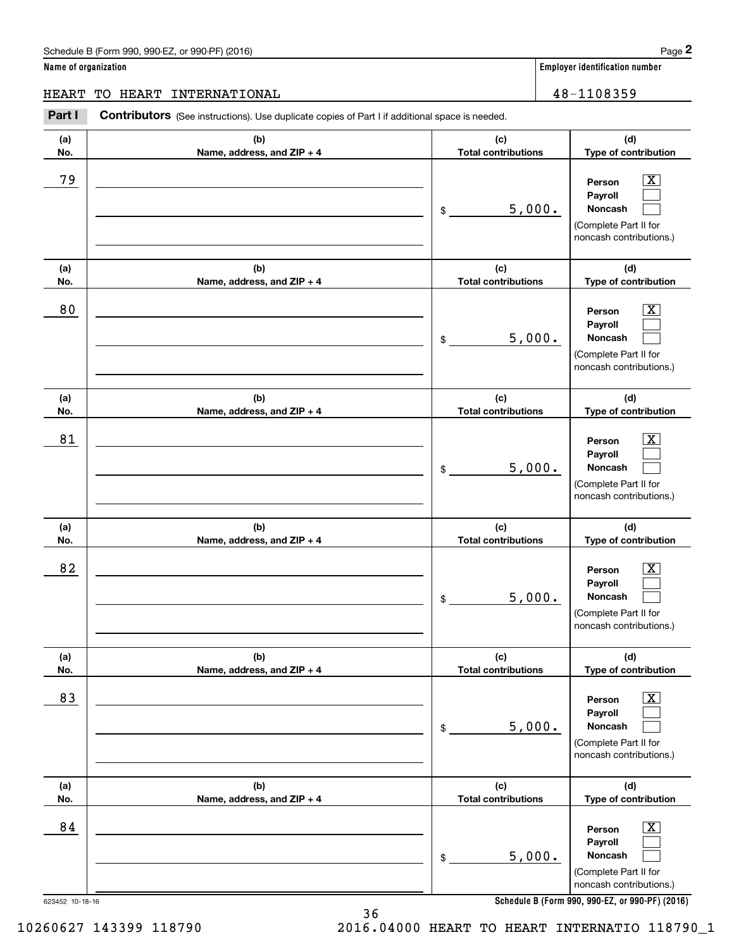**Name of organization Employer identification number (a)No.(b)Name, address, and ZIP + 4 (c)Total contributions (d)Type of contribution PersonPayrollNoncash (a)No.(b)Name, address, and ZIP + 4 (c)Total contributions (d)Type of contribution PersonPayrollNoncash (a)No.(b)Name, address, and ZIP + 4 (c)Total contributions (d)Type of contribution PersonPayrollNoncash (a) No.(b) Name, address, and ZIP + 4 (c) Total contributions (d) Type of contribution PersonPayrollNoncash (a) No.(b)Name, address, and ZIP + 4 (c) Total contributions (d) Type of contribution PersonPayrollNoncash (a) No.(b)Name, address, and ZIP + 4 (c) Total contributions (d)Type of contribution PersonPayrollNoncash** Schedule B (Form 990, 990-EZ, or 990-PF) (2016) **Page 2** Page 2 and the state of the state of the state of the state of the state of the state of the state of the state of the state of the state of the state of the state o **Contributors** (See instructions). Use duplicate copies of Part I if additional space is needed. \$(Complete Part II for noncash contributions.) \$(Complete Part II for noncash contributions.) \$(Complete Part II for noncash contributions.) \$(Complete Part II for noncash contributions.) \$(Complete Part II for noncash contributions.) \$Employer identification Page 2<br> **2** ame of organization<br>
IEART TO HEART INTERNATIONAL **ERART INTERNATIONAL** 48-1108359 79 X 5,000. 80 X 5,000. 81 X 5,000. 82 X 5,000. 83 X 5,000. 84 X 5,000. HEART TO HEART INTERNATIONAL 48-1108359

 $\boxed{\text{X}}$ 

 $\mathcal{L}^{\text{max}}$ 

# (Complete Part II for noncash contributions.)  $\mathcal{L}^{\text{max}}$

**Schedule B (Form 990, 990-EZ, or 990-PF) (2016)**

36

10260627 143399 118790 2016.04000 HEART TO HEART INTERNATIO 118790\_1

 $|X|$  $\mathcal{L}^{\text{max}}$  $\mathcal{L}^{\text{max}}$ 

 $\boxed{\text{X}}$  $\mathcal{L}^{\text{max}}$  $\mathcal{L}^{\text{max}}$ 

 $|X|$  $\mathcal{L}^{\text{max}}$  $\mathcal{L}^{\text{max}}$ 

 $\boxed{\text{X}}$  $\mathcal{L}^{\text{max}}$  $\mathcal{L}^{\text{max}}$ 

 $\boxed{\text{X}}$  $\mathcal{L}^{\text{max}}$  $\mathcal{L}^{\text{max}}$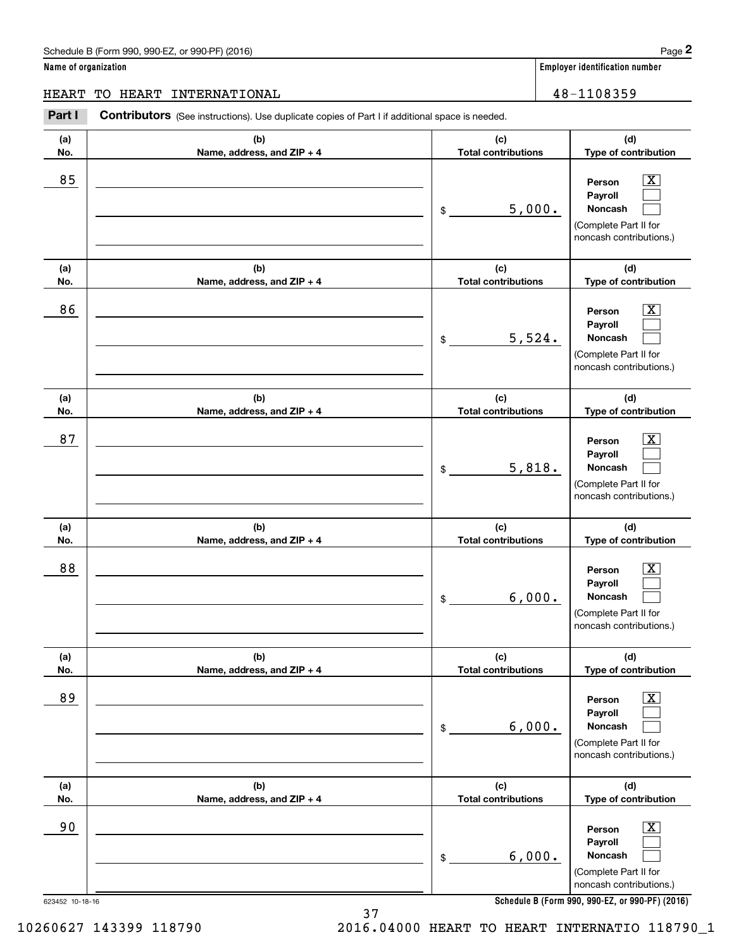# Schedule B (Form 990, 990-EZ, or 990-PF) (2016) **Page 2**

**(d)**

 $\boxed{\text{X}}$  $\mathcal{L}^{\text{max}}$  $\mathcal{L}^{\text{max}}$ 

 $\boxed{\text{X}}$  $\mathcal{L}^{\text{max}}$  $\mathcal{L}^{\text{max}}$ 

**(d)**

**(d)**

**Person**

**Noncash**

**Noncash**

**Name of organization Employer identification number (a) No.(b)Name, address, and ZIP + 4 (c) Total contributions Type of contribution Payroll(a) No.(b)Name, address, and ZIP + 4 (c)Total contributions Type of contribution PersonPayroll(a)No.(b)Name, address, and ZIP + 4 (c)Total contributions Type of contribution** Contributors (See instructions). Use duplicate copies of Part I if additional space is needed. \$(Complete Part II for noncash contributions.) \$(Complete Part II for noncash contributions.) Employer identification Page 2<br> **2** ame of organization<br>
IEART TO HEART INTERNATIONAL **ERART INTERNATIONAL** 48-1108359 85 X 5,000. 86 X 5,524. 87 X HEART TO HEART INTERNATIONAL 48-1108359

| 87  |                                                                    | 5,818.<br>\$               | $\overline{\textbf{X}}$<br>Person<br>Payroll<br>Noncash<br>(Complete Part II for<br>noncash contributions.)      |
|-----|--------------------------------------------------------------------|----------------------------|------------------------------------------------------------------------------------------------------------------|
| (a) | (b)                                                                | (c)                        | (d)                                                                                                              |
| No. | Name, address, and ZIP + 4                                         | <b>Total contributions</b> | Type of contribution                                                                                             |
| 88  |                                                                    | 6,000.<br>\$               | $\overline{\text{X}}$<br>Person<br>Payroll<br><b>Noncash</b><br>(Complete Part II for<br>noncash contributions.) |
| (a) | (b)                                                                | (c)                        | (d)                                                                                                              |
| No. | Name, address, and ZIP + 4                                         | <b>Total contributions</b> | Type of contribution                                                                                             |
| 89  |                                                                    | 6,000.<br>\$               | $\overline{\texttt{X}}$<br>Person<br>Payroll<br>Noncash<br>(Complete Part II for<br>noncash contributions.)      |
| (a) | (b)                                                                | (c)                        | (d)                                                                                                              |
| No. | Name, address, and ZIP + 4                                         | <b>Total contributions</b> | Type of contribution                                                                                             |
| 90  |                                                                    | 6,000.<br>\$               | $\overline{\text{X}}$<br>Person<br>Payroll<br><b>Noncash</b><br>(Complete Part II for<br>noncash contributions.) |
|     | Schedule B (Form 990, 990-EZ, or 990-PF) (2016)<br>623452 10-18-16 |                            |                                                                                                                  |

37

10260627 143399 118790 2016.04000 HEART TO HEART INTERNATIO 118790\_1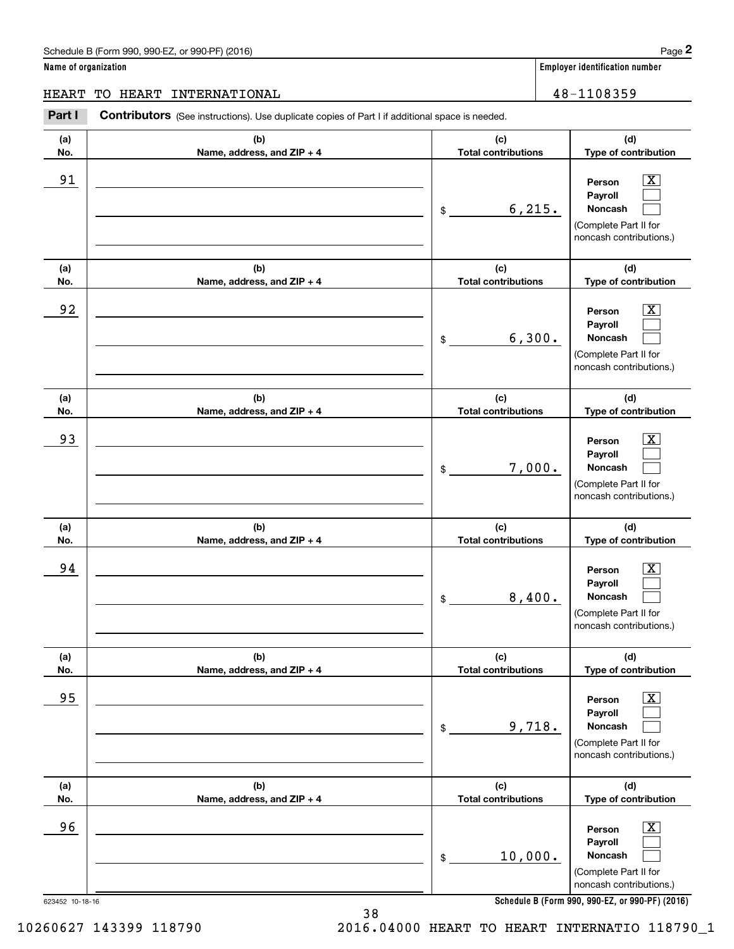### Schedule B (Form 990, 990-EZ, or 990-PF) (2016) **Page 2** Page 2 and the state of the state of the state of the state of the state of the state of the state of the state of the state of the state of the state of the state o

**Name of organization Employer identification number**

HEART TO HEART INTERNATIONAL 48-1108359

### **(a)No.(b)Name, address, and ZIP + 4 (c)Total contributions (d)Type of contribution PersonPayrollNoncash (a)No.(b)Name, address, and ZIP + 4 (c)Total contributions (d)Type of contribution PersonPayrollNoncash (a)No.(b)Name, address, and ZIP + 4 (c)Total contributions (d)Type of contribution PersonPayrollNoncash (a) No.(b) Name, address, and ZIP + 4 (c) Total contributions (d) Type of contribution PersonPayrollNoncash (a) No.(b) Name, address, and ZIP + 4 (c) Total contributions (d) Type of contribution PersonPayrollNoncash (a) No.(b)Name, address, and ZIP + 4 (c) Total contributions (d)Type of contribution PersonPayrollNoncash Contributors** (See instructions). Use duplicate copies of Part I if additional space is needed. \$(Complete Part II for noncash contributions.) \$(Complete Part II for noncash contributions.) \$(Complete Part II for noncash contributions.) \$(Complete Part II for noncash contributions.) \$(Complete Part II for noncash contributions.) \$(Complete Part II for noncash contributions.) Employer identification Page 2<br> **2** ame of organization<br>
IEART TO HEART INTERNATIONAL **ERART INTERNATIONAL** 48-1108359  $|X|$  $\mathcal{L}^{\text{max}}$  $\mathcal{L}^{\text{max}}$  $\boxed{\text{X}}$  $\mathcal{L}^{\text{max}}$  $\mathcal{L}^{\text{max}}$  $|X|$  $\mathcal{L}^{\text{max}}$  $\mathcal{L}^{\text{max}}$  $\boxed{\text{X}}$  $\mathcal{L}^{\text{max}}$  $\mathcal{L}^{\text{max}}$  $\boxed{\text{X}}$  $\mathcal{L}^{\text{max}}$  $\mathcal{L}^{\text{max}}$  $\boxed{\text{X}}$  $\mathcal{L}^{\text{max}}$  $\mathcal{L}^{\text{max}}$ 91 X 6,215. 92 X 6,300. 93 | Person X 7,000. 94 X 8,400. 95 X 9,718. 96 X 10,000.

**Schedule B (Form 990, 990-EZ, or 990-PF) (2016)**

38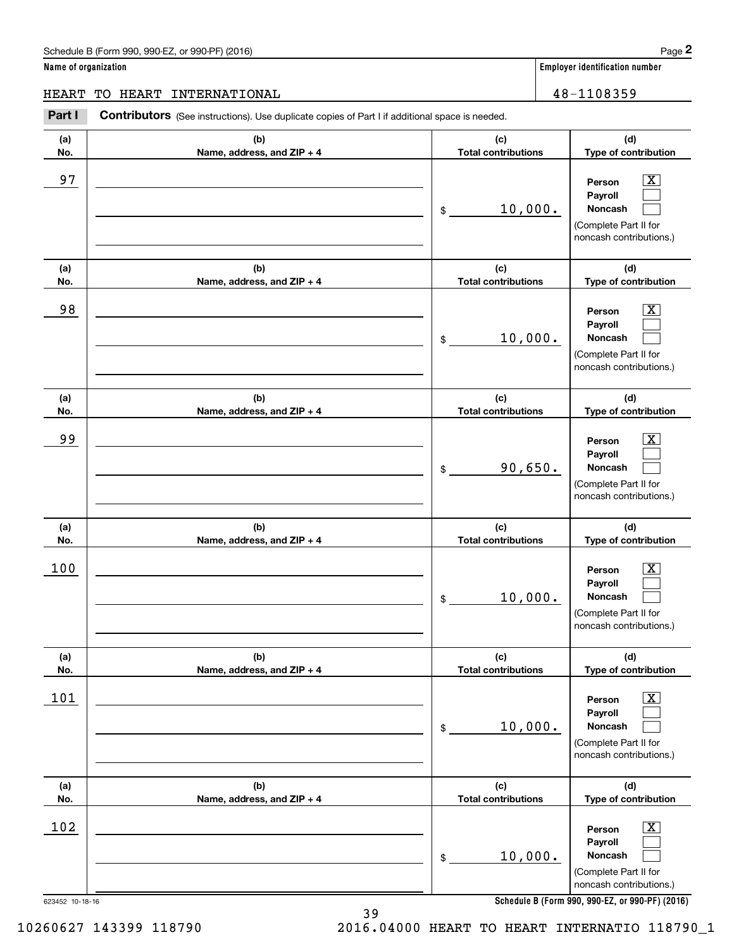### Schedule B (Form 990, 990-EZ, or 990-PF) (2016) **Page 2**

**Name of organization Employer identification number**

**(d) Type of contribution**

### HEART TO HEART INTERNATIONAL 16 and 18-1108359

**(a) No.(b) Name, address, and ZIP + 4 (c) Total contributions Contributors** (See instructions). Use duplicate copies of Part I if additional space is needed. Employer identification Page 2<br> **2** ame of organization<br>
IEART TO HEART INTERNATIONAL **ERART INTERNATIONAL** 48-1108359 97 X

| 97                            |                                   | 10,000.<br>\$                     | $\overline{\text{X}}$<br>Person<br>Payroll<br>Noncash<br>(Complete Part II for<br>noncash contributions.)                                                      |
|-------------------------------|-----------------------------------|-----------------------------------|----------------------------------------------------------------------------------------------------------------------------------------------------------------|
| (a)<br>No.                    | (b)<br>Name, address, and ZIP + 4 | (c)<br><b>Total contributions</b> | (d)<br>Type of contribution                                                                                                                                    |
| 98                            |                                   | 10,000.<br>\$                     | X<br>Person<br>Payroll<br>Noncash<br>(Complete Part II for<br>noncash contributions.)                                                                          |
| (a)<br>No.                    | (b)<br>Name, address, and ZIP + 4 | (c)<br><b>Total contributions</b> | (d)<br>Type of contribution                                                                                                                                    |
| 99                            |                                   | 90,650.<br>\$                     | x<br>Person<br>Payroll<br>Noncash<br>(Complete Part II for<br>noncash contributions.)                                                                          |
| (a)<br>No.                    | (b)<br>Name, address, and ZIP + 4 | (c)<br><b>Total contributions</b> | (d)<br>Type of contribution                                                                                                                                    |
| 100                           |                                   | 10,000.<br>\$                     | $\overline{\mathbf{X}}$<br>Person<br>Payroll<br>Noncash<br>(Complete Part II for<br>noncash contributions.)                                                    |
| (a)<br>No.                    | (b)<br>Name, address, and ZIP + 4 | (c)<br><b>Total contributions</b> | (d)<br>Type of contribution                                                                                                                                    |
| 101                           |                                   | 10,000.<br>\$                     | $\overline{\text{X}}$<br>Person<br>Payroll<br>Noncash<br>(Complete Part II for<br>noncash contributions.)                                                      |
| (a)<br>No.                    | (b)<br>Name, address, and ZIP + 4 | (c)<br><b>Total contributions</b> | (d)<br>Type of contribution                                                                                                                                    |
| <u>102</u><br>623452 10-18-16 |                                   | 10,000.<br>\$                     | $\overline{\mathbf{X}}$<br>Person<br>Payroll<br>Noncash<br>(Complete Part II for<br>noncash contributions.)<br>Schedule B (Form 990, 990-EZ, or 990-PF) (2016) |

**Schedule B (Form 990, 990-EZ, or 990-PF) (2016)**

10260627 143399 118790 2016.04000 HEART TO HEART INTERNATIO 118790\_1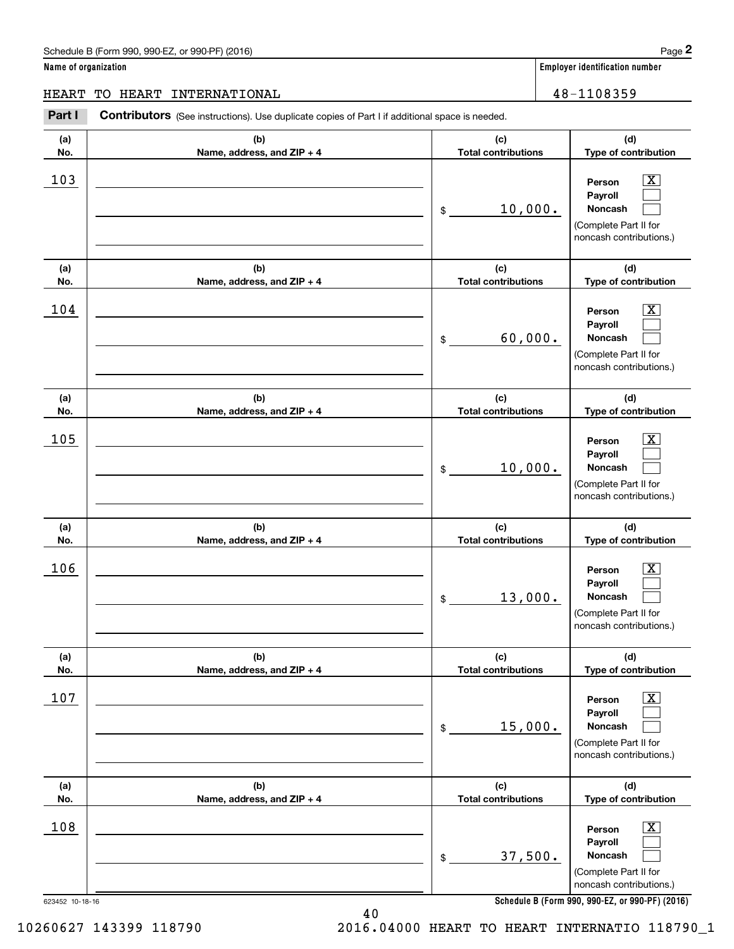### Schedule B (Form 990, 990-EZ, or 990-PF) (2016) **Page 2** Page 2 and the state of the state of the state of the state of the state of the state of the state of the state of the state of the state of the state of the state o

**Name of organization Employer identification number**

**(a)No.(b)Name, address, and ZIP + 4 (c)Total contributions (d)Type of contribution PersonPayrollNoncash (a)No.(b)Name, address, and ZIP + 4 (c)Total contributions (d)Type of contribution PersonPayrollNoncash (a)No.(b)Name, address, and ZIP + 4 (c)Total contributions (d)Type of contribution PersonPayrollNoncash (a) No.(b) Name, address, and ZIP + 4 (c) Total contributions (d) Type of contribution PersonPayrollNoncash (a) No.(b) Name, address, and ZIP + 4 (c) Total contributions (d) Type of contribution PersonPayrollNoncash (a) No.(b)Name, address, and ZIP + 4 (c) Total contributions (d)Type of contribution PersonPayrollNoncash Contributors** (See instructions). Use duplicate copies of Part I if additional space is needed. \$(Complete Part II for noncash contributions.) \$(Complete Part II for noncash contributions.) \$(Complete Part II for noncash contributions.) \$(Complete Part II for noncash contributions.) \$(Complete Part II for noncash contributions.) \$(Complete Part II for noncash contributions.) Employer identification Page 2<br> **2** ame of organization<br>
IEART TO HEART INTERNATIONAL **ERART INTERNATIONAL** 48-1108359  $|X|$  $\mathcal{L}^{\text{max}}$  $\mathcal{L}^{\text{max}}$  $\boxed{\text{X}}$  $\mathcal{L}^{\text{max}}$  $\mathcal{L}^{\text{max}}$  $|X|$  $\mathcal{L}^{\text{max}}$  $\mathcal{L}^{\text{max}}$  $\boxed{\text{X}}$  $\mathcal{L}^{\text{max}}$  $\mathcal{L}^{\text{max}}$  $\boxed{\text{X}}$  $\mathcal{L}^{\text{max}}$  $\mathcal{L}^{\text{max}}$  $\boxed{\text{X}}$  $\mathcal{L}^{\text{max}}$  $\mathcal{L}^{\text{max}}$  $103$  Person  $\overline{\text{X}}$ 10,000.  $104$  Person  $\overline{\text{X}}$ 60,000.  $105$  Person  $\overline{\text{X}}$ 10,000.  $106$  Person  $\overline{\text{X}}$ 13,000.  $107$  | Person  $\overline{\text{X}}$ 15,000.  $108$  Person  $\overline{\text{X}}$ 37,500. HEART TO HEART INTERNATIONAL 48-1108359

**Schedule B (Form 990, 990-EZ, or 990-PF) (2016)**

623452 10-18-16

10260627 143399 118790 2016.04000 HEART TO HEART INTERNATIO 118790\_1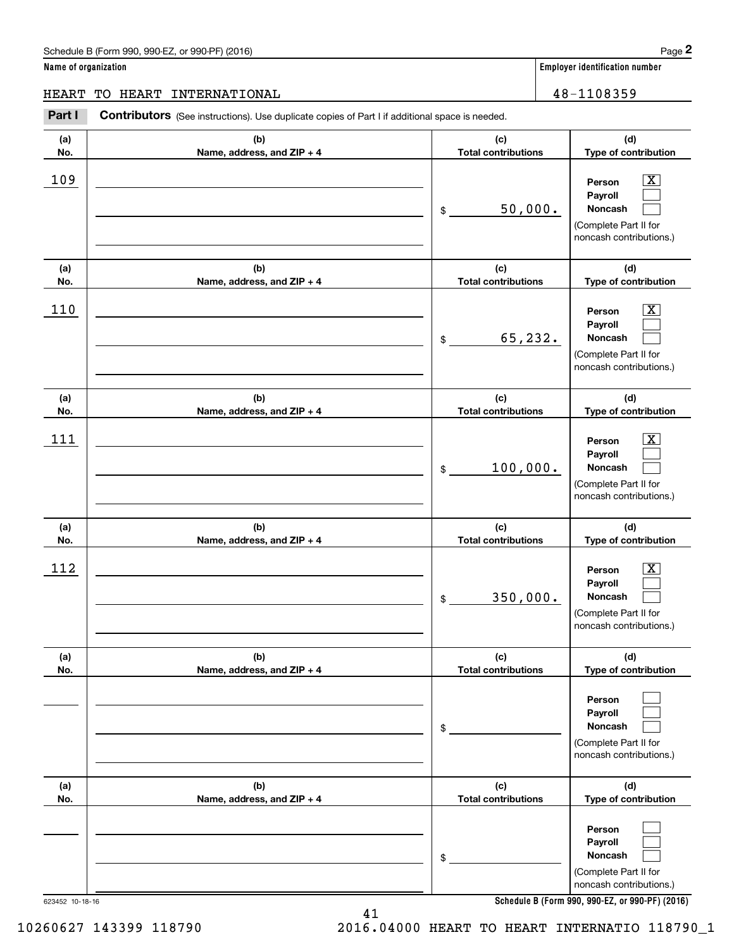### Schedule B (Form 990, 990-EZ, or 990-PF) (2016) **Page 2** Page 2

**Name of organization Employer identification number**

┰

### HEART TO HEART INTERNATIONAL 48-1108359

Employer identification Page 2<br> **2** ame of organization<br>
IEART TO HEART INTERNATIONAL **ERART INTERNATIONAL** 48-1108359 **Contributors** (See instructions). Use duplicate copies of Part I if additional space is needed. ┰ т  $\overline{I_{c}}$ **(a)** $\overline{b}$ 

| (a)        | (b)                               | (c)                               | (d)                                                                                                         |
|------------|-----------------------------------|-----------------------------------|-------------------------------------------------------------------------------------------------------------|
| No.        | Name, address, and ZIP + 4        | <b>Total contributions</b>        | Type of contribution                                                                                        |
| 109        |                                   | 50,000.<br>\$                     | $\overline{\mathbf{x}}$<br>Person<br>Payroll<br>Noncash<br>(Complete Part II for<br>noncash contributions.) |
| (a)<br>No. | (b)<br>Name, address, and ZIP + 4 | (c)<br><b>Total contributions</b> | (d)<br>Type of contribution                                                                                 |
| 110        |                                   | 65,232.<br>\$                     | x<br>Person<br>Payroll<br>Noncash<br>(Complete Part II for<br>noncash contributions.)                       |
| (a)<br>No. | (b)<br>Name, address, and ZIP + 4 | (c)<br><b>Total contributions</b> | (d)<br>Type of contribution                                                                                 |
| 111        |                                   | $100,000$ .<br>\$                 | x<br>Person<br>Payroll<br><b>Noncash</b><br>(Complete Part II for<br>noncash contributions.)                |
| (a)<br>No. | (b)<br>Name, address, and ZIP + 4 | (c)<br><b>Total contributions</b> | (d)<br>Type of contribution                                                                                 |
| 112        |                                   | 350,000.<br>\$                    | x<br>Person<br>Payroll<br>Noncash<br>(Complete Part II for<br>noncash contributions.)                       |
| (a)<br>No. | (b)<br>Name, address, and ZIP + 4 | (c)<br>Total contributions        | (d)<br>Type of contribution                                                                                 |
|            |                                   | \$                                | Person<br>Payroll<br>Noncash<br>(Complete Part II for<br>noncash contributions.)                            |
| (a)<br>No. | (b)<br>Name, address, and ZIP + 4 | (c)<br><b>Total contributions</b> | (d)<br>Type of contribution                                                                                 |
|            |                                   | \$                                | Person<br>Payroll<br>Noncash<br>(Complete Part II for<br>noncash contributions.)                            |

**Schedule B (Form 990, 990-EZ, or 990-PF) (2016)**

41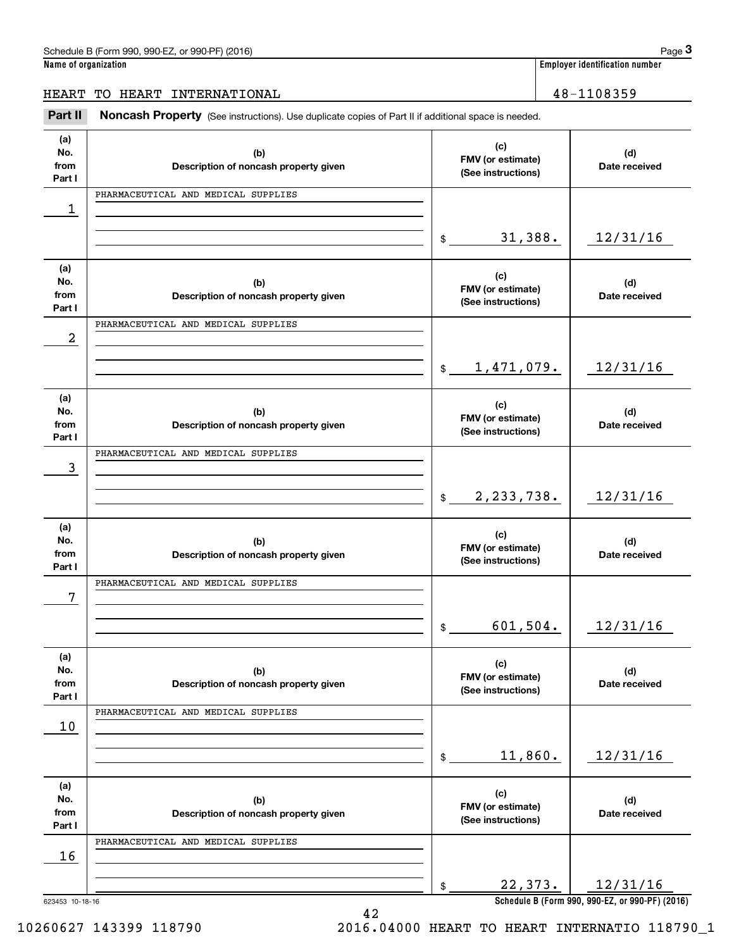| Schedule B (Form 990, 990-EZ, or 990-PF) (2016) | Paɑe                                 |
|-------------------------------------------------|--------------------------------------|
| Magaalad ayaantoottan.                          | . Faastanaa lalantifiaatian muuskan. |

**Name of organization Employer identification number**

### HEART TO HEART INTERNATIONAL 28-1108359

Employer identification number<br> **3Page 3**<br> **EART TO HEART INTERNATIONAL**<br> **Part II** Moncash Property (See instructions). Use duplicate copies of Part II if additional space is needed.

| (a)                   |                                              |                | (c)                                     |                                                             |
|-----------------------|----------------------------------------------|----------------|-----------------------------------------|-------------------------------------------------------------|
| No.<br>from<br>Part I | (b)<br>Description of noncash property given |                | FMV (or estimate)<br>(See instructions) | (d)<br>Date received                                        |
|                       | PHARMACEUTICAL AND MEDICAL SUPPLIES          |                |                                         |                                                             |
| 1                     |                                              |                |                                         |                                                             |
|                       |                                              |                |                                         |                                                             |
|                       |                                              | $\mathfrak{S}$ | 31,388.                                 | 12/31/16                                                    |
| (a)                   |                                              |                | (c)                                     |                                                             |
| No.<br>from           | (b)<br>Description of noncash property given |                | FMV (or estimate)                       | (d)<br>Date received                                        |
| Part I                |                                              |                | (See instructions)                      |                                                             |
|                       | PHARMACEUTICAL AND MEDICAL SUPPLIES          |                |                                         |                                                             |
| 2                     |                                              |                |                                         |                                                             |
|                       |                                              | $\frac{1}{2}$  | 1, 471, 079.                            | 12/31/16                                                    |
|                       |                                              |                |                                         |                                                             |
| (a)                   |                                              |                | (c)                                     |                                                             |
| No.<br>from           | (b)<br>Description of noncash property given |                | FMV (or estimate)                       | (d)<br>Date received                                        |
| Part I                |                                              |                | (See instructions)                      |                                                             |
|                       | PHARMACEUTICAL AND MEDICAL SUPPLIES          |                |                                         |                                                             |
| 3                     |                                              |                |                                         |                                                             |
|                       |                                              | $\frac{1}{2}$  | 2, 233, 738.                            | 12/31/16                                                    |
|                       |                                              |                |                                         |                                                             |
| (a)                   |                                              |                | (c)                                     |                                                             |
| No.                   | (b)                                          |                | FMV (or estimate)                       | (d)                                                         |
| from<br>Part I        | Description of noncash property given        |                | (See instructions)                      | Date received                                               |
|                       | PHARMACEUTICAL AND MEDICAL SUPPLIES          |                |                                         |                                                             |
| 7                     |                                              |                |                                         |                                                             |
|                       |                                              |                | 601, 504.                               |                                                             |
|                       |                                              | \$             |                                         | 12/31/16                                                    |
| (a)                   |                                              |                |                                         |                                                             |
| No.                   | (b)                                          |                | (c)<br>FMV (or estimate)                | (d)                                                         |
| from<br>Part I        | Description of noncash property given        |                | (See instructions)                      | Date received                                               |
|                       | PHARMACEUTICAL AND MEDICAL SUPPLIES          |                |                                         |                                                             |
| 10                    |                                              |                |                                         |                                                             |
|                       |                                              |                |                                         |                                                             |
|                       |                                              | \$             | 11,860.                                 | 12/31/16                                                    |
| (a)                   |                                              |                |                                         |                                                             |
| No.                   | (b)                                          |                | (c)<br>FMV (or estimate)                | (d)                                                         |
| from<br>Part I        | Description of noncash property given        |                | (See instructions)                      | Date received                                               |
|                       | PHARMACEUTICAL AND MEDICAL SUPPLIES          |                |                                         |                                                             |
| 16                    |                                              |                |                                         |                                                             |
|                       |                                              |                |                                         |                                                             |
| 623453 10-18-16       |                                              | \$             | 22,373.                                 | 12/31/16<br>Schedule B (Form 990, 990-EZ, or 990-PF) (2016) |

 <sup>10260627 143399 118790 2016.04000</sup> HEART TO HEART INTERNATIO 118790\_1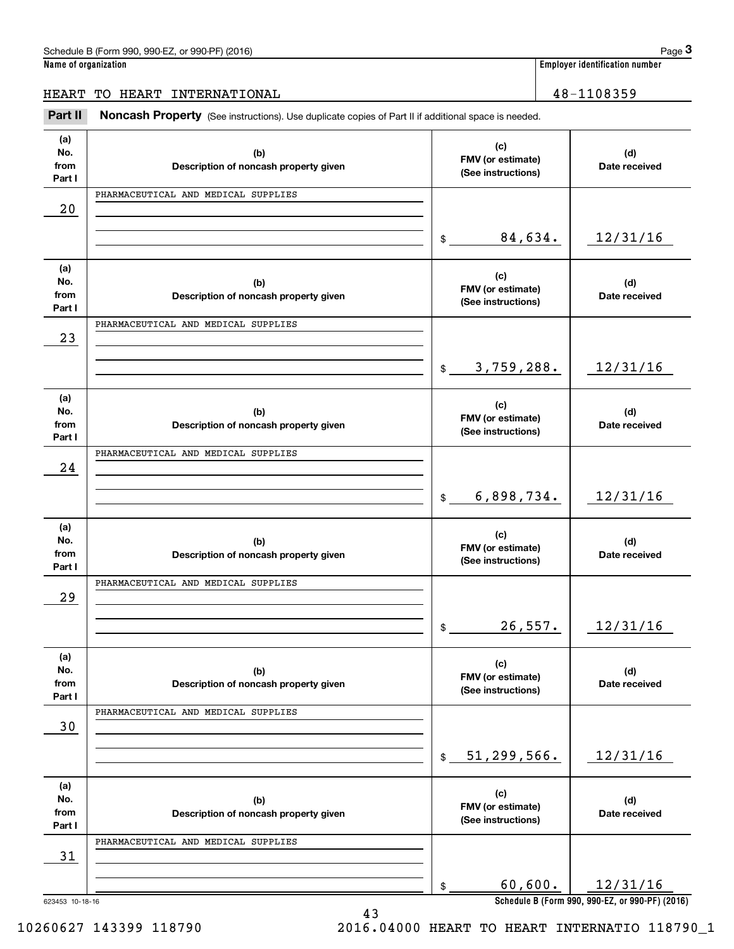### HEART TO HEART INTERNATIONAL 16 and 18-1108359

Employer identification number<br> **3Page 3**<br> **EART TO HEART INTERNATIONAL**<br> **Part II** Moncash Property (See instructions). Use duplicate copies of Part II if additional space is needed.

| (a)<br>No.<br>from<br>Part I | (b)<br>Description of noncash property given | (c)<br>FMV (or estimate)<br>(See instructions) | (d)<br>Date received                                        |
|------------------------------|----------------------------------------------|------------------------------------------------|-------------------------------------------------------------|
|                              | PHARMACEUTICAL AND MEDICAL SUPPLIES          |                                                |                                                             |
| 20                           |                                              |                                                |                                                             |
|                              |                                              |                                                |                                                             |
|                              |                                              | 84,634.<br>$\frac{1}{2}$                       | 12/31/16                                                    |
| (a)                          |                                              |                                                |                                                             |
| No.                          | (b)                                          | (c)<br>FMV (or estimate)                       | (d)                                                         |
| from                         | Description of noncash property given        | (See instructions)                             | Date received                                               |
| Part I                       |                                              |                                                |                                                             |
|                              | PHARMACEUTICAL AND MEDICAL SUPPLIES          |                                                |                                                             |
| 23                           |                                              |                                                |                                                             |
|                              |                                              |                                                |                                                             |
|                              |                                              | 3,759,288.<br>$$\tilde{\phantom{a}}$$          | 12/31/16                                                    |
|                              |                                              |                                                |                                                             |
| (a)                          |                                              |                                                |                                                             |
| No.                          | (b)                                          | (c)                                            | (d)                                                         |
| from                         | Description of noncash property given        | FMV (or estimate)                              | Date received                                               |
| Part I                       |                                              | (See instructions)                             |                                                             |
|                              | PHARMACEUTICAL AND MEDICAL SUPPLIES          |                                                |                                                             |
| 24                           |                                              |                                                |                                                             |
|                              |                                              |                                                |                                                             |
|                              |                                              | 6,898,734.<br>$\mathsf{\$}$                    | 12/31/16                                                    |
|                              |                                              |                                                |                                                             |
| (a)                          |                                              |                                                |                                                             |
|                              |                                              |                                                |                                                             |
|                              |                                              | (c)                                            |                                                             |
| No.<br>from                  | (b)                                          | FMV (or estimate)                              | (d)                                                         |
| Part I                       | Description of noncash property given        | (See instructions)                             | Date received                                               |
|                              | PHARMACEUTICAL AND MEDICAL SUPPLIES          |                                                |                                                             |
|                              |                                              |                                                |                                                             |
| 29                           |                                              |                                                |                                                             |
|                              |                                              |                                                |                                                             |
|                              |                                              | 26,557.<br>\$                                  | 12/31/16                                                    |
|                              |                                              |                                                |                                                             |
| (a)                          |                                              | (c)                                            |                                                             |
| No.                          | (b)                                          | FMV (or estimate)                              | (d)                                                         |
| from                         | Description of noncash property given        | (See instructions)                             | Date received                                               |
| Part I                       |                                              |                                                |                                                             |
|                              | PHARMACEUTICAL AND MEDICAL SUPPLIES          |                                                |                                                             |
| 30                           |                                              |                                                |                                                             |
|                              |                                              |                                                |                                                             |
|                              |                                              | 51, 299, 566.<br>$\frac{1}{2}$                 | 12/31/16                                                    |
|                              |                                              |                                                |                                                             |
| (a)                          |                                              |                                                |                                                             |
| No.                          | (b)                                          | (c)<br>FMV (or estimate)                       | (d)                                                         |
| from                         | Description of noncash property given        | (See instructions)                             | Date received                                               |
| Part I                       |                                              |                                                |                                                             |
|                              | PHARMACEUTICAL AND MEDICAL SUPPLIES          |                                                |                                                             |
| 31                           |                                              |                                                |                                                             |
|                              |                                              |                                                |                                                             |
|                              |                                              | 60,600.<br>\$                                  | 12/31/16<br>Schedule B (Form 990, 990-EZ, or 990-PF) (2016) |

43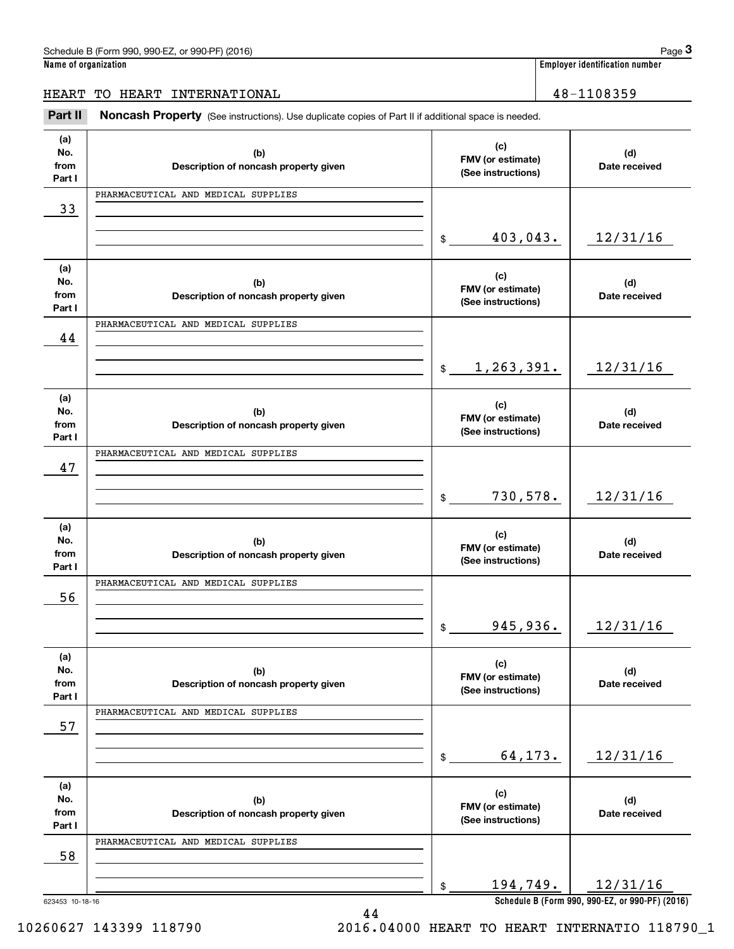### HEART TO HEART INTERNATIONAL 16 and 18-1108359

Employer identification number<br> **3Page 3**<br> **EART TO HEART INTERNATIONAL**<br> **Part II** Moncash Property (See instructions). Use duplicate copies of Part II if additional space is needed.

| (a)<br>No.<br>from<br>Part I | (b)<br>Description of noncash property given | (c)<br>FMV (or estimate)<br>(See instructions) | (d)<br>Date received                                        |
|------------------------------|----------------------------------------------|------------------------------------------------|-------------------------------------------------------------|
|                              | PHARMACEUTICAL AND MEDICAL SUPPLIES          |                                                |                                                             |
| 33                           |                                              |                                                |                                                             |
|                              |                                              |                                                |                                                             |
|                              |                                              | 403,043.<br>\$                                 | 12/31/16                                                    |
| (a)                          |                                              |                                                |                                                             |
| No.                          | (b)                                          | (c)                                            | (d)                                                         |
| from                         | Description of noncash property given        | FMV (or estimate)<br>(See instructions)        | Date received                                               |
| Part I                       |                                              |                                                |                                                             |
|                              | PHARMACEUTICAL AND MEDICAL SUPPLIES          |                                                |                                                             |
| 44                           |                                              |                                                |                                                             |
|                              |                                              |                                                |                                                             |
|                              |                                              | 1,263,391.<br>$\frac{1}{2}$                    | 12/31/16                                                    |
|                              |                                              |                                                |                                                             |
| (a)                          |                                              |                                                |                                                             |
| No.                          | (b)                                          | (c)                                            | (d)                                                         |
| from                         | Description of noncash property given        | FMV (or estimate)                              | Date received                                               |
| Part I                       |                                              | (See instructions)                             |                                                             |
|                              | PHARMACEUTICAL AND MEDICAL SUPPLIES          |                                                |                                                             |
| 47                           |                                              |                                                |                                                             |
|                              |                                              |                                                |                                                             |
|                              |                                              | 730,578.                                       | 12/31/16                                                    |
|                              |                                              | \$                                             |                                                             |
|                              |                                              |                                                |                                                             |
| (a)                          |                                              |                                                |                                                             |
|                              |                                              |                                                |                                                             |
| No.                          | (b)                                          | (c)                                            | (d)                                                         |
| from                         | Description of noncash property given        | FMV (or estimate)<br>(See instructions)        | Date received                                               |
| Part I                       |                                              |                                                |                                                             |
|                              | PHARMACEUTICAL AND MEDICAL SUPPLIES          |                                                |                                                             |
| 56                           |                                              |                                                |                                                             |
|                              |                                              |                                                |                                                             |
|                              |                                              | 945,936.<br>\$                                 | 12/31/16                                                    |
|                              |                                              |                                                |                                                             |
| (a)                          |                                              |                                                |                                                             |
| No.                          | (b)                                          | (c)                                            | (d)                                                         |
| from                         | Description of noncash property given        | FMV (or estimate)                              | Date received                                               |
| Part I                       |                                              | (See instructions)                             |                                                             |
|                              | PHARMACEUTICAL AND MEDICAL SUPPLIES          |                                                |                                                             |
| 57                           |                                              |                                                |                                                             |
|                              |                                              |                                                |                                                             |
|                              |                                              |                                                |                                                             |
|                              |                                              | 64,173.<br>\$                                  | 12/31/16                                                    |
|                              |                                              |                                                |                                                             |
| (a)                          |                                              | (c)                                            |                                                             |
| No.                          | (b)                                          | FMV (or estimate)                              | (d)                                                         |
| from<br>Part I               | Description of noncash property given        | (See instructions)                             | Date received                                               |
|                              |                                              |                                                |                                                             |
|                              | PHARMACEUTICAL AND MEDICAL SUPPLIES          |                                                |                                                             |
| 58                           |                                              |                                                |                                                             |
|                              |                                              |                                                |                                                             |
| 623453 10-18-16              |                                              | 194,749.<br>\$                                 | 12/31/16<br>Schedule B (Form 990, 990-EZ, or 990-PF) (2016) |

44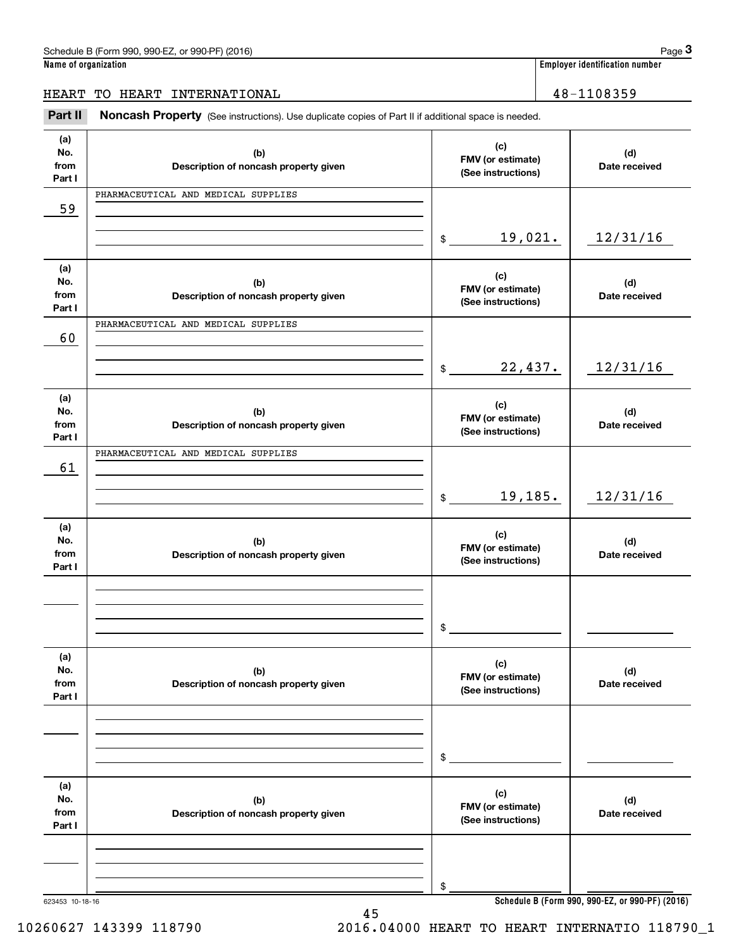Employer identification number<br> **3Page 3**<br> **EART TO HEART INTERNATIONAL**<br> **Part II** Moncash Property (See instructions). Use duplicate copies of Part II if additional space is needed.

| (d)<br>Date received<br>12/31/16<br>(d)<br>Date received |
|----------------------------------------------------------|
|                                                          |
|                                                          |
|                                                          |
|                                                          |
|                                                          |
|                                                          |
|                                                          |
| 12/31/16                                                 |
| (d)<br>Date received                                     |
|                                                          |
|                                                          |
| 12/31/16                                                 |
| (d)<br>Date received                                     |
|                                                          |
|                                                          |
|                                                          |
| (d)<br>Date received                                     |
|                                                          |
|                                                          |
|                                                          |
| (d)<br>Date received                                     |
|                                                          |
|                                                          |
| Schedule B (Form 990, 990-EZ, or 990-PF) (2016)          |
|                                                          |

45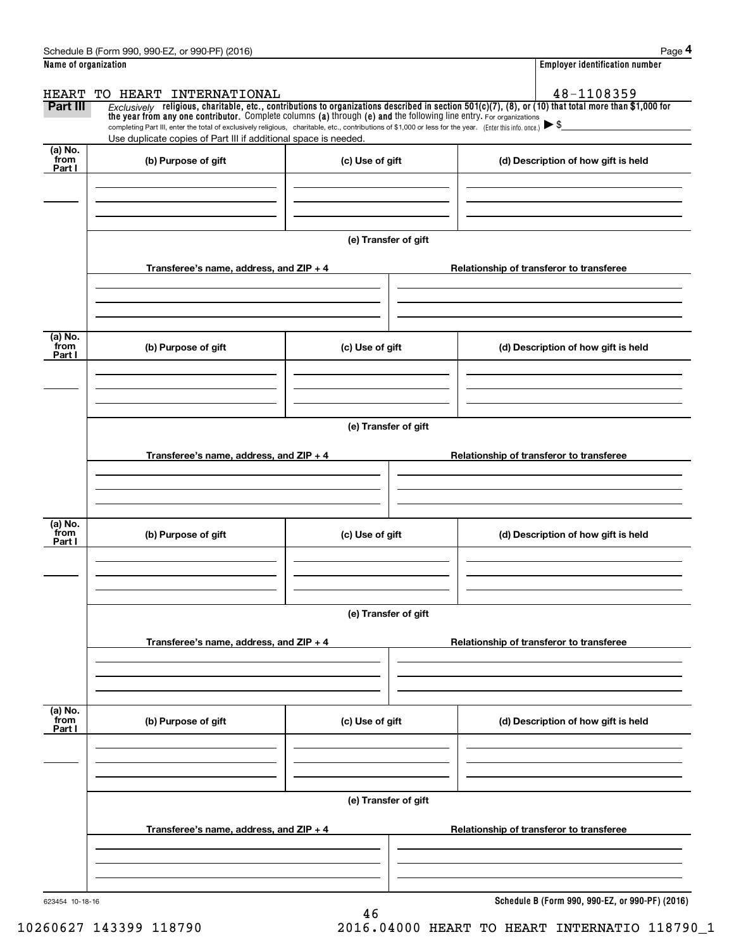|                      | Schedule B (Form 990, 990-EZ, or 990-PF) (2016)                                                                                                                                                                                                                                |                      |  | Page 4                                          |  |  |
|----------------------|--------------------------------------------------------------------------------------------------------------------------------------------------------------------------------------------------------------------------------------------------------------------------------|----------------------|--|-------------------------------------------------|--|--|
| Name of organization |                                                                                                                                                                                                                                                                                |                      |  | <b>Employer identification number</b>           |  |  |
| HEART                | TO HEART INTERNATIONAL                                                                                                                                                                                                                                                         |                      |  | 48-1108359                                      |  |  |
| Part III             | $Exclusively$ religious, charitable, etc., contributions to organizations described in section 501(c)(7), (8), or (10) that total more than \$1,000 for<br>the year from any one contributor. Complete columns (a) through (e) and the following line entry. For organizations |                      |  |                                                 |  |  |
|                      | completing Part III, enter the total of exclusively religious, charitable, etc., contributions of \$1,000 or less for the year. (Enter this info. once.) $\blacktriangleright$ \$<br>Use duplicate copies of Part III if additional space is needed.                           |                      |  |                                                 |  |  |
| $(a)$ No.            |                                                                                                                                                                                                                                                                                |                      |  |                                                 |  |  |
| from<br>Part I       | (b) Purpose of gift                                                                                                                                                                                                                                                            | (c) Use of gift      |  | (d) Description of how gift is held             |  |  |
|                      |                                                                                                                                                                                                                                                                                |                      |  |                                                 |  |  |
|                      |                                                                                                                                                                                                                                                                                |                      |  |                                                 |  |  |
|                      |                                                                                                                                                                                                                                                                                |                      |  |                                                 |  |  |
|                      |                                                                                                                                                                                                                                                                                | (e) Transfer of gift |  |                                                 |  |  |
|                      | Transferee's name, address, and $ZIP + 4$                                                                                                                                                                                                                                      |                      |  | Relationship of transferor to transferee        |  |  |
|                      |                                                                                                                                                                                                                                                                                |                      |  |                                                 |  |  |
|                      |                                                                                                                                                                                                                                                                                |                      |  |                                                 |  |  |
|                      |                                                                                                                                                                                                                                                                                |                      |  |                                                 |  |  |
| (a) No.<br>from      | (b) Purpose of gift                                                                                                                                                                                                                                                            | (c) Use of gift      |  | (d) Description of how gift is held             |  |  |
| Part I               |                                                                                                                                                                                                                                                                                |                      |  |                                                 |  |  |
|                      |                                                                                                                                                                                                                                                                                |                      |  |                                                 |  |  |
|                      |                                                                                                                                                                                                                                                                                |                      |  |                                                 |  |  |
|                      |                                                                                                                                                                                                                                                                                | (e) Transfer of gift |  |                                                 |  |  |
|                      |                                                                                                                                                                                                                                                                                |                      |  |                                                 |  |  |
|                      | Transferee's name, address, and ZIP + 4                                                                                                                                                                                                                                        |                      |  | Relationship of transferor to transferee        |  |  |
|                      |                                                                                                                                                                                                                                                                                |                      |  |                                                 |  |  |
|                      |                                                                                                                                                                                                                                                                                |                      |  |                                                 |  |  |
| (a) No.              |                                                                                                                                                                                                                                                                                |                      |  |                                                 |  |  |
| from<br>Part I       | (b) Purpose of gift                                                                                                                                                                                                                                                            | (c) Use of gift      |  | (d) Description of how gift is held             |  |  |
|                      |                                                                                                                                                                                                                                                                                |                      |  |                                                 |  |  |
|                      |                                                                                                                                                                                                                                                                                |                      |  |                                                 |  |  |
|                      |                                                                                                                                                                                                                                                                                |                      |  |                                                 |  |  |
|                      |                                                                                                                                                                                                                                                                                | (e) Transfer of gift |  |                                                 |  |  |
|                      | Relationship of transferor to transferee                                                                                                                                                                                                                                       |                      |  |                                                 |  |  |
|                      | Transferee's name, address, and ZIP + 4                                                                                                                                                                                                                                        |                      |  |                                                 |  |  |
|                      |                                                                                                                                                                                                                                                                                |                      |  |                                                 |  |  |
|                      |                                                                                                                                                                                                                                                                                |                      |  |                                                 |  |  |
| (a) No.<br>from      | (b) Purpose of gift                                                                                                                                                                                                                                                            | (c) Use of gift      |  | (d) Description of how gift is held             |  |  |
| Part I               |                                                                                                                                                                                                                                                                                |                      |  |                                                 |  |  |
|                      |                                                                                                                                                                                                                                                                                |                      |  |                                                 |  |  |
|                      |                                                                                                                                                                                                                                                                                |                      |  |                                                 |  |  |
|                      |                                                                                                                                                                                                                                                                                |                      |  |                                                 |  |  |
|                      |                                                                                                                                                                                                                                                                                | (e) Transfer of gift |  |                                                 |  |  |
|                      | Transferee's name, address, and ZIP + 4                                                                                                                                                                                                                                        |                      |  | Relationship of transferor to transferee        |  |  |
|                      |                                                                                                                                                                                                                                                                                |                      |  |                                                 |  |  |
|                      |                                                                                                                                                                                                                                                                                |                      |  |                                                 |  |  |
|                      |                                                                                                                                                                                                                                                                                |                      |  |                                                 |  |  |
| 623454 10-18-16      |                                                                                                                                                                                                                                                                                | 46                   |  | Schedule B (Form 990, 990-EZ, or 990-PF) (2016) |  |  |
|                      |                                                                                                                                                                                                                                                                                |                      |  |                                                 |  |  |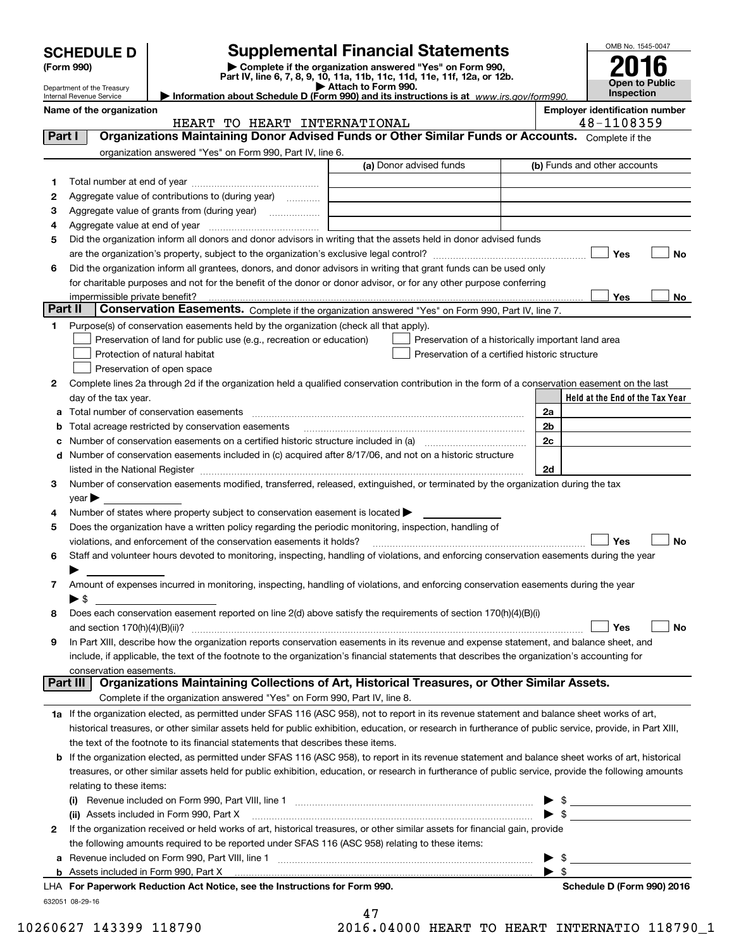|         | <b>SCHEDULE D</b>                                      |                                                                                                                                                                                                             | <b>Supplemental Financial Statements</b>                                                                                                                                                                                                                                                                   |                         | OMB No. 1545-0047                                   |           |  |
|---------|--------------------------------------------------------|-------------------------------------------------------------------------------------------------------------------------------------------------------------------------------------------------------------|------------------------------------------------------------------------------------------------------------------------------------------------------------------------------------------------------------------------------------------------------------------------------------------------------------|-------------------------|-----------------------------------------------------|-----------|--|
|         | (Form 990)                                             |                                                                                                                                                                                                             | Complete if the organization answered "Yes" on Form 990,                                                                                                                                                                                                                                                   |                         |                                                     |           |  |
|         |                                                        |                                                                                                                                                                                                             | Part IV, line 6, 7, 8, 9, 10, 11a, 11b, 11c, 11d, 11e, 11f, 12a, or 12b.<br>Attach to Form 990.                                                                                                                                                                                                            |                         | Open to Public                                      |           |  |
|         | Department of the Treasury<br>Internal Revenue Service |                                                                                                                                                                                                             | Information about Schedule D (Form 990) and its instructions is at www.irs.gov/form990.                                                                                                                                                                                                                    |                         | Inspection                                          |           |  |
|         | Name of the organization                               | HEART TO HEART INTERNATIONAL                                                                                                                                                                                |                                                                                                                                                                                                                                                                                                            |                         | <b>Employer identification number</b><br>48-1108359 |           |  |
| Part I  |                                                        |                                                                                                                                                                                                             | Organizations Maintaining Donor Advised Funds or Other Similar Funds or Accounts. Complete if the                                                                                                                                                                                                          |                         |                                                     |           |  |
|         |                                                        | organization answered "Yes" on Form 990, Part IV, line 6.                                                                                                                                                   |                                                                                                                                                                                                                                                                                                            |                         |                                                     |           |  |
|         |                                                        |                                                                                                                                                                                                             | (a) Donor advised funds                                                                                                                                                                                                                                                                                    |                         | (b) Funds and other accounts                        |           |  |
| 1       |                                                        |                                                                                                                                                                                                             |                                                                                                                                                                                                                                                                                                            |                         |                                                     |           |  |
| 2       |                                                        | Aggregate value of contributions to (during year)                                                                                                                                                           |                                                                                                                                                                                                                                                                                                            |                         |                                                     |           |  |
| 3       |                                                        |                                                                                                                                                                                                             |                                                                                                                                                                                                                                                                                                            |                         |                                                     |           |  |
| 4       |                                                        |                                                                                                                                                                                                             |                                                                                                                                                                                                                                                                                                            |                         |                                                     |           |  |
| 5       |                                                        |                                                                                                                                                                                                             | Did the organization inform all donors and donor advisors in writing that the assets held in donor advised funds                                                                                                                                                                                           |                         |                                                     |           |  |
|         | <b>No</b><br>Yes                                       |                                                                                                                                                                                                             |                                                                                                                                                                                                                                                                                                            |                         |                                                     |           |  |
| 6       |                                                        |                                                                                                                                                                                                             | Did the organization inform all grantees, donors, and donor advisors in writing that grant funds can be used only                                                                                                                                                                                          |                         |                                                     |           |  |
|         |                                                        |                                                                                                                                                                                                             | for charitable purposes and not for the benefit of the donor or donor advisor, or for any other purpose conferring                                                                                                                                                                                         |                         |                                                     |           |  |
| Part II | impermissible private benefit?                         |                                                                                                                                                                                                             | Conservation Easements. Complete if the organization answered "Yes" on Form 990, Part IV, line 7.                                                                                                                                                                                                          |                         | Yes                                                 | No        |  |
| 1       |                                                        | Purpose(s) of conservation easements held by the organization (check all that apply).                                                                                                                       |                                                                                                                                                                                                                                                                                                            |                         |                                                     |           |  |
|         |                                                        | Preservation of land for public use (e.g., recreation or education)                                                                                                                                         | Preservation of a historically important land area                                                                                                                                                                                                                                                         |                         |                                                     |           |  |
|         |                                                        | Protection of natural habitat                                                                                                                                                                               | Preservation of a certified historic structure                                                                                                                                                                                                                                                             |                         |                                                     |           |  |
|         |                                                        | Preservation of open space                                                                                                                                                                                  |                                                                                                                                                                                                                                                                                                            |                         |                                                     |           |  |
| 2       |                                                        |                                                                                                                                                                                                             | Complete lines 2a through 2d if the organization held a qualified conservation contribution in the form of a conservation easement on the last                                                                                                                                                             |                         |                                                     |           |  |
|         | day of the tax year.                                   |                                                                                                                                                                                                             |                                                                                                                                                                                                                                                                                                            |                         | Held at the End of the Tax Year                     |           |  |
| a       |                                                        | Total number of conservation easements                                                                                                                                                                      |                                                                                                                                                                                                                                                                                                            | 2a                      |                                                     |           |  |
| b       |                                                        | Total acreage restricted by conservation easements                                                                                                                                                          |                                                                                                                                                                                                                                                                                                            | 2 <sub>b</sub>          |                                                     |           |  |
| c       |                                                        |                                                                                                                                                                                                             | Number of conservation easements on a certified historic structure included in (a) manufacture included in (a)                                                                                                                                                                                             | 2c                      |                                                     |           |  |
| d       |                                                        |                                                                                                                                                                                                             | Number of conservation easements included in (c) acquired after 8/17/06, and not on a historic structure                                                                                                                                                                                                   |                         |                                                     |           |  |
|         |                                                        |                                                                                                                                                                                                             | listed in the National Register [111] Marshall Register [11] Marshall Register [11] Marshall Register [11] Marshall Register [11] Marshall Register [11] Marshall Register [11] Marshall Register [11] Marshall Register [11]                                                                              | 2d                      |                                                     |           |  |
| 3       |                                                        |                                                                                                                                                                                                             | Number of conservation easements modified, transferred, released, extinguished, or terminated by the organization during the tax                                                                                                                                                                           |                         |                                                     |           |  |
|         | $year \triangleright$                                  |                                                                                                                                                                                                             |                                                                                                                                                                                                                                                                                                            |                         |                                                     |           |  |
| 4       |                                                        | Number of states where property subject to conservation easement is located $\blacktriangleright$<br>Does the organization have a written policy regarding the periodic monitoring, inspection, handling of |                                                                                                                                                                                                                                                                                                            |                         |                                                     |           |  |
| 5       |                                                        | violations, and enforcement of the conservation easements it holds?                                                                                                                                         |                                                                                                                                                                                                                                                                                                            |                         | Yes                                                 | <b>No</b> |  |
| 6       |                                                        |                                                                                                                                                                                                             | Staff and volunteer hours devoted to monitoring, inspecting, handling of violations, and enforcing conservation easements during the year                                                                                                                                                                  |                         |                                                     |           |  |
|         |                                                        |                                                                                                                                                                                                             |                                                                                                                                                                                                                                                                                                            |                         |                                                     |           |  |
| 7       |                                                        |                                                                                                                                                                                                             | Amount of expenses incurred in monitoring, inspecting, handling of violations, and enforcing conservation easements during the year                                                                                                                                                                        |                         |                                                     |           |  |
|         | $\blacktriangleright$ \$                               |                                                                                                                                                                                                             |                                                                                                                                                                                                                                                                                                            |                         |                                                     |           |  |
| 8       |                                                        |                                                                                                                                                                                                             | Does each conservation easement reported on line 2(d) above satisfy the requirements of section 170(h)(4)(B)(i)                                                                                                                                                                                            |                         |                                                     |           |  |
|         |                                                        |                                                                                                                                                                                                             |                                                                                                                                                                                                                                                                                                            |                         | Yes                                                 | No        |  |
| 9       |                                                        |                                                                                                                                                                                                             | In Part XIII, describe how the organization reports conservation easements in its revenue and expense statement, and balance sheet, and                                                                                                                                                                    |                         |                                                     |           |  |
|         |                                                        |                                                                                                                                                                                                             | include, if applicable, the text of the footnote to the organization's financial statements that describes the organization's accounting for                                                                                                                                                               |                         |                                                     |           |  |
|         | conservation easements.                                |                                                                                                                                                                                                             | Organizations Maintaining Collections of Art, Historical Treasures, or Other Similar Assets.                                                                                                                                                                                                               |                         |                                                     |           |  |
|         | Part III                                               | Complete if the organization answered "Yes" on Form 990, Part IV, line 8.                                                                                                                                   |                                                                                                                                                                                                                                                                                                            |                         |                                                     |           |  |
|         |                                                        |                                                                                                                                                                                                             |                                                                                                                                                                                                                                                                                                            |                         |                                                     |           |  |
|         |                                                        |                                                                                                                                                                                                             | 1a If the organization elected, as permitted under SFAS 116 (ASC 958), not to report in its revenue statement and balance sheet works of art,<br>historical treasures, or other similar assets held for public exhibition, education, or research in furtherance of public service, provide, in Part XIII, |                         |                                                     |           |  |
|         |                                                        | the text of the footnote to its financial statements that describes these items.                                                                                                                            |                                                                                                                                                                                                                                                                                                            |                         |                                                     |           |  |
| b       |                                                        |                                                                                                                                                                                                             | If the organization elected, as permitted under SFAS 116 (ASC 958), to report in its revenue statement and balance sheet works of art, historical                                                                                                                                                          |                         |                                                     |           |  |
|         |                                                        |                                                                                                                                                                                                             | treasures, or other similar assets held for public exhibition, education, or research in furtherance of public service, provide the following amounts                                                                                                                                                      |                         |                                                     |           |  |
|         | relating to these items:                               |                                                                                                                                                                                                             |                                                                                                                                                                                                                                                                                                            |                         |                                                     |           |  |
|         | (i)                                                    |                                                                                                                                                                                                             |                                                                                                                                                                                                                                                                                                            |                         |                                                     |           |  |
|         |                                                        | (ii) Assets included in Form 990, Part X                                                                                                                                                                    |                                                                                                                                                                                                                                                                                                            |                         | $\blacktriangleright$ \$                            |           |  |
| 2       |                                                        |                                                                                                                                                                                                             | If the organization received or held works of art, historical treasures, or other similar assets for financial gain, provide                                                                                                                                                                               |                         |                                                     |           |  |
|         |                                                        | the following amounts required to be reported under SFAS 116 (ASC 958) relating to these items:                                                                                                             |                                                                                                                                                                                                                                                                                                            |                         |                                                     |           |  |
| а       |                                                        |                                                                                                                                                                                                             |                                                                                                                                                                                                                                                                                                            |                         |                                                     |           |  |
|         |                                                        |                                                                                                                                                                                                             |                                                                                                                                                                                                                                                                                                            | $\blacktriangleright$ s |                                                     |           |  |

| LHA For Paperwork Reduction Act Notice, see the Instructions for Form 990. |
|----------------------------------------------------------------------------|
| 632051 08-29-16                                                            |

| 47 |           |  |
|----|-----------|--|
|    | 116 N1000 |  |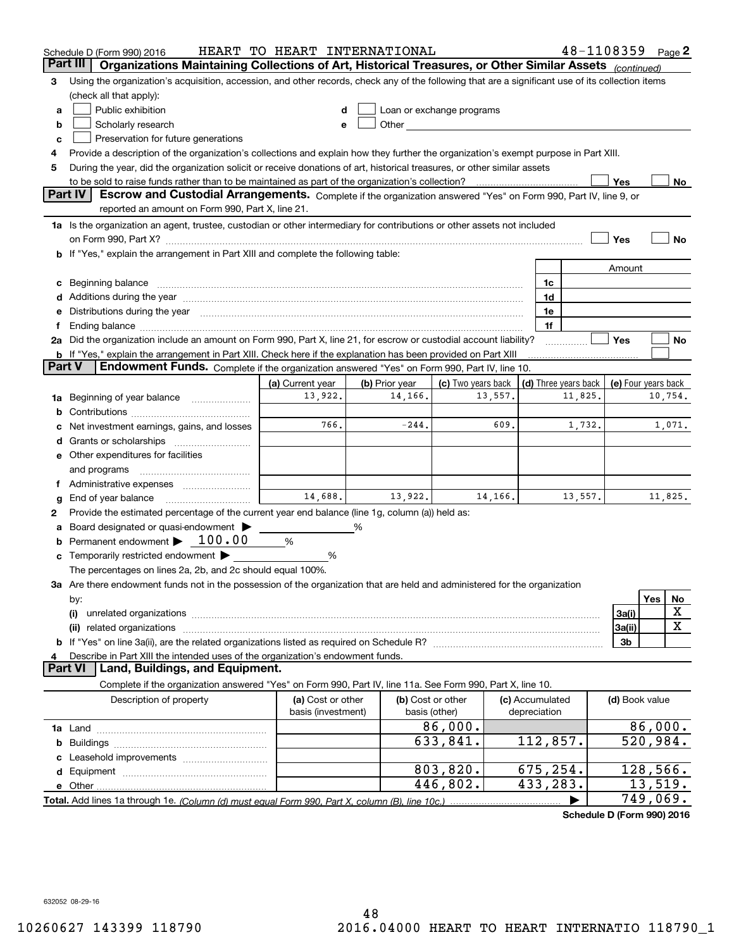|        | Schedule D (Form 990) 2016                                                                                                                                                                                                     | HEART TO HEART INTERNATIONAL |                |                                                                                                                                                                                                                               |         |                      | 48-1108359 |                     |            | Page $2$ |
|--------|--------------------------------------------------------------------------------------------------------------------------------------------------------------------------------------------------------------------------------|------------------------------|----------------|-------------------------------------------------------------------------------------------------------------------------------------------------------------------------------------------------------------------------------|---------|----------------------|------------|---------------------|------------|----------|
|        | Part III<br>Organizations Maintaining Collections of Art, Historical Treasures, or Other Similar Assets (continued)                                                                                                            |                              |                |                                                                                                                                                                                                                               |         |                      |            |                     |            |          |
| 3      | Using the organization's acquisition, accession, and other records, check any of the following that are a significant use of its collection items                                                                              |                              |                |                                                                                                                                                                                                                               |         |                      |            |                     |            |          |
|        | (check all that apply):                                                                                                                                                                                                        |                              |                |                                                                                                                                                                                                                               |         |                      |            |                     |            |          |
| a      | Public exhibition                                                                                                                                                                                                              |                              |                | Loan or exchange programs                                                                                                                                                                                                     |         |                      |            |                     |            |          |
| b      | Scholarly research                                                                                                                                                                                                             |                              |                | Other and the contract of the contract of the contract of the contract of the contract of the contract of the contract of the contract of the contract of the contract of the contract of the contract of the contract of the |         |                      |            |                     |            |          |
| c      | Preservation for future generations                                                                                                                                                                                            |                              |                |                                                                                                                                                                                                                               |         |                      |            |                     |            |          |
| 4      | Provide a description of the organization's collections and explain how they further the organization's exempt purpose in Part XIII.                                                                                           |                              |                |                                                                                                                                                                                                                               |         |                      |            |                     |            |          |
| 5      | During the year, did the organization solicit or receive donations of art, historical treasures, or other similar assets                                                                                                       |                              |                |                                                                                                                                                                                                                               |         |                      |            |                     |            |          |
|        | to be sold to raise funds rather than to be maintained as part of the organization's collection?                                                                                                                               |                              |                |                                                                                                                                                                                                                               |         |                      |            | Yes                 |            | No       |
|        | <b>Part IV</b><br>Escrow and Custodial Arrangements. Complete if the organization answered "Yes" on Form 990, Part IV, line 9, or                                                                                              |                              |                |                                                                                                                                                                                                                               |         |                      |            |                     |            |          |
|        | reported an amount on Form 990, Part X, line 21.                                                                                                                                                                               |                              |                |                                                                                                                                                                                                                               |         |                      |            |                     |            |          |
|        | 1a Is the organization an agent, trustee, custodian or other intermediary for contributions or other assets not included                                                                                                       |                              |                |                                                                                                                                                                                                                               |         |                      |            |                     |            |          |
|        | on Form 990, Part X? [11] matter and the contract of the contract of the contract of the contract of the contract of the contract of the contract of the contract of the contract of the contract of the contract of the contr |                              |                |                                                                                                                                                                                                                               |         |                      |            | Yes                 |            | No       |
|        | b If "Yes," explain the arrangement in Part XIII and complete the following table:                                                                                                                                             |                              |                |                                                                                                                                                                                                                               |         |                      |            |                     |            |          |
|        |                                                                                                                                                                                                                                |                              |                |                                                                                                                                                                                                                               |         |                      |            | Amount              |            |          |
| c      | Beginning balance material content contracts and all the content of the content of the content of the content of the content of the content of the content of the content of the content of the content of the content of the  |                              |                |                                                                                                                                                                                                                               |         | 1c                   |            |                     |            |          |
|        | Additions during the year manufactured and an annual contract of the state of the state of the state of the state of the state of the state of the state of the state of the state of the state of the state of the state of t |                              |                |                                                                                                                                                                                                                               |         | 1d                   |            |                     |            |          |
| е      | Distributions during the year manufactured and an account of the state of the state of the state of the state o                                                                                                                |                              |                |                                                                                                                                                                                                                               |         | 1e                   |            |                     |            |          |
| 1.     |                                                                                                                                                                                                                                |                              |                |                                                                                                                                                                                                                               |         | 1f                   |            |                     |            |          |
|        | 2a Did the organization include an amount on Form 990, Part X, line 21, for escrow or custodial account liability?                                                                                                             |                              |                |                                                                                                                                                                                                                               |         |                      |            | Yes                 |            | No       |
| Part V | <b>b</b> If "Yes," explain the arrangement in Part XIII. Check here if the explanation has been provided on Part XIII                                                                                                          |                              |                |                                                                                                                                                                                                                               |         |                      |            |                     |            |          |
|        | Endowment Funds. Complete if the organization answered "Yes" on Form 990, Part IV, line 10.                                                                                                                                    |                              |                |                                                                                                                                                                                                                               |         |                      |            |                     |            |          |
|        |                                                                                                                                                                                                                                | (a) Current year             | (b) Prior year | (c) Two years back                                                                                                                                                                                                            |         | (d) Three years back |            | (e) Four years back |            |          |
| 1a     | Beginning of year balance                                                                                                                                                                                                      | 13,922.                      | 14,166.        |                                                                                                                                                                                                                               | 13,557. |                      | 11,825.    |                     |            | 10,754.  |
|        |                                                                                                                                                                                                                                | 766.                         | $-244.$        |                                                                                                                                                                                                                               | 609.    |                      |            |                     |            |          |
|        | Net investment earnings, gains, and losses                                                                                                                                                                                     |                              |                |                                                                                                                                                                                                                               |         |                      | 1,732.     |                     |            | 1,071.   |
| d      |                                                                                                                                                                                                                                |                              |                |                                                                                                                                                                                                                               |         |                      |            |                     |            |          |
|        | e Other expenditures for facilities                                                                                                                                                                                            |                              |                |                                                                                                                                                                                                                               |         |                      |            |                     |            |          |
|        | and programs                                                                                                                                                                                                                   |                              |                |                                                                                                                                                                                                                               |         |                      |            |                     |            |          |
|        |                                                                                                                                                                                                                                | 14,688.                      | 13,922.        |                                                                                                                                                                                                                               | 14,166. |                      |            |                     |            |          |
| g      | End of year balance                                                                                                                                                                                                            |                              |                |                                                                                                                                                                                                                               |         |                      | 13,557.    |                     |            | 11,825.  |
| 2      | Provide the estimated percentage of the current year end balance (line 1g, column (a)) held as:                                                                                                                                |                              |                |                                                                                                                                                                                                                               |         |                      |            |                     |            |          |
| а      | Board designated or quasi-endowment<br>Permanent endowment $\blacktriangleright$ 100.00                                                                                                                                        |                              | ℅              |                                                                                                                                                                                                                               |         |                      |            |                     |            |          |
|        |                                                                                                                                                                                                                                | %                            |                |                                                                                                                                                                                                                               |         |                      |            |                     |            |          |
|        | Temporarily restricted endowment                                                                                                                                                                                               | %                            |                |                                                                                                                                                                                                                               |         |                      |            |                     |            |          |
|        | The percentages on lines 2a, 2b, and 2c should equal 100%.                                                                                                                                                                     |                              |                |                                                                                                                                                                                                                               |         |                      |            |                     |            |          |
|        | 3a Are there endowment funds not in the possession of the organization that are held and administered for the organization                                                                                                     |                              |                |                                                                                                                                                                                                                               |         |                      |            |                     | <b>Yes</b> | No       |
|        | by:<br>(i)                                                                                                                                                                                                                     |                              |                |                                                                                                                                                                                                                               |         |                      |            | 3a(i)               |            | X        |
|        | (ii) related organizations                                                                                                                                                                                                     |                              |                |                                                                                                                                                                                                                               |         |                      |            | 3a(ii)              |            | X        |
|        |                                                                                                                                                                                                                                |                              |                |                                                                                                                                                                                                                               |         |                      |            | 3b                  |            |          |
|        | Describe in Part XIII the intended uses of the organization's endowment funds.                                                                                                                                                 |                              |                |                                                                                                                                                                                                                               |         |                      |            |                     |            |          |
|        | Land, Buildings, and Equipment.<br>Part VI                                                                                                                                                                                     |                              |                |                                                                                                                                                                                                                               |         |                      |            |                     |            |          |
|        | Complete if the organization answered "Yes" on Form 990, Part IV, line 11a. See Form 990, Part X, line 10.                                                                                                                     |                              |                |                                                                                                                                                                                                                               |         |                      |            |                     |            |          |
|        | Description of property                                                                                                                                                                                                        | (a) Cost or other            |                | (b) Cost or other                                                                                                                                                                                                             |         | (c) Accumulated      |            | (d) Book value      |            |          |
|        |                                                                                                                                                                                                                                | basis (investment)           |                | basis (other)                                                                                                                                                                                                                 |         | depreciation         |            |                     |            |          |
|        |                                                                                                                                                                                                                                |                              |                | 86,000.                                                                                                                                                                                                                       |         |                      |            |                     | 86,000.    |          |
| b      |                                                                                                                                                                                                                                |                              |                | 633,841.                                                                                                                                                                                                                      |         | 112,857.             |            |                     | 520,984.   |          |
|        |                                                                                                                                                                                                                                |                              |                |                                                                                                                                                                                                                               |         |                      |            |                     |            |          |
|        |                                                                                                                                                                                                                                |                              |                | 803,820.                                                                                                                                                                                                                      |         | 675,254.             |            |                     | 128,566.   |          |
|        |                                                                                                                                                                                                                                |                              |                | 446,802.                                                                                                                                                                                                                      |         | 433,283.             |            |                     | 13,519.    |          |
|        |                                                                                                                                                                                                                                |                              |                |                                                                                                                                                                                                                               |         |                      |            |                     | 749,069.   |          |
|        |                                                                                                                                                                                                                                |                              |                |                                                                                                                                                                                                                               |         |                      |            |                     |            |          |

**Schedule D (Form 990) 2016**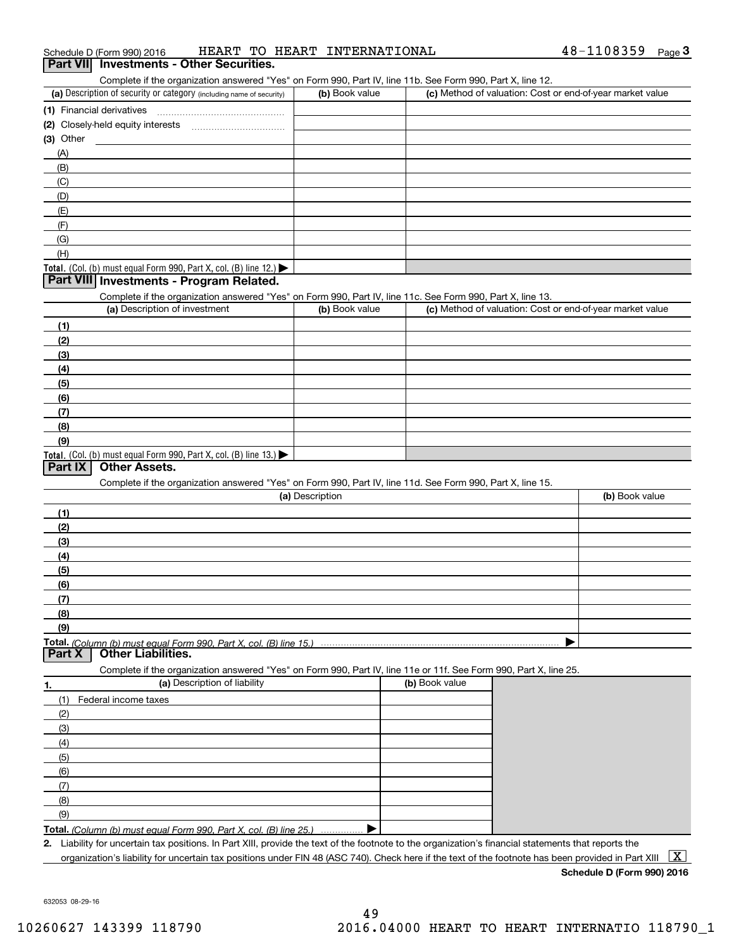|                          | Part VII Investments - Other Securities.                                                                                                                                           |                 |                |                                                           |
|--------------------------|------------------------------------------------------------------------------------------------------------------------------------------------------------------------------------|-----------------|----------------|-----------------------------------------------------------|
|                          | Complete if the organization answered "Yes" on Form 990, Part IV, line 11b. See Form 990, Part X, line 12.<br>(a) Description of security or category (including name of security) | (b) Book value  |                | (c) Method of valuation: Cost or end-of-year market value |
|                          |                                                                                                                                                                                    |                 |                |                                                           |
|                          | (1) Financial derivatives                                                                                                                                                          |                 |                |                                                           |
| (3) Other                |                                                                                                                                                                                    |                 |                |                                                           |
|                          |                                                                                                                                                                                    |                 |                |                                                           |
| (A)<br>(B)               |                                                                                                                                                                                    |                 |                |                                                           |
| (C)                      |                                                                                                                                                                                    |                 |                |                                                           |
| (D)                      |                                                                                                                                                                                    |                 |                |                                                           |
| (E)                      |                                                                                                                                                                                    |                 |                |                                                           |
| (F)                      |                                                                                                                                                                                    |                 |                |                                                           |
| (G)                      |                                                                                                                                                                                    |                 |                |                                                           |
| (H)                      |                                                                                                                                                                                    |                 |                |                                                           |
|                          | Total. (Col. (b) must equal Form 990, Part X, col. (B) line 12.)                                                                                                                   |                 |                |                                                           |
|                          | Part VIII Investments - Program Related.                                                                                                                                           |                 |                |                                                           |
|                          | Complete if the organization answered "Yes" on Form 990, Part IV, line 11c. See Form 990, Part X, line 13.                                                                         |                 |                |                                                           |
|                          | (a) Description of investment                                                                                                                                                      | (b) Book value  |                | (c) Method of valuation: Cost or end-of-year market value |
| (1)                      |                                                                                                                                                                                    |                 |                |                                                           |
| (2)                      |                                                                                                                                                                                    |                 |                |                                                           |
| (3)                      |                                                                                                                                                                                    |                 |                |                                                           |
| (4)                      |                                                                                                                                                                                    |                 |                |                                                           |
| (5)                      |                                                                                                                                                                                    |                 |                |                                                           |
| (6)                      |                                                                                                                                                                                    |                 |                |                                                           |
| (7)                      |                                                                                                                                                                                    |                 |                |                                                           |
| (8)                      |                                                                                                                                                                                    |                 |                |                                                           |
| (9)                      |                                                                                                                                                                                    |                 |                |                                                           |
|                          |                                                                                                                                                                                    |                 |                |                                                           |
|                          | Total. (Col. (b) must equal Form 990, Part X, col. (B) line 13.)                                                                                                                   |                 |                |                                                           |
|                          | <b>Other Assets.</b>                                                                                                                                                               |                 |                |                                                           |
|                          | Complete if the organization answered "Yes" on Form 990, Part IV, line 11d. See Form 990, Part X, line 15.                                                                         |                 |                |                                                           |
|                          |                                                                                                                                                                                    | (a) Description |                | (b) Book value                                            |
| (1)                      |                                                                                                                                                                                    |                 |                |                                                           |
| (2)                      |                                                                                                                                                                                    |                 |                |                                                           |
| (3)                      |                                                                                                                                                                                    |                 |                |                                                           |
| (4)                      |                                                                                                                                                                                    |                 |                |                                                           |
| (5)                      |                                                                                                                                                                                    |                 |                |                                                           |
| (6)                      |                                                                                                                                                                                    |                 |                |                                                           |
| (7)                      |                                                                                                                                                                                    |                 |                |                                                           |
| (8)                      |                                                                                                                                                                                    |                 |                |                                                           |
| (9)                      |                                                                                                                                                                                    |                 |                |                                                           |
|                          |                                                                                                                                                                                    |                 |                |                                                           |
|                          | <b>Other Liabilities.</b>                                                                                                                                                          |                 |                |                                                           |
|                          | Complete if the organization answered "Yes" on Form 990, Part IV, line 11e or 11f. See Form 990, Part X, line 25.                                                                  |                 |                |                                                           |
|                          | (a) Description of liability                                                                                                                                                       |                 | (b) Book value |                                                           |
| (1)                      | Federal income taxes                                                                                                                                                               |                 |                |                                                           |
| (2)                      |                                                                                                                                                                                    |                 |                |                                                           |
| Part IX<br>Part X<br>(3) |                                                                                                                                                                                    |                 |                |                                                           |

**Total.**  *(Column (b) must equal Form 990, Part X, col. (B) line 25.)* . . . . . . . . . . . . . . .  $\blacktriangleright$ 

**2.**Liability for uncertain tax positions. In Part XIII, provide the text of the footnote to the organization's financial statements that reports the organization's liability for uncertain tax positions under FIN 48 (ASC 740). Check here if the text of the footnote has been provided in Part XIII  $~\boxed{\rm X}$ 

**Schedule D (Form 990) 2016**

632053 08-29-16

(6) (7) (8) (9)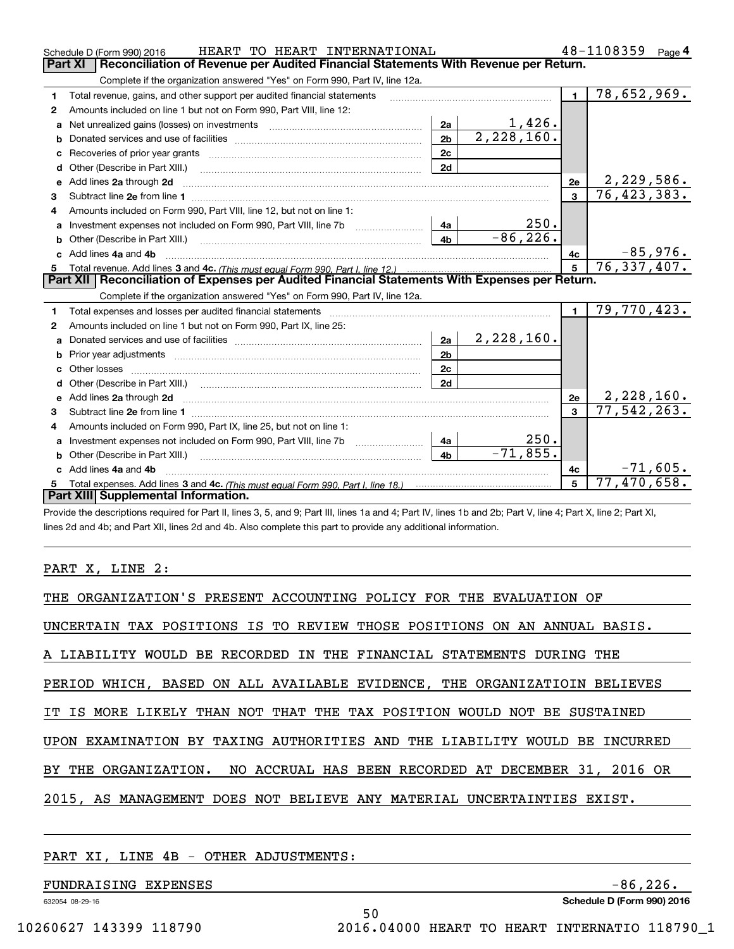|                | HEART TO HEART INTERNATIONAL<br>Schedule D (Form 990) 2016                                                              |                |            |                | 48-1108359<br>Page $4$    |
|----------------|-------------------------------------------------------------------------------------------------------------------------|----------------|------------|----------------|---------------------------|
| <b>Part XI</b> | Reconciliation of Revenue per Audited Financial Statements With Revenue per Return.                                     |                |            |                |                           |
|                | Complete if the organization answered "Yes" on Form 990, Part IV, line 12a.                                             |                |            |                |                           |
| 1              | Total revenue, gains, and other support per audited financial statements                                                |                |            | $\blacksquare$ | $\overline{78,652,969}$ . |
| 2              | Amounts included on line 1 but not on Form 990, Part VIII, line 12:                                                     |                |            |                |                           |
| a              | Net unrealized gains (losses) on investments [11] matter contracts and the unrealized gains (losses) on investments     | 2a             | 1,426.     |                |                           |
| b              |                                                                                                                         | 2 <sub>b</sub> | 2,228,160. |                |                           |
|                |                                                                                                                         | 2c             |            |                |                           |
| d              |                                                                                                                         | 2d             |            |                |                           |
| е              | Add lines 2a through 2d                                                                                                 |                |            | 2e             | 2,229,586.                |
| 3              |                                                                                                                         |                |            | $\mathbf{3}$   | 76, 423, 383.             |
| 4              | Amounts included on Form 990, Part VIII, line 12, but not on line 1:                                                    |                |            |                |                           |
| a              |                                                                                                                         | 4a             | 250.       |                |                           |
|                |                                                                                                                         | 4 <sub>b</sub> | $-86,226.$ |                |                           |
|                | c Add lines 4a and 4b                                                                                                   |                |            | 4c             | $-85,976.$<br>76,337,407. |
|                |                                                                                                                         | 5 <sup>1</sup> |            |                |                           |
|                |                                                                                                                         |                |            |                |                           |
|                | Part XII   Reconciliation of Expenses per Audited Financial Statements With Expenses per Return.                        |                |            |                |                           |
|                | Complete if the organization answered "Yes" on Form 990, Part IV, line 12a.                                             |                |            |                |                           |
| 1              | Total expenses and losses per audited financial statements                                                              |                |            | $\blacksquare$ | 79,770,423.               |
| 2              | Amounts included on line 1 but not on Form 990, Part IX, line 25:                                                       |                |            |                |                           |
| a              |                                                                                                                         | 2a             | 2,228,160. |                |                           |
| b              |                                                                                                                         | 2 <sub>b</sub> |            |                |                           |
|                |                                                                                                                         | 2c             |            |                |                           |
| d              |                                                                                                                         | 2d             |            |                |                           |
| е              | Add lines 2a through 2d <b>contract and a contract and a contract a</b> contract a contract and a contract a contract a |                |            | 2e             | 2, 228, 160.              |
| з              |                                                                                                                         |                |            | $\mathbf{R}$   | 77,542,263.               |
| 4              | Amounts included on Form 990, Part IX, line 25, but not on line 1:                                                      |                |            |                |                           |
| a              | Investment expenses not included on Form 990, Part VIII, line 7b [11, 111, 111, 111]                                    | 4a             | 250.       |                |                           |
|                | Other (Describe in Part XIII.)                                                                                          | 4 <sub>b</sub> | $-71,855.$ |                |                           |
|                | c Add lines 4a and 4b                                                                                                   |                |            | 4c             | $-71,605.$                |
|                | Part XIII Supplemental Information.                                                                                     |                |            |                | 77,470,658.               |

Provide the descriptions required for Part II, lines 3, 5, and 9; Part III, lines 1a and 4; Part IV, lines 1b and 2b; Part V, line 4; Part X, line 2; Part XI, lines 2d and 4b; and Part XII, lines 2d and 4b. Also complete this part to provide any additional information.

### PART X, LINE 2:

| THE ORGANIZATION'S PRESENT ACCOUNTING POLICY FOR THE EVALUATION OF         |
|----------------------------------------------------------------------------|
| UNCERTAIN TAX POSITIONS IS TO REVIEW THOSE POSITIONS ON AN ANNUAL BASIS.   |
| A LIABILITY WOULD BE RECORDED IN THE FINANCIAL STATEMENTS DURING THE       |
| PERIOD WHICH, BASED ON ALL AVAILABLE EVIDENCE, THE ORGANIZATIOIN BELIEVES  |
| IT IS MORE LIKELY THAN NOT THAT THE TAX POSITION WOULD NOT BE SUSTAINED    |
| UPON EXAMINATION BY TAXING AUTHORITIES AND THE LIABILITY WOULD BE INCURRED |
| BY THE ORGANIZATION. NO ACCRUAL HAS BEEN RECORDED AT DECEMBER 31, 2016 OR  |
| 2015, AS MANAGEMENT DOES NOT BELIEVE ANY MATERIAL UNCERTAINTIES EXIST.     |
|                                                                            |

50

### PART XI, LINE 4B - OTHER ADJUSTMENTS:

FUNDRAISING EXPENSES -86,226.

632054 08-29-16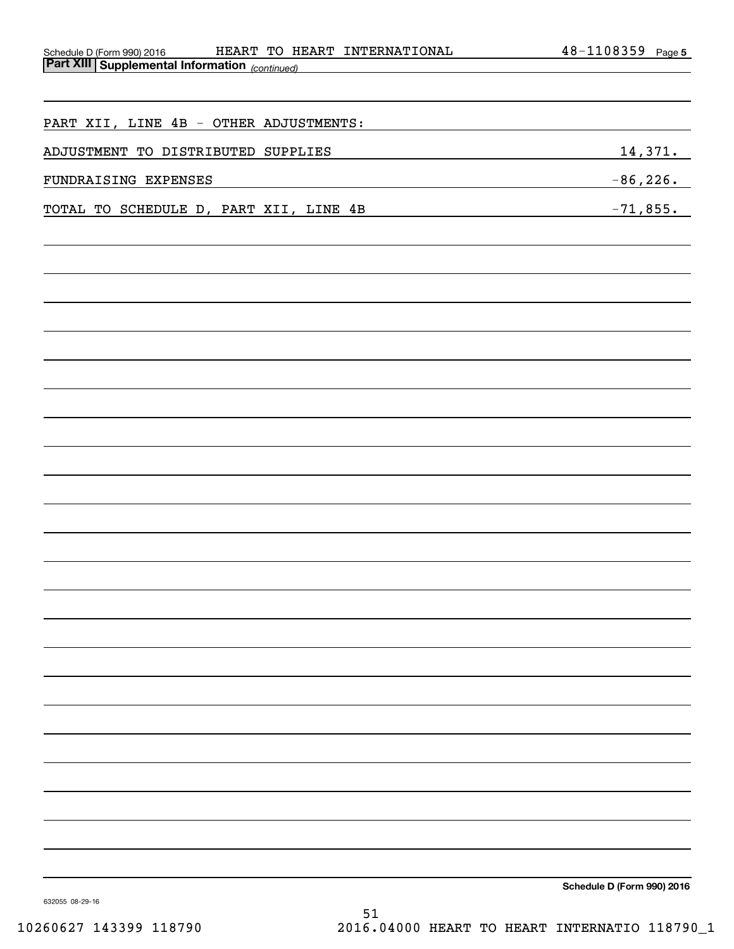| HEART TO HEART INTERNATIONAL<br>Schedule D (Form 990) 2016 | 48-1108359 Page 5                                         |
|------------------------------------------------------------|-----------------------------------------------------------|
| <b>Part XIII Supplemental Information</b> (continued)      |                                                           |
|                                                            |                                                           |
| PART XII, LINE 4B - OTHER ADJUSTMENTS:                     |                                                           |
| ADJUSTMENT TO DISTRIBUTED SUPPLIES                         | 14,371.<br><u> 1980 - Johann Barn, mars eta inperiodo</u> |
| FUNDRAISING EXPENSES                                       | $-86, 226.$                                               |
| TOTAL TO SCHEDULE D, PART XII, LINE 4B                     |                                                           |
|                                                            | $-71,855.$                                                |
|                                                            |                                                           |
|                                                            |                                                           |
|                                                            |                                                           |
|                                                            |                                                           |
|                                                            |                                                           |
|                                                            |                                                           |
|                                                            |                                                           |
|                                                            |                                                           |
|                                                            |                                                           |
|                                                            |                                                           |
|                                                            |                                                           |
|                                                            |                                                           |
|                                                            |                                                           |
|                                                            |                                                           |
|                                                            |                                                           |
|                                                            |                                                           |
|                                                            |                                                           |
|                                                            |                                                           |
|                                                            |                                                           |
|                                                            |                                                           |
|                                                            |                                                           |
|                                                            |                                                           |
|                                                            |                                                           |
|                                                            |                                                           |
|                                                            |                                                           |
|                                                            | Schedule D (Form 990) 2016                                |
| 632055 08-29-16                                            |                                                           |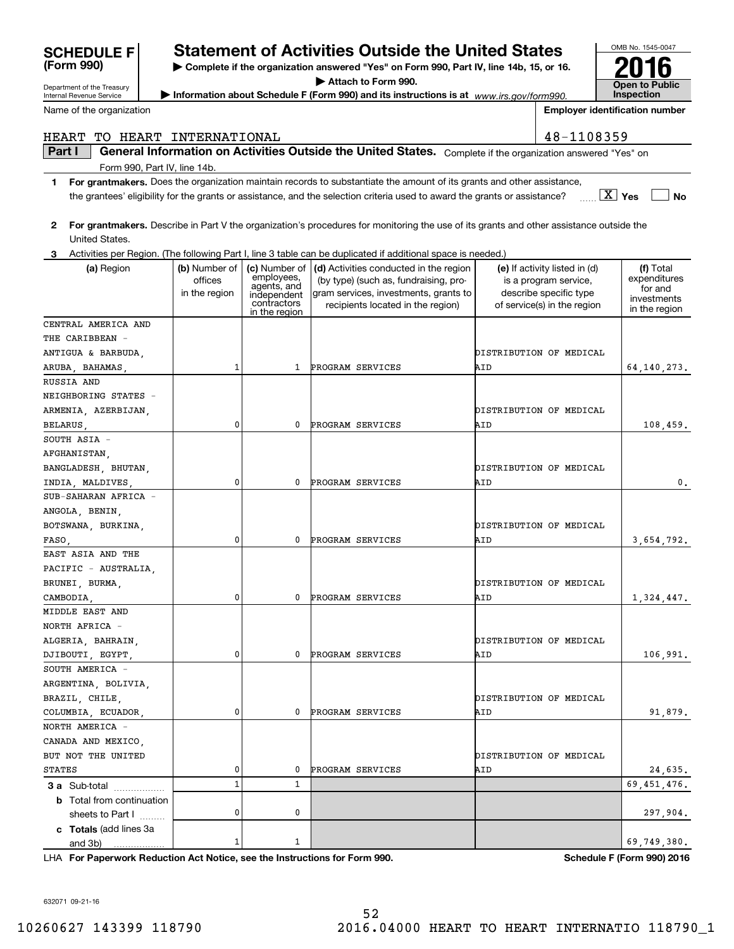|                                                                            |               |                                          | the grantees' eligibility for the grants or assistance, and the selection criteria used to award the grants or assistance?              |                               | $X \mid Y$ es<br><b>No</b>        |
|----------------------------------------------------------------------------|---------------|------------------------------------------|-----------------------------------------------------------------------------------------------------------------------------------------|-------------------------------|-----------------------------------|
| 2                                                                          |               |                                          | For grantmakers. Describe in Part V the organization's procedures for monitoring the use of its grants and other assistance outside the |                               |                                   |
| United States.                                                             |               |                                          |                                                                                                                                         |                               |                                   |
| 3                                                                          |               |                                          | Activities per Region. (The following Part I, line 3 table can be duplicated if additional space is needed.)                            |                               |                                   |
| (a) Region                                                                 | (b) Number of | (c) Number of                            | (d) Activities conducted in the region                                                                                                  | (e) If activity listed in (d) | (f) Total                         |
|                                                                            | offices       |                                          | (by type) (such as, fundraising, pro-                                                                                                   | is a program service,         | expenditures                      |
|                                                                            | in the region | employees,<br>agents, and<br>independent | gram services, investments, grants to                                                                                                   | describe specific type        | for and                           |
|                                                                            |               | contractors<br>in the region             | recipients located in the region)                                                                                                       | of service(s) in the region   | investments<br>in the region      |
| CENTRAL AMERICA AND                                                        |               |                                          |                                                                                                                                         |                               |                                   |
| THE CARIBBEAN -                                                            |               |                                          |                                                                                                                                         |                               |                                   |
| ANTIGUA & BARBUDA,                                                         |               |                                          |                                                                                                                                         | DISTRIBUTION OF MEDICAL       |                                   |
| ARUBA, BAHAMAS,                                                            | 1             | 1                                        | PROGRAM SERVICES                                                                                                                        | AID                           | 64, 140, 273.                     |
| RUSSIA AND                                                                 |               |                                          |                                                                                                                                         |                               |                                   |
| NEIGHBORING STATES -                                                       |               |                                          |                                                                                                                                         |                               |                                   |
| ARMENIA, AZERBIJAN,                                                        |               |                                          |                                                                                                                                         | DISTRIBUTION OF MEDICAL       |                                   |
| BELARUS,                                                                   | 0             | 0                                        | PROGRAM SERVICES                                                                                                                        | AID                           | 108,459.                          |
| SOUTH ASIA -                                                               |               |                                          |                                                                                                                                         |                               |                                   |
| AFGHANISTAN,                                                               |               |                                          |                                                                                                                                         |                               |                                   |
| BANGLADESH, BHUTAN,                                                        |               |                                          |                                                                                                                                         | DISTRIBUTION OF MEDICAL       |                                   |
| INDIA, MALDIVES,                                                           | 0             | 0                                        | PROGRAM SERVICES                                                                                                                        | AID                           | 0.                                |
| SUB-SAHARAN AFRICA -                                                       |               |                                          |                                                                                                                                         |                               |                                   |
| ANGOLA, BENIN,                                                             |               |                                          |                                                                                                                                         |                               |                                   |
| BOTSWANA, BURKINA,                                                         |               |                                          |                                                                                                                                         | DISTRIBUTION OF MEDICAL       |                                   |
| FASO,                                                                      | 0             | 0                                        | PROGRAM SERVICES                                                                                                                        | AID                           | 3,654,792.                        |
| EAST ASIA AND THE                                                          |               |                                          |                                                                                                                                         |                               |                                   |
| PACIFIC - AUSTRALIA,                                                       |               |                                          |                                                                                                                                         |                               |                                   |
| BRUNEI, BURMA,                                                             |               |                                          |                                                                                                                                         | DISTRIBUTION OF MEDICAL       |                                   |
| CAMBODIA,                                                                  | 0             | 0                                        | PROGRAM SERVICES                                                                                                                        | AID                           | 1,324,447.                        |
| MIDDLE EAST AND                                                            |               |                                          |                                                                                                                                         |                               |                                   |
| NORTH AFRICA -                                                             |               |                                          |                                                                                                                                         |                               |                                   |
| ALGERIA, BAHRAIN,                                                          |               |                                          |                                                                                                                                         | DISTRIBUTION OF MEDICAL       |                                   |
| DJIBOUTI, EGYPT,                                                           | 0             | 0                                        | PROGRAM SERVICES                                                                                                                        | AID                           | 106,991.                          |
| SOUTH AMERICA -                                                            |               |                                          |                                                                                                                                         |                               |                                   |
| ARGENTINA, BOLIVIA,                                                        |               |                                          |                                                                                                                                         |                               |                                   |
| BRAZIL, CHILE,                                                             |               |                                          |                                                                                                                                         | DISTRIBUTION OF MEDICAL       |                                   |
| COLUMBIA, ECUADOR,                                                         | 0             | 0                                        | <b>PROGRAM SERVICES</b>                                                                                                                 | AID                           | 91,879.                           |
| NORTH AMERICA -                                                            |               |                                          |                                                                                                                                         |                               |                                   |
| CANADA AND MEXICO,                                                         |               |                                          |                                                                                                                                         |                               |                                   |
| BUT NOT THE UNITED                                                         |               |                                          |                                                                                                                                         | DISTRIBUTION OF MEDICAL       |                                   |
| <b>STATES</b>                                                              | 0             | 0                                        | PROGRAM SERVICES                                                                                                                        | AID                           | 24,635.                           |
| 3 a Sub-total                                                              | $\mathbf{1}$  | 1                                        |                                                                                                                                         |                               | 69, 451, 476.                     |
| <b>b</b> Total from continuation                                           |               |                                          |                                                                                                                                         |                               |                                   |
| sheets to Part I                                                           | 0             | 0                                        |                                                                                                                                         |                               | 297,904.                          |
| c Totals (add lines 3a                                                     |               |                                          |                                                                                                                                         |                               |                                   |
| and 3b)                                                                    | 1             | 1                                        |                                                                                                                                         |                               | 69,749,380.                       |
| LHA For Paperwork Reduction Act Notice, see the Instructions for Form 990. |               |                                          |                                                                                                                                         |                               | <b>Schedule F (Form 990) 2016</b> |
|                                                                            |               |                                          |                                                                                                                                         |                               |                                   |
|                                                                            |               |                                          |                                                                                                                                         |                               |                                   |
| 632071 09-21-16                                                            |               |                                          |                                                                                                                                         |                               |                                   |

Department of the Treasury Internal Revenue Service Name of the organization

**(Form 990)**

Form 990, Part IV, line 14b.

# **SCHEDULE F Statement of Activities Outside the United States**

OMB No. 1545-0047

**Open to Public Inspection**

**2016**

**Employer identification number**

**| Complete if the organization answered "Yes" on Form 990, Part IV, line 14b, 15, or 16. | Attach to Form 990.**

**| Information about Schedule F (Form 990) and its instructions is at**  *www.irs.gov/form990.*

**Part I**  $\parallel$  General Information on Activities Outside the United States. Complete if the organization answered "Yes" on

HEART TO HEART INTERNATIONAL 18-1108359

**1For grantmakers.**  Does the organization maintain records to substantiate the amount of its grants and other assistance,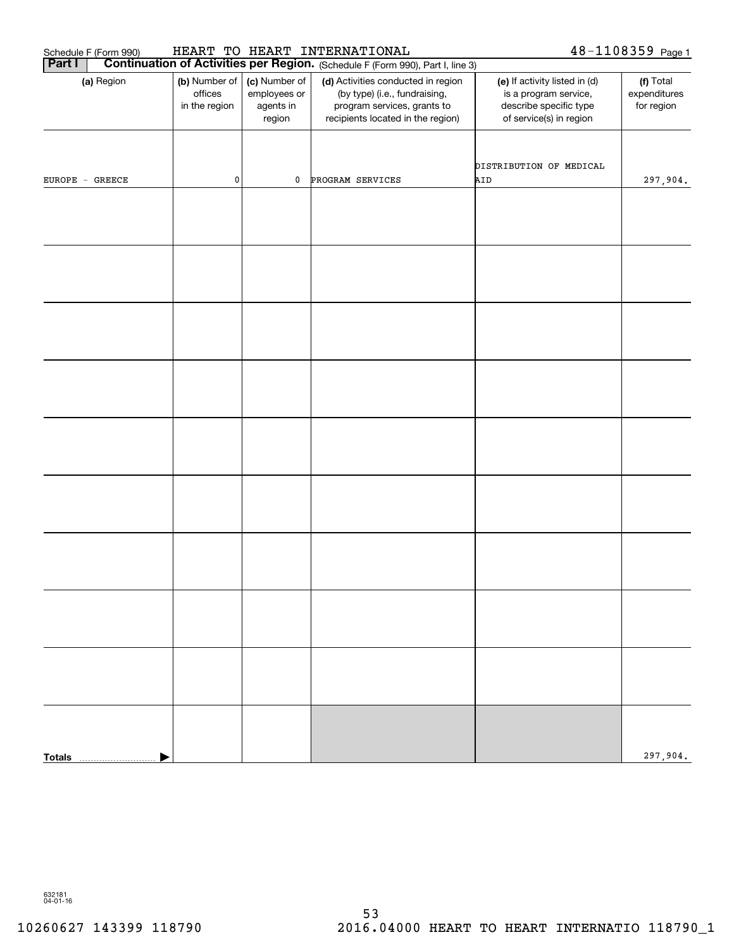| 48-1108359 Page 1<br>HEART TO HEART INTERNATIONAL<br>Schedule F (Form 990)<br><b>Continuation of Activities per Region.</b> (Schedule F (Form 990), Part I, line 3) |                                           |                                                      |                                                                                                                                         |                                                                                                             |                                         |  |  |
|---------------------------------------------------------------------------------------------------------------------------------------------------------------------|-------------------------------------------|------------------------------------------------------|-----------------------------------------------------------------------------------------------------------------------------------------|-------------------------------------------------------------------------------------------------------------|-----------------------------------------|--|--|
| Part I                                                                                                                                                              |                                           |                                                      |                                                                                                                                         |                                                                                                             |                                         |  |  |
| (a) Region                                                                                                                                                          | (b) Number of<br>offices<br>in the region | (c) Number of<br>employees or<br>agents in<br>region | (d) Activities conducted in region<br>(by type) (i.e., fundraising,<br>program services, grants to<br>recipients located in the region) | (e) If activity listed in (d)<br>is a program service,<br>describe specific type<br>of service(s) in region | (f) Total<br>expenditures<br>for region |  |  |
| $EUROPE - GREECE$                                                                                                                                                   | $\pmb{0}$                                 | 0                                                    | PROGRAM SERVICES                                                                                                                        | DISTRIBUTION OF MEDICAL<br>AID                                                                              | 297,904.                                |  |  |
|                                                                                                                                                                     |                                           |                                                      |                                                                                                                                         |                                                                                                             |                                         |  |  |
|                                                                                                                                                                     |                                           |                                                      |                                                                                                                                         |                                                                                                             |                                         |  |  |
|                                                                                                                                                                     |                                           |                                                      |                                                                                                                                         |                                                                                                             |                                         |  |  |
|                                                                                                                                                                     |                                           |                                                      |                                                                                                                                         |                                                                                                             |                                         |  |  |
|                                                                                                                                                                     |                                           |                                                      |                                                                                                                                         |                                                                                                             |                                         |  |  |
|                                                                                                                                                                     |                                           |                                                      |                                                                                                                                         |                                                                                                             |                                         |  |  |
|                                                                                                                                                                     |                                           |                                                      |                                                                                                                                         |                                                                                                             |                                         |  |  |
|                                                                                                                                                                     |                                           |                                                      |                                                                                                                                         |                                                                                                             |                                         |  |  |
|                                                                                                                                                                     |                                           |                                                      |                                                                                                                                         |                                                                                                             |                                         |  |  |
|                                                                                                                                                                     |                                           |                                                      |                                                                                                                                         |                                                                                                             | 297,904.                                |  |  |
| <b>Totals</b>                                                                                                                                                       |                                           |                                                      |                                                                                                                                         |                                                                                                             |                                         |  |  |

632181 04-01-16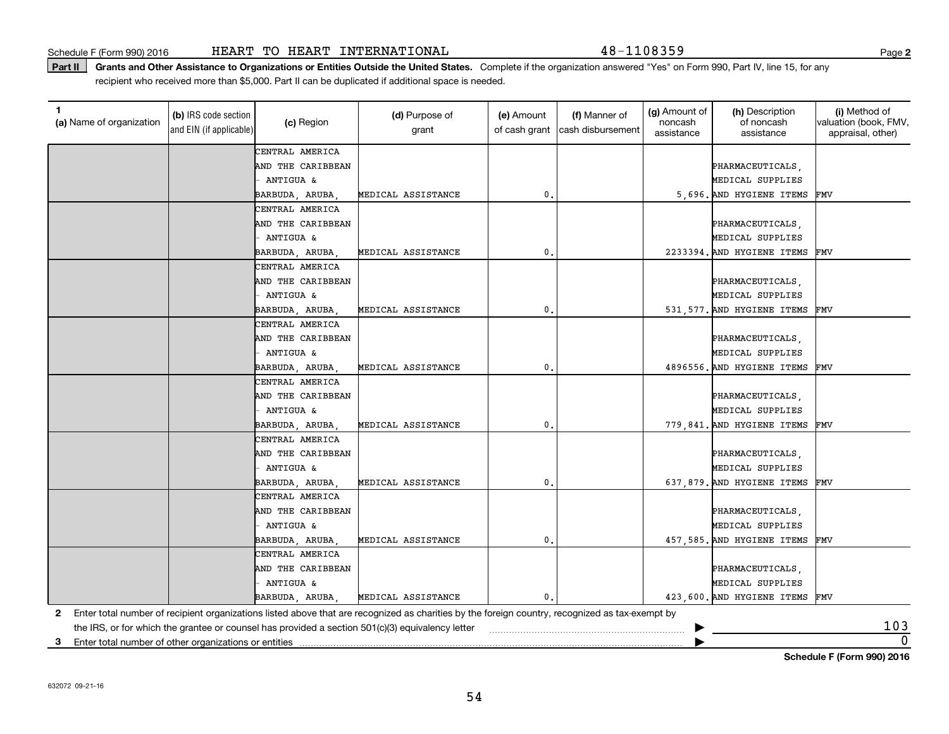Part II | Grants and Other Assistance to Organizations or Entities Outside the United States. Complete if the organization answered "Yes" on Form 990, Part IV, line 15, for any recipient who received more than \$5,000. Part II can be duplicated if additional space is needed.

| (a) Name of organization                                   | (b) IRS code section<br>and EIN (if applicable) | (c) Region           | (d) Purpose of<br>grant                                                                                                                         | (e) Amount<br>of cash grant | (f) Manner of<br>cash disbursement | (g) Amount of<br>noncash<br>assistance | (h) Description<br>of noncash<br>assistance | (i) Method of<br>valuation (book, FMV,<br>appraisal, other) |
|------------------------------------------------------------|-------------------------------------------------|----------------------|-------------------------------------------------------------------------------------------------------------------------------------------------|-----------------------------|------------------------------------|----------------------------------------|---------------------------------------------|-------------------------------------------------------------|
|                                                            |                                                 | CENTRAL AMERICA      |                                                                                                                                                 |                             |                                    |                                        |                                             |                                                             |
|                                                            |                                                 | AND THE CARIBBEAN    |                                                                                                                                                 |                             |                                    |                                        | PHARMACEUTICALS,                            |                                                             |
|                                                            |                                                 | ANTIGUA &            |                                                                                                                                                 |                             |                                    |                                        | MEDICAL SUPPLIES                            |                                                             |
|                                                            |                                                 | BARBUDA, ARUBA       | MEDICAL ASSISTANCE                                                                                                                              | 0.                          |                                    |                                        | 5,696. AND HYGIENE ITEMS                    | FMV                                                         |
|                                                            |                                                 | CENTRAL AMERICA      |                                                                                                                                                 |                             |                                    |                                        |                                             |                                                             |
|                                                            |                                                 | AND THE CARIBBEAN    |                                                                                                                                                 |                             |                                    |                                        | PHARMACEUTICALS,                            |                                                             |
|                                                            |                                                 | ANTIGUA &            |                                                                                                                                                 |                             |                                    |                                        | MEDICAL SUPPLIES                            |                                                             |
|                                                            |                                                 | BARBUDA, ARUBA,      | MEDICAL ASSISTANCE                                                                                                                              | 0.                          |                                    |                                        | 2233394. AND HYGIENE ITEMS                  | FMV                                                         |
|                                                            |                                                 | CENTRAL AMERICA      |                                                                                                                                                 |                             |                                    |                                        |                                             |                                                             |
|                                                            |                                                 | AND THE CARIBBEAN    |                                                                                                                                                 |                             |                                    |                                        | PHARMACEUTICALS,                            |                                                             |
|                                                            |                                                 | <b>ANTIGUA &amp;</b> |                                                                                                                                                 |                             |                                    |                                        | MEDICAL SUPPLIES                            |                                                             |
|                                                            |                                                 | BARBUDA, ARUBA,      | MEDICAL ASSISTANCE                                                                                                                              | 0.                          |                                    |                                        | 531, 577. AND HYGIENE ITEMS                 | FMV                                                         |
|                                                            |                                                 | CENTRAL AMERICA      |                                                                                                                                                 |                             |                                    |                                        |                                             |                                                             |
|                                                            |                                                 | AND THE CARIBBEAN    |                                                                                                                                                 |                             |                                    |                                        | PHARMACEUTICALS,                            |                                                             |
|                                                            |                                                 | ANTIGUA &            |                                                                                                                                                 |                             |                                    |                                        | MEDICAL SUPPLIES                            |                                                             |
|                                                            |                                                 | BARBUDA, ARUBA,      | MEDICAL ASSISTANCE                                                                                                                              | 0.                          |                                    |                                        | 4896556. AND HYGIENE ITEMS FMV              |                                                             |
|                                                            |                                                 | CENTRAL AMERICA      |                                                                                                                                                 |                             |                                    |                                        |                                             |                                                             |
|                                                            |                                                 | AND THE CARIBBEAN    |                                                                                                                                                 |                             |                                    |                                        | PHARMACEUTICALS,                            |                                                             |
|                                                            |                                                 | <b>ANTIGUA &amp;</b> |                                                                                                                                                 |                             |                                    |                                        | MEDICAL SUPPLIES                            |                                                             |
|                                                            |                                                 | BARBUDA, ARUBA,      | MEDICAL ASSISTANCE                                                                                                                              | $\mathbf{0}$ .              |                                    |                                        | 779,841. AND HYGIENE ITEMS FMV              |                                                             |
|                                                            |                                                 | CENTRAL AMERICA      |                                                                                                                                                 |                             |                                    |                                        |                                             |                                                             |
|                                                            |                                                 | AND THE CARIBBEAN    |                                                                                                                                                 |                             |                                    |                                        | PHARMACEUTICALS,                            |                                                             |
|                                                            |                                                 | ANTIGUA &            |                                                                                                                                                 |                             |                                    |                                        | MEDICAL SUPPLIES                            |                                                             |
|                                                            |                                                 | BARBUDA, ARUBA,      | MEDICAL ASSISTANCE                                                                                                                              | 0.                          |                                    |                                        | 637,879. AND HYGIENE ITEMS                  | FMV                                                         |
|                                                            |                                                 | CENTRAL AMERICA      |                                                                                                                                                 |                             |                                    |                                        |                                             |                                                             |
|                                                            |                                                 | AND THE CARIBBEAN    |                                                                                                                                                 |                             |                                    |                                        | PHARMACEUTICALS,                            |                                                             |
|                                                            |                                                 | ANTIGUA &            |                                                                                                                                                 |                             |                                    |                                        | MEDICAL SUPPLIES                            |                                                             |
|                                                            |                                                 | BARBUDA, ARUBA,      | MEDICAL ASSISTANCE                                                                                                                              | $\mathbf{0}$                |                                    |                                        | 457,585. AND HYGIENE ITEMS                  | FMV                                                         |
|                                                            |                                                 | CENTRAL AMERICA      |                                                                                                                                                 |                             |                                    |                                        |                                             |                                                             |
|                                                            |                                                 | AND THE CARIBBEAN    |                                                                                                                                                 |                             |                                    |                                        | PHARMACEUTICALS,                            |                                                             |
|                                                            |                                                 | ANTIGUA &            |                                                                                                                                                 |                             |                                    |                                        | MEDICAL SUPPLIES                            |                                                             |
|                                                            |                                                 | BARBUDA, ARUBA,      | MEDICAL ASSISTANCE                                                                                                                              | $\mathbf{0}$ .              |                                    |                                        | 423,600. AND HYGIENE ITEMS FMV              |                                                             |
| 2                                                          |                                                 |                      | Enter total number of recipient organizations listed above that are recognized as charities by the foreign country, recognized as tax-exempt by |                             |                                    |                                        |                                             |                                                             |
|                                                            |                                                 |                      | the IRS, or for which the grantee or counsel has provided a section 501(c)(3) equivalency letter                                                |                             |                                    |                                        |                                             | 103                                                         |
| 3<br>Enter total number of other organizations or entities |                                                 |                      |                                                                                                                                                 |                             |                                    |                                        |                                             | $\overline{0}$                                              |

**Schedule F (Form 990) 2016**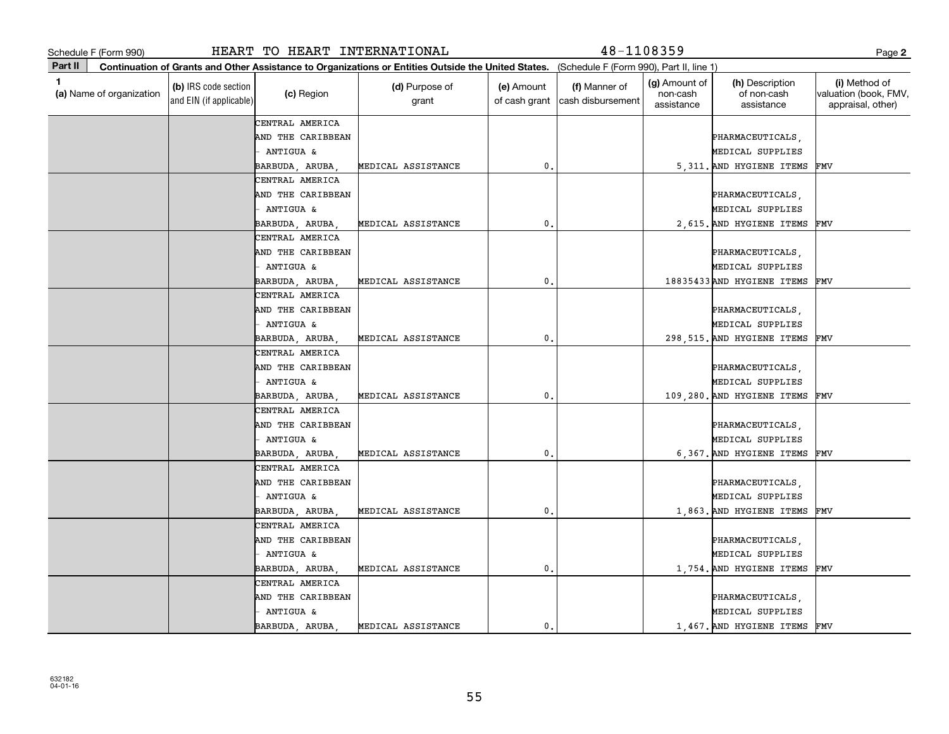|         | Schedule F (Form 990)    |                                                 | HEART TO HEART INTERNATIONAL |                                                                                                                                              |                             | 48-1108359                         |                                         |                                              | Page 2                                                      |
|---------|--------------------------|-------------------------------------------------|------------------------------|----------------------------------------------------------------------------------------------------------------------------------------------|-----------------------------|------------------------------------|-----------------------------------------|----------------------------------------------|-------------------------------------------------------------|
| Part II |                          |                                                 |                              | Continuation of Grants and Other Assistance to Organizations or Entities Outside the United States. (Schedule F (Form 990), Part II, line 1) |                             |                                    |                                         |                                              |                                                             |
| 1       | (a) Name of organization | (b) IRS code section<br>and EIN (if applicable) | (c) Region                   | (d) Purpose of<br>grant                                                                                                                      | (e) Amount<br>of cash grant | (f) Manner of<br>cash disbursement | (g) Amount of<br>non-cash<br>assistance | (h) Description<br>of non-cash<br>assistance | (i) Method of<br>valuation (book, FMV,<br>appraisal, other) |
|         |                          |                                                 | CENTRAL AMERICA              |                                                                                                                                              |                             |                                    |                                         |                                              |                                                             |
|         |                          |                                                 | AND THE CARIBBEAN            |                                                                                                                                              |                             |                                    |                                         | PHARMACEUTICALS,                             |                                                             |
|         |                          |                                                 | ANTIGUA &                    |                                                                                                                                              |                             |                                    |                                         | MEDICAL SUPPLIES                             |                                                             |
|         |                          |                                                 | BARBUDA, ARUBA               | MEDICAL ASSISTANCE                                                                                                                           | $\mathbf{0}$                |                                    |                                         | 5,311. AND HYGIENE ITEMS                     | FMV                                                         |
|         |                          |                                                 | CENTRAL AMERICA              |                                                                                                                                              |                             |                                    |                                         |                                              |                                                             |
|         |                          |                                                 | AND THE CARIBBEAN            |                                                                                                                                              |                             |                                    |                                         | PHARMACEUTICALS,                             |                                                             |
|         |                          |                                                 | <b>ANTIGUA &amp;</b>         |                                                                                                                                              |                             |                                    |                                         | MEDICAL SUPPLIES                             |                                                             |
|         |                          |                                                 | BARBUDA, ARUBA,              | MEDICAL ASSISTANCE                                                                                                                           | 0                           |                                    |                                         | 2,615. AND HYGIENE ITEMS                     | FMV                                                         |
|         |                          |                                                 | CENTRAL AMERICA              |                                                                                                                                              |                             |                                    |                                         |                                              |                                                             |
|         |                          |                                                 | AND THE CARIBBEAN            |                                                                                                                                              |                             |                                    |                                         | PHARMACEUTICALS,                             |                                                             |
|         |                          |                                                 | <b>ANTIGUA &amp;</b>         |                                                                                                                                              |                             |                                    |                                         | MEDICAL SUPPLIES                             |                                                             |
|         |                          |                                                 | BARBUDA, ARUBA,              | MEDICAL ASSISTANCE                                                                                                                           | 0.                          |                                    |                                         | 18835433 AND HYGIENE ITEMS                   | FMV                                                         |
|         |                          |                                                 | CENTRAL AMERICA              |                                                                                                                                              |                             |                                    |                                         |                                              |                                                             |
|         |                          |                                                 | AND THE CARIBBEAN            |                                                                                                                                              |                             |                                    |                                         | PHARMACEUTICALS,                             |                                                             |
|         |                          |                                                 | ANTIGUA &                    |                                                                                                                                              |                             |                                    |                                         | MEDICAL SUPPLIES                             |                                                             |
|         |                          |                                                 | BARBUDA, ARUBA,              | MEDICAL ASSISTANCE                                                                                                                           | $\mathbf{0}$                |                                    |                                         | 298, 515. AND HYGIENE ITEMS                  | FMV                                                         |
|         |                          |                                                 | CENTRAL AMERICA              |                                                                                                                                              |                             |                                    |                                         |                                              |                                                             |
|         |                          |                                                 | AND THE CARIBBEAN            |                                                                                                                                              |                             |                                    |                                         | PHARMACEUTICALS,                             |                                                             |
|         |                          |                                                 | - ANTIGUA &                  |                                                                                                                                              |                             |                                    |                                         | MEDICAL SUPPLIES                             |                                                             |
|         |                          |                                                 | BARBUDA, ARUBA,              | MEDICAL ASSISTANCE                                                                                                                           | 0.                          |                                    |                                         | 109,280. AND HYGIENE ITEMS                   | FMV                                                         |
|         |                          |                                                 | CENTRAL AMERICA              |                                                                                                                                              |                             |                                    |                                         |                                              |                                                             |
|         |                          |                                                 | AND THE CARIBBEAN            |                                                                                                                                              |                             |                                    |                                         | PHARMACEUTICALS,                             |                                                             |
|         |                          |                                                 | - ANTIGUA &                  |                                                                                                                                              |                             |                                    |                                         | MEDICAL SUPPLIES                             |                                                             |
|         |                          |                                                 | BARBUDA, ARUBA,              | MEDICAL ASSISTANCE                                                                                                                           | 0.                          |                                    |                                         | 6,367. AND HYGIENE ITEMS                     | FMV                                                         |
|         |                          |                                                 | CENTRAL AMERICA              |                                                                                                                                              |                             |                                    |                                         |                                              |                                                             |
|         |                          |                                                 | AND THE CARIBBEAN            |                                                                                                                                              |                             |                                    |                                         | PHARMACEUTICALS,                             |                                                             |
|         |                          |                                                 | <b>ANTIGUA &amp;</b>         |                                                                                                                                              |                             |                                    |                                         | MEDICAL SUPPLIES                             |                                                             |
|         |                          |                                                 | BARBUDA, ARUBA,              | MEDICAL ASSISTANCE                                                                                                                           | 0                           |                                    |                                         | 1,863. AND HYGIENE ITEMS                     | FMV                                                         |
|         |                          |                                                 | CENTRAL AMERICA              |                                                                                                                                              |                             |                                    |                                         |                                              |                                                             |
|         |                          |                                                 | AND THE CARIBBEAN            |                                                                                                                                              |                             |                                    |                                         | PHARMACEUTICALS,                             |                                                             |
|         |                          |                                                 | - ANTIGUA &                  |                                                                                                                                              |                             |                                    |                                         | MEDICAL SUPPLIES                             |                                                             |
|         |                          |                                                 | BARBUDA, ARUBA,              | MEDICAL ASSISTANCE                                                                                                                           | 0.                          |                                    |                                         | 1,754. AND HYGIENE ITEMS                     | FMV                                                         |
|         |                          |                                                 | CENTRAL AMERICA              |                                                                                                                                              |                             |                                    |                                         |                                              |                                                             |
|         |                          |                                                 | AND THE CARIBBEAN            |                                                                                                                                              |                             |                                    |                                         | PHARMACEUTICALS,                             |                                                             |
|         |                          |                                                 | ANTIGUA &                    |                                                                                                                                              |                             |                                    |                                         | MEDICAL SUPPLIES                             |                                                             |
|         |                          |                                                 | BARBUDA, ARUBA,              | MEDICAL ASSISTANCE                                                                                                                           | 0.                          |                                    |                                         | 1,467. AND HYGIENE ITEMS                     | FMV                                                         |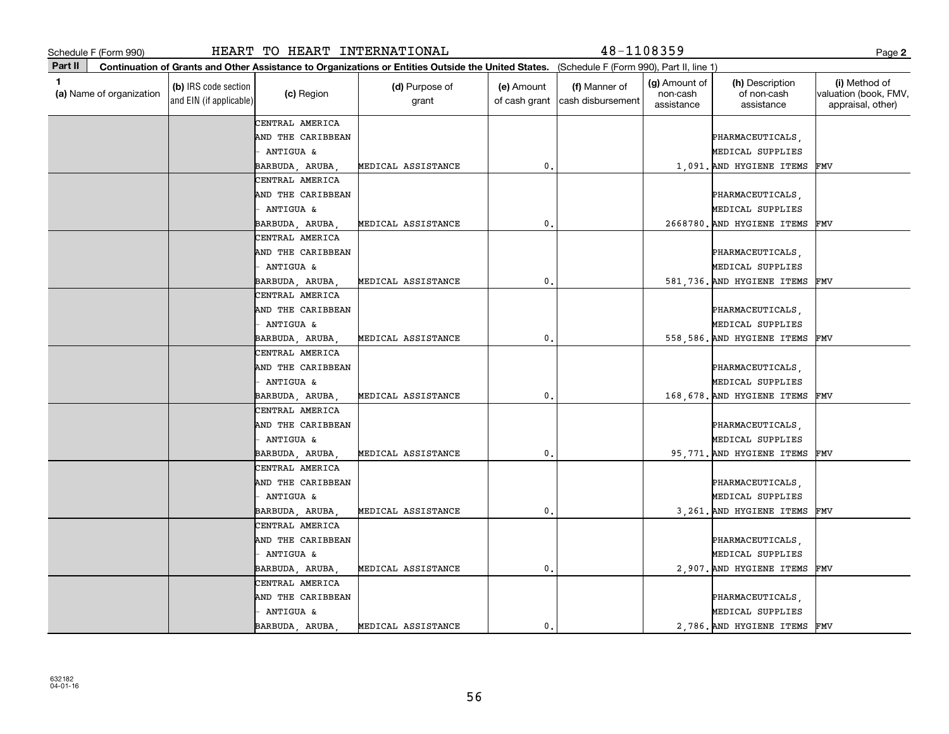**2**

**Part II** (a) Name of organization **Continuation of Grants and Other Assistance to Organizations or Entities Outside the United States. (b)**  IRS code section **(c)**  Region **(d)** Purpose of **c c (e)** Amount **c (f) 1**(a)  $\Box$  (a)  $\Box$  (a)  $\Box$  (a)  $\Box$  (a)  $\Box$  (a)  $\Box$  (a)  $\Box$  (a)  $\Box$  (a)  $\Box$  (b)  $\Box$  (b)  $\Box$  (b)  $\Box$  (scription  $\Box$  (i) and EIN (if applicable) Schedule F (Form 990)<br>
Page Part II Continuation of Grants and Other Assistance to Organizations or Entities Outside the United States. (Schedule F (Form 990), Part II, line 1)<br>
(a) Name of organization (book, FM (c) Regio (Schedule F (Form 990), Part II, line 1) grant (e) Amount of cash grant |cash disbursement (f) Manner of (g) Amount of non-cash assistance(h) Description of non-cash assistance(i) Method of valuation (book, FMV, appraisal, other) CENTRAL AMERICA CENTRAL AMERICA AND THE CARIBBEAN PHARMACEUTICALS, AND THE CARIBBEAN PHARMACEUTICALS, ANTIGUA &  $\vert$ BARBUDA, ARUBA, MEDICAL ASSISTANCE 0. 2668780. AND HYGIENE ITEMS AND THE CARIBBEAN PHARMACEUTICALS, AND THE CARIBBEAN PHARMACEUTICALS, - ANTIGUA & MEDICAL SUPPLIES BARBUDA, ARUBA, MEDICAL ASSISTANCE | 0. 1,091. AND HYGIENE ITEMS FMV FMVCENTRAL AMERICA AND THE CARIBBEAN | REGALIS | PHARMACEUTICALS, PHARMACEUTICALS, PHARMACEUTICALS, PHARMACEUTICALS, PHARMACEUTICALS, PHARMACEUTICALS, PHARMACEUTICALS, PHARMACEUTICALS, PHARMACEUTICALS, PHARMACEUTICALS, PHARMACEUTICALS, PHARM - ANTIGUA & MEDICAL SUPPLIES BARBUDA, ARUBA, MEDICAL ASSISTANCE | 0. 0. 581,736. AND HYGIENE ITEMS FMV CENTRAL AMERICA AND THE CARIBBEAN  $\vert$ - ANTIGUA & MEDICAL SUPPLIES BARBUDA, ARUBA, MEDICAL ASSISTANCE | 0. 0. 558,586. AND HYGIENE ITEMS FMV CENTRAL AMERICA AND THE CARIBBEAN PHARMACEUTICALS, - ANTIGUA & MEDICAL SUPPLIES BARBUDA, ARUBA, MEDICAL ASSISTANCE | 0. 168,678. AND HYGIENE ITEMS FMV CENTRAL AMERICA AND THE CARIBBEAN PHARMACEUTICALS, - ANTIGUA & MEDICAL SUPPLIES BARBUDA, ARUBA, MEDICAL ASSISTANCE | 0. 9. 95,771. AND HYGIENE ITEMS FMV CENTRAL AMERICA AND THE CARIBBEAN PHARMACEUTICALS, AND THE CARIBBEAN PHARMACEUTICALS, - ANTIGUA & MEDICAL SUPPLIES BARBUDA, ARUBA, MEDICAL ASSISTANCE | 0. 3,261. AND HYGIENE ITEMS FMV CENTRAL AMERICA AND THE CARIBBEAN PHARMACEUTICALS, - ANTIGUA & MEDICAL SUPPLIES BARBUDA, ARUBA, MEDICAL ASSISTANCE 0. 2,907. AND HYGIENE ITEMS FMV CENTRAL AMERICA AND THE CARIBBEAN | REGALIS | PHARMACEUTICALS, PHARMACEUTICALS, PHARMACEUTICALS, PHARMACEUTICALS, PHARMACEUTICALS, PHARMACEUTICALS, PHARMACEUTICALS, PHARMACEUTICALS, PHARMACEUTICALS, PHARMACEUTICALS, PHARMACEUTICALS, PHARM - ANTIGUA & MEDICAL SUPPLIES BARBUDA, ARUBA, MEDICAL ASSISTANCE | 0. 0. 2,786. AND HYGIENE ITEMS FMV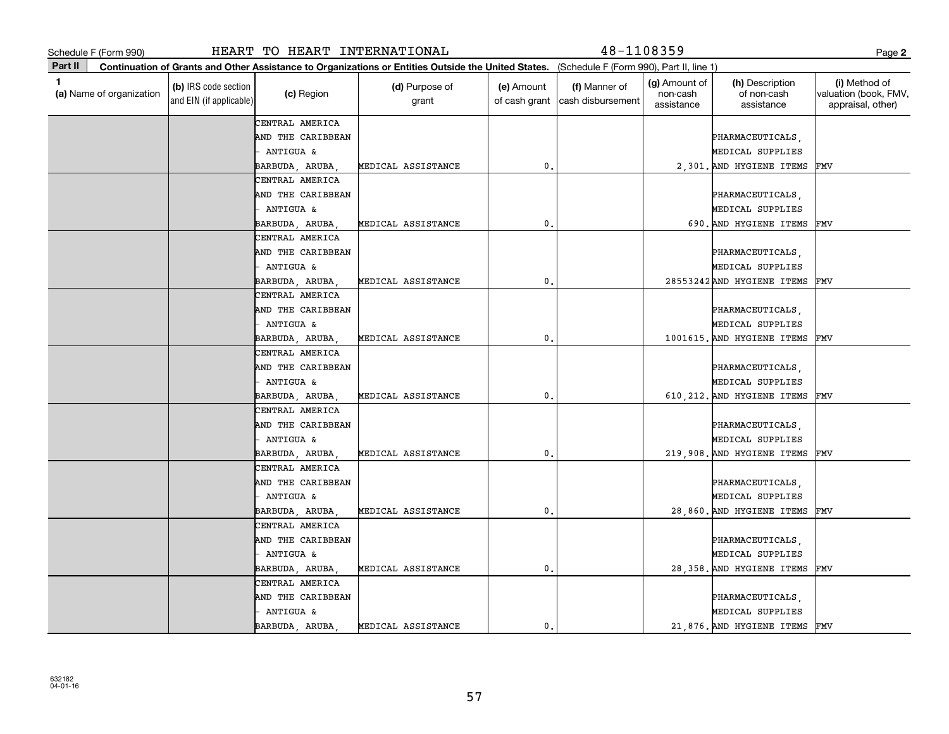|              | Schedule F (Form 990)    |                                                 | HEART TO HEART INTERNATIONAL |                                                                                                                                              |                             | 48-1108359                         |                                         |                                              | Page 2                                                      |
|--------------|--------------------------|-------------------------------------------------|------------------------------|----------------------------------------------------------------------------------------------------------------------------------------------|-----------------------------|------------------------------------|-----------------------------------------|----------------------------------------------|-------------------------------------------------------------|
| Part II      |                          |                                                 |                              | Continuation of Grants and Other Assistance to Organizations or Entities Outside the United States. (Schedule F (Form 990), Part II, line 1) |                             |                                    |                                         |                                              |                                                             |
| $\mathbf{1}$ | (a) Name of organization | (b) IRS code section<br>and EIN (if applicable) | (c) Region                   | (d) Purpose of<br>grant                                                                                                                      | (e) Amount<br>of cash grant | (f) Manner of<br>cash disbursement | (g) Amount of<br>non-cash<br>assistance | (h) Description<br>of non-cash<br>assistance | (i) Method of<br>valuation (book, FMV,<br>appraisal, other) |
|              |                          |                                                 | CENTRAL AMERICA              |                                                                                                                                              |                             |                                    |                                         |                                              |                                                             |
|              |                          |                                                 | AND THE CARIBBEAN            |                                                                                                                                              |                             |                                    |                                         | PHARMACEUTICALS,                             |                                                             |
|              |                          |                                                 | ANTIGUA &                    |                                                                                                                                              |                             |                                    |                                         | MEDICAL SUPPLIES                             |                                                             |
|              |                          |                                                 | BARBUDA, ARUBA,              | MEDICAL ASSISTANCE                                                                                                                           | 0.                          |                                    |                                         | 2,301. AND HYGIENE ITEMS                     | FMV                                                         |
|              |                          |                                                 | CENTRAL AMERICA              |                                                                                                                                              |                             |                                    |                                         |                                              |                                                             |
|              |                          |                                                 | AND THE CARIBBEAN            |                                                                                                                                              |                             |                                    |                                         | PHARMACEUTICALS,                             |                                                             |
|              |                          |                                                 | ANTIGUA &                    |                                                                                                                                              |                             |                                    |                                         | MEDICAL SUPPLIES                             |                                                             |
|              |                          |                                                 | BARBUDA, ARUBA,              | MEDICAL ASSISTANCE                                                                                                                           | $\mathbf{0}$                |                                    |                                         | 690. AND HYGIENE ITEMS                       | FMV                                                         |
|              |                          |                                                 | CENTRAL AMERICA              |                                                                                                                                              |                             |                                    |                                         |                                              |                                                             |
|              |                          |                                                 | AND THE CARIBBEAN            |                                                                                                                                              |                             |                                    |                                         | PHARMACEUTICALS,                             |                                                             |
|              |                          |                                                 | ANTIGUA &                    |                                                                                                                                              |                             |                                    |                                         | MEDICAL SUPPLIES                             |                                                             |
|              |                          |                                                 | BARBUDA, ARUBA,              | MEDICAL ASSISTANCE                                                                                                                           | 0.                          |                                    |                                         | 28553242AND HYGIENE ITEMS                    | FMV                                                         |
|              |                          |                                                 | CENTRAL AMERICA              |                                                                                                                                              |                             |                                    |                                         |                                              |                                                             |
|              |                          |                                                 | AND THE CARIBBEAN            |                                                                                                                                              |                             |                                    |                                         | PHARMACEUTICALS,                             |                                                             |
|              |                          |                                                 | ANTIGUA &                    |                                                                                                                                              |                             |                                    |                                         | MEDICAL SUPPLIES                             |                                                             |
|              |                          |                                                 | BARBUDA, ARUBA,              | MEDICAL ASSISTANCE                                                                                                                           | $\mathbf 0$ .               |                                    |                                         | 1001615. AND HYGIENE ITEMS                   | FMV                                                         |
|              |                          |                                                 | CENTRAL AMERICA              |                                                                                                                                              |                             |                                    |                                         |                                              |                                                             |
|              |                          |                                                 | AND THE CARIBBEAN            |                                                                                                                                              |                             |                                    |                                         | PHARMACEUTICALS,                             |                                                             |
|              |                          |                                                 | - ANTIGUA &                  |                                                                                                                                              |                             |                                    |                                         | MEDICAL SUPPLIES                             |                                                             |
|              |                          |                                                 | BARBUDA, ARUBA,              | MEDICAL ASSISTANCE                                                                                                                           | 0.                          |                                    |                                         | 610, 212. AND HYGIENE ITEMS                  | FMV                                                         |
|              |                          |                                                 | CENTRAL AMERICA              |                                                                                                                                              |                             |                                    |                                         |                                              |                                                             |
|              |                          |                                                 | AND THE CARIBBEAN            |                                                                                                                                              |                             |                                    |                                         | PHARMACEUTICALS,                             |                                                             |
|              |                          |                                                 | - ANTIGUA &                  |                                                                                                                                              |                             |                                    |                                         | MEDICAL SUPPLIES                             |                                                             |
|              |                          |                                                 | BARBUDA, ARUBA,              | MEDICAL ASSISTANCE                                                                                                                           | 0.                          |                                    |                                         | 219,908. AND HYGIENE ITEMS                   | FMV                                                         |
|              |                          |                                                 | CENTRAL AMERICA              |                                                                                                                                              |                             |                                    |                                         |                                              |                                                             |
|              |                          |                                                 | AND THE CARIBBEAN            |                                                                                                                                              |                             |                                    |                                         | PHARMACEUTICALS,                             |                                                             |
|              |                          |                                                 | ANTIGUA &                    |                                                                                                                                              |                             |                                    |                                         | MEDICAL SUPPLIES                             |                                                             |
|              |                          |                                                 | BARBUDA, ARUBA,              | MEDICAL ASSISTANCE                                                                                                                           | 0.                          |                                    |                                         | 28,860. AND HYGIENE ITEMS                    | FMV                                                         |
|              |                          |                                                 | CENTRAL AMERICA              |                                                                                                                                              |                             |                                    |                                         |                                              |                                                             |
|              |                          |                                                 | AND THE CARIBBEAN            |                                                                                                                                              |                             |                                    |                                         | PHARMACEUTICALS,                             |                                                             |
|              |                          |                                                 | ANTIGUA &                    |                                                                                                                                              |                             |                                    |                                         | MEDICAL SUPPLIES                             |                                                             |
|              |                          |                                                 | BARBUDA, ARUBA,              | MEDICAL ASSISTANCE                                                                                                                           | 0.                          |                                    |                                         | 28,358. AND HYGIENE ITEMS                    | FMV                                                         |
|              |                          |                                                 | CENTRAL AMERICA              |                                                                                                                                              |                             |                                    |                                         |                                              |                                                             |
|              |                          |                                                 | AND THE CARIBBEAN            |                                                                                                                                              |                             |                                    |                                         | PHARMACEUTICALS,                             |                                                             |
|              |                          |                                                 | ANTIGUA &                    |                                                                                                                                              |                             |                                    |                                         | MEDICAL SUPPLIES                             |                                                             |
|              |                          |                                                 | BARBUDA, ARUBA,              | MEDICAL ASSISTANCE                                                                                                                           | 0.                          |                                    |                                         | 21,876. AND HYGIENE ITEMS                    | FMV                                                         |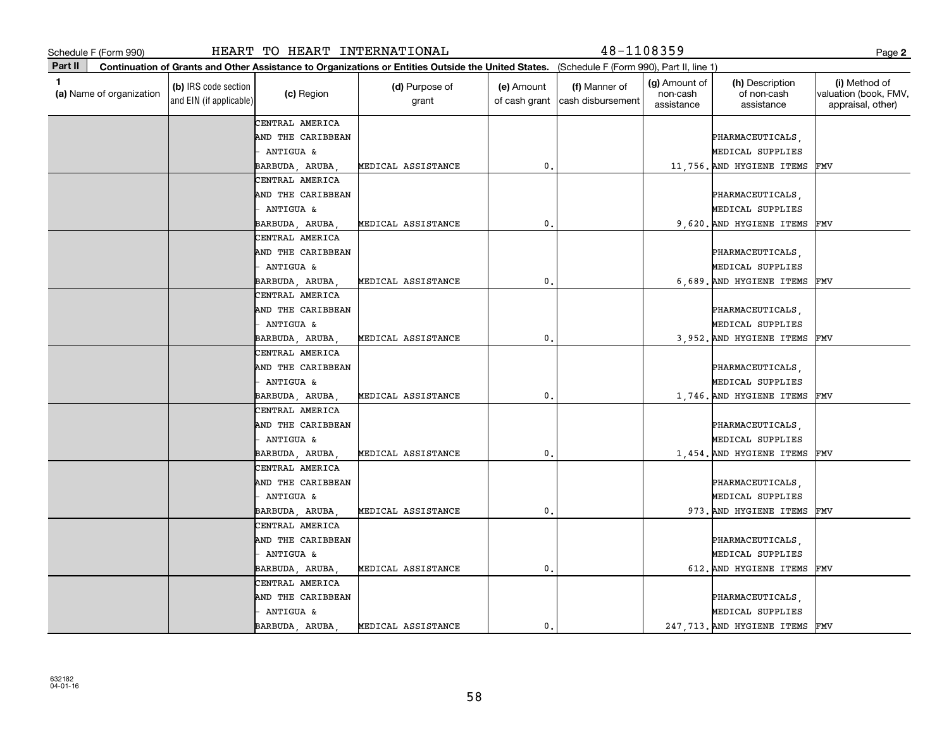|         | Schedule F (Form 990)    |                                                 | HEART TO HEART INTERNATIONAL |                                                                                                                                              |                             | $48 - 1108359$                     |                                                |                                              | Page 2                                                      |
|---------|--------------------------|-------------------------------------------------|------------------------------|----------------------------------------------------------------------------------------------------------------------------------------------|-----------------------------|------------------------------------|------------------------------------------------|----------------------------------------------|-------------------------------------------------------------|
| Part II |                          |                                                 |                              | Continuation of Grants and Other Assistance to Organizations or Entities Outside the United States. (Schedule F (Form 990), Part II, line 1) |                             |                                    |                                                |                                              |                                                             |
| 1       | (a) Name of organization | (b) IRS code section<br>and EIN (if applicable) | (c) Region                   | (d) Purpose of<br>grant                                                                                                                      | (e) Amount<br>of cash grant | (f) Manner of<br>cash disbursement | <b>(g)</b> Amount of<br>non-cash<br>assistance | (h) Description<br>of non-cash<br>assistance | (i) Method of<br>valuation (book, FMV,<br>appraisal, other) |
|         |                          |                                                 | CENTRAL AMERICA              |                                                                                                                                              |                             |                                    |                                                |                                              |                                                             |
|         |                          |                                                 | AND THE CARIBBEAN            |                                                                                                                                              |                             |                                    |                                                | PHARMACEUTICALS,                             |                                                             |
|         |                          |                                                 | ANTIGUA &                    |                                                                                                                                              |                             |                                    |                                                | MEDICAL SUPPLIES                             |                                                             |
|         |                          |                                                 | BARBUDA, ARUBA,              | MEDICAL ASSISTANCE                                                                                                                           | 0.                          |                                    |                                                | 11,756. AND HYGIENE ITEMS                    | FMV                                                         |
|         |                          |                                                 | CENTRAL AMERICA              |                                                                                                                                              |                             |                                    |                                                |                                              |                                                             |
|         |                          |                                                 | AND THE CARIBBEAN            |                                                                                                                                              |                             |                                    |                                                | PHARMACEUTICALS,                             |                                                             |
|         |                          |                                                 | ANTIGUA &                    |                                                                                                                                              |                             |                                    |                                                | MEDICAL SUPPLIES                             |                                                             |
|         |                          |                                                 | BARBUDA, ARUBA,              | MEDICAL ASSISTANCE                                                                                                                           | 0                           |                                    |                                                | 9.620. AND HYGIENE ITEMS                     | FMV                                                         |
|         |                          |                                                 | CENTRAL AMERICA              |                                                                                                                                              |                             |                                    |                                                |                                              |                                                             |
|         |                          |                                                 | AND THE CARIBBEAN            |                                                                                                                                              |                             |                                    |                                                | PHARMACEUTICALS,                             |                                                             |
|         |                          |                                                 | ANTIGUA &                    |                                                                                                                                              |                             |                                    |                                                | MEDICAL SUPPLIES                             |                                                             |
|         |                          |                                                 | BARBUDA, ARUBA,              | MEDICAL ASSISTANCE                                                                                                                           | 0.                          |                                    |                                                | 6.689. AND HYGIENE ITEMS                     | FMV                                                         |
|         |                          |                                                 | CENTRAL AMERICA              |                                                                                                                                              |                             |                                    |                                                |                                              |                                                             |
|         |                          |                                                 | AND THE CARIBBEAN            |                                                                                                                                              |                             |                                    |                                                | PHARMACEUTICALS,                             |                                                             |
|         |                          |                                                 | ANTIGUA &                    |                                                                                                                                              |                             |                                    |                                                | MEDICAL SUPPLIES                             |                                                             |
|         |                          |                                                 | BARBUDA, ARUBA,              | MEDICAL ASSISTANCE                                                                                                                           | 0.                          |                                    |                                                | 3,952. AND HYGIENE ITEMS                     | FMV                                                         |
|         |                          |                                                 | CENTRAL AMERICA              |                                                                                                                                              |                             |                                    |                                                |                                              |                                                             |
|         |                          |                                                 | AND THE CARIBBEAN            |                                                                                                                                              |                             |                                    |                                                | PHARMACEUTICALS,                             |                                                             |
|         |                          |                                                 | ANTIGUA &                    |                                                                                                                                              |                             |                                    |                                                | MEDICAL SUPPLIES                             |                                                             |
|         |                          |                                                 | BARBUDA, ARUBA,              | MEDICAL ASSISTANCE                                                                                                                           | $\mathbf 0$ .               |                                    |                                                | 1,746. AND HYGIENE ITEMS                     | FMV                                                         |
|         |                          |                                                 | CENTRAL AMERICA              |                                                                                                                                              |                             |                                    |                                                |                                              |                                                             |
|         |                          |                                                 | AND THE CARIBBEAN            |                                                                                                                                              |                             |                                    |                                                | PHARMACEUTICALS,                             |                                                             |
|         |                          |                                                 | ANTIGUA &                    |                                                                                                                                              |                             |                                    |                                                | MEDICAL SUPPLIES                             |                                                             |
|         |                          |                                                 | BARBUDA, ARUBA,              | MEDICAL ASSISTANCE                                                                                                                           | 0.                          |                                    |                                                | 1,454. AND HYGIENE ITEMS                     | FMV                                                         |
|         |                          |                                                 | CENTRAL AMERICA              |                                                                                                                                              |                             |                                    |                                                |                                              |                                                             |
|         |                          |                                                 | AND THE CARIBBEAN            |                                                                                                                                              |                             |                                    |                                                | PHARMACEUTICALS,                             |                                                             |
|         |                          |                                                 | ANTIGUA &                    |                                                                                                                                              |                             |                                    |                                                | MEDICAL SUPPLIES                             |                                                             |
|         |                          |                                                 | BARBUDA, ARUBA,              | MEDICAL ASSISTANCE                                                                                                                           | 0.                          |                                    |                                                | 973. AND HYGIENE ITEMS                       | FMV                                                         |
|         |                          |                                                 | CENTRAL AMERICA              |                                                                                                                                              |                             |                                    |                                                |                                              |                                                             |
|         |                          |                                                 | AND THE CARIBBEAN            |                                                                                                                                              |                             |                                    |                                                | PHARMACEUTICALS,                             |                                                             |
|         |                          |                                                 | ANTIGUA &                    |                                                                                                                                              |                             |                                    |                                                | MEDICAL SUPPLIES                             |                                                             |
|         |                          |                                                 | BARBUDA, ARUBA,              | MEDICAL ASSISTANCE                                                                                                                           | 0.                          |                                    |                                                | 612. AND HYGIENE ITEMS                       | FMV                                                         |
|         |                          |                                                 | CENTRAL AMERICA              |                                                                                                                                              |                             |                                    |                                                |                                              |                                                             |
|         |                          |                                                 | AND THE CARIBBEAN            |                                                                                                                                              |                             |                                    |                                                | PHARMACEUTICALS,                             |                                                             |
|         |                          |                                                 | ANTIGUA &                    |                                                                                                                                              |                             |                                    |                                                | MEDICAL SUPPLIES                             |                                                             |
|         |                          |                                                 | BARBUDA, ARUBA,              | MEDICAL ASSISTANCE                                                                                                                           | 0.                          |                                    |                                                | 247, 713. AND HYGIENE ITEMS                  | FMV                                                         |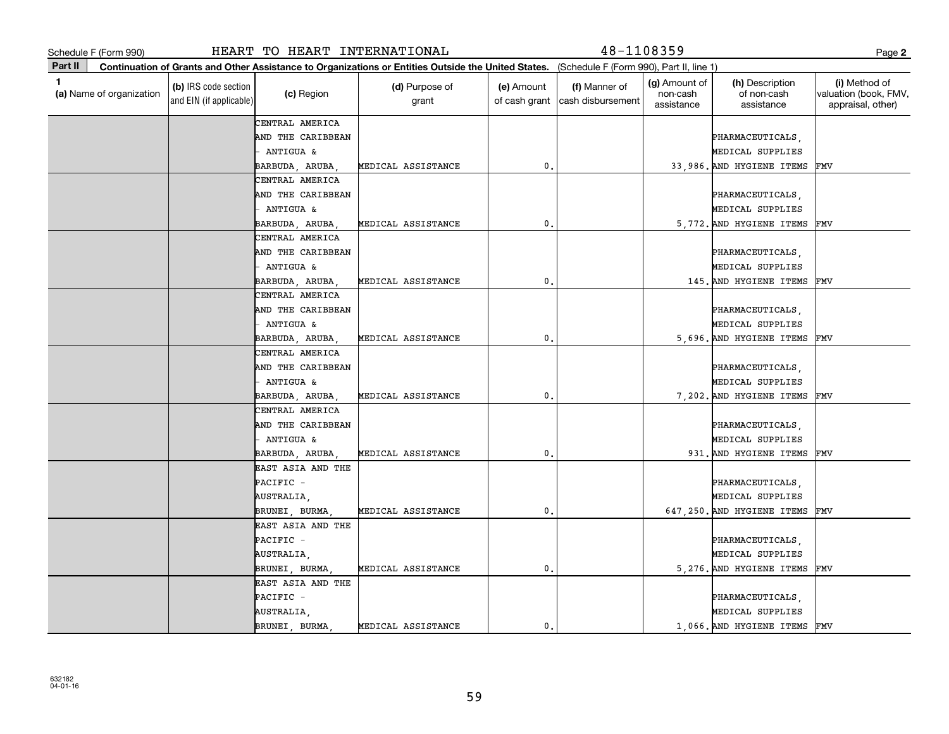|              | Schedule F (Form 990)    |                                                 | HEART TO HEART INTERNATIONAL |                                                                                                                                              |                             | 48-1108359                         |                                         |                                              | Page 2                                                      |
|--------------|--------------------------|-------------------------------------------------|------------------------------|----------------------------------------------------------------------------------------------------------------------------------------------|-----------------------------|------------------------------------|-----------------------------------------|----------------------------------------------|-------------------------------------------------------------|
| Part II      |                          |                                                 |                              | Continuation of Grants and Other Assistance to Organizations or Entities Outside the United States. (Schedule F (Form 990), Part II, line 1) |                             |                                    |                                         |                                              |                                                             |
| $\mathbf{1}$ | (a) Name of organization | (b) IRS code section<br>and EIN (if applicable) | (c) Region                   | (d) Purpose of<br>grant                                                                                                                      | (e) Amount<br>of cash grant | (f) Manner of<br>cash disbursement | (g) Amount of<br>non-cash<br>assistance | (h) Description<br>of non-cash<br>assistance | (i) Method of<br>valuation (book, FMV,<br>appraisal, other) |
|              |                          |                                                 | CENTRAL AMERICA              |                                                                                                                                              |                             |                                    |                                         |                                              |                                                             |
|              |                          |                                                 | AND THE CARIBBEAN            |                                                                                                                                              |                             |                                    |                                         | PHARMACEUTICALS,                             |                                                             |
|              |                          |                                                 | ANTIGUA &                    |                                                                                                                                              |                             |                                    |                                         | MEDICAL SUPPLIES                             |                                                             |
|              |                          |                                                 | BARBUDA, ARUBA,              | MEDICAL ASSISTANCE                                                                                                                           | 0.                          |                                    |                                         | 33,986. AND HYGIENE ITEMS                    | FMV                                                         |
|              |                          |                                                 | CENTRAL AMERICA              |                                                                                                                                              |                             |                                    |                                         |                                              |                                                             |
|              |                          |                                                 | AND THE CARIBBEAN            |                                                                                                                                              |                             |                                    |                                         | PHARMACEUTICALS,                             |                                                             |
|              |                          |                                                 | ANTIGUA &                    |                                                                                                                                              |                             |                                    |                                         | MEDICAL SUPPLIES                             |                                                             |
|              |                          |                                                 | BARBUDA, ARUBA,              | MEDICAL ASSISTANCE                                                                                                                           | $\mathbf 0$                 |                                    |                                         | 5,772. AND HYGIENE ITEMS                     | FMV                                                         |
|              |                          |                                                 | CENTRAL AMERICA              |                                                                                                                                              |                             |                                    |                                         |                                              |                                                             |
|              |                          |                                                 | AND THE CARIBBEAN            |                                                                                                                                              |                             |                                    |                                         | PHARMACEUTICALS,                             |                                                             |
|              |                          |                                                 | <b>ANTIGUA &amp;</b>         |                                                                                                                                              |                             |                                    |                                         | MEDICAL SUPPLIES                             |                                                             |
|              |                          |                                                 | BARBUDA, ARUBA,              | MEDICAL ASSISTANCE                                                                                                                           | 0.                          |                                    |                                         | 145. AND HYGIENE ITEMS                       | FMV                                                         |
|              |                          |                                                 | CENTRAL AMERICA              |                                                                                                                                              |                             |                                    |                                         |                                              |                                                             |
|              |                          |                                                 | AND THE CARIBBEAN            |                                                                                                                                              |                             |                                    |                                         | PHARMACEUTICALS,                             |                                                             |
|              |                          |                                                 | ANTIGUA &                    |                                                                                                                                              |                             |                                    |                                         | MEDICAL SUPPLIES                             |                                                             |
|              |                          |                                                 | BARBUDA, ARUBA,              | MEDICAL ASSISTANCE                                                                                                                           | 0.                          |                                    |                                         | 5,696. AND HYGIENE ITEMS                     | FMV                                                         |
|              |                          |                                                 | CENTRAL AMERICA              |                                                                                                                                              |                             |                                    |                                         |                                              |                                                             |
|              |                          |                                                 | AND THE CARIBBEAN            |                                                                                                                                              |                             |                                    |                                         | PHARMACEUTICALS,                             |                                                             |
|              |                          |                                                 | - ANTIGUA &                  |                                                                                                                                              |                             |                                    |                                         | MEDICAL SUPPLIES                             |                                                             |
|              |                          |                                                 | BARBUDA, ARUBA,              | MEDICAL ASSISTANCE                                                                                                                           | 0.                          |                                    |                                         | 7,202. AND HYGIENE ITEMS                     | FMV                                                         |
|              |                          |                                                 | CENTRAL AMERICA              |                                                                                                                                              |                             |                                    |                                         |                                              |                                                             |
|              |                          |                                                 | AND THE CARIBBEAN            |                                                                                                                                              |                             |                                    |                                         | PHARMACEUTICALS,                             |                                                             |
|              |                          |                                                 | - ANTIGUA &                  |                                                                                                                                              |                             |                                    |                                         | MEDICAL SUPPLIES                             |                                                             |
|              |                          |                                                 | BARBUDA, ARUBA,              | MEDICAL ASSISTANCE                                                                                                                           | $\mathbf{0}$ .              |                                    |                                         | 931. AND HYGIENE ITEMS                       | FMV                                                         |
|              |                          |                                                 | EAST ASIA AND THE            |                                                                                                                                              |                             |                                    |                                         |                                              |                                                             |
|              |                          |                                                 | $PACIFIC -$                  |                                                                                                                                              |                             |                                    |                                         | PHARMACEUTICALS,                             |                                                             |
|              |                          |                                                 | AUSTRALIA,                   |                                                                                                                                              |                             |                                    |                                         | MEDICAL SUPPLIES                             |                                                             |
|              |                          |                                                 | BRUNEI, BURMA                | MEDICAL ASSISTANCE                                                                                                                           | 0,                          |                                    |                                         | 647,250. AND HYGIENE ITEMS                   | FMV                                                         |
|              |                          |                                                 | <b>EAST ASIA AND THE</b>     |                                                                                                                                              |                             |                                    |                                         |                                              |                                                             |
|              |                          |                                                 | PACIFIC -                    |                                                                                                                                              |                             |                                    |                                         | PHARMACEUTICALS,                             |                                                             |
|              |                          |                                                 | AUSTRALIA,                   |                                                                                                                                              |                             |                                    |                                         | MEDICAL SUPPLIES                             |                                                             |
|              |                          |                                                 | BRUNEI, BURMA                | MEDICAL ASSISTANCE                                                                                                                           | 0.                          |                                    |                                         | 5,276. AND HYGIENE ITEMS                     | FMV                                                         |
|              |                          |                                                 | EAST ASIA AND THE            |                                                                                                                                              |                             |                                    |                                         |                                              |                                                             |
|              |                          |                                                 | PACIFIC -                    |                                                                                                                                              |                             |                                    |                                         | PHARMACEUTICALS,                             |                                                             |
|              |                          |                                                 | AUSTRALIA,                   |                                                                                                                                              |                             |                                    |                                         | MEDICAL SUPPLIES                             |                                                             |
|              |                          |                                                 | BRUNEI, BURMA                | MEDICAL ASSISTANCE                                                                                                                           | 0.                          |                                    |                                         | 1,066. AND HYGIENE ITEMS                     | FMV                                                         |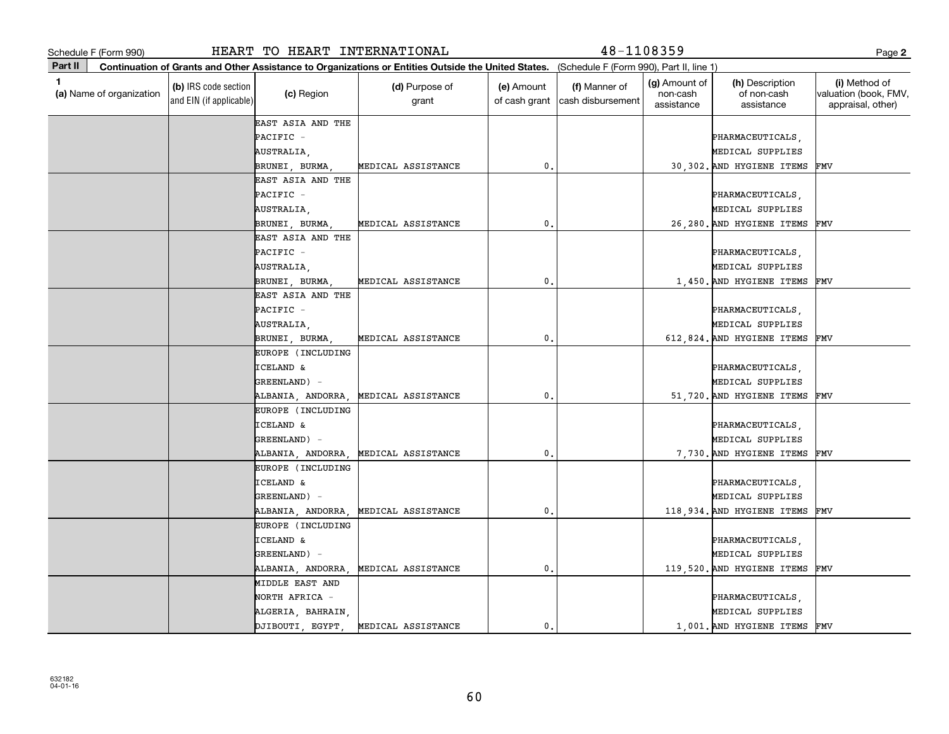| Schedule F (Form 990)                    |                                                 | HEART TO HEART INTERNATIONAL |                                                                                                                                              |                             | 48-1108359                         |                                         |                                              | Page 2                                                      |
|------------------------------------------|-------------------------------------------------|------------------------------|----------------------------------------------------------------------------------------------------------------------------------------------|-----------------------------|------------------------------------|-----------------------------------------|----------------------------------------------|-------------------------------------------------------------|
| Part II                                  |                                                 |                              | Continuation of Grants and Other Assistance to Organizations or Entities Outside the United States. (Schedule F (Form 990), Part II, line 1) |                             |                                    |                                         |                                              |                                                             |
| $\mathbf{1}$<br>(a) Name of organization | (b) IRS code section<br>and EIN (if applicable) | (c) Region                   | (d) Purpose of<br>grant                                                                                                                      | (e) Amount<br>of cash grant | (f) Manner of<br>cash disbursement | (g) Amount of<br>non-cash<br>assistance | (h) Description<br>of non-cash<br>assistance | (i) Method of<br>valuation (book, FMV,<br>appraisal, other) |
|                                          |                                                 | EAST ASIA AND THE            |                                                                                                                                              |                             |                                    |                                         |                                              |                                                             |
|                                          |                                                 | PACIFIC -                    |                                                                                                                                              |                             |                                    |                                         | PHARMACEUTICALS,                             |                                                             |
|                                          |                                                 | AUSTRALIA,                   |                                                                                                                                              |                             |                                    |                                         | MEDICAL SUPPLIES                             |                                                             |
|                                          |                                                 | BRUNEI, BURMA                | MEDICAL ASSISTANCE                                                                                                                           | 0.                          |                                    |                                         | 30,302. AND HYGIENE ITEMS                    | FMV                                                         |
|                                          |                                                 | EAST ASIA AND THE            |                                                                                                                                              |                             |                                    |                                         |                                              |                                                             |
|                                          |                                                 | PACIFIC -                    |                                                                                                                                              |                             |                                    |                                         | PHARMACEUTICALS,                             |                                                             |
|                                          |                                                 | AUSTRALIA,                   |                                                                                                                                              |                             |                                    |                                         | MEDICAL SUPPLIES                             |                                                             |
|                                          |                                                 | BRUNEI, BURMA                | MEDICAL ASSISTANCE                                                                                                                           | $\mathbf{0}$                |                                    |                                         | 26,280. AND HYGIENE ITEMS                    | FMV                                                         |
|                                          |                                                 | EAST ASIA AND THE            |                                                                                                                                              |                             |                                    |                                         |                                              |                                                             |
|                                          |                                                 | PACIFIC -                    |                                                                                                                                              |                             |                                    |                                         | PHARMACEUTICALS,                             |                                                             |
|                                          |                                                 | AUSTRALIA,                   |                                                                                                                                              |                             |                                    |                                         | MEDICAL SUPPLIES                             |                                                             |
|                                          |                                                 | BRUNEI, BURMA                | MEDICAL ASSISTANCE                                                                                                                           | $\mathbf 0$                 |                                    |                                         | 1,450. AND HYGIENE ITEMS                     | FMV                                                         |
|                                          |                                                 | EAST ASIA AND THE            |                                                                                                                                              |                             |                                    |                                         |                                              |                                                             |
|                                          |                                                 | PACIFIC -                    |                                                                                                                                              |                             |                                    |                                         | PHARMACEUTICALS,                             |                                                             |
|                                          |                                                 | AUSTRALIA,                   |                                                                                                                                              |                             |                                    |                                         | MEDICAL SUPPLIES                             |                                                             |
|                                          |                                                 | BRUNEI, BURMA                | MEDICAL ASSISTANCE                                                                                                                           | 0.                          |                                    |                                         | 612,824. AND HYGIENE ITEMS                   | FMV                                                         |
|                                          |                                                 | EUROPE (INCLUDING            |                                                                                                                                              |                             |                                    |                                         |                                              |                                                             |
|                                          |                                                 | <b>ICELAND &amp;</b>         |                                                                                                                                              |                             |                                    |                                         | PHARMACEUTICALS,                             |                                                             |
|                                          |                                                 | GREENLAND) -                 |                                                                                                                                              |                             |                                    |                                         | MEDICAL SUPPLIES                             |                                                             |
|                                          |                                                 | ALBANIA, ANDORRA,            | MEDICAL ASSISTANCE                                                                                                                           | $\mathbf{0}$ .              |                                    |                                         | 51,720. AND HYGIENE ITEMS                    | FMV                                                         |
|                                          |                                                 | EUROPE (INCLUDING            |                                                                                                                                              |                             |                                    |                                         |                                              |                                                             |
|                                          |                                                 | <b>ICELAND &amp;</b>         |                                                                                                                                              |                             |                                    |                                         | PHARMACEUTICALS,                             |                                                             |
|                                          |                                                 | GREENLAND) -                 |                                                                                                                                              |                             |                                    |                                         | MEDICAL SUPPLIES                             |                                                             |
|                                          |                                                 | ALBANIA, ANDORRA,            | MEDICAL ASSISTANCE                                                                                                                           | $\mathbf 0$                 |                                    |                                         | 7,730. AND HYGIENE ITEMS                     | FMV                                                         |
|                                          |                                                 | EUROPE (INCLUDING            |                                                                                                                                              |                             |                                    |                                         |                                              |                                                             |
|                                          |                                                 | <b>ICELAND &amp;</b>         |                                                                                                                                              |                             |                                    |                                         | PHARMACEUTICALS,                             |                                                             |
|                                          |                                                 | GREENLAND) -                 |                                                                                                                                              |                             |                                    |                                         | MEDICAL SUPPLIES                             |                                                             |
|                                          |                                                 | ALBANIA, ANDORRA,            | MEDICAL ASSISTANCE                                                                                                                           | 0.                          |                                    |                                         | 118,934. AND HYGIENE ITEMS                   | FMV                                                         |
|                                          |                                                 | EUROPE (INCLUDING            |                                                                                                                                              |                             |                                    |                                         |                                              |                                                             |
|                                          |                                                 | <b>ICELAND &amp;</b>         |                                                                                                                                              |                             |                                    |                                         | PHARMACEUTICALS                              |                                                             |
|                                          |                                                 | GREENLAND) -                 |                                                                                                                                              |                             |                                    |                                         | MEDICAL SUPPLIES                             |                                                             |
|                                          |                                                 | ALBANIA, ANDORRA,            | MEDICAL ASSISTANCE                                                                                                                           | 0.                          |                                    |                                         | 119,520. AND HYGIENE ITEMS FMV               |                                                             |
|                                          |                                                 | MIDDLE EAST AND              |                                                                                                                                              |                             |                                    |                                         |                                              |                                                             |
|                                          |                                                 | NORTH AFRICA -               |                                                                                                                                              |                             |                                    |                                         | PHARMACEUTICALS,                             |                                                             |
|                                          |                                                 | ALGERIA, BAHRAIN,            |                                                                                                                                              |                             |                                    |                                         | MEDICAL SUPPLIES                             |                                                             |
|                                          |                                                 | DJIBOUTI, EGYPT              | MEDICAL ASSISTANCE                                                                                                                           | 0.                          |                                    |                                         | 1,001. AND HYGIENE ITEMS FMV                 |                                                             |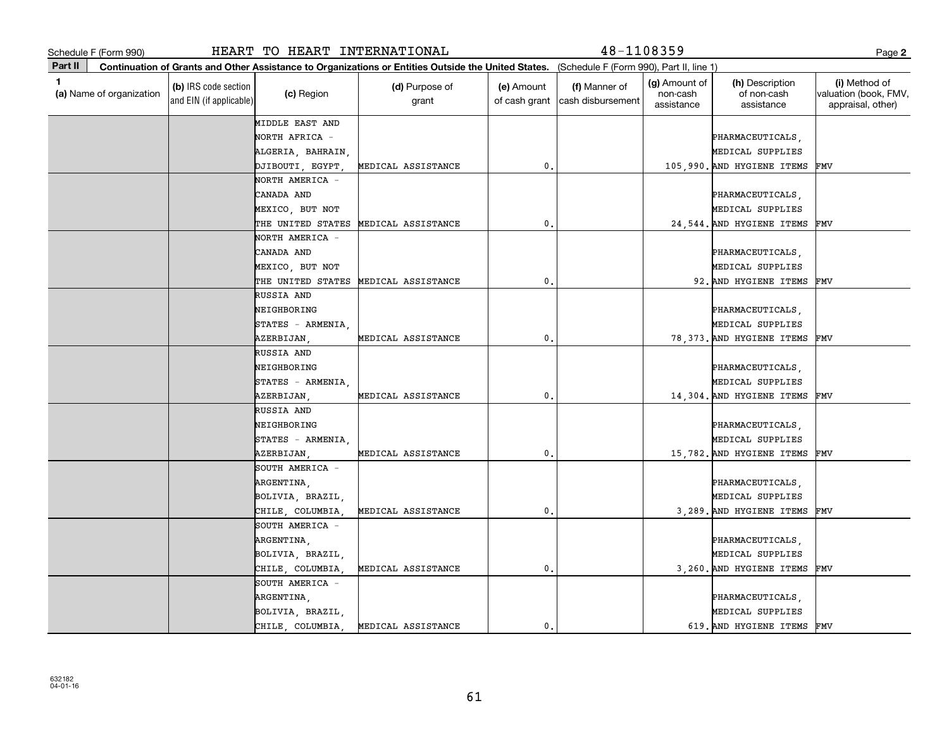|         | Schedule F (Form 990)<br>HEART TO HEART INTERNATIONAL |                                                 |                    |                                                                                                                                              |                             |                                    | $48 - 1108359$                          |                                              |                                                             |  |  |
|---------|-------------------------------------------------------|-------------------------------------------------|--------------------|----------------------------------------------------------------------------------------------------------------------------------------------|-----------------------------|------------------------------------|-----------------------------------------|----------------------------------------------|-------------------------------------------------------------|--|--|
| Part II |                                                       |                                                 |                    | Continuation of Grants and Other Assistance to Organizations or Entities Outside the United States. (Schedule F (Form 990), Part II, line 1) |                             |                                    |                                         |                                              |                                                             |  |  |
| 1       | (a) Name of organization                              | (b) IRS code section<br>and EIN (if applicable) | (c) Region         | (d) Purpose of<br>grant                                                                                                                      | (e) Amount<br>of cash grant | (f) Manner of<br>cash disbursement | (g) Amount of<br>non-cash<br>assistance | (h) Description<br>of non-cash<br>assistance | (i) Method of<br>valuation (book, FMV,<br>appraisal, other) |  |  |
|         |                                                       |                                                 | MIDDLE EAST AND    |                                                                                                                                              |                             |                                    |                                         |                                              |                                                             |  |  |
|         |                                                       |                                                 | NORTH AFRICA -     |                                                                                                                                              |                             |                                    |                                         | PHARMACEUTICALS,                             |                                                             |  |  |
|         |                                                       |                                                 | ALGERIA, BAHRAIN,  |                                                                                                                                              |                             |                                    |                                         | MEDICAL SUPPLIES                             |                                                             |  |  |
|         |                                                       |                                                 | DJIBOUTI, EGYPT    | MEDICAL ASSISTANCE                                                                                                                           | 0.                          |                                    |                                         | 105,990. AND HYGIENE ITEMS                   | FMV                                                         |  |  |
|         |                                                       |                                                 | NORTH AMERICA -    |                                                                                                                                              |                             |                                    |                                         |                                              |                                                             |  |  |
|         |                                                       |                                                 | CANADA AND         |                                                                                                                                              |                             |                                    |                                         | PHARMACEUTICALS,                             |                                                             |  |  |
|         |                                                       |                                                 | MEXICO, BUT NOT    |                                                                                                                                              |                             |                                    |                                         | MEDICAL SUPPLIES                             |                                                             |  |  |
|         |                                                       |                                                 | THE UNITED STATES  | MEDICAL ASSISTANCE                                                                                                                           | $\mathbf 0$                 |                                    |                                         | 24,544. AND HYGIENE ITEMS                    | FMV                                                         |  |  |
|         |                                                       |                                                 | NORTH AMERICA -    |                                                                                                                                              |                             |                                    |                                         |                                              |                                                             |  |  |
|         |                                                       |                                                 | CANADA AND         |                                                                                                                                              |                             |                                    |                                         | PHARMACEUTICALS,                             |                                                             |  |  |
|         |                                                       |                                                 | MEXICO, BUT NOT    |                                                                                                                                              |                             |                                    |                                         | MEDICAL SUPPLIES                             |                                                             |  |  |
|         |                                                       |                                                 | THE UNITED STATES  | MEDICAL ASSISTANCE                                                                                                                           | 0.                          |                                    |                                         | 92. AND HYGIENE ITEMS                        | FMV                                                         |  |  |
|         |                                                       |                                                 | RUSSIA AND         |                                                                                                                                              |                             |                                    |                                         |                                              |                                                             |  |  |
|         |                                                       |                                                 | NEIGHBORING        |                                                                                                                                              |                             |                                    |                                         | PHARMACEUTICALS,                             |                                                             |  |  |
|         |                                                       |                                                 | $STATES - ARMENIA$ |                                                                                                                                              |                             |                                    |                                         | MEDICAL SUPPLIES                             |                                                             |  |  |
|         |                                                       |                                                 | AZERBIJAN,         | MEDICAL ASSISTANCE                                                                                                                           | 0.                          |                                    |                                         | 78,373. AND HYGIENE ITEMS                    | FMV                                                         |  |  |
|         |                                                       |                                                 | RUSSIA AND         |                                                                                                                                              |                             |                                    |                                         |                                              |                                                             |  |  |
|         |                                                       |                                                 | NEIGHBORING        |                                                                                                                                              |                             |                                    |                                         | PHARMACEUTICALS,                             |                                                             |  |  |
|         |                                                       |                                                 | STATES - ARMENIA   |                                                                                                                                              |                             |                                    |                                         | MEDICAL SUPPLIES                             |                                                             |  |  |
|         |                                                       |                                                 | AZERBIJAN          | MEDICAL ASSISTANCE                                                                                                                           | 0.                          |                                    |                                         | 14,304. AND HYGIENE ITEMS                    | FMV                                                         |  |  |
|         |                                                       |                                                 | RUSSIA AND         |                                                                                                                                              |                             |                                    |                                         |                                              |                                                             |  |  |
|         |                                                       |                                                 | NEIGHBORING        |                                                                                                                                              |                             |                                    |                                         | PHARMACEUTICALS,                             |                                                             |  |  |
|         |                                                       |                                                 | STATES - ARMENIA   |                                                                                                                                              |                             |                                    |                                         | MEDICAL SUPPLIES                             |                                                             |  |  |
|         |                                                       |                                                 | AZERBIJAN,         | MEDICAL ASSISTANCE                                                                                                                           | 0.                          |                                    |                                         | 15,782. AND HYGIENE ITEMS                    | FMV                                                         |  |  |
|         |                                                       |                                                 | SOUTH AMERICA -    |                                                                                                                                              |                             |                                    |                                         |                                              |                                                             |  |  |
|         |                                                       |                                                 | ARGENTINA,         |                                                                                                                                              |                             |                                    |                                         | PHARMACEUTICALS,                             |                                                             |  |  |
|         |                                                       |                                                 | BOLIVIA, BRAZIL,   |                                                                                                                                              |                             |                                    |                                         | MEDICAL SUPPLIES                             |                                                             |  |  |
|         |                                                       |                                                 | CHILE, COLUMBIA,   | MEDICAL ASSISTANCE                                                                                                                           | 0.                          |                                    |                                         | 3,289. AND HYGIENE ITEMS                     | FMV                                                         |  |  |
|         |                                                       |                                                 | SOUTH AMERICA -    |                                                                                                                                              |                             |                                    |                                         |                                              |                                                             |  |  |
|         |                                                       |                                                 | ARGENTINA,         |                                                                                                                                              |                             |                                    |                                         | PHARMACEUTICALS,                             |                                                             |  |  |
|         |                                                       |                                                 | BOLIVIA, BRAZIL,   |                                                                                                                                              |                             |                                    |                                         | MEDICAL SUPPLIES                             |                                                             |  |  |
|         |                                                       |                                                 | CHILE, COLUMBIA    | MEDICAL ASSISTANCE                                                                                                                           | 0.                          |                                    |                                         | 3,260. AND HYGIENE ITEMS                     | FMV                                                         |  |  |
|         |                                                       |                                                 | SOUTH AMERICA -    |                                                                                                                                              |                             |                                    |                                         |                                              |                                                             |  |  |
|         |                                                       |                                                 | ARGENTINA,         |                                                                                                                                              |                             |                                    |                                         | PHARMACEUTICALS,                             |                                                             |  |  |
|         |                                                       |                                                 | BOLIVIA, BRAZIL,   |                                                                                                                                              |                             |                                    |                                         | MEDICAL SUPPLIES                             |                                                             |  |  |
|         |                                                       |                                                 | CHILE, COLUMBIA,   | MEDICAL ASSISTANCE                                                                                                                           | 0.                          |                                    |                                         | 619. AND HYGIENE ITEMS                       | FMV                                                         |  |  |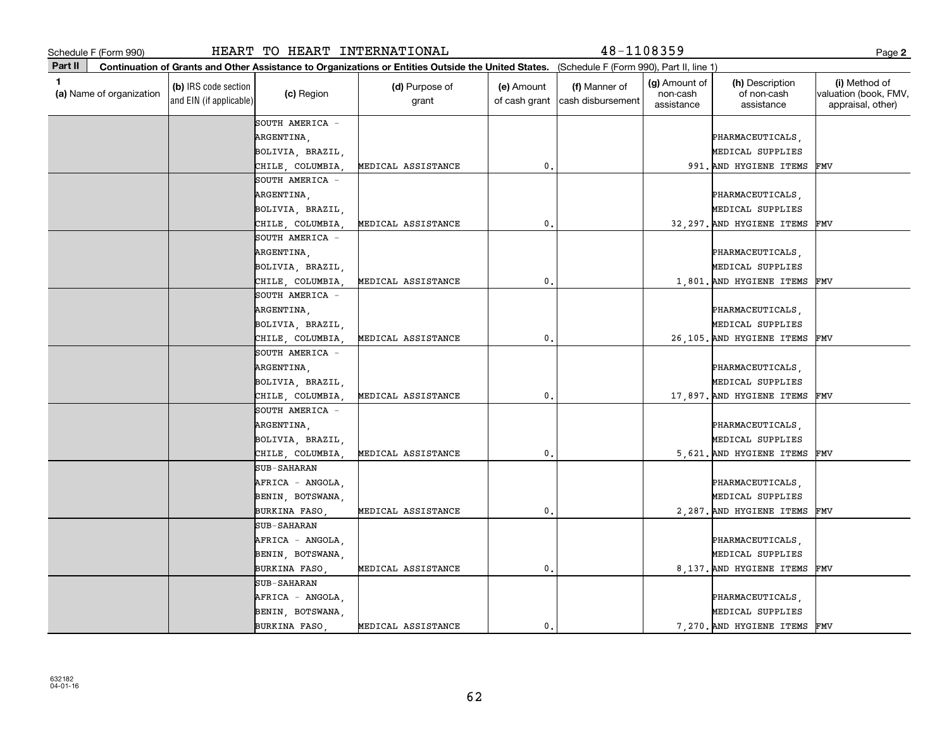|         | Schedule F (Form 990)    |                                                 | HEART TO HEART INTERNATIONAL |                                                                                                                                              |                             | 48-1108359                         |                                                |                                              | Page 2                                                      |
|---------|--------------------------|-------------------------------------------------|------------------------------|----------------------------------------------------------------------------------------------------------------------------------------------|-----------------------------|------------------------------------|------------------------------------------------|----------------------------------------------|-------------------------------------------------------------|
| Part II |                          |                                                 |                              | Continuation of Grants and Other Assistance to Organizations or Entities Outside the United States. (Schedule F (Form 990), Part II, line 1) |                             |                                    |                                                |                                              |                                                             |
| 1       | (a) Name of organization | (b) IRS code section<br>and EIN (if applicable) | (c) Region                   | (d) Purpose of<br>grant                                                                                                                      | (e) Amount<br>of cash grant | (f) Manner of<br>cash disbursement | <b>(g)</b> Amount of<br>non-cash<br>assistance | (h) Description<br>of non-cash<br>assistance | (i) Method of<br>valuation (book, FMV,<br>appraisal, other) |
|         |                          |                                                 | SOUTH AMERICA -              |                                                                                                                                              |                             |                                    |                                                |                                              |                                                             |
|         |                          |                                                 | ARGENTINA,                   |                                                                                                                                              |                             |                                    |                                                | PHARMACEUTICALS,                             |                                                             |
|         |                          |                                                 | BOLIVIA, BRAZIL,             |                                                                                                                                              |                             |                                    |                                                | MEDICAL SUPPLIES                             |                                                             |
|         |                          |                                                 | CHILE, COLUMBIA,             | MEDICAL ASSISTANCE                                                                                                                           | 0.                          |                                    |                                                | 991. AND HYGIENE ITEMS                       | FMV                                                         |
|         |                          |                                                 | SOUTH AMERICA -              |                                                                                                                                              |                             |                                    |                                                |                                              |                                                             |
|         |                          |                                                 | ARGENTINA,                   |                                                                                                                                              |                             |                                    |                                                | PHARMACEUTICALS,                             |                                                             |
|         |                          |                                                 | BOLIVIA, BRAZIL,             |                                                                                                                                              |                             |                                    |                                                | MEDICAL SUPPLIES                             |                                                             |
|         |                          |                                                 | CHILE, COLUMBIA,             | MEDICAL ASSISTANCE                                                                                                                           | $\mathbf{0}$                |                                    |                                                | 32,297. AND HYGIENE ITEMS                    | FMV                                                         |
|         |                          |                                                 | SOUTH AMERICA -              |                                                                                                                                              |                             |                                    |                                                |                                              |                                                             |
|         |                          |                                                 | ARGENTINA,                   |                                                                                                                                              |                             |                                    |                                                | PHARMACEUTICALS,                             |                                                             |
|         |                          |                                                 | BOLIVIA, BRAZIL,             |                                                                                                                                              |                             |                                    |                                                | MEDICAL SUPPLIES                             |                                                             |
|         |                          |                                                 | CHILE, COLUMBIA              | MEDICAL ASSISTANCE                                                                                                                           | 0.                          |                                    |                                                | 1,801. AND HYGIENE ITEMS                     | FMV                                                         |
|         |                          |                                                 | SOUTH AMERICA -              |                                                                                                                                              |                             |                                    |                                                |                                              |                                                             |
|         |                          |                                                 | ARGENTINA,                   |                                                                                                                                              |                             |                                    |                                                | PHARMACEUTICALS,                             |                                                             |
|         |                          |                                                 | BOLIVIA, BRAZIL,             |                                                                                                                                              |                             |                                    |                                                | MEDICAL SUPPLIES                             |                                                             |
|         |                          |                                                 | CHILE, COLUMBIA,             | MEDICAL ASSISTANCE                                                                                                                           | $\mathbf{0}$ .              |                                    |                                                | 26,105. AND HYGIENE ITEMS                    | FMV                                                         |
|         |                          |                                                 | SOUTH AMERICA -              |                                                                                                                                              |                             |                                    |                                                |                                              |                                                             |
|         |                          |                                                 | ARGENTINA,                   |                                                                                                                                              |                             |                                    |                                                | PHARMACEUTICALS,                             |                                                             |
|         |                          |                                                 | BOLIVIA, BRAZIL,             |                                                                                                                                              |                             |                                    |                                                | MEDICAL SUPPLIES                             |                                                             |
|         |                          |                                                 | CHILE, COLUMBIA,             | MEDICAL ASSISTANCE                                                                                                                           | 0.                          |                                    |                                                | 17,897. AND HYGIENE ITEMS                    | FMV                                                         |
|         |                          |                                                 | SOUTH AMERICA -              |                                                                                                                                              |                             |                                    |                                                |                                              |                                                             |
|         |                          |                                                 | ARGENTINA,                   |                                                                                                                                              |                             |                                    |                                                | PHARMACEUTICALS,                             |                                                             |
|         |                          |                                                 | BOLIVIA, BRAZIL,             |                                                                                                                                              |                             |                                    |                                                | MEDICAL SUPPLIES                             |                                                             |
|         |                          |                                                 | CHILE, COLUMBIA,             | MEDICAL ASSISTANCE                                                                                                                           | 0.                          |                                    |                                                | 5,621. AND HYGIENE ITEMS                     | FMV                                                         |
|         |                          |                                                 | <b>SUB-SAHARAN</b>           |                                                                                                                                              |                             |                                    |                                                |                                              |                                                             |
|         |                          |                                                 | AFRICA - ANGOLA,             |                                                                                                                                              |                             |                                    |                                                | PHARMACEUTICALS,                             |                                                             |
|         |                          |                                                 | BENIN, BOTSWANA,             |                                                                                                                                              |                             |                                    |                                                | MEDICAL SUPPLIES                             |                                                             |
|         |                          |                                                 | BURKINA FASO                 | MEDICAL ASSISTANCE                                                                                                                           | 0.                          |                                    |                                                | 2.287. AND HYGIENE ITEMS                     | FMV                                                         |
|         |                          |                                                 | <b>SUB-SAHARAN</b>           |                                                                                                                                              |                             |                                    |                                                |                                              |                                                             |
|         |                          |                                                 | AFRICA - ANGOLA,             |                                                                                                                                              |                             |                                    |                                                | PHARMACEUTICALS,                             |                                                             |
|         |                          |                                                 | BENIN, BOTSWANA,             |                                                                                                                                              |                             |                                    |                                                | MEDICAL SUPPLIES                             |                                                             |
|         |                          |                                                 | BURKINA FASO,                | MEDICAL ASSISTANCE                                                                                                                           | $\mathbf{0}$ .              |                                    |                                                | 8,137. AND HYGIENE ITEMS                     | FMV                                                         |
|         |                          |                                                 | <b>SUB-SAHARAN</b>           |                                                                                                                                              |                             |                                    |                                                |                                              |                                                             |
|         |                          |                                                 | AFRICA - ANGOLA,             |                                                                                                                                              |                             |                                    |                                                | PHARMACEUTICALS,                             |                                                             |
|         |                          |                                                 | BENIN, BOTSWANA,             |                                                                                                                                              |                             |                                    |                                                | MEDICAL SUPPLIES                             |                                                             |
|         |                          |                                                 | BURKINA FASO                 | MEDICAL ASSISTANCE                                                                                                                           | 0.                          |                                    |                                                | 7,270. AND HYGIENE ITEMS                     | FMV                                                         |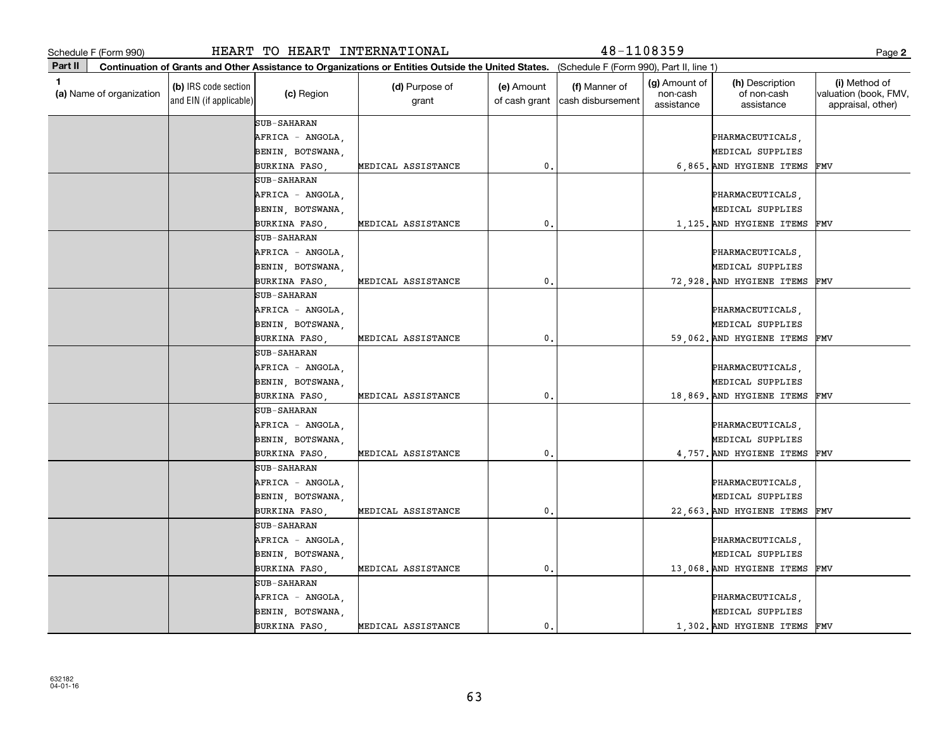|         | Schedule F (Form 990)    |                                                 | HEART TO HEART INTERNATIONAL |                                                                                                                                              |                             | 48-1108359                         |                                                |                                              | Page 2                                                      |
|---------|--------------------------|-------------------------------------------------|------------------------------|----------------------------------------------------------------------------------------------------------------------------------------------|-----------------------------|------------------------------------|------------------------------------------------|----------------------------------------------|-------------------------------------------------------------|
| Part II |                          |                                                 |                              | Continuation of Grants and Other Assistance to Organizations or Entities Outside the United States. (Schedule F (Form 990), Part II, line 1) |                             |                                    |                                                |                                              |                                                             |
| 1       | (a) Name of organization | (b) IRS code section<br>and EIN (if applicable) | (c) Region                   | (d) Purpose of<br>grant                                                                                                                      | (e) Amount<br>of cash grant | (f) Manner of<br>cash disbursement | <b>(g)</b> Amount of<br>non-cash<br>assistance | (h) Description<br>of non-cash<br>assistance | (i) Method of<br>valuation (book, FMV,<br>appraisal, other) |
|         |                          |                                                 | <b>SUB-SAHARAN</b>           |                                                                                                                                              |                             |                                    |                                                |                                              |                                                             |
|         |                          |                                                 | AFRICA - ANGOLA,             |                                                                                                                                              |                             |                                    |                                                | PHARMACEUTICALS,                             |                                                             |
|         |                          |                                                 | BENIN, BOTSWANA,             |                                                                                                                                              |                             |                                    |                                                | MEDICAL SUPPLIES                             |                                                             |
|         |                          |                                                 | BURKINA FASO                 | MEDICAL ASSISTANCE                                                                                                                           | 0.                          |                                    |                                                | 6,865. AND HYGIENE ITEMS                     | FMV                                                         |
|         |                          |                                                 | <b>SUB-SAHARAN</b>           |                                                                                                                                              |                             |                                    |                                                |                                              |                                                             |
|         |                          |                                                 | AFRICA - ANGOLA,             |                                                                                                                                              |                             |                                    |                                                | PHARMACEUTICALS,                             |                                                             |
|         |                          |                                                 | BENIN, BOTSWANA,             |                                                                                                                                              |                             |                                    |                                                | MEDICAL SUPPLIES                             |                                                             |
|         |                          |                                                 | BURKINA FASO                 | MEDICAL ASSISTANCE                                                                                                                           | $\mathbf{0}$                |                                    |                                                | 1,125. AND HYGIENE ITEMS                     | FMV                                                         |
|         |                          |                                                 | <b>SUB-SAHARAN</b>           |                                                                                                                                              |                             |                                    |                                                |                                              |                                                             |
|         |                          |                                                 | AFRICA - ANGOLA,             |                                                                                                                                              |                             |                                    |                                                | PHARMACEUTICALS,                             |                                                             |
|         |                          |                                                 | BENIN, BOTSWANA,             |                                                                                                                                              |                             |                                    |                                                | MEDICAL SUPPLIES                             |                                                             |
|         |                          |                                                 | BURKINA FASO                 | MEDICAL ASSISTANCE                                                                                                                           | 0.                          |                                    |                                                | 72,928. AND HYGIENE ITEMS                    | FMV                                                         |
|         |                          |                                                 | <b>SUB-SAHARAN</b>           |                                                                                                                                              |                             |                                    |                                                |                                              |                                                             |
|         |                          |                                                 | AFRICA - ANGOLA,             |                                                                                                                                              |                             |                                    |                                                | PHARMACEUTICALS,                             |                                                             |
|         |                          |                                                 | BENIN, BOTSWANA,             |                                                                                                                                              |                             |                                    |                                                | MEDICAL SUPPLIES                             |                                                             |
|         |                          |                                                 | BURKINA FASO                 | MEDICAL ASSISTANCE                                                                                                                           | $\mathbf{0}$ .              |                                    |                                                | 59,062. AND HYGIENE ITEMS                    | FMV                                                         |
|         |                          |                                                 | <b>SUB-SAHARAN</b>           |                                                                                                                                              |                             |                                    |                                                |                                              |                                                             |
|         |                          |                                                 | AFRICA - ANGOLA,             |                                                                                                                                              |                             |                                    |                                                | PHARMACEUTICALS,                             |                                                             |
|         |                          |                                                 | BENIN, BOTSWANA,             |                                                                                                                                              |                             |                                    |                                                | MEDICAL SUPPLIES                             |                                                             |
|         |                          |                                                 | BURKINA FASO                 | MEDICAL ASSISTANCE                                                                                                                           | 0.                          |                                    |                                                | 18,869. AND HYGIENE ITEMS                    | FMV                                                         |
|         |                          |                                                 | <b>SUB-SAHARAN</b>           |                                                                                                                                              |                             |                                    |                                                |                                              |                                                             |
|         |                          |                                                 | AFRICA - ANGOLA,             |                                                                                                                                              |                             |                                    |                                                | PHARMACEUTICALS,                             |                                                             |
|         |                          |                                                 | BENIN, BOTSWANA,             |                                                                                                                                              |                             |                                    |                                                | MEDICAL SUPPLIES                             |                                                             |
|         |                          |                                                 | BURKINA FASO                 | MEDICAL ASSISTANCE                                                                                                                           | 0.                          |                                    |                                                | 4,757. AND HYGIENE ITEMS                     | FMV                                                         |
|         |                          |                                                 | <b>SUB-SAHARAN</b>           |                                                                                                                                              |                             |                                    |                                                |                                              |                                                             |
|         |                          |                                                 | AFRICA - ANGOLA,             |                                                                                                                                              |                             |                                    |                                                | PHARMACEUTICALS,                             |                                                             |
|         |                          |                                                 | BENIN, BOTSWANA,             |                                                                                                                                              |                             |                                    |                                                | MEDICAL SUPPLIES                             |                                                             |
|         |                          |                                                 | <b>BURKINA FASO</b>          | MEDICAL ASSISTANCE                                                                                                                           | 0.                          |                                    |                                                | 22,663. AND HYGIENE ITEMS                    | FMV                                                         |
|         |                          |                                                 | <b>SUB-SAHARAN</b>           |                                                                                                                                              |                             |                                    |                                                |                                              |                                                             |
|         |                          |                                                 | AFRICA - ANGOLA,             |                                                                                                                                              |                             |                                    |                                                | PHARMACEUTICALS,                             |                                                             |
|         |                          |                                                 | BENIN, BOTSWANA,             |                                                                                                                                              |                             |                                    |                                                | MEDICAL SUPPLIES                             |                                                             |
|         |                          |                                                 | BURKINA FASO,                | MEDICAL ASSISTANCE                                                                                                                           | 0.                          |                                    |                                                | 13,068. AND HYGIENE ITEMS                    | FMV                                                         |
|         |                          |                                                 | <b>SUB-SAHARAN</b>           |                                                                                                                                              |                             |                                    |                                                |                                              |                                                             |
|         |                          |                                                 | AFRICA - ANGOLA,             |                                                                                                                                              |                             |                                    |                                                | PHARMACEUTICALS,                             |                                                             |
|         |                          |                                                 | BENIN, BOTSWANA,             |                                                                                                                                              |                             |                                    |                                                | MEDICAL SUPPLIES                             |                                                             |
|         |                          |                                                 | BURKINA FASO                 | MEDICAL ASSISTANCE                                                                                                                           | 0.                          |                                    |                                                | 1,302. AND HYGIENE ITEMS                     | FMV                                                         |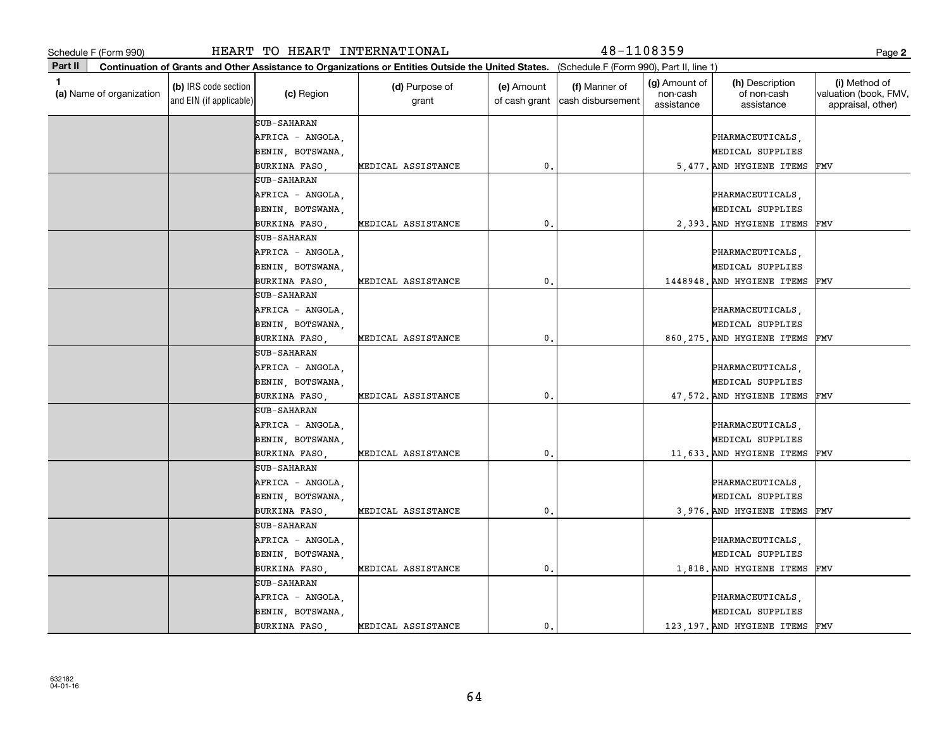|             | Schedule F (Form 990)    |                                                 | HEART TO HEART INTERNATIONAL |                                                                                                                                              |                             | $48 - 1108359$                     |                                                |                                              | Page 2                                                      |
|-------------|--------------------------|-------------------------------------------------|------------------------------|----------------------------------------------------------------------------------------------------------------------------------------------|-----------------------------|------------------------------------|------------------------------------------------|----------------------------------------------|-------------------------------------------------------------|
| Part II     |                          |                                                 |                              | Continuation of Grants and Other Assistance to Organizations or Entities Outside the United States. (Schedule F (Form 990), Part II, line 1) |                             |                                    |                                                |                                              |                                                             |
| $\mathbf 1$ | (a) Name of organization | (b) IRS code section<br>and EIN (if applicable) | (c) Region                   | (d) Purpose of<br>grant                                                                                                                      | (e) Amount<br>of cash grant | (f) Manner of<br>cash disbursement | <b>(g)</b> Amount of<br>non-cash<br>assistance | (h) Description<br>of non-cash<br>assistance | (i) Method of<br>valuation (book, FMV,<br>appraisal, other) |
|             |                          |                                                 | <b>SUB-SAHARAN</b>           |                                                                                                                                              |                             |                                    |                                                |                                              |                                                             |
|             |                          |                                                 | AFRICA - ANGOLA,             |                                                                                                                                              |                             |                                    |                                                | PHARMACEUTICALS,                             |                                                             |
|             |                          |                                                 | BENIN, BOTSWANA,             |                                                                                                                                              |                             |                                    |                                                | MEDICAL SUPPLIES                             |                                                             |
|             |                          |                                                 | BURKINA FASO                 | MEDICAL ASSISTANCE                                                                                                                           | 0.                          |                                    |                                                | 5,477. AND HYGIENE ITEMS                     | FMV                                                         |
|             |                          |                                                 | <b>SUB-SAHARAN</b>           |                                                                                                                                              |                             |                                    |                                                |                                              |                                                             |
|             |                          |                                                 | AFRICA - ANGOLA,             |                                                                                                                                              |                             |                                    |                                                | PHARMACEUTICALS,                             |                                                             |
|             |                          |                                                 | BENIN, BOTSWANA,             |                                                                                                                                              |                             |                                    |                                                | MEDICAL SUPPLIES                             |                                                             |
|             |                          |                                                 | BURKINA FASO                 | MEDICAL ASSISTANCE                                                                                                                           | $\mathbf{0}$                |                                    |                                                | 2,393. AND HYGIENE ITEMS                     | FMV                                                         |
|             |                          |                                                 | <b>SUB-SAHARAN</b>           |                                                                                                                                              |                             |                                    |                                                |                                              |                                                             |
|             |                          |                                                 | AFRICA - ANGOLA,             |                                                                                                                                              |                             |                                    |                                                | PHARMACEUTICALS,                             |                                                             |
|             |                          |                                                 | BENIN, BOTSWANA,             |                                                                                                                                              |                             |                                    |                                                | MEDICAL SUPPLIES                             |                                                             |
|             |                          |                                                 | BURKINA FASO                 | MEDICAL ASSISTANCE                                                                                                                           | 0.                          |                                    |                                                | 1448948. AND HYGIENE ITEMS                   | FMV                                                         |
|             |                          |                                                 | <b>SUB-SAHARAN</b>           |                                                                                                                                              |                             |                                    |                                                |                                              |                                                             |
|             |                          |                                                 | AFRICA - ANGOLA,             |                                                                                                                                              |                             |                                    |                                                | PHARMACEUTICALS,                             |                                                             |
|             |                          |                                                 | BENIN, BOTSWANA,             |                                                                                                                                              |                             |                                    |                                                | MEDICAL SUPPLIES                             |                                                             |
|             |                          |                                                 | BURKINA FASO                 | MEDICAL ASSISTANCE                                                                                                                           | 0.                          |                                    |                                                | 860, 275. AND HYGIENE ITEMS                  | FMV                                                         |
|             |                          |                                                 | <b>SUB-SAHARAN</b>           |                                                                                                                                              |                             |                                    |                                                |                                              |                                                             |
|             |                          |                                                 | AFRICA - ANGOLA,             |                                                                                                                                              |                             |                                    |                                                | PHARMACEUTICALS,                             |                                                             |
|             |                          |                                                 | BENIN, BOTSWANA,             |                                                                                                                                              |                             |                                    |                                                | MEDICAL SUPPLIES                             |                                                             |
|             |                          |                                                 | BURKINA FASO                 | MEDICAL ASSISTANCE                                                                                                                           | 0.                          |                                    |                                                | 47,572. AND HYGIENE ITEMS                    | FMV                                                         |
|             |                          |                                                 | <b>SUB-SAHARAN</b>           |                                                                                                                                              |                             |                                    |                                                |                                              |                                                             |
|             |                          |                                                 | AFRICA - ANGOLA,             |                                                                                                                                              |                             |                                    |                                                | PHARMACEUTICALS,                             |                                                             |
|             |                          |                                                 | BENIN, BOTSWANA,             |                                                                                                                                              |                             |                                    |                                                | MEDICAL SUPPLIES                             |                                                             |
|             |                          |                                                 | BURKINA FASO,                | MEDICAL ASSISTANCE                                                                                                                           | 0.                          |                                    |                                                | 11,633. AND HYGIENE ITEMS                    | FMV                                                         |
|             |                          |                                                 | <b>SUB-SAHARAN</b>           |                                                                                                                                              |                             |                                    |                                                |                                              |                                                             |
|             |                          |                                                 | AFRICA - ANGOLA,             |                                                                                                                                              |                             |                                    |                                                | PHARMACEUTICALS,                             |                                                             |
|             |                          |                                                 | BENIN, BOTSWANA,             |                                                                                                                                              |                             |                                    |                                                | MEDICAL SUPPLIES                             |                                                             |
|             |                          |                                                 | BURKINA FASO                 | MEDICAL ASSISTANCE                                                                                                                           | $\mathbf{0}$                |                                    |                                                | 3,976. AND HYGIENE ITEMS                     | FMV                                                         |
|             |                          |                                                 | <b>SUB-SAHARAN</b>           |                                                                                                                                              |                             |                                    |                                                |                                              |                                                             |
|             |                          |                                                 | AFRICA - ANGOLA,             |                                                                                                                                              |                             |                                    |                                                | PHARMACEUTICALS,                             |                                                             |
|             |                          |                                                 | BENIN, BOTSWANA,             |                                                                                                                                              |                             |                                    |                                                | MEDICAL SUPPLIES                             |                                                             |
|             |                          |                                                 | BURKINA FASO,                | MEDICAL ASSISTANCE                                                                                                                           | 0.                          |                                    |                                                | 1,818. AND HYGIENE ITEMS                     | FMV                                                         |
|             |                          |                                                 | <b>SUB-SAHARAN</b>           |                                                                                                                                              |                             |                                    |                                                |                                              |                                                             |
|             |                          |                                                 | AFRICA - ANGOLA,             |                                                                                                                                              |                             |                                    |                                                | PHARMACEUTICALS,                             |                                                             |
|             |                          |                                                 | BENIN, BOTSWANA,             |                                                                                                                                              |                             |                                    |                                                | MEDICAL SUPPLIES                             |                                                             |
|             |                          |                                                 | BURKINA FASO                 | MEDICAL ASSISTANCE                                                                                                                           | 0.                          |                                    |                                                | 123, 197. AND HYGIENE ITEMS                  | FMV                                                         |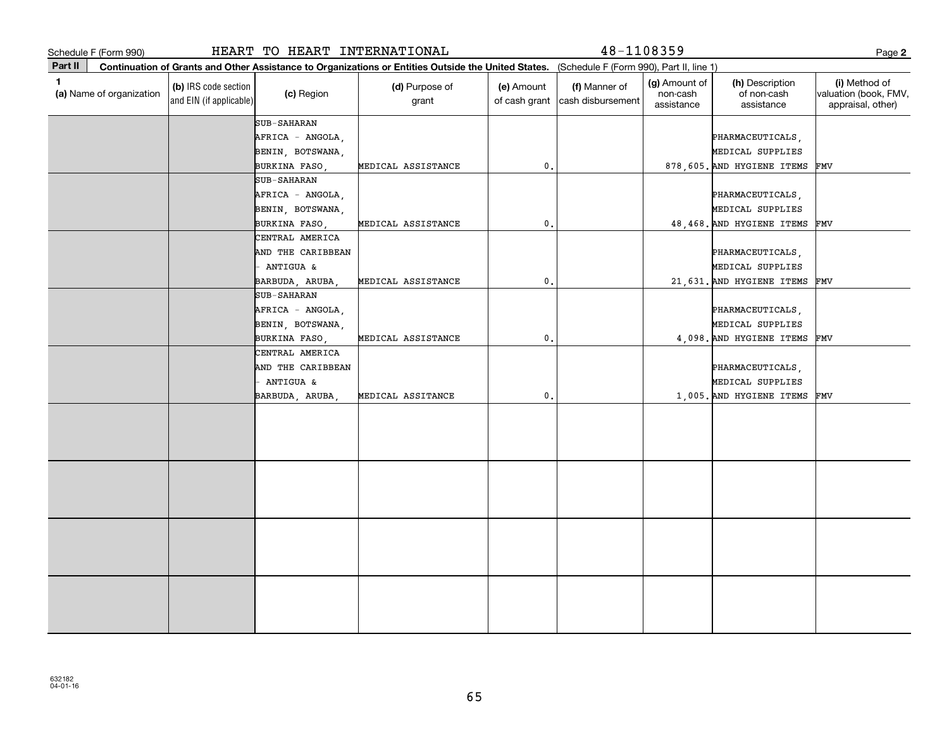**2Part II** (a) Name of organization **Continuation of Grants and Other Assistance to Organizations or Entities Outside the United States. (b)**  IRS code section **(c)**  Region **(d)** Purpose of **c c (e)** Amount **c (f) 1**(a)  $\Box$  (a)  $\Box$  (a)  $\Box$  (a)  $\Box$  (a)  $\Box$  (a)  $\Box$  (a)  $\Box$  (a)  $\Box$  (a)  $\Box$  (b)  $\Box$  (b)  $\Box$  (b)  $\Box$  (scription  $\Box$  (i) and EIN (if applicable) Schedule F (Form 990)<br>
Page Part II Continuation of Grants and Other Assistance to Organizations or Entities Outside the United States. (Schedule F (Form 990), Part II, line 1)<br>
(a) Name of organization (book, FM (c) Regio (Schedule F (Form 990), Part II, line 1) grant (e) Amount of cash grant |cash disbursement (f) Manner of (g) Amount of non-cash assistance(h) Description of non-cash assistance(i) Method of valuation (book, FMV, appraisal, other) SUB-SAHARAN SUB-SAHARAN AFRICA - ANGOLA, PHARMACEUTICALS, PHARMACEUTICALS, PHARMACEUTICALS, PHARMACEUTICALS, BENIN, BOTSWANA, MEDICAL SUPPLIES BURKINA FASO, MEDICAL ASSISTANCE  $\begin{vmatrix} 0 & 0 & 0 \end{vmatrix}$  48,468. AND HYGIENE ITEMS AFRICA - ANGOLA, PHARMACEUTICALS, PHARMACEUTICALS, PHARMACEUTICALS, PHARMACEUTICALS, BENIN, BOTSWANA, MEDICAL SUPPLIES BURKINA FASO, MEDICAL ASSISTANCE | 0. 878,605. AND HYGIENE ITEMS FMV FMV CENTRAL AMERICA AND THE CARIBBEAN **PHARMACEUTICALS**, - ANTIGUA & MEDICAL SUPPLIES BARBUDA, ARUBA, MEDICAL ASSISTANCE | 0. 21,631. AND HYGIENE ITEMS FMV SUB-SAHARANAFRICA - ANGOLA, PHARMACEUTICALS, BENIN, BOTSWANA, MEDICAL SUPPLIES BURKINA FASO, MEDICAL ASSISTANCE 0. 4,098. AND HYGIENE ITEMS FMV CENTRAL AMERICA AND THE CARIBBEAN **PHARMACEUTICALS**, **PHARMACEUTICALS**, **PHARMACEUTICALS**, - ANTIGUA & MEDICAL SUPPLIES BARBUDA, ARUBA, MEDICAL ASSITANCE 0. 1,005. AND HYGIENE ITEMS FMV HEART TO HEART INTERNATIONAL **18-1108359**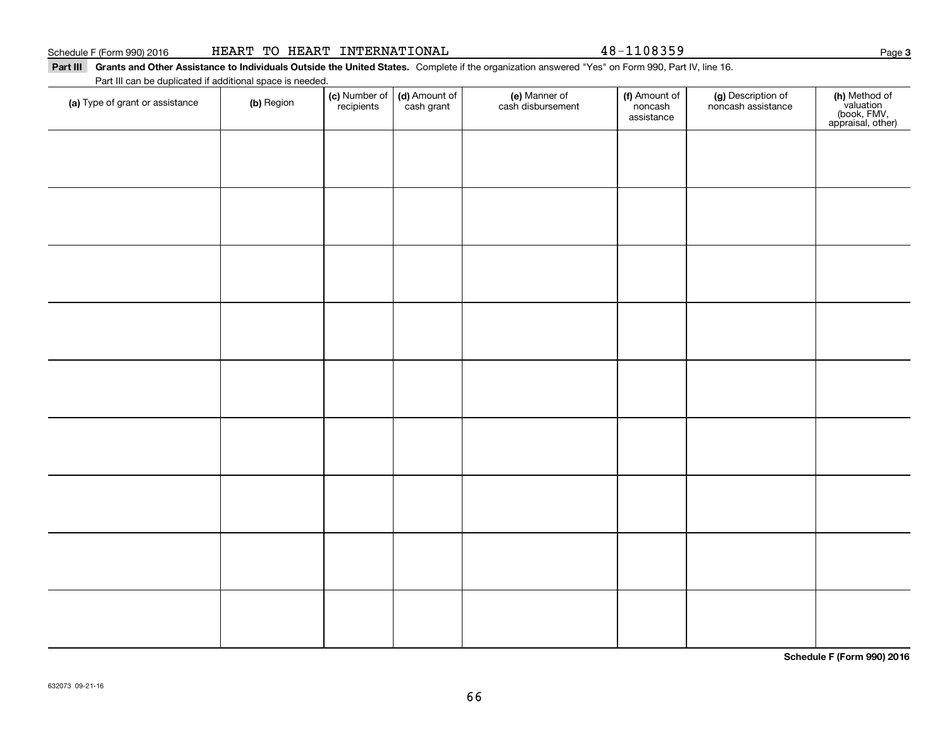| HEART TO HEART INTERNATIONAL |  |  |
|------------------------------|--|--|
|------------------------------|--|--|

48-1108359

### Part III Grants and Other Assistance to Individuals Outside the United States. Complete if the organization answered "Yes" on Form 990, Part IV, line 16.

Part III can be duplicated if additional space is needed.

| (a) Type of grant or assistance | (b) Region | (c) Number of<br>recipients | (d) Amount of<br>cash grant | (e) Manner of<br>cash disbursement | (f) Amount of<br>noncash<br>assistance | (g) Description of<br>noncash assistance | (h) Method of<br>valuation<br>(book, FMV,<br>appraisal, other) |
|---------------------------------|------------|-----------------------------|-----------------------------|------------------------------------|----------------------------------------|------------------------------------------|----------------------------------------------------------------|
|                                 |            |                             |                             |                                    |                                        |                                          |                                                                |
|                                 |            |                             |                             |                                    |                                        |                                          |                                                                |
|                                 |            |                             |                             |                                    |                                        |                                          |                                                                |
|                                 |            |                             |                             |                                    |                                        |                                          |                                                                |
|                                 |            |                             |                             |                                    |                                        |                                          |                                                                |
|                                 |            |                             |                             |                                    |                                        |                                          |                                                                |
|                                 |            |                             |                             |                                    |                                        |                                          |                                                                |
|                                 |            |                             |                             |                                    |                                        |                                          |                                                                |
|                                 |            |                             |                             |                                    |                                        |                                          |                                                                |
|                                 |            |                             |                             |                                    |                                        |                                          |                                                                |
|                                 |            |                             |                             |                                    |                                        |                                          |                                                                |
|                                 |            |                             |                             |                                    |                                        |                                          |                                                                |

**Schedule F (Form 990) 2016**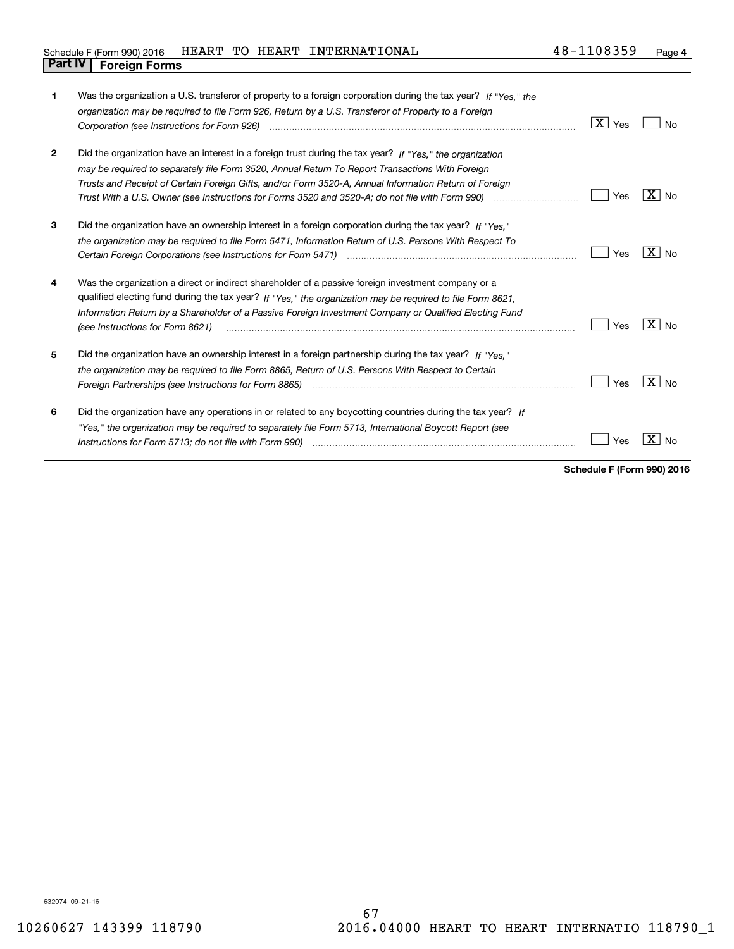|                                |  | Schedule F (Form 990) 2016 HEART TO HEART INTERNATIONAL | 48-1108359 | Page |
|--------------------------------|--|---------------------------------------------------------|------------|------|
| <b>Part IV   Foreign Forms</b> |  |                                                         |            |      |

| 1            | Was the organization a U.S. transferor of property to a foreign corporation during the tax year? If "Yes." the<br>organization may be required to file Form 926, Return by a U.S. Transferor of Property to a Foreign                                                                                                                                                                                                                   | $\mid$ $\rm X\mid$ Yes | Nο                  |
|--------------|-----------------------------------------------------------------------------------------------------------------------------------------------------------------------------------------------------------------------------------------------------------------------------------------------------------------------------------------------------------------------------------------------------------------------------------------|------------------------|---------------------|
| $\mathbf{2}$ | Did the organization have an interest in a foreign trust during the tax year? If "Yes." the organization<br>may be required to separately file Form 3520, Annual Return To Report Transactions With Foreign<br>Trusts and Receipt of Certain Foreign Gifts, and/or Form 3520-A, Annual Information Return of Foreign<br>Trust With a U.S. Owner (see Instructions for Forms 3520 and 3520-A; do not file with Form 990) manu-communican | Yes                    | X<br>No             |
| 3            | Did the organization have an ownership interest in a foreign corporation during the tax year? If "Yes."<br>the organization may be required to file Form 5471, Information Return of U.S. Persons With Respect To                                                                                                                                                                                                                       | Yes                    | $X \mid N_{0}$      |
| 4            | Was the organization a direct or indirect shareholder of a passive foreign investment company or a<br>qualified electing fund during the tax year? If "Yes," the organization may be required to file Form 8621,<br>Information Return by a Shareholder of a Passive Foreign Investment Company or Qualified Electing Fund<br>(see Instructions for Form 8621)                                                                          | Yes                    | $X _{N0}$           |
| 5            | Did the organization have an ownership interest in a foreign partnership during the tax year? If "Yes."<br>the organization may be required to file Form 8865, Return of U.S. Persons With Respect to Certain<br>Foreign Partnerships (see Instructions for Form 8865)                                                                                                                                                                  | Yes                    | $X \mid N_{\Omega}$ |
| 6            | Did the organization have any operations in or related to any boycotting countries during the tax year? If<br>"Yes," the organization may be required to separately file Form 5713, International Boycott Report (see<br>Instructions for Form 5713; do not file with Form 990)                                                                                                                                                         | Yes                    |                     |

**Schedule F (Form 990) 2016**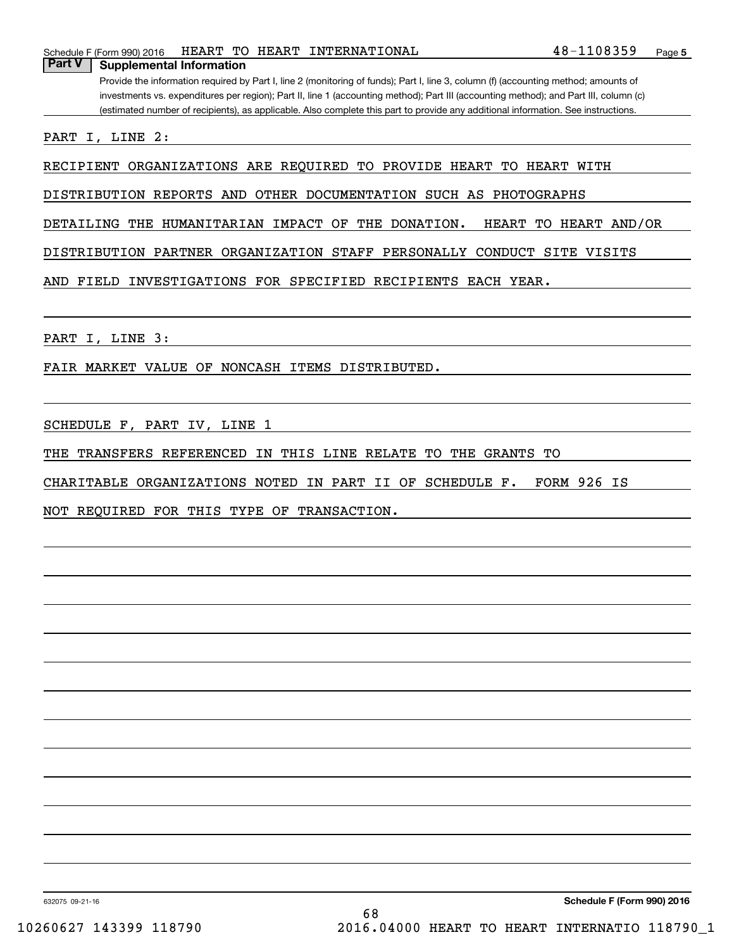Provide the information required by Part I, line 2 (monitoring of funds); Part I, line 3, column (f) (accounting method; amounts of investments vs. expenditures per region); Part II, line 1 (accounting method); Part III (accounting method); and Part III, column (c) (estimated number of recipients), as applicable. Also complete this part to provide any additional information. See instructions.

PART I, LINE 2:

RECIPIENT ORGANIZATIONS ARE REQUIRED TO PROVIDE HEART TO HEART WITH

DISTRIBUTION REPORTS AND OTHER DOCUMENTATION SUCH AS PHOTOGRAPHS

DETAILING THE HUMANITARIAN IMPACT OF THE DONATION. HEART TO HEART AND/OR

DISTRIBUTION PARTNER ORGANIZATION STAFF PERSONALLY CONDUCT SITE VISITS

AND FIELD INVESTIGATIONS FOR SPECIFIED RECIPIENTS EACH YEAR.

PART I, LINE 3:

FAIR MARKET VALUE OF NONCASH ITEMS DISTRIBUTED.

SCHEDULE F, PART IV, LINE 1

THE TRANSFERS REFERENCED IN THIS LINE RELATE TO THE GRANTS TO

CHARITABLE ORGANIZATIONS NOTED IN PART II OF SCHEDULE F. FORM 926 IS

NOT REQUIRED FOR THIS TYPE OF TRANSACTION.

632075 09-21-16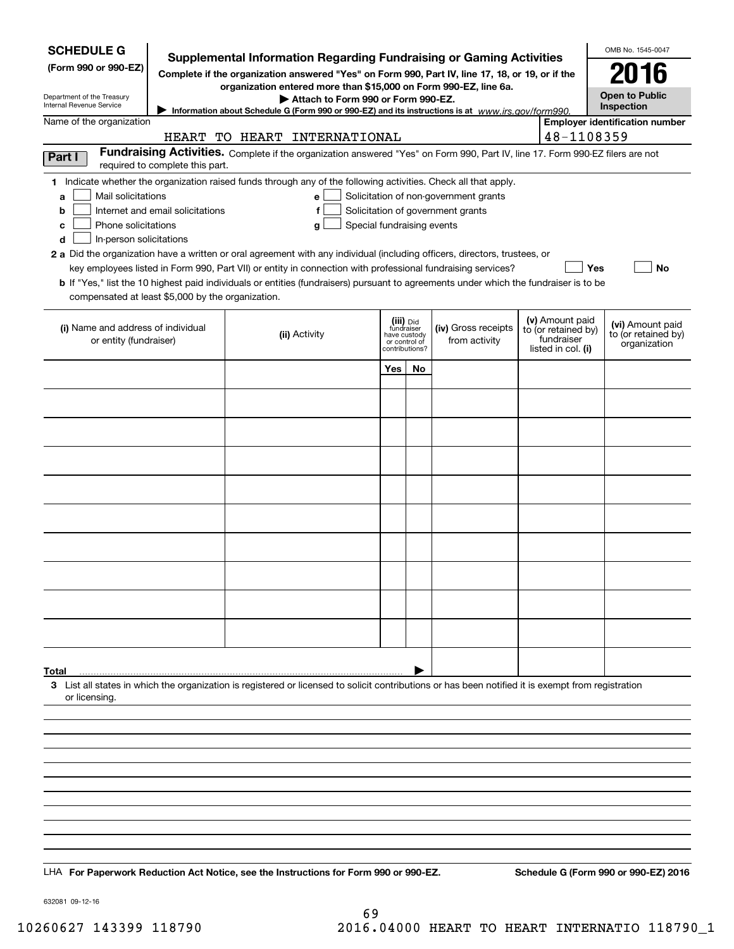| <b>SCHEDULE G</b>                                            |                                  | <b>Supplemental Information Regarding Fundraising or Gaming Activities</b>                                                                                                                                                                                  |                                                 |    |                                       |                                                         | OMB No. 1545-0047                     |
|--------------------------------------------------------------|----------------------------------|-------------------------------------------------------------------------------------------------------------------------------------------------------------------------------------------------------------------------------------------------------------|-------------------------------------------------|----|---------------------------------------|---------------------------------------------------------|---------------------------------------|
| (Form 990 or 990-EZ)                                         |                                  | Complete if the organization answered "Yes" on Form 990, Part IV, line 17, 18, or 19, or if the                                                                                                                                                             |                                                 |    |                                       |                                                         |                                       |
| Department of the Treasury                                   |                                  | organization entered more than \$15,000 on Form 990-EZ, line 6a.                                                                                                                                                                                            |                                                 |    |                                       |                                                         | <b>Open to Public</b>                 |
| Internal Revenue Service                                     |                                  | Attach to Form 990 or Form 990-EZ.<br>Information about Schedule G (Form 990 or 990-EZ) and its instructions is at www.irs.gov/form990.                                                                                                                     |                                                 |    |                                       |                                                         | Inspection                            |
| Name of the organization                                     |                                  | HEART TO HEART INTERNATIONAL                                                                                                                                                                                                                                |                                                 |    |                                       | 48-1108359                                              | <b>Employer identification number</b> |
| Part I                                                       | required to complete this part.  | Fundraising Activities. Complete if the organization answered "Yes" on Form 990, Part IV, line 17. Form 990-EZ filers are not                                                                                                                               |                                                 |    |                                       |                                                         |                                       |
|                                                              |                                  | 1 Indicate whether the organization raised funds through any of the following activities. Check all that apply.                                                                                                                                             |                                                 |    |                                       |                                                         |                                       |
| Mail solicitations<br>a                                      |                                  | e l                                                                                                                                                                                                                                                         |                                                 |    | Solicitation of non-government grants |                                                         |                                       |
| b<br>Phone solicitations                                     | Internet and email solicitations | f                                                                                                                                                                                                                                                           |                                                 |    | Solicitation of government grants     |                                                         |                                       |
| с<br>d<br>In-person solicitations                            |                                  | Special fundraising events<br>g                                                                                                                                                                                                                             |                                                 |    |                                       |                                                         |                                       |
|                                                              |                                  | 2 a Did the organization have a written or oral agreement with any individual (including officers, directors, trustees, or                                                                                                                                  |                                                 |    |                                       |                                                         |                                       |
|                                                              |                                  | key employees listed in Form 990, Part VII) or entity in connection with professional fundraising services?<br><b>b</b> If "Yes," list the 10 highest paid individuals or entities (fundraisers) pursuant to agreements under which the fundraiser is to be |                                                 |    |                                       | Yes                                                     | No                                    |
| compensated at least \$5,000 by the organization.            |                                  |                                                                                                                                                                                                                                                             |                                                 |    |                                       |                                                         |                                       |
|                                                              |                                  |                                                                                                                                                                                                                                                             | (iii) Did<br>fundraiser                         |    |                                       | (v) Amount paid                                         | (vi) Amount paid                      |
| (i) Name and address of individual<br>or entity (fundraiser) |                                  | (ii) Activity                                                                                                                                                                                                                                               | have custody<br>or control of<br>contributions? |    | (iv) Gross receipts<br>from activity  | to (or retained by)<br>fundraiser<br>listed in col. (i) | to (or retained by)<br>organization   |
|                                                              |                                  |                                                                                                                                                                                                                                                             | Yes                                             | No |                                       |                                                         |                                       |
|                                                              |                                  |                                                                                                                                                                                                                                                             |                                                 |    |                                       |                                                         |                                       |
|                                                              |                                  |                                                                                                                                                                                                                                                             |                                                 |    |                                       |                                                         |                                       |
|                                                              |                                  |                                                                                                                                                                                                                                                             |                                                 |    |                                       |                                                         |                                       |
|                                                              |                                  |                                                                                                                                                                                                                                                             |                                                 |    |                                       |                                                         |                                       |
|                                                              |                                  |                                                                                                                                                                                                                                                             |                                                 |    |                                       |                                                         |                                       |
|                                                              |                                  |                                                                                                                                                                                                                                                             |                                                 |    |                                       |                                                         |                                       |
|                                                              |                                  |                                                                                                                                                                                                                                                             |                                                 |    |                                       |                                                         |                                       |
|                                                              |                                  |                                                                                                                                                                                                                                                             |                                                 |    |                                       |                                                         |                                       |
|                                                              |                                  |                                                                                                                                                                                                                                                             |                                                 |    |                                       |                                                         |                                       |
|                                                              |                                  |                                                                                                                                                                                                                                                             |                                                 |    |                                       |                                                         |                                       |
|                                                              |                                  |                                                                                                                                                                                                                                                             |                                                 |    |                                       |                                                         |                                       |
| Total                                                        |                                  |                                                                                                                                                                                                                                                             |                                                 |    |                                       |                                                         |                                       |
| or licensing.                                                |                                  | 3 List all states in which the organization is registered or licensed to solicit contributions or has been notified it is exempt from registration                                                                                                          |                                                 |    |                                       |                                                         |                                       |
|                                                              |                                  |                                                                                                                                                                                                                                                             |                                                 |    |                                       |                                                         |                                       |
|                                                              |                                  |                                                                                                                                                                                                                                                             |                                                 |    |                                       |                                                         |                                       |
|                                                              |                                  |                                                                                                                                                                                                                                                             |                                                 |    |                                       |                                                         |                                       |
|                                                              |                                  |                                                                                                                                                                                                                                                             |                                                 |    |                                       |                                                         |                                       |
|                                                              |                                  |                                                                                                                                                                                                                                                             |                                                 |    |                                       |                                                         |                                       |
|                                                              |                                  |                                                                                                                                                                                                                                                             |                                                 |    |                                       |                                                         |                                       |
|                                                              |                                  |                                                                                                                                                                                                                                                             |                                                 |    |                                       |                                                         |                                       |
|                                                              |                                  |                                                                                                                                                                                                                                                             |                                                 |    |                                       |                                                         |                                       |
|                                                              |                                  | LHA For Paperwork Reduction Act Notice, see the Instructions for Form 990 or 990-EZ.                                                                                                                                                                        |                                                 |    |                                       |                                                         | Schedule G (Form 990 or 990-EZ) 2016  |

632081 09-12-16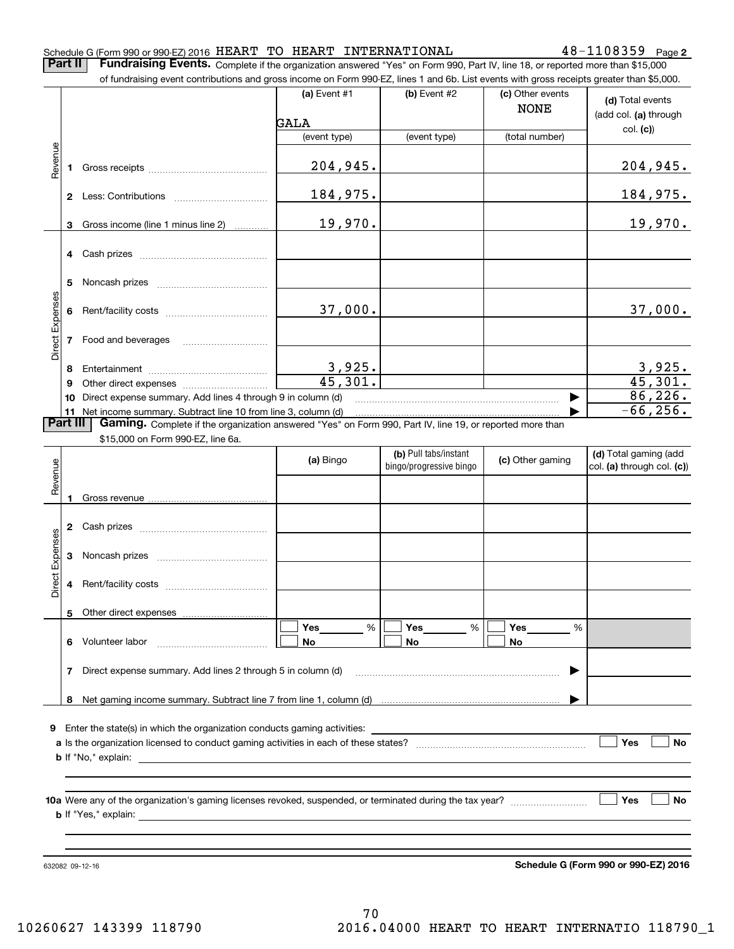### Schedule G (Form 990 or 990-EZ) 2016  ${\rm HERR}$   ${\rm T}$   ${\rm T}$   ${\rm O}$   ${\rm HRRR}$   ${\rm T}$   ${\rm INTERNATIONAL}$   $48-1108359$   ${\rm Page}$

**2**

**Part II** | Fundraising Events. Complete if the organization answered "Yes" on Form 990, Part IV, line 18, or reported more than \$15,000

|                 |    | of fundraising event contributions and gross income on Form 990-EZ, lines 1 and 6b. List events with gross receipts greater than \$5,000.                                   |                          |                         |                                 |                                           |
|-----------------|----|-----------------------------------------------------------------------------------------------------------------------------------------------------------------------------|--------------------------|-------------------------|---------------------------------|-------------------------------------------|
|                 |    |                                                                                                                                                                             | (a) Event #1<br>GALA     | (b) Event #2            | (c) Other events<br><b>NONE</b> | (d) Total events<br>(add col. (a) through |
|                 |    |                                                                                                                                                                             | (event type)             | (event type)            | (total number)                  | col. (c)                                  |
|                 |    |                                                                                                                                                                             |                          |                         |                                 |                                           |
| Revenue         |    |                                                                                                                                                                             | 204,945.                 |                         |                                 | 204,945.                                  |
|                 |    |                                                                                                                                                                             | 184,975.                 |                         |                                 | 184,975.                                  |
|                 | 3  | Gross income (line 1 minus line 2)                                                                                                                                          | 19,970.                  |                         |                                 | 19,970.                                   |
|                 |    |                                                                                                                                                                             |                          |                         |                                 |                                           |
|                 | 5. |                                                                                                                                                                             |                          |                         |                                 |                                           |
|                 |    |                                                                                                                                                                             | 37,000.                  |                         |                                 | 37,000.                                   |
| Direct Expenses |    |                                                                                                                                                                             |                          |                         |                                 |                                           |
|                 | 8  |                                                                                                                                                                             | $\frac{3,925}{45,301}$ . |                         |                                 | $\frac{3,925}{45,301}$                    |
|                 | 9  |                                                                                                                                                                             |                          |                         |                                 |                                           |
|                 | 10 | Direct expense summary. Add lines 4 through 9 in column (d)                                                                                                                 |                          |                         |                                 | 86, 226.                                  |
| Part III        |    | 11 Net income summary. Subtract line 10 from line 3, column (d)<br>Gaming. Complete if the organization answered "Yes" on Form 990, Part IV, line 19, or reported more than |                          |                         |                                 | $-66, 256.$                               |
|                 |    | \$15,000 on Form 990-EZ, line 6a.                                                                                                                                           |                          |                         |                                 |                                           |
|                 |    |                                                                                                                                                                             |                          | (b) Pull tabs/instant   |                                 | (d) Total gaming (add                     |
|                 |    |                                                                                                                                                                             | (a) Bingo                | bingo/progressive bingo | (c) Other gaming                | col. (a) through col. (c))                |
| Revenue         | 1  |                                                                                                                                                                             |                          |                         |                                 |                                           |
|                 |    |                                                                                                                                                                             |                          |                         |                                 |                                           |
|                 |    |                                                                                                                                                                             |                          |                         |                                 |                                           |
| Expenses        |    |                                                                                                                                                                             |                          |                         |                                 |                                           |
| Direct          |    |                                                                                                                                                                             |                          |                         |                                 |                                           |
|                 |    | Other direct expenses                                                                                                                                                       |                          |                         |                                 |                                           |
|                 |    | 6 Volunteer labor                                                                                                                                                           | Yes<br>%<br>No           | Yes<br>%<br>No          | Yes<br>%<br>No                  |                                           |
|                 | 7  | Direct expense summary. Add lines 2 through 5 in column (d)                                                                                                                 |                          |                         |                                 |                                           |
|                 | 8  |                                                                                                                                                                             |                          |                         |                                 |                                           |
|                 |    |                                                                                                                                                                             |                          |                         |                                 |                                           |
|                 |    |                                                                                                                                                                             |                          |                         |                                 |                                           |
|                 |    |                                                                                                                                                                             |                          |                         |                                 | Yes<br><b>No</b>                          |
|                 |    |                                                                                                                                                                             |                          |                         |                                 |                                           |
|                 |    |                                                                                                                                                                             |                          |                         |                                 |                                           |
|                 |    |                                                                                                                                                                             |                          |                         |                                 | Yes<br>No                                 |

632082 09-12-16

**Schedule G (Form 990 or 990-EZ) 2016**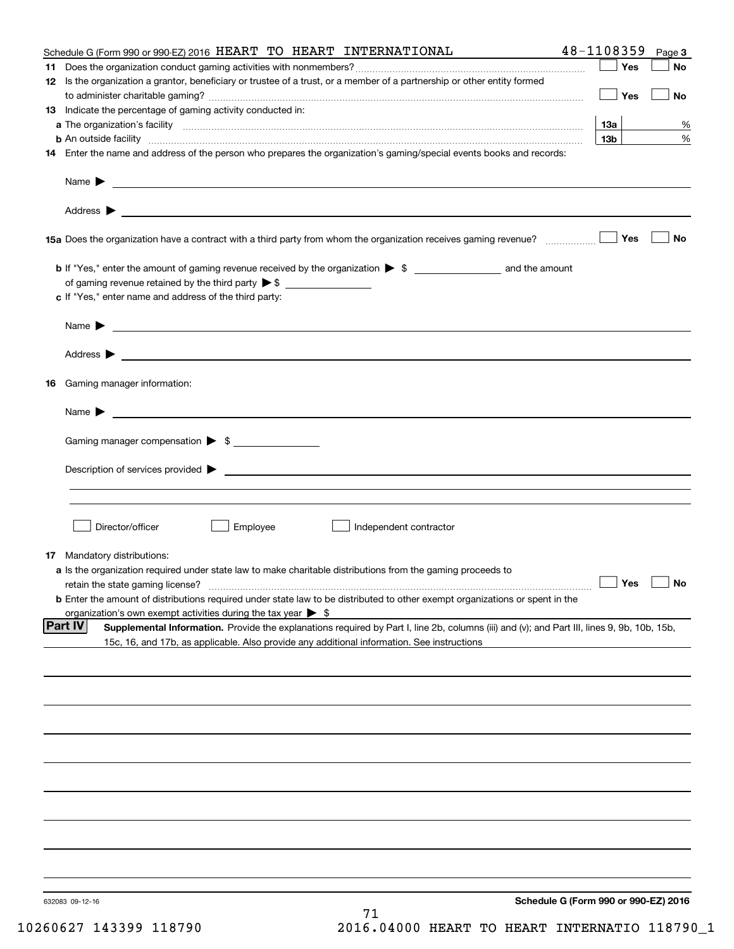|    | Schedule G (Form 990 or 990-EZ) 2016 HEART TO HEART INTERNATIONAL                                                                                                                                                                             | 48-1108359      | Page 3    |
|----|-----------------------------------------------------------------------------------------------------------------------------------------------------------------------------------------------------------------------------------------------|-----------------|-----------|
|    |                                                                                                                                                                                                                                               | Yes             | No        |
|    | 12 Is the organization a grantor, beneficiary or trustee of a trust, or a member of a partnership or other entity formed                                                                                                                      |                 |           |
|    |                                                                                                                                                                                                                                               | Yes             | No        |
|    | 13 Indicate the percentage of gaming activity conducted in:                                                                                                                                                                                   |                 |           |
|    |                                                                                                                                                                                                                                               | 13а             | %         |
|    | <b>b</b> An outside facility <i>www.communicality www.communicality.communicality www.communicality www.communicality.communicality www.communicality.com</i>                                                                                 | 13 <sub>b</sub> | %         |
|    | 14 Enter the name and address of the person who prepares the organization's gaming/special events books and records:                                                                                                                          |                 |           |
|    | Name $\triangleright$ $\square$                                                                                                                                                                                                               |                 |           |
|    |                                                                                                                                                                                                                                               |                 |           |
|    | 15a Does the organization have a contract with a third party from whom the organization receives gaming revenue?                                                                                                                              | Yes             | <b>No</b> |
|    |                                                                                                                                                                                                                                               |                 |           |
|    |                                                                                                                                                                                                                                               |                 |           |
|    |                                                                                                                                                                                                                                               |                 |           |
|    | c If "Yes," enter name and address of the third party:                                                                                                                                                                                        |                 |           |
|    | $Name \rightarrow$                                                                                                                                                                                                                            |                 |           |
|    |                                                                                                                                                                                                                                               |                 |           |
|    |                                                                                                                                                                                                                                               |                 |           |
| 16 | Gaming manager information:                                                                                                                                                                                                                   |                 |           |
|    | Name $\blacktriangleright$                                                                                                                                                                                                                    |                 |           |
|    | Gaming manager compensation > \$                                                                                                                                                                                                              |                 |           |
|    |                                                                                                                                                                                                                                               |                 |           |
|    | $Description of services provided$ $\triangleright$                                                                                                                                                                                           |                 |           |
|    |                                                                                                                                                                                                                                               |                 |           |
|    |                                                                                                                                                                                                                                               |                 |           |
|    | Director/officer<br>Employee<br>Independent contractor                                                                                                                                                                                        |                 |           |
|    | 17 Mandatory distributions:                                                                                                                                                                                                                   |                 |           |
|    | a Is the organization required under state law to make charitable distributions from the gaming proceeds to                                                                                                                                   |                 |           |
|    | retain the state gaming license?                                                                                                                                                                                                              | $\Box$ Yes      | $\Box$ No |
|    | <b>b</b> Enter the amount of distributions required under state law to be distributed to other exempt organizations or spent in the                                                                                                           |                 |           |
|    | organization's own exempt activities during the tax year $\triangleright$ \$<br><b>Part IV</b><br>Supplemental Information. Provide the explanations required by Part I, line 2b, columns (iii) and (v); and Part III, lines 9, 9b, 10b, 15b, |                 |           |
|    | 15c, 16, and 17b, as applicable. Also provide any additional information. See instructions                                                                                                                                                    |                 |           |
|    |                                                                                                                                                                                                                                               |                 |           |
|    |                                                                                                                                                                                                                                               |                 |           |
|    |                                                                                                                                                                                                                                               |                 |           |
|    |                                                                                                                                                                                                                                               |                 |           |
|    |                                                                                                                                                                                                                                               |                 |           |
|    |                                                                                                                                                                                                                                               |                 |           |
|    |                                                                                                                                                                                                                                               |                 |           |
|    |                                                                                                                                                                                                                                               |                 |           |
|    |                                                                                                                                                                                                                                               |                 |           |
|    |                                                                                                                                                                                                                                               |                 |           |
|    |                                                                                                                                                                                                                                               |                 |           |
|    | Schedule G (Form 990 or 990-EZ) 2016<br>632083 09-12-16                                                                                                                                                                                       |                 |           |
|    | 71                                                                                                                                                                                                                                            |                 |           |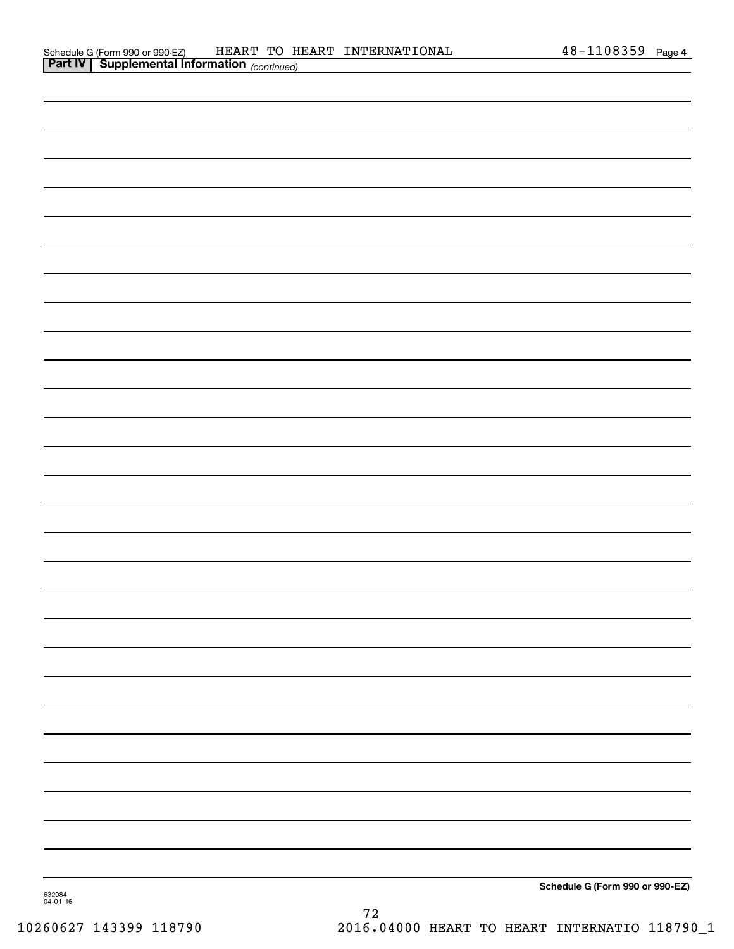|        | <b>Part IV   Supplemental Information</b> (continued) |
|--------|-------------------------------------------------------|
|        |                                                       |
|        |                                                       |
|        |                                                       |
|        |                                                       |
|        |                                                       |
|        |                                                       |
|        |                                                       |
|        |                                                       |
|        |                                                       |
|        |                                                       |
|        |                                                       |
|        |                                                       |
|        |                                                       |
|        |                                                       |
|        |                                                       |
|        |                                                       |
|        |                                                       |
|        |                                                       |
|        |                                                       |
|        |                                                       |
|        |                                                       |
|        |                                                       |
|        |                                                       |
|        |                                                       |
|        |                                                       |
|        |                                                       |
|        |                                                       |
|        |                                                       |
| 632084 | Schedule G (Form 990 or 990-EZ)                       |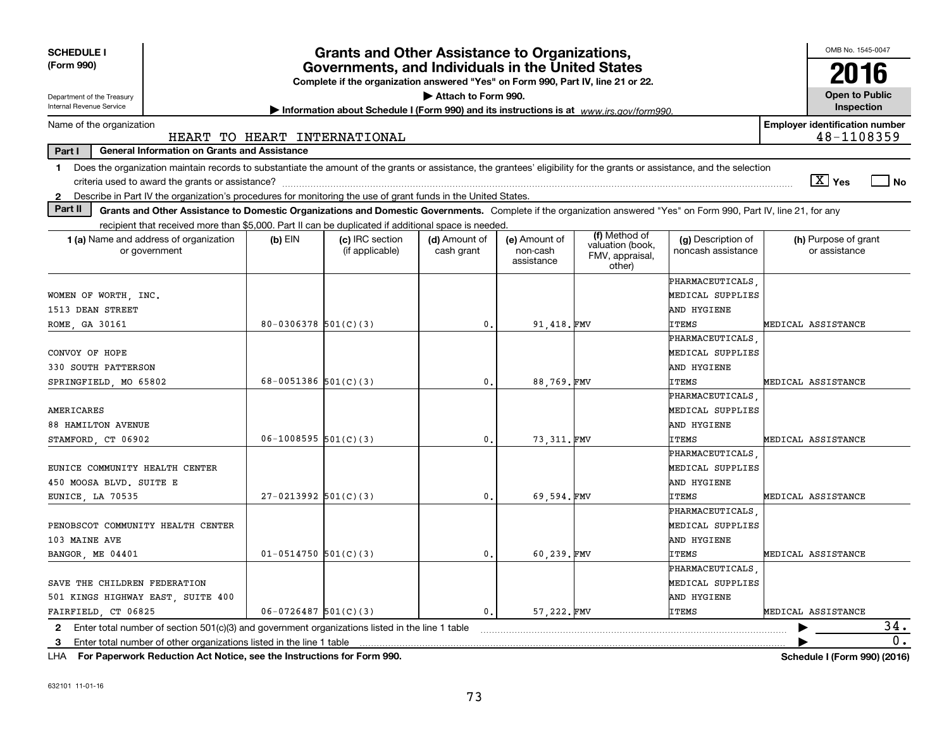| <b>SCHEDULE I</b><br>(Form 990)                                                                                                                                                                                                                                                      | <b>Grants and Other Assistance to Organizations,</b><br>Governments, and Individuals in the United States<br>Complete if the organization answered "Yes" on Form 990, Part IV, line 21 or 22. |                                    |                             |                                         |                                                      |                                          |                                       | OMB No. 1545-0047<br>2016           |
|--------------------------------------------------------------------------------------------------------------------------------------------------------------------------------------------------------------------------------------------------------------------------------------|-----------------------------------------------------------------------------------------------------------------------------------------------------------------------------------------------|------------------------------------|-----------------------------|-----------------------------------------|------------------------------------------------------|------------------------------------------|---------------------------------------|-------------------------------------|
| Attach to Form 990.<br>Department of the Treasury<br>Internal Revenue Service                                                                                                                                                                                                        |                                                                                                                                                                                               |                                    |                             |                                         |                                                      |                                          |                                       | <b>Open to Public</b><br>Inspection |
| Information about Schedule I (Form 990) and its instructions is at www.irs.gov/form990.<br><b>Employer identification number</b><br>Name of the organization                                                                                                                         |                                                                                                                                                                                               |                                    |                             |                                         |                                                      |                                          |                                       |                                     |
| HEART TO HEART INTERNATIONAL                                                                                                                                                                                                                                                         |                                                                                                                                                                                               |                                    |                             |                                         |                                                      |                                          | 48-1108359                            |                                     |
| <b>General Information on Grants and Assistance</b><br>Part I                                                                                                                                                                                                                        |                                                                                                                                                                                               |                                    |                             |                                         |                                                      |                                          |                                       |                                     |
| Does the organization maintain records to substantiate the amount of the grants or assistance, the grantees' eligibility for the grants or assistance, and the selection<br>1.<br>$\sqrt{X}$ Yes<br>l No                                                                             |                                                                                                                                                                                               |                                    |                             |                                         |                                                      |                                          |                                       |                                     |
| 2 Describe in Part IV the organization's procedures for monitoring the use of grant funds in the United States.                                                                                                                                                                      |                                                                                                                                                                                               |                                    |                             |                                         |                                                      |                                          |                                       |                                     |
| Part II<br>Grants and Other Assistance to Domestic Organizations and Domestic Governments. Complete if the organization answered "Yes" on Form 990, Part IV, line 21, for any<br>recipient that received more than \$5,000. Part II can be duplicated if additional space is needed. |                                                                                                                                                                                               |                                    |                             |                                         |                                                      |                                          |                                       |                                     |
| 1 (a) Name and address of organization<br>or government                                                                                                                                                                                                                              | (b) EIN                                                                                                                                                                                       | (c) IRC section<br>(if applicable) | (d) Amount of<br>cash grant | (e) Amount of<br>non-cash<br>assistance | (f) Method of<br>valuation (book,<br>FMV, appraisal, | (g) Description of<br>noncash assistance | (h) Purpose of grant<br>or assistance |                                     |
|                                                                                                                                                                                                                                                                                      |                                                                                                                                                                                               |                                    |                             |                                         | other)                                               |                                          |                                       |                                     |
|                                                                                                                                                                                                                                                                                      |                                                                                                                                                                                               |                                    |                             |                                         |                                                      | PHARMACEUTICALS                          |                                       |                                     |
| WOMEN OF WORTH, INC.                                                                                                                                                                                                                                                                 |                                                                                                                                                                                               |                                    |                             |                                         |                                                      | MEDICAL SUPPLIES                         |                                       |                                     |
| 1513 DEAN STREET                                                                                                                                                                                                                                                                     |                                                                                                                                                                                               |                                    |                             |                                         |                                                      | AND HYGIENE                              |                                       |                                     |
| ROME, GA 30161                                                                                                                                                                                                                                                                       | $80 - 0306378$ 501(C)(3)                                                                                                                                                                      |                                    | 0.                          | 91.418.FMV                              |                                                      | ITEMS<br>PHARMACEUTICALS                 | MEDICAL ASSISTANCE                    |                                     |
| CONVOY OF HOPE                                                                                                                                                                                                                                                                       |                                                                                                                                                                                               |                                    |                             |                                         |                                                      | MEDICAL SUPPLIES                         |                                       |                                     |
| 330 SOUTH PATTERSON                                                                                                                                                                                                                                                                  |                                                                                                                                                                                               |                                    |                             |                                         |                                                      | AND HYGIENE                              |                                       |                                     |
| SPRINGFIELD, MO 65802                                                                                                                                                                                                                                                                | 68-0051386 $501(C)(3)$                                                                                                                                                                        |                                    | $\mathbf{0}$ .              | 88,769.FMV                              |                                                      | ITEMS                                    | MEDICAL ASSISTANCE                    |                                     |
|                                                                                                                                                                                                                                                                                      |                                                                                                                                                                                               |                                    |                             |                                         |                                                      | PHARMACEUTICALS                          |                                       |                                     |
| AMERICARES                                                                                                                                                                                                                                                                           |                                                                                                                                                                                               |                                    |                             |                                         |                                                      | MEDICAL SUPPLIES                         |                                       |                                     |
| 88 HAMILTON AVENUE                                                                                                                                                                                                                                                                   |                                                                                                                                                                                               |                                    |                             |                                         |                                                      | AND HYGIENE                              |                                       |                                     |
| STAMFORD, CT 06902                                                                                                                                                                                                                                                                   | $06-1008595$ 501(C)(3)                                                                                                                                                                        |                                    | 0.                          | 73, 311. FMV                            |                                                      | <b>ITEMS</b>                             | MEDICAL ASSISTANCE                    |                                     |
|                                                                                                                                                                                                                                                                                      |                                                                                                                                                                                               |                                    |                             |                                         |                                                      | PHARMACEUTICALS                          |                                       |                                     |
| EUNICE COMMUNITY HEALTH CENTER                                                                                                                                                                                                                                                       |                                                                                                                                                                                               |                                    |                             |                                         |                                                      | MEDICAL SUPPLIES                         |                                       |                                     |
| 450 MOOSA BLVD. SUITE E                                                                                                                                                                                                                                                              |                                                                                                                                                                                               |                                    |                             |                                         |                                                      | AND HYGIENE                              |                                       |                                     |
| EUNICE, LA 70535                                                                                                                                                                                                                                                                     | $27-0213992$ 501(C)(3)                                                                                                                                                                        |                                    | 0.                          | 69.594.FMV                              |                                                      | <b>ITEMS</b>                             | MEDICAL ASSISTANCE                    |                                     |
|                                                                                                                                                                                                                                                                                      |                                                                                                                                                                                               |                                    |                             |                                         |                                                      | <b>PHARMACEUTICALS</b>                   |                                       |                                     |
| PENOBSCOT COMMUNITY HEALTH CENTER                                                                                                                                                                                                                                                    |                                                                                                                                                                                               |                                    |                             |                                         |                                                      | MEDICAL SUPPLIES                         |                                       |                                     |
| 103 MAINE AVE                                                                                                                                                                                                                                                                        |                                                                                                                                                                                               |                                    |                             |                                         |                                                      | AND HYGIENE                              |                                       |                                     |
| BANGOR, ME 04401                                                                                                                                                                                                                                                                     | $01 - 0514750$ 501(C)(3)                                                                                                                                                                      |                                    | 0.                          | 60,239.FMV                              |                                                      | <b>ITEMS</b>                             | MEDICAL ASSISTANCE                    |                                     |
|                                                                                                                                                                                                                                                                                      |                                                                                                                                                                                               |                                    |                             |                                         |                                                      | PHARMACEUTICALS                          |                                       |                                     |
| SAVE THE CHILDREN FEDERATION                                                                                                                                                                                                                                                         |                                                                                                                                                                                               |                                    |                             |                                         |                                                      | MEDICAL SUPPLIES                         |                                       |                                     |
| 501 KINGS HIGHWAY EAST, SUITE 400                                                                                                                                                                                                                                                    |                                                                                                                                                                                               |                                    |                             |                                         |                                                      | AND HYGIENE                              |                                       |                                     |
| FAIRFIELD, CT 06825                                                                                                                                                                                                                                                                  | $06 - 0726487$ 501(C)(3)                                                                                                                                                                      |                                    | 0.                          | 57,222.FMV                              |                                                      | <b>ITEMS</b>                             | MEDICAL ASSISTANCE                    |                                     |
| Enter total number of section 501(c)(3) and government organizations listed in the line 1 table<br>2                                                                                                                                                                                 |                                                                                                                                                                                               |                                    |                             |                                         |                                                      |                                          |                                       | 34.                                 |
| Enter total number of other organizations listed in the line 1 table<br>3                                                                                                                                                                                                            |                                                                                                                                                                                               |                                    |                             |                                         |                                                      |                                          |                                       | 0.                                  |

**For Paperwork Reduction Act Notice, see the Instructions for Form 990. Schedule I (Form 990) (2016)** LHA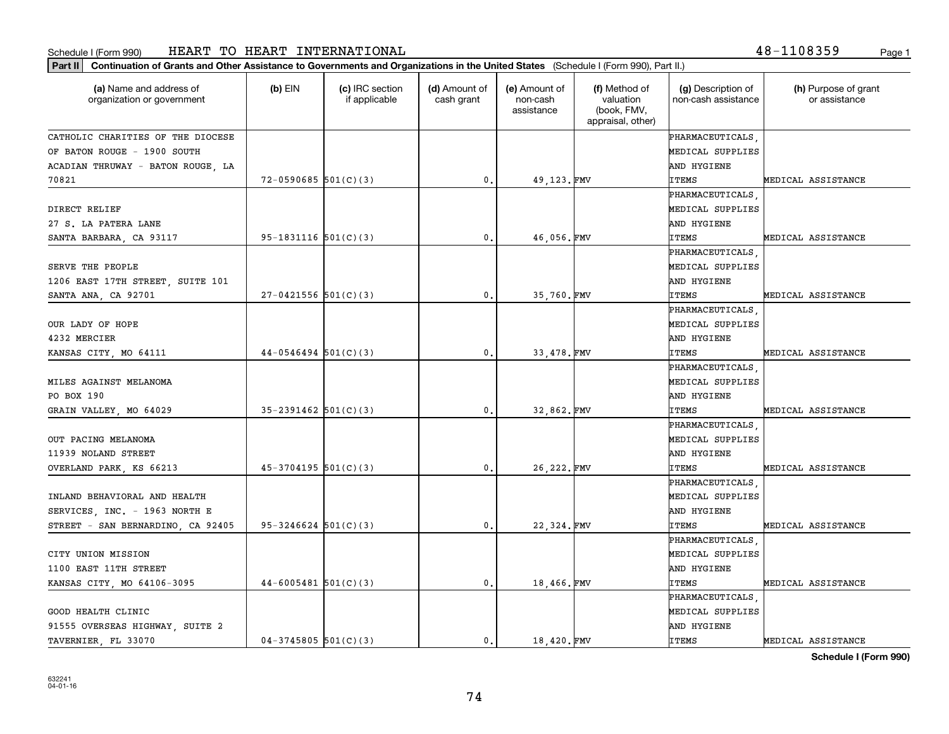## Schedule I (Form 990) Page 1 HEART TO HEART INTERNATIONAL 48-1108359

**Part II Continuation of Grants and Other Assistance to Governments and Organizations in the United States**  (Schedule I (Form 990), Part II.)

| (a) Name and address of<br>organization or government | $(b)$ EIN                  | (c) IRC section<br>if applicable | (d) Amount of<br>cash grant | (e) Amount of<br>non-cash<br>assistance | (f) Method of<br>valuation<br>(book, FMV,<br>appraisal, other) | (g) Description of<br>non-cash assistance | (h) Purpose of grant<br>or assistance |
|-------------------------------------------------------|----------------------------|----------------------------------|-----------------------------|-----------------------------------------|----------------------------------------------------------------|-------------------------------------------|---------------------------------------|
| CATHOLIC CHARITIES OF THE DIOCESE                     |                            |                                  |                             |                                         |                                                                | PHARMACEUTICALS                           |                                       |
| OF BATON ROUGE - 1900 SOUTH                           |                            |                                  |                             |                                         |                                                                | MEDICAL SUPPLIES                          |                                       |
| ACADIAN THRUWAY - BATON ROUGE, LA                     |                            |                                  |                             |                                         |                                                                | AND HYGIENE                               |                                       |
| 70821                                                 | $72 - 0590685$ 501(C)(3)   |                                  | $\mathbf{0}$ .              | 49, 123. FMV                            |                                                                | <b>ITEMS</b>                              | MEDICAL ASSISTANCE                    |
|                                                       |                            |                                  |                             |                                         |                                                                | PHARMACEUTICALS                           |                                       |
| DIRECT RELIEF                                         |                            |                                  |                             |                                         |                                                                | MEDICAL SUPPLIES                          |                                       |
| 27 S. LA PATERA LANE                                  |                            |                                  |                             |                                         |                                                                | AND HYGIENE                               |                                       |
| SANTA BARBARA, CA 93117                               | $95-1831116$ $501(C)(3)$   |                                  | 0.                          | 46,056.FMV                              |                                                                | <b>ITEMS</b>                              | MEDICAL ASSISTANCE                    |
|                                                       |                            |                                  |                             |                                         |                                                                | PHARMACEUTICALS                           |                                       |
| SERVE THE PEOPLE                                      |                            |                                  |                             |                                         |                                                                | MEDICAL SUPPLIES                          |                                       |
| 1206 EAST 17TH STREET, SUITE 101                      |                            |                                  |                             |                                         |                                                                | AND HYGIENE                               |                                       |
| SANTA ANA, CA 92701                                   | $27-0421556$ 501(C)(3)     |                                  | $\mathbf{0}$ .              | 35,760.FMV                              |                                                                | <b>ITEMS</b>                              | MEDICAL ASSISTANCE                    |
|                                                       |                            |                                  |                             |                                         |                                                                | <b>PHARMACEUTICALS</b>                    |                                       |
| OUR LADY OF HOPE                                      |                            |                                  |                             |                                         |                                                                | MEDICAL SUPPLIES                          |                                       |
| 4232 MERCIER                                          |                            |                                  |                             |                                         |                                                                | AND HYGIENE                               |                                       |
| KANSAS CITY, MO 64111                                 | $44-0546494$ 501(C)(3)     |                                  | 0.                          | 33,478. FMV                             |                                                                | <b>ITEMS</b>                              | MEDICAL ASSISTANCE                    |
|                                                       |                            |                                  |                             |                                         |                                                                | PHARMACEUTICALS                           |                                       |
| MILES AGAINST MELANOMA                                |                            |                                  |                             |                                         |                                                                | MEDICAL SUPPLIES                          |                                       |
| PO BOX 190                                            |                            |                                  |                             |                                         |                                                                | AND HYGIENE                               |                                       |
| GRAIN VALLEY, MO 64029                                | $35 - 2391462$ $501(C)(3)$ |                                  | 0.                          | 32,862.FMV                              |                                                                | <b>ITEMS</b>                              | MEDICAL ASSISTANCE                    |
|                                                       |                            |                                  |                             |                                         |                                                                | PHARMACEUTICALS                           |                                       |
| OUT PACING MELANOMA                                   |                            |                                  |                             |                                         |                                                                | MEDICAL SUPPLIES                          |                                       |
| 11939 NOLAND STREET                                   |                            |                                  |                             |                                         |                                                                | AND HYGIENE                               |                                       |
| OVERLAND PARK, KS 66213                               | $45-3704195$ 501(C)(3)     |                                  | 0.                          | 26, 222. FMV                            |                                                                | <b>ITEMS</b>                              | MEDICAL ASSISTANCE                    |
|                                                       |                            |                                  |                             |                                         |                                                                | PHARMACEUTICALS                           |                                       |
| INLAND BEHAVIORAL AND HEALTH                          |                            |                                  |                             |                                         |                                                                | MEDICAL SUPPLIES                          |                                       |
| SERVICES, INC. - 1963 NORTH E                         |                            |                                  |                             |                                         |                                                                | AND HYGIENE                               |                                       |
| STREET - SAN BERNARDINO, CA 92405                     | $95 - 3246624$ $501(C)(3)$ |                                  | $\mathbf{0}$ .              | 22,324.FMV                              |                                                                | <b>ITEMS</b>                              | MEDICAL ASSISTANCE                    |
|                                                       |                            |                                  |                             |                                         |                                                                | PHARMACEUTICALS                           |                                       |
| CITY UNION MISSION                                    |                            |                                  |                             |                                         |                                                                | MEDICAL SUPPLIES                          |                                       |
| 1100 EAST 11TH STREET                                 |                            |                                  |                             |                                         |                                                                | AND HYGIENE                               |                                       |
| KANSAS CITY, MO 64106-3095                            | $44-6005481$ 501(C)(3)     |                                  | 0.                          | 18,466.FMV                              |                                                                | <b>ITEMS</b>                              | MEDICAL ASSISTANCE                    |
|                                                       |                            |                                  |                             |                                         |                                                                | PHARMACEUTICALS                           |                                       |
| GOOD HEALTH CLINIC                                    |                            |                                  |                             |                                         |                                                                | MEDICAL SUPPLIES                          |                                       |
| 91555 OVERSEAS HIGHWAY, SUITE 2                       |                            |                                  |                             |                                         |                                                                | AND HYGIENE                               |                                       |

TAVERNIER, FL 33070 04-3745805 501(C)(3) (0. 18,420. FMV ITEMS MEDICAL ASSISTANCE

**Schedule I (Form 990)**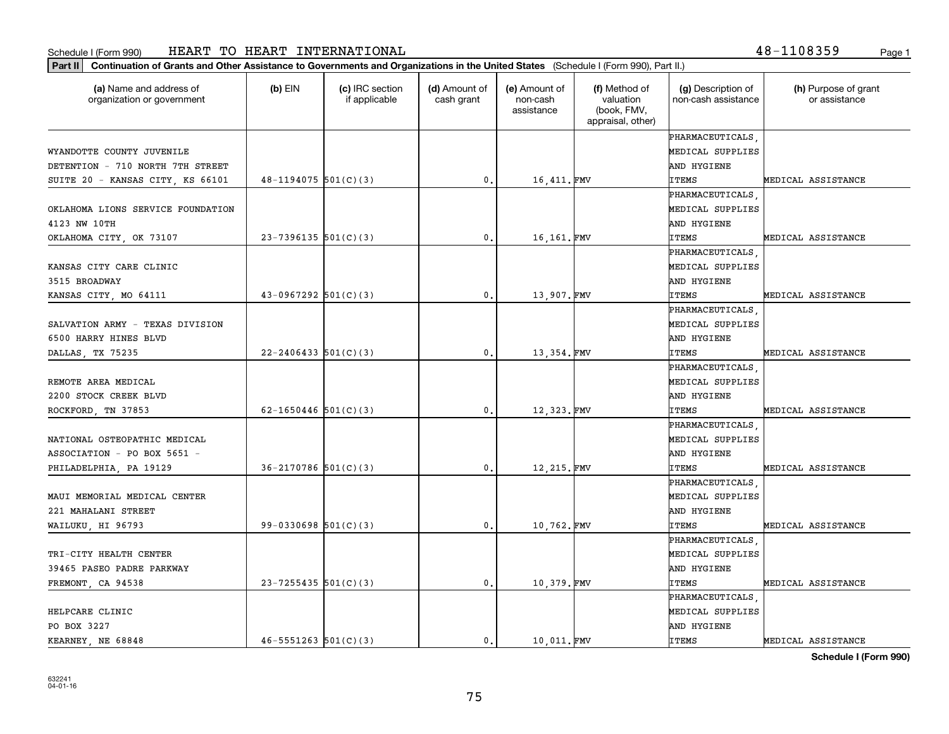## Schedule I (Form 990) Page 1 HEART TO HEART INTERNATIONAL 48-1108359

**Part II Continuation of Grants and Other Assistance to Governments and Organizations in the United States**  (Schedule I (Form 990), Part II.)

| (a) Name and address of<br>organization or government | (b) EIN                  | (c) IRC section<br>if applicable | (d) Amount of<br>cash grant | (e) Amount of<br>non-cash<br>assistance | (f) Method of<br>valuation<br>(book, FMV,<br>appraisal, other) | (g) Description of<br>non-cash assistance | (h) Purpose of grant<br>or assistance |
|-------------------------------------------------------|--------------------------|----------------------------------|-----------------------------|-----------------------------------------|----------------------------------------------------------------|-------------------------------------------|---------------------------------------|
|                                                       |                          |                                  |                             |                                         |                                                                | PHARMACEUTICALS.                          |                                       |
| WYANDOTTE COUNTY JUVENILE                             |                          |                                  |                             |                                         |                                                                | MEDICAL SUPPLIES                          |                                       |
| DETENTION - 710 NORTH 7TH STREET                      |                          |                                  |                             |                                         |                                                                | AND HYGIENE                               |                                       |
| SUITE 20 - KANSAS CITY, KS 66101                      | $48 - 1194075$ 501(C)(3) |                                  | 0.                          | 16,411.FMV                              |                                                                | <b>ITEMS</b>                              | MEDICAL ASSISTANCE                    |
|                                                       |                          |                                  |                             |                                         |                                                                | PHARMACEUTICALS.                          |                                       |
| OKLAHOMA LIONS SERVICE FOUNDATION                     |                          |                                  |                             |                                         |                                                                | MEDICAL SUPPLIES                          |                                       |
| 4123 NW 10TH                                          |                          |                                  |                             |                                         |                                                                | AND HYGIENE                               |                                       |
| OKLAHOMA CITY, OK 73107                               | $23 - 7396135$ 501(C)(3) |                                  | 0.                          | 16,161.FMV                              |                                                                | <b>ITEMS</b>                              | MEDICAL ASSISTANCE                    |
|                                                       |                          |                                  |                             |                                         |                                                                | PHARMACEUTICALS                           |                                       |
| KANSAS CITY CARE CLINIC                               |                          |                                  |                             |                                         |                                                                | MEDICAL SUPPLIES                          |                                       |
| 3515 BROADWAY                                         |                          |                                  |                             |                                         |                                                                | AND HYGIENE                               |                                       |
| KANSAS CITY, MO 64111                                 | $43-0967292$ 501(C)(3)   |                                  | 0.                          | 13,907. FMV                             |                                                                | <b>ITEMS</b>                              | MEDICAL ASSISTANCE                    |
|                                                       |                          |                                  |                             |                                         |                                                                | PHARMACEUTICALS                           |                                       |
| SALVATION ARMY - TEXAS DIVISION                       |                          |                                  |                             |                                         |                                                                | MEDICAL SUPPLIES                          |                                       |
| 6500 HARRY HINES BLVD                                 |                          |                                  |                             |                                         |                                                                | AND HYGIENE                               |                                       |
| DALLAS, TX 75235                                      | $22 - 2406433$ 501(C)(3) |                                  | 0.                          | 13,354.FMV                              |                                                                | <b>ITEMS</b>                              | MEDICAL ASSISTANCE                    |
|                                                       |                          |                                  |                             |                                         |                                                                | PHARMACEUTICALS                           |                                       |
| REMOTE AREA MEDICAL                                   |                          |                                  |                             |                                         |                                                                | MEDICAL SUPPLIES                          |                                       |
| 2200 STOCK CREEK BLVD                                 |                          |                                  |                             |                                         |                                                                | AND HYGIENE                               |                                       |
| ROCKFORD, TN 37853                                    | 62-1650446 $501(C)(3)$   |                                  | 0.                          | 12,323.FMV                              |                                                                | <b>ITEMS</b>                              | MEDICAL ASSISTANCE                    |
|                                                       |                          |                                  |                             |                                         |                                                                | PHARMACEUTICALS                           |                                       |
| NATIONAL OSTEOPATHIC MEDICAL                          |                          |                                  |                             |                                         |                                                                | MEDICAL SUPPLIES                          |                                       |
| ASSOCIATION - PO BOX 5651 -                           |                          |                                  |                             |                                         |                                                                | AND HYGIENE                               |                                       |
| PHILADELPHIA, PA 19129                                | $36 - 2170786$ 501(C)(3) |                                  | 0.                          | 12,215.FMV                              |                                                                | <b>ITEMS</b>                              | MEDICAL ASSISTANCE                    |
|                                                       |                          |                                  |                             |                                         |                                                                | PHARMACEUTICALS                           |                                       |
| MAUI MEMORIAL MEDICAL CENTER                          |                          |                                  |                             |                                         |                                                                | MEDICAL SUPPLIES                          |                                       |
| 221 MAHALANI STREET                                   |                          |                                  |                             |                                         |                                                                | AND HYGIENE                               |                                       |
| WAILUKU, HI 96793                                     | $99 - 0330698$ 501(C)(3) |                                  | 0.                          | 10,762.FMV                              |                                                                | <b>ITEMS</b>                              | MEDICAL ASSISTANCE                    |
|                                                       |                          |                                  |                             |                                         |                                                                | PHARMACEUTICALS                           |                                       |
| TRI-CITY HEALTH CENTER                                |                          |                                  |                             |                                         |                                                                | MEDICAL SUPPLIES                          |                                       |
| 39465 PASEO PADRE PARKWAY                             |                          |                                  |                             |                                         |                                                                | AND HYGIENE                               |                                       |
| FREMONT, CA 94538                                     | $23 - 7255435$ 501(C)(3) |                                  | $\mathfrak o$ .             | 10,379.FMV                              |                                                                | <b>ITEMS</b>                              | MEDICAL ASSISTANCE                    |
|                                                       |                          |                                  |                             |                                         |                                                                | PHARMACEUTICALS,                          |                                       |
| HELPCARE CLINIC                                       |                          |                                  |                             |                                         |                                                                | MEDICAL SUPPLIES                          |                                       |
| PO BOX 3227                                           |                          |                                  |                             |                                         |                                                                | AND HYGIENE                               |                                       |

**Schedule I (Form 990)**

KEARNEY, NE 68848  $\begin{vmatrix} 46-5551263 & 501(C)(3) \end{vmatrix}$  0. 10,011. FMV ITEMS MEDICAL ASSISTANCE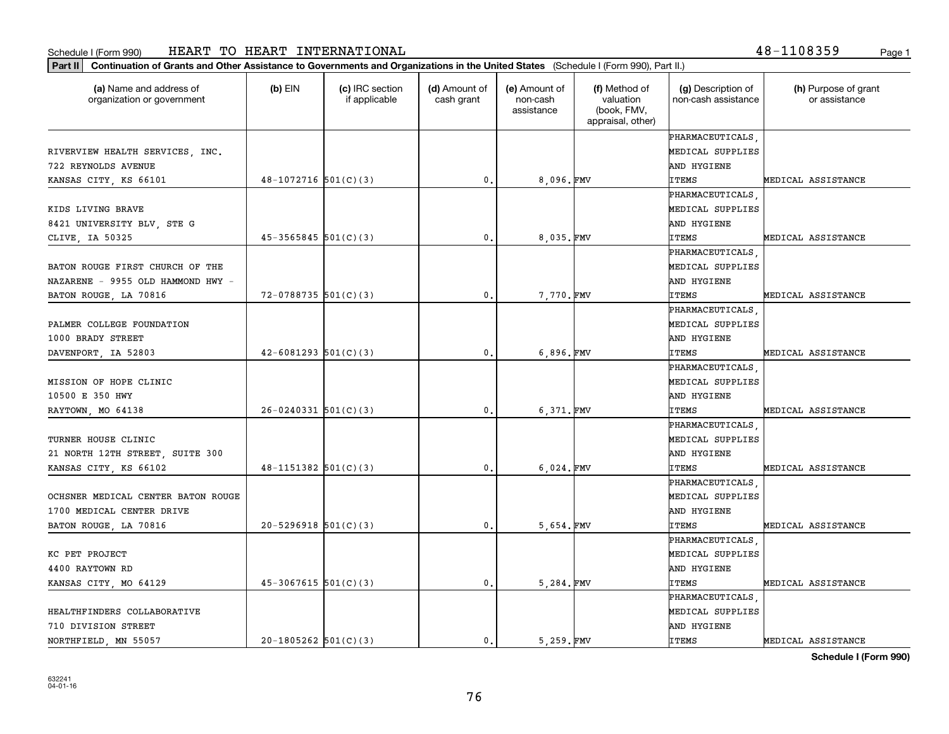## Schedule I (Form 990) Page 1 HEART TO HEART INTERNATIONAL 48-1108359

**Part II Continuation of Grants and Other Assistance to Governments and Organizations in the United States**  (Schedule I (Form 990), Part II.)

| (a) Name and address of<br>organization or government | $(b)$ EIN                  | (c) IRC section<br>if applicable | (d) Amount of<br>cash grant | (e) Amount of<br>non-cash<br>assistance | (f) Method of<br>valuation<br>(book, FMV,<br>appraisal, other) | (g) Description of<br>non-cash assistance | (h) Purpose of grant<br>or assistance |
|-------------------------------------------------------|----------------------------|----------------------------------|-----------------------------|-----------------------------------------|----------------------------------------------------------------|-------------------------------------------|---------------------------------------|
|                                                       |                            |                                  |                             |                                         |                                                                | <b>PHARMACEUTICALS</b>                    |                                       |
| RIVERVIEW HEALTH SERVICES, INC.                       |                            |                                  |                             |                                         |                                                                | MEDICAL SUPPLIES                          |                                       |
| 722 REYNOLDS AVENUE                                   |                            |                                  |                             |                                         |                                                                | AND HYGIENE                               |                                       |
| KANSAS CITY, KS 66101                                 | $48-1072716$ 501(C)(3)     |                                  | 0.                          | 8.096.FMV                               |                                                                | <b>ITEMS</b>                              | MEDICAL ASSISTANCE                    |
|                                                       |                            |                                  |                             |                                         |                                                                | PHARMACEUTICALS                           |                                       |
| KIDS LIVING BRAVE                                     |                            |                                  |                             |                                         |                                                                | MEDICAL SUPPLIES                          |                                       |
| 8421 UNIVERSITY BLV, STE G                            |                            |                                  |                             |                                         |                                                                | AND HYGIENE                               |                                       |
| CLIVE, IA 50325                                       | $45 - 3565845$ $501(C)(3)$ |                                  | 0.                          | 8.035.FMV                               |                                                                | <b>ITEMS</b>                              | MEDICAL ASSISTANCE                    |
|                                                       |                            |                                  |                             |                                         |                                                                | PHARMACEUTICALS                           |                                       |
| BATON ROUGE FIRST CHURCH OF THE                       |                            |                                  |                             |                                         |                                                                | MEDICAL SUPPLIES                          |                                       |
| NAZARENE - 9955 OLD HAMMOND HWY -                     |                            |                                  |                             |                                         |                                                                | AND HYGIENE                               |                                       |
| BATON ROUGE, LA 70816                                 | $72 - 0788735$ 501(C)(3)   |                                  | 0.                          | 7,770.FMV                               |                                                                | <b>ITEMS</b>                              | MEDICAL ASSISTANCE                    |
|                                                       |                            |                                  |                             |                                         |                                                                | PHARMACEUTICALS                           |                                       |
| PALMER COLLEGE FOUNDATION                             |                            |                                  |                             |                                         |                                                                | MEDICAL SUPPLIES                          |                                       |
| 1000 BRADY STREET                                     |                            |                                  |                             |                                         |                                                                | AND HYGIENE                               |                                       |
| DAVENPORT, IA 52803                                   | $42 - 6081293$ 501(C)(3)   |                                  | 0.                          | 6,896.FMV                               |                                                                | <b>ITEMS</b>                              | MEDICAL ASSISTANCE                    |
|                                                       |                            |                                  |                             |                                         |                                                                | <b>PHARMACEUTICALS</b>                    |                                       |
| MISSION OF HOPE CLINIC                                |                            |                                  |                             |                                         |                                                                | MEDICAL SUPPLIES                          |                                       |
| 10500 E 350 HWY                                       |                            |                                  |                             |                                         |                                                                | AND HYGIENE                               |                                       |
| RAYTOWN, MO 64138                                     | $26 - 0240331$ 501(C)(3)   |                                  | 0.                          | 6.371.FMV                               |                                                                | <b>ITEMS</b>                              | MEDICAL ASSISTANCE                    |
|                                                       |                            |                                  |                             |                                         |                                                                | PHARMACEUTICALS                           |                                       |
| TURNER HOUSE CLINIC                                   |                            |                                  |                             |                                         |                                                                | MEDICAL SUPPLIES                          |                                       |
| 21 NORTH 12TH STREET, SUITE 300                       |                            |                                  |                             |                                         |                                                                | AND HYGIENE                               |                                       |
| KANSAS CITY, KS 66102                                 | $48 - 1151382$ $501(C)(3)$ |                                  | 0.                          | 6,024.FMV                               |                                                                | <b>ITEMS</b>                              | MEDICAL ASSISTANCE                    |
|                                                       |                            |                                  |                             |                                         |                                                                | PHARMACEUTICALS                           |                                       |
| OCHSNER MEDICAL CENTER BATON ROUGE                    |                            |                                  |                             |                                         |                                                                | MEDICAL SUPPLIES                          |                                       |
| 1700 MEDICAL CENTER DRIVE                             |                            |                                  |                             |                                         |                                                                | AND HYGIENE                               |                                       |
| BATON ROUGE, LA 70816                                 | $20 - 5296918$ $501(C)(3)$ |                                  | 0.                          | 5,654.FMV                               |                                                                | <b>ITEMS</b>                              | MEDICAL ASSISTANCE                    |
|                                                       |                            |                                  |                             |                                         |                                                                | PHARMACEUTICALS                           |                                       |
| KC PET PROJECT                                        |                            |                                  |                             |                                         |                                                                | MEDICAL SUPPLIES                          |                                       |
| 4400 RAYTOWN RD                                       |                            |                                  |                             |                                         |                                                                | AND HYGIENE                               |                                       |
| KANSAS CITY, MO 64129                                 | $45-3067615$ $501(C)(3)$   |                                  | 0.                          | 5.284.FMV                               |                                                                | <b>ITEMS</b>                              | MEDICAL ASSISTANCE                    |
|                                                       |                            |                                  |                             |                                         |                                                                | PHARMACEUTICALS                           |                                       |
| HEALTHFINDERS COLLABORATIVE                           |                            |                                  |                             |                                         |                                                                | MEDICAL SUPPLIES                          |                                       |
| 710 DIVISION STREET                                   |                            |                                  |                             |                                         |                                                                | AND HYGIENE                               |                                       |

┰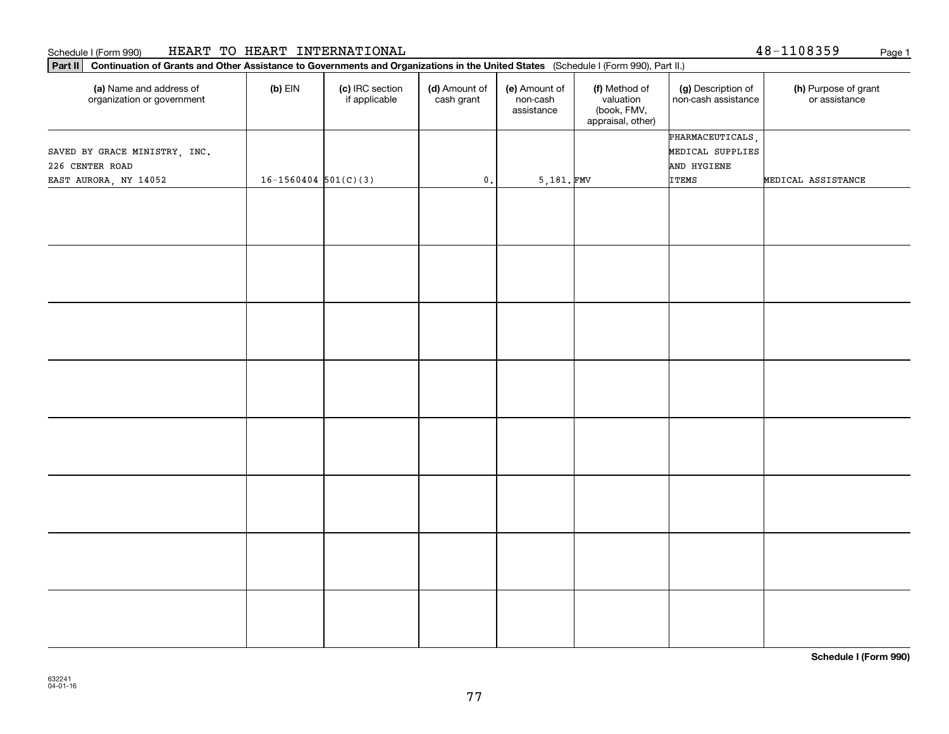### Schedule I (Form 990) Page 1 HEART TO HEART INTERNATIONAL

| 48-1108359 | Page |
|------------|------|
|------------|------|

| Part II   Continuation of Grants and Other Assistance to Governments and Organizations in the United States (Schedule I (Form 990), Part II.) |                            |                                  |                             |                                         |                                                                |                                           |                                       |
|-----------------------------------------------------------------------------------------------------------------------------------------------|----------------------------|----------------------------------|-----------------------------|-----------------------------------------|----------------------------------------------------------------|-------------------------------------------|---------------------------------------|
| (a) Name and address of<br>organization or government                                                                                         | $(b)$ EIN                  | (c) IRC section<br>if applicable | (d) Amount of<br>cash grant | (e) Amount of<br>non-cash<br>assistance | (f) Method of<br>valuation<br>(book, FMV,<br>appraisal, other) | (g) Description of<br>non-cash assistance | (h) Purpose of grant<br>or assistance |
|                                                                                                                                               |                            |                                  |                             |                                         |                                                                | PHARMACEUTICALS,                          |                                       |
| SAVED BY GRACE MINISTRY, INC.                                                                                                                 |                            |                                  |                             |                                         |                                                                | MEDICAL SUPPLIES                          |                                       |
| 226 CENTER ROAD                                                                                                                               |                            |                                  |                             |                                         |                                                                | AND HYGIENE                               |                                       |
| EAST AURORA, NY 14052                                                                                                                         | $16 - 1560404$ $501(C)(3)$ |                                  | $\mathbf 0$ .               | 5,181.FMV                               |                                                                | <b>ITEMS</b>                              | MEDICAL ASSISTANCE                    |
|                                                                                                                                               |                            |                                  |                             |                                         |                                                                |                                           |                                       |
|                                                                                                                                               |                            |                                  |                             |                                         |                                                                |                                           |                                       |
|                                                                                                                                               |                            |                                  |                             |                                         |                                                                |                                           |                                       |
|                                                                                                                                               |                            |                                  |                             |                                         |                                                                |                                           |                                       |
|                                                                                                                                               |                            |                                  |                             |                                         |                                                                |                                           |                                       |
|                                                                                                                                               |                            |                                  |                             |                                         |                                                                |                                           |                                       |
|                                                                                                                                               |                            |                                  |                             |                                         |                                                                |                                           |                                       |
|                                                                                                                                               |                            |                                  |                             |                                         |                                                                |                                           |                                       |
|                                                                                                                                               |                            |                                  |                             |                                         |                                                                |                                           |                                       |
|                                                                                                                                               |                            |                                  |                             |                                         |                                                                |                                           |                                       |
|                                                                                                                                               |                            |                                  |                             |                                         |                                                                |                                           |                                       |
|                                                                                                                                               |                            |                                  |                             |                                         |                                                                |                                           |                                       |
|                                                                                                                                               |                            |                                  |                             |                                         |                                                                |                                           |                                       |
|                                                                                                                                               |                            |                                  |                             |                                         |                                                                |                                           |                                       |
|                                                                                                                                               |                            |                                  |                             |                                         |                                                                |                                           |                                       |
|                                                                                                                                               |                            |                                  |                             |                                         |                                                                |                                           |                                       |
|                                                                                                                                               |                            |                                  |                             |                                         |                                                                |                                           |                                       |
|                                                                                                                                               |                            |                                  |                             |                                         |                                                                |                                           |                                       |
|                                                                                                                                               |                            |                                  |                             |                                         |                                                                |                                           |                                       |
|                                                                                                                                               |                            |                                  |                             |                                         |                                                                |                                           |                                       |
|                                                                                                                                               |                            |                                  |                             |                                         |                                                                |                                           |                                       |
|                                                                                                                                               |                            |                                  |                             |                                         |                                                                |                                           |                                       |
|                                                                                                                                               |                            |                                  |                             |                                         |                                                                |                                           |                                       |
|                                                                                                                                               |                            |                                  |                             |                                         |                                                                |                                           |                                       |
|                                                                                                                                               |                            |                                  |                             |                                         |                                                                |                                           |                                       |
|                                                                                                                                               |                            |                                  |                             |                                         |                                                                |                                           |                                       |

**Schedule I (Form 990)**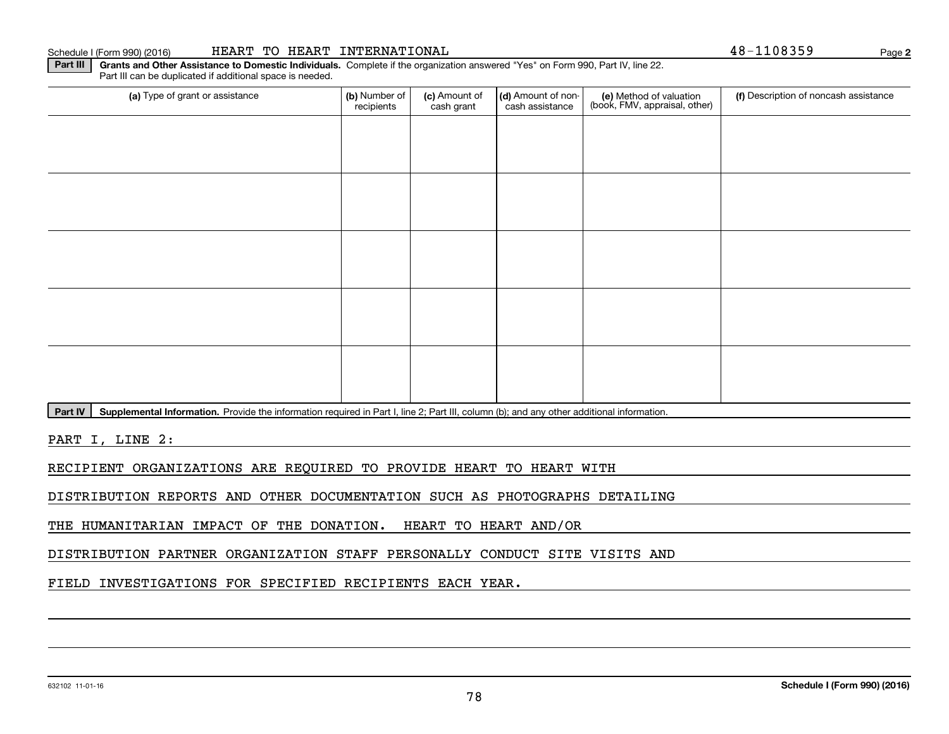#### 632102 11-01-16

## Schedule I (Form 990) (2016) Page HEART TO HEART INTERNATIONAL 48-1108359

Part III can be duplicated if additional space is needed.

(a) Type of grant or assistance **Audity Commet Audio Commet Commet Commet Commet Commet Commet Commet Commet Comme** (e) Method of valuation (book, FMV, appraisal, other) recipients(c) Amount of cash grant (d) Amount of noncash assistance (f) Description of noncash assistance

Part IV | Supplemental Information. Provide the information required in Part I, line 2; Part III, column (b); and any other additional information.

**Part III | Grants and Other Assistance to Domestic Individuals. Complete if the organization answered "Yes" on Form 990, Part IV, line 22.** 

PART I, LINE 2:

RECIPIENT ORGANIZATIONS ARE REQUIRED TO PROVIDE HEART TO HEART WITH

DISTRIBUTION REPORTS AND OTHER DOCUMENTATION SUCH AS PHOTOGRAPHS DETAILING

THE HUMANITARIAN IMPACT OF THE DONATION. HEART TO HEART AND/OR

DISTRIBUTION PARTNER ORGANIZATION STAFF PERSONALLY CONDUCT SITE VISITS AND

FIELD INVESTIGATIONS FOR SPECIFIED RECIPIENTS EACH YEAR.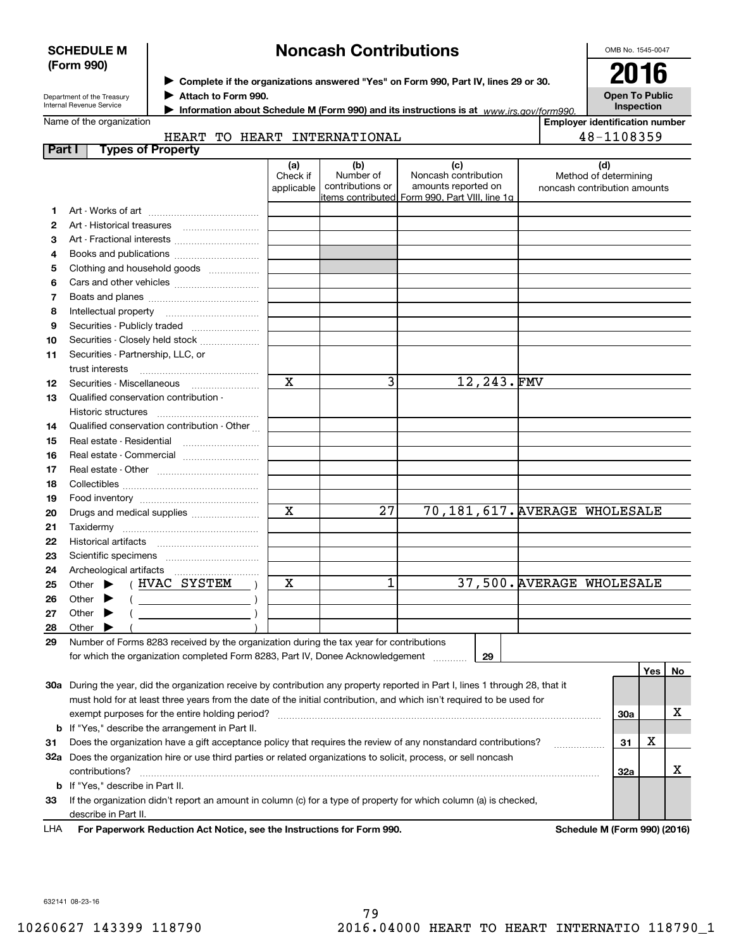| <b>SCHEDULE M</b> |  |
|-------------------|--|
| (Form 990)        |  |

# **Noncash Contributions**

OMB No. 1545-0047

| Department of the Treasury |
|----------------------------|
| Internal Revenue Service   |

**Complete if the organizations answered "Yes" on Form 990, Part IV, lines 29 or 30.** <sup>J</sup>**2016 Attach to Form 990.** J

**Open To Public Inspection**

| A Information about Schedule M (Form 990) and its instructions is at $www.irs.gov/form990$ |  |  |  |
|--------------------------------------------------------------------------------------------|--|--|--|
|                                                                                            |  |  |  |

Name of the organization

**Employer identification number**

|      | <b>HEART</b>                 | TС | <b>HEART</b> | . NT | <b>ITERNATIONAL</b> |    |  |
|------|------------------------------|----|--------------|------|---------------------|----|--|
| Part | ≅of Property<br><b>Tynes</b> |    |              |      |                     |    |  |
|      |                              |    | - -          |      |                     | -- |  |

|    |                                                                                                                                | (a)         | (b)                           | (c)                                            |                              | (d) |       |     |
|----|--------------------------------------------------------------------------------------------------------------------------------|-------------|-------------------------------|------------------------------------------------|------------------------------|-----|-------|-----|
|    |                                                                                                                                | Check if    | Number of<br>contributions or | Noncash contribution<br>amounts reported on    | Method of determining        |     |       |     |
|    |                                                                                                                                | applicable  |                               | items contributed Form 990, Part VIII, line 1g | noncash contribution amounts |     |       |     |
| 1. |                                                                                                                                |             |                               |                                                |                              |     |       |     |
| 2  | Art - Historical treasures                                                                                                     |             |                               |                                                |                              |     |       |     |
| 3  | Art - Fractional interests                                                                                                     |             |                               |                                                |                              |     |       |     |
| 4  | Books and publications                                                                                                         |             |                               |                                                |                              |     |       |     |
| 5  | Clothing and household goods                                                                                                   |             |                               |                                                |                              |     |       |     |
| 6  |                                                                                                                                |             |                               |                                                |                              |     |       |     |
| 7  |                                                                                                                                |             |                               |                                                |                              |     |       |     |
| 8  | Intellectual property                                                                                                          |             |                               |                                                |                              |     |       |     |
| 9  | Securities - Publicly traded                                                                                                   |             |                               |                                                |                              |     |       |     |
| 10 |                                                                                                                                |             |                               |                                                |                              |     |       |     |
| 11 | Securities - Partnership, LLC, or                                                                                              |             |                               |                                                |                              |     |       |     |
|    | trust interests                                                                                                                |             |                               |                                                |                              |     |       |     |
| 12 |                                                                                                                                | $\mathbf X$ | 3                             | 12,243.FMV                                     |                              |     |       |     |
| 13 | Qualified conservation contribution -                                                                                          |             |                               |                                                |                              |     |       |     |
|    | Historic structures                                                                                                            |             |                               |                                                |                              |     |       |     |
| 14 | Qualified conservation contribution - Other                                                                                    |             |                               |                                                |                              |     |       |     |
| 15 |                                                                                                                                |             |                               |                                                |                              |     |       |     |
| 16 | Real estate - Commercial                                                                                                       |             |                               |                                                |                              |     |       |     |
| 17 |                                                                                                                                |             |                               |                                                |                              |     |       |     |
| 18 |                                                                                                                                |             |                               |                                                |                              |     |       |     |
| 19 |                                                                                                                                |             |                               |                                                |                              |     |       |     |
| 20 | Drugs and medical supplies                                                                                                     | $\mathbf X$ | 27                            | 70,181,617. AVERAGE WHOLESALE                  |                              |     |       |     |
| 21 |                                                                                                                                |             |                               |                                                |                              |     |       |     |
| 22 |                                                                                                                                |             |                               |                                                |                              |     |       |     |
| 23 |                                                                                                                                |             |                               |                                                |                              |     |       |     |
| 24 |                                                                                                                                |             |                               |                                                |                              |     |       |     |
| 25 | (HVAC SYSTEM<br>Other $\blacktriangleright$                                                                                    | х           | 1                             |                                                | 37,500. AVERAGE WHOLESALE    |     |       |     |
| 26 | $($ $)$<br>Other $\blacktriangleright$                                                                                         |             |                               |                                                |                              |     |       |     |
| 27 | Other $\blacktriangleright$<br>$\sqrt{2}$                                                                                      |             |                               |                                                |                              |     |       |     |
| 28 | Other $\blacktriangleright$                                                                                                    |             |                               |                                                |                              |     |       |     |
| 29 | Number of Forms 8283 received by the organization during the tax year for contributions                                        |             |                               |                                                |                              |     |       |     |
|    | for which the organization completed Form 8283, Part IV, Donee Acknowledgement                                                 |             |                               | 29                                             |                              |     |       |     |
|    |                                                                                                                                |             |                               |                                                |                              |     | Yes l | No. |
|    | 30a During the year, did the organization receive by contribution any property reported in Part I, lines 1 through 28, that it |             |                               |                                                |                              |     |       |     |
|    | must hold for at least three years from the date of the initial contribution, and which isn't required to be used for          |             |                               |                                                |                              |     |       |     |
|    | exempt purposes for the entire holding period?                                                                                 |             |                               |                                                |                              | 30a |       | х   |
|    | <b>b</b> If "Yes," describe the arrangement in Part II.                                                                        |             |                               |                                                |                              |     |       |     |
| 31 | Does the organization have a gift acceptance policy that requires the review of any nonstandard contributions?                 |             |                               |                                                | .                            | 31  | х     |     |
|    | 32a Does the organization hire or use third parties or related organizations to solicit, process, or sell noncash              |             |                               |                                                |                              |     |       |     |

**33** If the organization didn't report an amount in column (c) for a type of property for which column (a) is checked, **b** If "Yes," describe in Part II. describe in Part II.

contributions? ~~~~~~~~~~~~~~~~~~~~~~~~~~~~~~~~~~~~~~~~~~~~~~~~~~~~~~

For Paperwork Reduction Act Notice, see the Instructions for Form 990. Schedule M (Form 990) (2016) LHA

**32a**

X

632141 08-23-16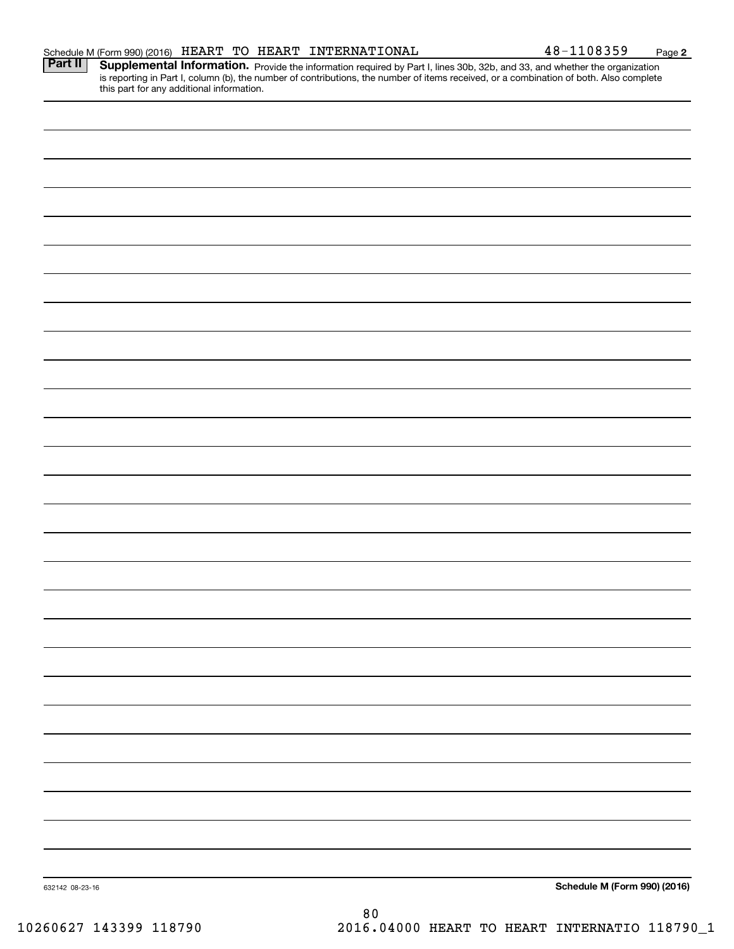|  | <b>Schedule M (Form 990) (2016)</b>                                                                                                                                                 |
|--|-------------------------------------------------------------------------------------------------------------------------------------------------------------------------------------|
|  |                                                                                                                                                                                     |
|  |                                                                                                                                                                                     |
|  |                                                                                                                                                                                     |
|  |                                                                                                                                                                                     |
|  |                                                                                                                                                                                     |
|  |                                                                                                                                                                                     |
|  |                                                                                                                                                                                     |
|  |                                                                                                                                                                                     |
|  |                                                                                                                                                                                     |
|  |                                                                                                                                                                                     |
|  |                                                                                                                                                                                     |
|  |                                                                                                                                                                                     |
|  |                                                                                                                                                                                     |
|  |                                                                                                                                                                                     |
|  |                                                                                                                                                                                     |
|  |                                                                                                                                                                                     |
|  |                                                                                                                                                                                     |
|  |                                                                                                                                                                                     |
|  |                                                                                                                                                                                     |
|  |                                                                                                                                                                                     |
|  |                                                                                                                                                                                     |
|  |                                                                                                                                                                                     |
|  |                                                                                                                                                                                     |
|  |                                                                                                                                                                                     |
|  |                                                                                                                                                                                     |
|  |                                                                                                                                                                                     |
|  |                                                                                                                                                                                     |
|  | is reporting in Part I, column (b), the number of contributions, the number of items received, or a combination of both. Also complete<br>this part for any additional information. |

Provide the information required by Part I, lines 30b, 32b, and 33, and whether the organization is reporting in Part I, column (b), the number of contributions, the number of items received, or a combination of both. Also complete **Part II Supplemental Information.** 

**2**

10260627 143399 118790 2016.04000 HEART TO HEART INTERNATIO 118790\_1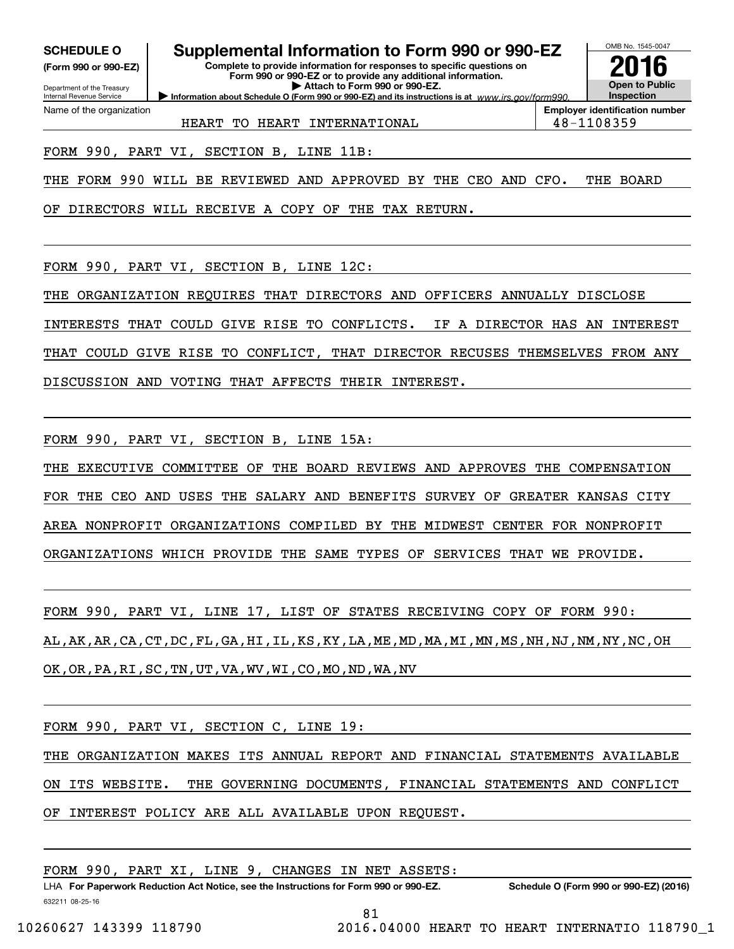**(Form 990 or 990-EZ)**

Department of the Treasury Internal Revenue Service Name of the organization

## **SCHEDULE O Supplemental Information to Form 990 or 990-EZ**

**Information about Schedule O (Form 990 or 990-EZ) and its instructions is at**  $www.irs.gov/form990.$ **Complete to provide information for responses to specific questions on Form 990 or 990-EZ or to provide any additional information. | Attach to Form 990 or 990-EZ.**



**Employer identification number**

HEART TO HEART INTERNATIONAL  $\vert$  48-1108359

FORM 990, PART VI, SECTION B, LINE 11B:

THE FORM 990 WILL BE REVIEWED AND APPROVED BY THE CEO AND CFO. THE BOARD

OF DIRECTORS WILL RECEIVE A COPY OF THE TAX RETURN.

FORM 990, PART VI, SECTION B, LINE 12C:

THE ORGANIZATION REQUIRES THAT DIRECTORS AND OFFICERS ANNUALLY DISCLOSE

INTERESTS THAT COULD GIVE RISE TO CONFLICTS. IF A DIRECTOR HAS AN INTEREST

THAT COULD GIVE RISE TO CONFLICT, THAT DIRECTOR RECUSES THEMSELVES FROM ANY

DISCUSSION AND VOTING THAT AFFECTS THEIR INTEREST.

FORM 990, PART VI, SECTION B, LINE 15A:

THE EXECUTIVE COMMITTEE OF THE BOARD REVIEWS AND APPROVES THE COMPENSATION FOR THE CEO AND USES THE SALARY AND BENEFITS SURVEY OF GREATER KANSAS CITY AREA NONPROFIT ORGANIZATIONS COMPILED BY THE MIDWEST CENTER FOR NONPROFIT ORGANIZATIONS WHICH PROVIDE THE SAME TYPES OF SERVICES THAT WE PROVIDE.

FORM 990, PART VI, LINE 17, LIST OF STATES RECEIVING COPY OF FORM 990: AL,AK,AR,CA,CT,DC,FL,GA,HI,IL,KS,KY,LA,ME,MD,MA,MI,MN,MS,NH,NJ,NM,NY,NC,OH OK,OR,PA,RI,SC,TN,UT,VA,WV,WI,CO,MO,ND,WA,NV

FORM 990, PART VI, SECTION C, LINE 19:

THE ORGANIZATION MAKES ITS ANNUAL REPORT AND FINANCIAL STATEMENTS AVAILABLE ON ITS WEBSITE. THE GOVERNING DOCUMENTS, FINANCIAL STATEMENTS AND CONFLICT OF INTEREST POLICY ARE ALL AVAILABLE UPON REQUEST.

FORM 990, PART XI, LINE 9, CHANGES IN NET ASSETS: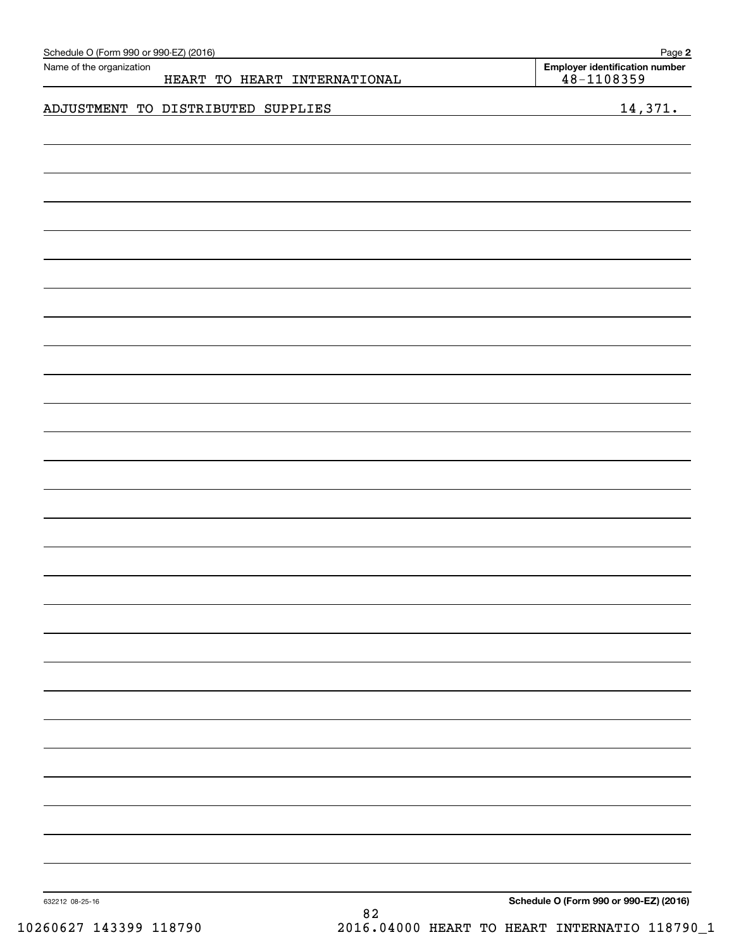| Name of the organization<br>48-1108359<br>HEART TO HEART INTERNATIONAL<br>ADJUSTMENT TO DISTRIBUTED SUPPLIES<br>632212 08-25-16 | Schedule O (Form 990 or 990-EZ) (2016) |    | Page 2                                 |
|---------------------------------------------------------------------------------------------------------------------------------|----------------------------------------|----|----------------------------------------|
|                                                                                                                                 |                                        |    | <b>Employer identification number</b>  |
|                                                                                                                                 |                                        |    |                                        |
|                                                                                                                                 |                                        |    | 14,371.                                |
|                                                                                                                                 |                                        |    |                                        |
|                                                                                                                                 |                                        |    |                                        |
|                                                                                                                                 |                                        |    |                                        |
|                                                                                                                                 |                                        |    |                                        |
|                                                                                                                                 |                                        |    |                                        |
|                                                                                                                                 |                                        |    |                                        |
|                                                                                                                                 |                                        |    |                                        |
|                                                                                                                                 |                                        |    |                                        |
|                                                                                                                                 |                                        |    |                                        |
|                                                                                                                                 |                                        |    |                                        |
|                                                                                                                                 |                                        |    |                                        |
|                                                                                                                                 |                                        |    |                                        |
|                                                                                                                                 |                                        |    |                                        |
|                                                                                                                                 |                                        |    |                                        |
|                                                                                                                                 |                                        |    |                                        |
|                                                                                                                                 |                                        |    |                                        |
|                                                                                                                                 |                                        |    |                                        |
|                                                                                                                                 |                                        |    |                                        |
|                                                                                                                                 |                                        |    |                                        |
|                                                                                                                                 |                                        |    |                                        |
|                                                                                                                                 |                                        |    |                                        |
|                                                                                                                                 |                                        |    |                                        |
|                                                                                                                                 |                                        |    |                                        |
|                                                                                                                                 |                                        |    |                                        |
|                                                                                                                                 |                                        |    |                                        |
|                                                                                                                                 |                                        |    |                                        |
|                                                                                                                                 |                                        |    |                                        |
|                                                                                                                                 |                                        |    |                                        |
|                                                                                                                                 |                                        |    |                                        |
|                                                                                                                                 |                                        |    |                                        |
|                                                                                                                                 |                                        |    |                                        |
|                                                                                                                                 |                                        |    |                                        |
|                                                                                                                                 |                                        |    |                                        |
|                                                                                                                                 |                                        |    |                                        |
|                                                                                                                                 |                                        |    |                                        |
|                                                                                                                                 |                                        |    |                                        |
|                                                                                                                                 |                                        |    |                                        |
|                                                                                                                                 |                                        |    |                                        |
|                                                                                                                                 |                                        |    |                                        |
|                                                                                                                                 |                                        |    |                                        |
|                                                                                                                                 |                                        |    |                                        |
|                                                                                                                                 |                                        | 82 | Schedule O (Form 990 or 990-EZ) (2016) |